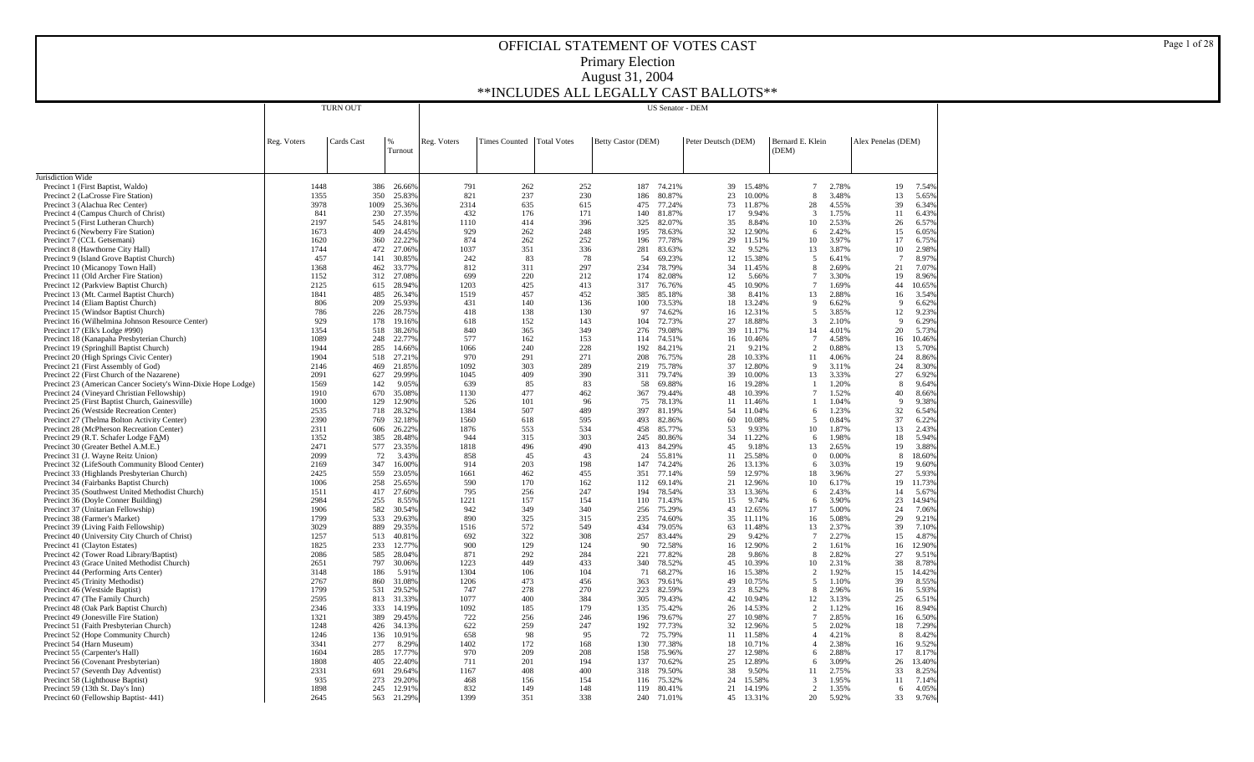# OFFICIAL STATEMENT OF VOTES CAST Primary Election August 31, 2004

#### \*\*INCLUDES ALL LEGALLY CAST BALLOTS\*\*

|                                                                                             |              | TURN OUT    |                  |             |                      |                    |                    | US Senator - DEM |                     |                  |                           |                |                    |                |
|---------------------------------------------------------------------------------------------|--------------|-------------|------------------|-------------|----------------------|--------------------|--------------------|------------------|---------------------|------------------|---------------------------|----------------|--------------------|----------------|
|                                                                                             | Reg. Voters  | Cards Cast  | %<br>Turnout     | Reg. Voters | <b>Times Counted</b> | <b>Total Votes</b> | Betty Castor (DEM) |                  | Peter Deutsch (DEM) |                  | Bernard E. Klein<br>(DEM) |                | Alex Penelas (DEM) |                |
|                                                                                             |              |             |                  |             |                      |                    |                    |                  |                     |                  |                           |                |                    |                |
| Jurisdiction Wide                                                                           |              |             |                  |             |                      |                    |                    |                  |                     |                  |                           |                |                    |                |
| Precinct 1 (First Baptist, Waldo)                                                           | 1448         | 386         | 26.66%           | 791         | 262                  | 252                | 187                | 74.21%           | 39                  | 15.48%           | 7                         | 2.78%          | 19                 | 7.54%          |
| Precinct 2 (LaCrosse Fire Station)                                                          | 1355         | 350         | 25.83%           | 821         | 237                  | 230                | 186                | 80.87%           | 23                  | 10.00%           | 8                         | 3.48%          | 13                 | 5.65%          |
| Precinct 3 (Alachua Rec Center)                                                             | 3978<br>841  | 1009<br>230 | 25.36%<br>27.35% | 2314<br>432 | 635                  | 615<br>171         | 475<br>140         | 77.24%           | 73<br>17            | 11.87%<br>9.94%  | 28<br>3                   | 4.55%<br>1.75% | 39<br>11           | 6.34%          |
| Precinct 4 (Campus Church of Christ)<br>Precinct 5 (First Lutheran Church)                  | 2197         | 545         | 24.81%           | 1110        | 176<br>414           | 396                | 325                | 81.87%<br>82.07% | 35                  | 8.84%            | 10                        | 2.53%          | 26                 | 6.43%<br>6.57% |
| Precinct 6 (Newberry Fire Station)                                                          | 1673         | 409         | 24.45%           | 929         | 262                  | 248                | 195                | 78.63%           | 32                  | 12.90%           | 6                         | 2.42%          | 15                 | 6.05%          |
| Precinct 7 (CCL Getsemani)                                                                  | 1620         | 360         | 22.22%           | 874         | 262                  | 252                | 196                | 77.78%           | 29                  | 11.51%           | 10                        | 3.97%          | 17                 | 6.75%          |
| Precinct 8 (Hawthorne City Hall)                                                            | 1744         | 472         | 27.06%           | 1037        | 351                  | 336                | 281                | 83.63%           | 32                  | 9.52%            | 13                        | 3.87%          | 10                 | 2.98%          |
| Precinct 9 (Island Grove Baptist Church)                                                    | 457          | 141         | 30.85%           | 242         | 83                   | 78                 | 54                 | 69.23%           | 12                  | 15.38%           | .5                        | 6.41%          | $7\phantom{.0}$    | 8.97%          |
| Precinct 10 (Micanopy Town Hall)                                                            | 1368         | 462         | 33.77%           | 812         | 311                  | 297                | 234                | 78.79%           | 34                  | 11.45%           | 8                         | 2.69%          | 21                 | 7.07%          |
| Precinct 11 (Old Archer Fire Station)                                                       | 1152         | 312         | 27.08%           | 699         | 220                  | 212                | 174                | 82.08%           | 12                  | 5.66%            | $\overline{7}$            | 3.30%          | 19                 | 8.96%          |
| Precinct 12 (Parkview Baptist Church)                                                       | 2125         | 615         | 28.94%           | 1203        | 425                  | 413                | 317                | 76.76%           | 45                  | 10.90%           | $\overline{7}$            | 1.69%          | 44                 | 10.65%         |
| Precinct 13 (Mt. Carmel Baptist Church)                                                     | 1841         | 485         | 26.34%           | 1519        | 457                  | 452                | 385                | 85.18%           | 38                  | 8.41%            | 13                        | 2.88%          | 16                 | 3.54%          |
| Precinct 14 (Eliam Baptist Church)                                                          | 806          | 209         | 25.93%           | 431         | 140                  | 136                | 100                | 73.53%           | 18                  | 13.24%           | -9                        | 6.62%          | 9                  | 6.62%          |
| Precinct 15 (Windsor Baptist Church)                                                        | 786          | 226         | 28.75%           | 418         | 138                  | 130                | 97                 | 74.62%           | 16                  | 12.31%           | 5                         | 3.85%          | 12                 | 9.239          |
| Precinct 16 (Wilhelmina Johnson Resource Center)                                            | 929          | 178         | 19.16%           | 618         | 152                  | 143                | 104                | 72.73%           | 27                  | 18.88%           | 3                         | 2.10%          | 9                  | 6.29%          |
| Precinct 17 (Elk's Lodge #990)                                                              | 1354         | 518         | 38.26%           | 840         | 365                  | 349                | 276                | 79.08%           | 39                  | 11.17%           | 14                        | 4.01%          | 20                 | 5.73%          |
| Precinct 18 (Kanapaha Presbyterian Church)                                                  | 1089         | 248         | 22.77%           | 577         | 162                  | 153                | 114                | 74.51%           | 16                  | 10.46%           | $\overline{7}$            | 4.58%          | 16                 | 10.46%         |
| Precinct 19 (Springhill Baptist Church)                                                     | 1944         | 285         | 14.66%           | 1066        | 240                  | 228                | 192                | 84.21%           | 21                  | 9.21%            | $\overline{2}$            | 0.88%          | 13                 | 5.70%          |
| Precinct 20 (High Springs Civic Center)                                                     | 1904         | 518         | 27.21%           | 970         | 291                  | 271                | 208                | 76.75%           | 28                  | 10.33%           | 11                        | 4.06%          | 24                 | 8.86%          |
| Precinct 21 (First Assembly of God)                                                         | 2146         | 469         | 21.85%           | 1092        | 303                  | 289                | 219                | 75.78%           | 37                  | 12.80%           | -9                        | 3.11%          | 24                 | 8.30%          |
| Precinct 22 (First Church of the Nazarene)                                                  | 2091         | 627         | 29.99%           | 1045        | 409                  | 390                | 311                | 79.74%           | 39                  | 10.00%           | 13                        | 3.33%          | 27                 | 6.92%          |
| Precinct 23 (American Cancer Society's Winn-Dixie Hope Lodge)                               | 1569         | 142         | 9.05%            | 639         | 85                   | 83                 | 58                 | 69.88%           | 16                  | 19.28%           | -1                        | 1.20%          | 8                  | 9.64%          |
| Precinct 24 (Vineyard Christian Fellowship)                                                 | 1910         | 670         | 35.08%           | 1130        | 477                  | 462                | 367                | 79.44%           | 48                  | 10.39%           | $7\phantom{.0}$           | 1.52%          | 40<br>9            | 8.66%          |
| Precinct 25 (First Baptist Church, Gainesville)<br>Precinct 26 (Westside Recreation Center) | 1000<br>2535 | 129         | 12.90%<br>28.32% | 526<br>1384 | 101<br>507           | 96<br>489          | 75<br>397          | 78.13%<br>81.19% | 11<br>54            | 11.46%<br>11.04% | 1                         | 1.04%<br>1.23% | 32                 | 9.38%<br>6.54% |
| Precinct 27 (Thelma Bolton Activity Center)                                                 | 2390         | 718<br>769  | 32.18%           | 1560        | 618                  | 595                | 493                | 82.86%           | 60                  | 10.08%           | 6<br>5                    | 0.84%          | 37                 | 6.22%          |
| Precinct 28 (McPherson Recreation Center)                                                   | 2311         | 606         | 26.22%           | 1876        | 553                  | 534                | 458                | 85.77%           | 53                  | 9.93%            | 10                        | 1.87%          | 13                 | 2.43%          |
| Precinct 29 (R.T. Schafer Lodge FAM)                                                        | 1352         | 385         | 28.48%           | 944         | 315                  | 303                | 245                | 80.86%           | 34                  | 11.22%           | 6                         | 1.98%          | 18                 | 5.94%          |
| Precinct 30 (Greater Bethel A.M.E.)                                                         | 2471         | 577         | 23.35%           | 1818        | 496                  | 490                | 413                | 84.29%           | 45                  | 9.18%            | 13                        | 2.65%          | 19                 | 3.88%          |
| Precinct 31 (J. Wayne Reitz Union)                                                          | 2099         | 72          | 3.43%            | 858         | 45                   | 43                 | 24                 | 55.81%           | 11                  | 25.58%           | $\Omega$                  | 0.00%          | 8                  | 18.60%         |
| Precinct 32 (LifeSouth Community Blood Center)                                              | 2169         | 347         | 16.00%           | 914         | 203                  | 198                | 147                | 74.24%           | 26                  | 13.13%           | 6                         | 3.03%          | 19                 | 9.60%          |
| Precinct 33 (Highlands Presbyterian Church)                                                 | 2425         | 559         | 23.05%           | 1661        | 462                  | 455                | 351                | 77.14%           | 59                  | 12.97%           | 18                        | 3.96%          | 27                 | 5.93%          |
| Precinct 34 (Fairbanks Baptist Church)                                                      | 1006         | 258         | 25.65%           | 590         | 170                  | 162                | 112                | 69.14%           | 21                  | 12.96%           | 10                        | 6.17%          | 19                 | 11.73%         |
| Precinct 35 (Southwest United Methodist Church)                                             | 1511         | 417         | 27.60%           | 795         | 256                  | 247                | 194                | 78.54%           | 33                  | 13.36%           | -6                        | 2.43%          | 14                 | 5.67%          |
| Precinct 36 (Doyle Conner Building)                                                         | 2984         | 255         | 8.55%            | 1221        | 157                  | 154                | 110                | 71.43%           | 15                  | 9.74%            | 6                         | 3.90%          | 23                 | 14.94%         |
| Precinct 37 (Unitarian Fellowship)                                                          | 1906         | 582         | 30.54%           | 942         | 349                  | 340                | 256                | 75.29%           | 43                  | 12.65%           | 17                        | 5.00%          | 24                 | 7.06%          |
| Precinct 38 (Farmer's Market)                                                               | 1799         | 533         | 29.63%           | 890         | 325                  | 315                | 235                | 74.60%           | 35                  | 11.11%           | 16                        | 5.08%          | 29                 | 9.21%          |
| Precinct 39 (Living Faith Fellowship)                                                       | 3029         | 889         | 29.35%           | 1516        | 572                  | 549                | 434                | 79.05%           | 63                  | 11.48%           | 13                        | 2.37%          | 39                 | 7.10%          |
| Precinct 40 (University City Church of Christ)                                              | 1257         | 513         | 40.81%           | 692         | 322                  | 308                | 257                | 83.44%           | 29                  | 9.42%            | $\overline{7}$            | 2.27%          | 15                 | 4.87%          |
| Precinct 41 (Clayton Estates)                                                               | 1825         | 233         | 12.77%           | 900         | 129                  | 124                | 90                 | 72.58%           | 16                  | 12.90%           | $\overline{2}$            | 1.61%          | 16                 | 12.90%         |
| Precinct 42 (Tower Road Library/Baptist)                                                    | 2086         | 585         | 28.04%           | 871         | 292                  | 284                | 221                | 77.82%           | 28                  | 9.86%            | 8                         | 2.82%          | 27                 | 9.51%          |
| Precinct 43 (Grace United Methodist Church)                                                 | 2651         | 797         | 30.06%           | 1223        | 449                  | 433                | 340                | 78.52%           | 45                  | 10.39%           | 10                        | 2.31%          | 38                 | 8.78%          |
| Precinct 44 (Performing Arts Center)                                                        | 3148         | 186         | 5.91%            | 1304        | 106                  | 104                | 71                 | 68.27%           | 16                  | 15.38%           | $\mathcal{D}$             | 1.92%          | 15                 | 14.42%         |
| Precinct 45 (Trinity Methodist)                                                             | 2767         | 860         | 31.08%           | 1206        | 473                  | 456                | 363                | 79.61%           | 49                  | 10.75%           | .5                        | 1.10%          | 39                 | 8.55%          |
| Precinct 46 (Westside Baptist)                                                              | 1799         | 531         | 29.52%           | 747         | 278                  | 270                | 223                | 82.59%           | 23                  | 8.52%            | 8                         | 2.96%          | 16                 | 5.93%          |
| Precinct 47 (The Family Church)                                                             | 2595         | 813         | 31.33%           | 1077        | 400                  | 384                | 305                | 79.43%           | 42                  | 10.94%           | 12                        | 3.13%          | 25                 | 6.51%          |
| Precinct 48 (Oak Park Baptist Church)                                                       | 2346         | 333         | 14.19%           | 1092        | 185                  | 179                | 135                | 75.42%           | 26                  | 14.53%           | 2<br>$\overline{7}$       | 1.12%          | 16                 | 8.94%          |
| Precinct 49 (Jonesville Fire Station)                                                       | 1321         | 389         | 29.45%           | 722         | 256                  | 246                | 196                | 79.67%           | 27                  | 10.98%           |                           | 2.85%          | 16                 | 6.50%          |
| Precinct 51 (Faith Presbyterian Church)                                                     | 1248<br>1246 | 426<br>136  | 34.13%           | 622<br>658  | 259<br>98            | 247<br>95          | 192                | 77.73%           | 32                  | 12.96%           | 5<br>$\overline{4}$       | 2.02%<br>4.21% | 18<br>8            | 7.29%<br>8.42% |
| Precinct 52 (Hope Community Church)                                                         | 3341         | 277         | 10.91%           | 1402        | 172                  | 168                | 72<br>130          | 75.79%<br>77.38% | 11<br>18            | 11.58%           | $\Delta$                  | 2.38%          |                    | 9.52%          |
| Precinct 54 (Harn Museum)<br>Precinct 55 (Carpenter's Hall)                                 | 1604         | 285         | 8.29%<br>17.77%  | 970         | 209                  | 208                | 158                | 75.96%           | 27                  | 10.71%<br>12.98% | 6                         | 2.88%          | 16<br>17           | 8.17%          |
| Precinct 56 (Covenant Presbyterian)                                                         | 1808         | 405         | 22.40%           | 711         | 201                  | 194                | 137                | 70.62%           | 25                  | 12.89%           | -6                        | 3.09%          | 26                 | 13.40%         |
| Precinct 57 (Seventh Day Adventist)                                                         | 2331         | 691         | 29.64%           | 1167        | 408                  | 400                | 318                | 79.50%           | 38                  | 9.50%            | 11                        | 2.75%          | 33                 | 8.25%          |
| Precinct 58 (Lighthouse Baptist)                                                            | 935          | 273         | 29.20%           | 468         | 156                  | 154                | 116                | 75.32%           | 24                  | 15.58%           | 3                         | 1.95%          | 11                 | 7.14%          |
| Precinct 59 (13th St. Day's Inn)                                                            | 1898         | 245         | 12.91%           | 832         | 149                  | 148                | 119                | 80.41%           | 21                  | 14.19%           | $\overline{2}$            | 1.35%          | 6                  | 4.05%          |
| Precinct 60 (Fellowship Baptist-441)                                                        | 2645         | 563         | 21.29%           | 1399        | 351                  | 338                | 240                | 71.01%           | 45                  | 13.31%           | 20                        | 5.92%          | 33                 | 9.76%          |

Page 1 of 28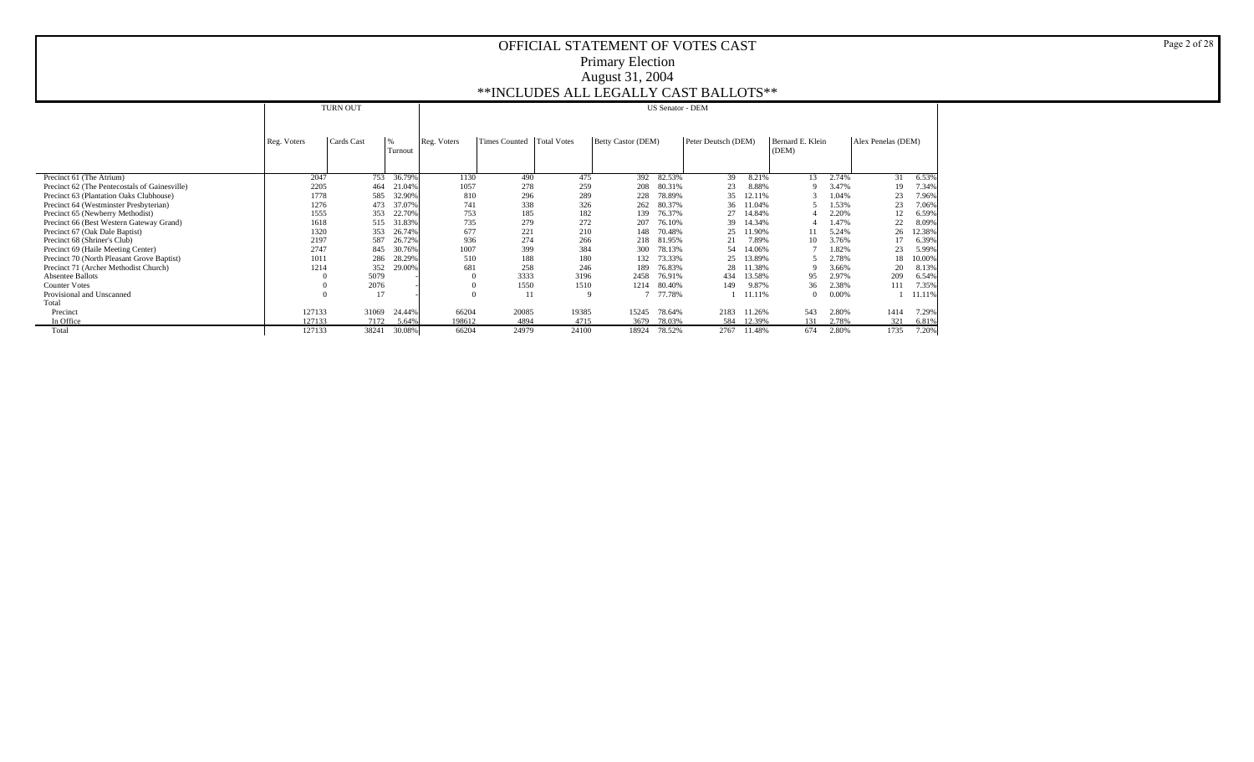|                                               |             | <b>TURN OUT</b> |              |             |                             |       |                    | <b>US Senator - DEM</b> |                     |        |                           |       |                    |        |
|-----------------------------------------------|-------------|-----------------|--------------|-------------|-----------------------------|-------|--------------------|-------------------------|---------------------|--------|---------------------------|-------|--------------------|--------|
|                                               | Reg. Voters | Cards Cast      | %<br>Turnout | Reg. Voters | Times Counted   Total Votes |       | Betty Castor (DEM) |                         | Peter Deutsch (DEM) |        | Bernard E. Klein<br>(DEM) |       | Alex Penelas (DEM) |        |
| Precinct 61 (The Atrium)                      | 2047        | 753             | 36.79%       | 1130        | 490                         | 475   | 392                | 82.53%                  | 39                  | 8.21%  | 13                        | 2.74% | 31                 | 6.53%  |
| Precinct 62 (The Pentecostals of Gainesville) | 2205        | 464             | 21.04%       | 1057        | 278                         | 259   | 208                | 80.31%                  | 23                  | 8.88%  |                           | 3.47% | 19                 | 7.34%  |
| Precinct 63 (Plantation Oaks Clubhouse)       | 1778        | 585             | 32.90%       | 810         | 296                         | 289   | 228                | 78.89%                  | 35                  | 12.11% |                           | 1.04% | 23                 | 7.96%  |
| Precinct 64 (Westminster Presbyterian)        | 1276        | 473             | 37.07%       | 741         | 338                         | 326   | 262                | 80.37%                  | 36                  | 11.04% |                           | 1.53% | 23                 | 7.06%  |
| Precinct 65 (Newberry Methodist)              | 1555        | 353             | 22.70%       | 753         | 185                         | 182   | 139                | 76.37%                  | 27                  | 14.84% |                           | 2.20% | 12                 | 6.59%  |
| Precinct 66 (Best Western Gateway Grand)      | 1618        | 515             | 31.83%       | 735         | 279                         | 272   | 207                | 76.10%                  | 39                  | 14.34% |                           | 1.47% | 22                 | 8.09%  |
| Precinct 67 (Oak Dale Baptist)                | 1320        | 353             | 26.74%       | 677         | 221                         | 210   | 148                | 70.48%                  | 25                  | 11.90% |                           | 5.24% | 26                 | 12.38% |
| Precinct 68 (Shriner's Club)                  | 2197        | 587             | 26.72%       | 936         | 274                         | 266   | 218                | 81.95%                  |                     | 7.89%  | 10                        | 3.76% |                    | 6.39%  |
| Precinct 69 (Haile Meeting Center)            | 2747        | 845             | 30.76%       | 1007        | 399                         | 384   | 300                | 78.13%                  | 54                  | 14.06% |                           | 1.82% | 23                 | 5.99%  |
| Precinct 70 (North Pleasant Grove Baptist)    | 1011        | 286             | 28.29%       | 510         | 188                         | 180   | 132                | 73.33%                  | 25                  | 13.89% |                           | 2.78% | 18                 | 10.00% |
| Precinct 71 (Archer Methodist Church)         | 1214        | 352             | 29.00%       | 681         | 258                         | 246   | 189                | 76.83%                  | 28                  | 11.38% |                           | 3.66% | 20                 | 8.13%  |
| Absentee Ballots                              |             | 5079            |              |             | 3333                        | 3196  | 2458               | 76.91%                  | 434                 | 13.58% | 95                        | 2.97% | 209                | 6.54%  |
| <b>Counter Votes</b>                          |             | 2076            |              |             | 1550                        | 1510  | 1214               | 80.40%                  | 149                 | 9.87%  | 36                        | 2.38% | 111                | 7.35%  |
| Provisional and Unscanned                     |             | 17              |              |             | 11                          | 9     |                    | 77.78%                  |                     | 11.11% | $\Omega$                  | 0.00% |                    | 11.11% |
| Total                                         |             |                 |              |             |                             |       |                    |                         |                     |        |                           |       |                    |        |
| Precinct                                      | 127133      | 31069           | 24.44%       | 66204       | 20085                       | 19385 | 15245              | 78.64%                  | 2183                | 11.26% | 543                       | 2.80% | 1414               | 7.29%  |
| In Office                                     | 127133      | 7172            | 5.64%        | 198612      | 4894                        | 4715  | 3679               | 78.03%                  | 584                 | 12.39% | 131                       | 2.78% | 321                | 6.81%  |
| Total                                         | 127133      | 38241           | 30.08%       | 66204       | 24979                       | 24100 | 18924              | 78.52%                  | 2767                | 11.48% | 674                       | 2.80% | 1735               | 7.20%  |

Page 2 of 28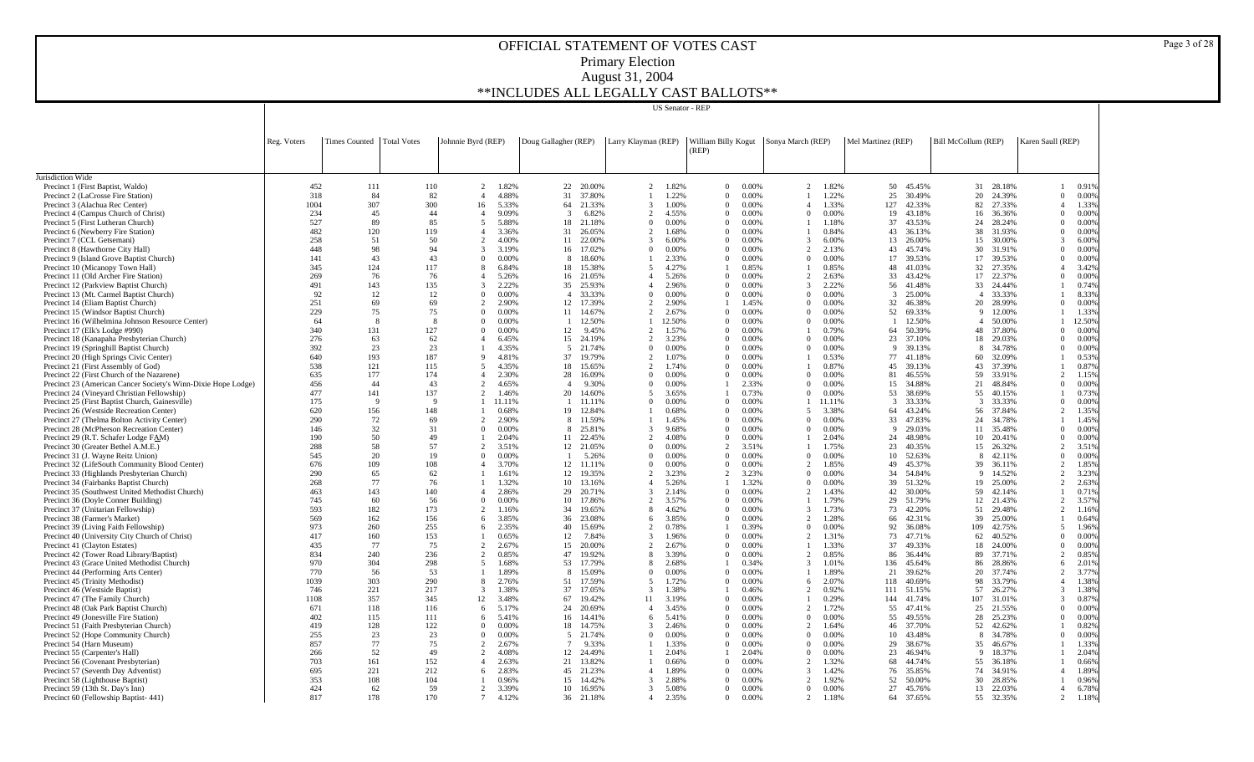|                                                                                          |             |                             |            |                       |                |                      |                  | <b>US Senator - REF</b>              |                              |                |                   |                |                               |                              |                                  |  |
|------------------------------------------------------------------------------------------|-------------|-----------------------------|------------|-----------------------|----------------|----------------------|------------------|--------------------------------------|------------------------------|----------------|-------------------|----------------|-------------------------------|------------------------------|----------------------------------|--|
|                                                                                          | Reg. Voters | Times Counted   Total Votes |            | Johnnie Byrd (REP)    |                | Doug Gallagher (REP) |                  | Larry Klayman (REP)                  | William Billy Kogut<br>(REP) |                | Sonya March (REP) |                | Mel Martinez (REP)            | Bill McCollum (REP)          | Karen Saull (REP)                |  |
| Jurisdiction Wide                                                                        |             |                             |            |                       |                |                      |                  |                                      |                              |                |                   |                |                               |                              |                                  |  |
| Precinct 1 (First Baptist, Waldo)                                                        | 452         | 111                         | 110        | 2                     | 1.82%          | 22                   | 20.00%           | 2<br>1.82%                           | $\Omega$                     | 0.00%          | 2                 | 1.82%          | 45.45%<br>50                  | 31 28.18%                    | 0.91%<br>1                       |  |
| Precinct 2 (LaCrosse Fire Station)                                                       | 318         | 84                          | 82         | $\overline{4}$        | 4.88%          | 31                   | 37.80%           | 1.22%<br>$\mathbf{1}$                | $\theta$                     | 0.00%          |                   | 1.22%          | 25<br>30.49%                  | 20<br>24.39%                 | 0.00%<br>$\Omega$                |  |
| Precinct 3 (Alachua Rec Center)                                                          | 1004        | 307                         | 300        | 16                    | 5.33%          | 64                   | 21.33%           | 3<br>1.00%                           | $\Omega$                     | 0.00%          | $\overline{4}$    | 1.33%          | 42.33%<br>127                 | 82<br>27.33%                 | 1.33%<br>$\overline{4}$          |  |
| Precinct 4 (Campus Church of Christ)                                                     | 234         | 45                          | 44         | Δ                     | 9.09%          | 3                    | 6.82%            | 4.55%<br>$\overline{2}$              | $\Omega$                     | 0.00%          | $\Omega$          | 0.00%          | 43.18%<br>19                  | 36.36%<br>16                 | 0.00%                            |  |
| Precinct 5 (First Lutheran Church)                                                       | 527         | 89                          | 85         | 5                     | 5.88%          | 18                   | 21.18%           | 0.00%<br>$\Omega$                    | $\Omega$                     | 0.00%          |                   | 1.18%          | 37<br>43.53%                  | 24<br>28.24%                 | 0.00%                            |  |
| Precinct 6 (Newberry Fire Station)                                                       | 482         | 120                         | 119        | $\overline{4}$        | 3.36%          | 31                   | 26.05%           | 1.68%<br>2                           | $\theta$                     | 0.00%          |                   | 0.84%          | 36.13%<br>43                  | 31.93%<br>38                 | 0.00%<br>0                       |  |
| Precinct 7 (CCL Getsemani)                                                               | 258         | 51                          | 50         | $\overline{c}$        | 4.00%          | 11                   | 22.00%           | 3<br>6.00%                           | $\Omega$                     | 0.00%          | 3                 | 6.00%          | 26.00%<br>13                  | 30.00%<br>15                 | 6.00%<br>3                       |  |
| Precinct 8 (Hawthorne City Hall)                                                         | 448         | 98                          | 94         | $\mathbf{3}$          | 3.19%          | 16                   | 17.02%           | 0.00%<br>$\Omega$                    | $\Omega$                     | 0.00%          | $\mathcal{D}$     | 2.13%          | 45.74%<br>43                  | 31.91%<br>30                 | 0.00%<br>$^{\circ}$              |  |
| Precinct 9 (Island Grove Baptist Church)                                                 | 141         | 43                          | 43         | $\Omega$              | 0.00%          | 8                    | 18.60%           | 2.33%                                | $\Omega$                     | 0.00%          | $\Omega$          | 0.00%          | 17<br>39.53%                  | 17<br>39.53%                 | 0.00%<br>0                       |  |
| Precinct 10 (Micanopy Town Hall)                                                         | 345<br>269  | 124                         | 117        | 8<br>$\overline{4}$   | 6.84%          | 18                   | 15.38%<br>21.05% | 4.27%<br>5<br>$\overline{4}$         | $\Omega$                     | 0.85%          | $\overline{c}$    | 0.85%          | 41.03%<br>48                  | 32<br>27.35%<br>17<br>22.37% | 3.42%<br>4<br>0.00%<br>$\Omega$  |  |
| Precinct 11 (Old Archer Fire Station)<br>Precinct 12 (Parkview Baptist Church)           | 491         | 76<br>143                   | 76<br>135  | 3                     | 5.26%<br>2.22% | 16<br>35             | 25.93%           | 5.26%<br>2.96%<br>$\overline{4}$     | $\Omega$                     | 0.00%<br>0.00% | $\mathbf{3}$      | 2.63%<br>2.22% | 33<br>43.42%<br>41.48%<br>56  | 33<br>24.44%                 | 0.74%                            |  |
| Precinct 13 (Mt. Carmel Baptist Church)                                                  | 92          | 12                          | 12         | $\Omega$              | 0.00%          | $\overline{4}$       | 33.33%           | 0.00%<br>$\Omega$                    | $\Omega$                     | 0.00%          | 0                 | 0.00%          | 25.00%<br>$\mathcal{R}$       | 33.33%<br>$\overline{4}$     | 8.33%                            |  |
| Precinct 14 (Eliam Baptist Church)                                                       | 251         | 69                          | 69         | $\mathcal{D}$         | 2.90%          | 12                   | 17.39%           | 2.90%<br>2                           |                              | 1.45%          | $\Omega$          | 0.00%          | 46.38%<br>32                  | 28.99%<br>20                 | 0.00%<br>$\Omega$                |  |
| Precinct 15 (Windsor Baptist Church)                                                     | 229         | 75                          | 75         | $\Omega$              | 0.00%          | 11                   | 14.67%           | $\overline{2}$<br>2.67%              | $\Omega$                     | 0.00%          | 0                 | 0.00%          | 52<br>69.33%                  | 12.00%<br>-9                 | 1.33%                            |  |
| Precinct 16 (Wilhelmina Johnson Resource Center)                                         | 64          | 8                           | 8          | $\Omega$              | 0.00%          | -1                   | 12.50%           | 12.50%<br>-1                         | $\Omega$                     | 0.00%          | $\Omega$          | 0.00%          | 12.50%<br>-1                  | 50.00%<br>$\overline{4}$     | 12.50%                           |  |
| Precinct 17 (Elk's Lodge #990)                                                           | 340         | 131                         | 127        | $\Omega$              | 0.00%          | 12                   | 9.45%            | 1.57%<br>2                           | $\Omega$                     | 0.00%          |                   | 0.79%          | 50.39%<br>64                  | 48<br>37.80%                 | 0.00%<br>$\Omega$                |  |
| Precinct 18 (Kanapaha Presbyterian Church)                                               | 276         | 63                          | 62         | $\Delta$              | 6.45%          | 15                   | 24.19%           | 3.23%<br>$\overline{2}$              | $\Omega$                     | 0.00%          | $\Omega$          | 0.00%          | 37.10%<br>23                  | 29.03%<br>18                 | 0.00%<br>0                       |  |
| Precinct 19 (Springhill Baptist Church)                                                  | 392         | 23                          | 23         |                       | 4.35%          | 5                    | 21.74%           | 0.00%<br>$\Omega$                    | $\Omega$                     | 0.00%          | 0                 | 0.00%          | 39.13%<br>9                   | 34.78%<br>8                  | 0.00%                            |  |
| Precinct 20 (High Springs Civic Center)                                                  | 640         | 193                         | 187        | $\mathbf Q$           | 4.81%          | 37                   | 19.79%           | $\overline{2}$<br>1.07%              | $\Omega$                     | 0.00%          |                   | 0.53%          | 41.18%<br>77                  | 32.09%<br>60                 | 0.53%                            |  |
| Precinct 21 (First Assembly of God)                                                      | 538         | 121                         | 115        | 5                     | 4.35%          | 18                   | 15.65%           | 1.74%<br>2                           | $\Omega$                     | 0.00%          |                   | 0.87%          | 45<br>39.13%                  | 43<br>37.39%                 | 0.87%                            |  |
| Precinct 22 (First Church of the Nazarene)                                               | 635         | 177                         | 174        | $\overline{4}$        | 2.30%          | 28                   | 16.09%           | 0.00%<br>$\Omega$                    | $\Omega$                     | 0.00%          | $\Omega$          | 0.00%          | 46.55%<br>81                  | 33.91%<br>59                 | 1.15%<br>2                       |  |
| Precinct 23 (American Cancer Society's Winn-Dixie Hope Lodge)                            | 456         | 44                          | 43         | $\overline{2}$        | 4.65%          | $\overline{4}$       | 9.30%            | 0.00%<br>$\Omega$                    |                              | 2.33%          | 0                 | 0.00%          | 34.88%<br>15                  | 21<br>48.84%                 | 0.00%<br>$^{\circ}$              |  |
| Precinct 24 (Vineyard Christian Fellowship)                                              | 477         | 141                         | 137        | 2                     | 1.46%          | 20                   | 14.60%           | 3.65%<br>-5                          |                              | 0.73%          | 0                 | 0.00%          | 38.69%<br>53                  | 40.15%<br>55                 | 0.73%                            |  |
| Precinct 25 (First Baptist Church, Gainesville)                                          | 175         | q                           | -9         | -1                    | 11.11%         | $\mathbf{1}$         | 11.11%           | 0.00%<br>$\Omega$                    | $\theta$                     | 0.00%          | 11.11%            |                | 3<br>33.33%                   | 3<br>33.33%                  | 0.00%<br>0                       |  |
| Precinct 26 (Westside Recreation Center)                                                 | 620<br>290  | 156                         | 148<br>69  | -1<br>$\overline{2}$  | 0.68%<br>2.90% | 19<br>8              | 12.84%<br>11.59% | 0.68%<br>-1<br>1.45%<br>$\mathbf{1}$ | $\theta$<br>$\Omega$         | 0.00%<br>0.00% | 5<br>$\Omega$     | 3.38%          | 43.24%<br>64<br>33<br>47.83%  | 56<br>37.84%<br>24<br>34.78% | 1.35%<br>2                       |  |
| Precinct 27 (Thelma Bolton Activity Center)<br>Precinct 28 (McPherson Recreation Center) | 146         | 72<br>32                    | 31         | $\Omega$              | 0.00%          | 8                    | 25.81%           | 9.68%<br>3                           | $\Omega$                     | 0.00%          | $\Omega$          | 0.00%<br>0.00% | 29.03%<br>9                   | 35.48%<br>11                 | 1.459<br>0.00%<br>$\Omega$       |  |
| Precinct 29 (R.T. Schafer Lodge FAM)                                                     | 190         | 50                          | 49         |                       | 2.04%          | 11                   | 22.45%           | 4.08%<br>$\mathcal{L}$               | $\Omega$                     | 0.00%          |                   | 2.04%          | 48.98%<br>24                  | 20.41%<br>10                 | 0.00%                            |  |
| Precinct 30 (Greater Bethel A.M.E.)                                                      | 288         | 58                          | 57         | $\overline{2}$        | 3.51%          | 12                   | 21.05%           | 0.00%<br>$^{\circ}$                  | 2                            | 3.51%          |                   | 1.75%          | 40.35%<br>23                  | 26.32%<br>15                 | 3.51%<br>2                       |  |
| Precinct 31 (J. Wayne Reitz Union)                                                       | 545         | 20                          | 19         | $\Omega$              | 0.00%          | -1                   | 5.26%            | 0.00%<br>$\Omega$                    | $\Omega$                     | 0.00%          | $\Omega$          | 0.00%          | 10<br>52.63%                  | 8<br>42.11%                  | 0.00%                            |  |
| Precinct 32 (LifeSouth Community Blood Center)                                           | 676         | 109                         | 108        | Δ                     | 3.70%          | 12                   | 11.11%           | 0.00%<br>$\Omega$                    | $\Omega$                     | 0.00%          | $\mathcal{D}$     | 1.85%          | 45.37%<br>49                  | 36.11%<br>39                 | 1.85%<br>2                       |  |
| Precinct 33 (Highlands Presbyterian Church)                                              | 290         | 65                          | 62         |                       | 1.61%          | 12                   | 19.35%           | 3.23%<br>2                           | $\overline{2}$               | 3.23%          | $\Omega$          | 0.00%          | 34<br>54.84%                  | $\mathbf{Q}$<br>14.52%       | 3.23%<br>2                       |  |
| Precinct 34 (Fairbanks Baptist Church)                                                   | 268         | 77                          | 76         |                       | 1.32%          | 10                   | 13.16%           | 5.26%<br>$\overline{A}$              |                              | 1.32%          | $\Omega$          | 0.00%          | 51.32%<br>39                  | 25.00%<br>19                 | 2.63%<br>2                       |  |
| Precinct 35 (Southwest United Methodist Church)                                          | 463         | 143                         | 140        | $\overline{4}$        | 2.86%          | 29                   | 20.71%           | 3<br>2.14%                           | $\overline{0}$               | 0.00%          | 2                 | 1.43%          | 42<br>30.00%                  | 59<br>42.14%                 | 0.719                            |  |
| Precinct 36 (Doyle Conner Building)                                                      | 745         | 60                          | 56         | $\Omega$              | 0.00%          | 10                   | 17.86%           | 2<br>3.57%                           | $\Omega$                     | 0.00%          |                   | 1.79%          | 51.79%<br>29                  | 12<br>21.43%                 | 3.57%<br>2                       |  |
| Precinct 37 (Unitarian Fellowship)                                                       | 593         | 182                         | 173        | 2                     | 1.16%          | 34                   | 19.65%           | 4.62%<br>8                           | $\Omega$                     | 0.00%          | $\mathbf{3}$      | 1.73%          | 73<br>42.20%                  | 51<br>29.48%                 | 2<br>1.16%                       |  |
| Precinct 38 (Farmer's Market)                                                            | 569         | 162                         | 156        | 6                     | 3.85%          | 36                   | 23.08%           | 3.85%<br>6                           | $\Omega$                     | 0.00%          | $\mathcal{D}$     | 1.28%          | 42.31%<br>66                  | 25.00%<br>39                 | 0.64%                            |  |
| Precinct 39 (Living Faith Fellowship)                                                    | 973         | 260                         | 255        | 6                     | 2.35%          | 40                   | 15.69%           | 0.78%<br>$\mathcal{L}$               |                              | 0.39%          | $\Omega$          | 0.00%          | 92<br>36.08%                  | 109<br>42.75%                | 1.96%<br>5                       |  |
| Precinct 40 (University City Church of Christ)                                           | 417         | 160                         | 153        |                       | 0.65%          | 12                   | 7.84%            | 1.96%<br>3                           | $\Omega$                     | 0.00%          | $\overline{c}$    | 1.31%          | 47.71%<br>73                  | 40.52%<br>62                 | 0.00%<br>$\Omega$                |  |
| Precinct 41 (Clayton Estates)                                                            | 435         | 77                          | 75         | $\overline{2}$        | 2.67%          | 15                   | 20.00%           | 2<br>2.67%                           | $\Omega$                     | 0.00%          |                   | 1.33%          | 49.33%<br>37                  | 18<br>24.00%                 | 0.00%<br>0                       |  |
| Precinct 42 (Tower Road Library/Baptist)                                                 | 834<br>970  | 240<br>304                  | 236<br>298 | $\overline{2}$<br>5   | 0.85%<br>1.68% | 47<br>53             | 19.92%<br>17.79% | 3.39%<br>8<br>2.68%<br>8             | $\Omega$                     | 0.00%<br>0.34% | $\overline{c}$    | 0.85%          | 36.44%<br>86<br>136<br>45.64% | 37.71%<br>89<br>86<br>28.86% | 0.85%<br>$\overline{c}$<br>2.019 |  |
| Precinct 43 (Grace United Methodist Church)<br>Precinct 44 (Performing Arts Center)      | 770         | 56                          | 53         |                       | 1.89%          | 8                    | 15.09%           | 0.00%<br>$\Omega$                    | $\Omega$                     | 0.00%          | 3                 | 1.01%<br>1.89% | 39.62%<br>21                  | 37.74%<br>20                 | 6<br>3.77%<br>2                  |  |
| Precinct 45 (Trinity Methodist)                                                          | 1039        | 303                         | 290        | 8                     | 2.76%          | 51                   | 17.59%           | 1.72%<br>.5                          | $\Omega$                     | 0.00%          | 6                 | 2.07%          | 118<br>40.69%                 | 98<br>33.79%                 | 1.38%                            |  |
| Precinct 46 (Westside Baptist)                                                           | 746         | 221                         | 217        | -3                    | 1.38%          | 37                   | 17.05%           | 1.38%<br>3                           |                              | 0.46%          | $\overline{c}$    | 0.92%          | 51.15%<br>111                 | 57<br>26.27%                 | 1.38%<br>3                       |  |
| Precinct 47 (The Family Church)                                                          | 1108        | 357                         | 345        | 12                    | 3.48%          | 67                   | 19.42%           | 11<br>3.19%                          | $\Omega$                     | 0.00%          |                   | 0.29%          | 144<br>41.74%                 | 107<br>31.01%                | 0.87%<br>3                       |  |
| Precinct 48 (Oak Park Baptist Church)                                                    | 671         | 118                         | 116        | 6                     | 5.17%          | 24                   | 20.69%           | 3.45%<br>$\overline{A}$              | $\Omega$                     | 0.00%          | 2                 | 1.72%          | 47.41%<br>55                  | 25<br>21.55%                 | 0.00%<br>$^{\circ}$              |  |
| Precinct 49 (Jonesville Fire Station)                                                    | 402         | 115                         | 111        | 6                     | 5.41%          | 16                   | 14.41%           | 5.41%<br>6                           | $\Omega$                     | 0.00%          | $\Omega$          | 0.00%          | 55<br>49.55%                  | 28<br>25.23%                 | 0.00%<br>0                       |  |
| Precinct 51 (Faith Presbyterian Church)                                                  | 419         | 128                         | 122        | $\mathbf{0}$          | 0.00%          | 18                   | 14.75%           | 2.46%<br>3                           | $\theta$                     | 0.00%          | 2                 | 1.64%          | 37.70%<br>46                  | 52<br>42.62%                 | 0.82%                            |  |
| Precinct 52 (Hope Community Church)                                                      | 255         | 23                          | 23         | $\Omega$              | 0.00%          | 5                    | 21.74%           | $\Omega$<br>0.00%                    | $\Omega$                     | 0.00%          | $\Omega$          | 0.00%          | 10<br>43.48%                  | 8<br>34.78%                  | 0.00%<br>0                       |  |
| Precinct 54 (Harn Museum)                                                                | 857         | 77                          | 75         | $\mathcal{D}$         | 2.67%          | $7\phantom{.0}$      | 9.33%            | 1.33%<br>$\mathbf{1}$                | $\Omega$                     | 0.00%          | $\Omega$          | 0.00%          | 38.67%<br>29                  | 35<br>46.67%                 | 1.33%                            |  |
| Precinct 55 (Carpenter's Hall)                                                           | 266         | 52                          | 49         | 2                     | 4.08%          | 12                   | 24.49%           | 2.04%                                |                              | 2.04%          | 0                 | 0.00%          | 23<br>46.94%                  | 18.37%<br>9                  | 2.04%                            |  |
| Precinct 56 (Covenant Presbyterian)                                                      | 703         | 161                         | 152        | $\boldsymbol{\Delta}$ | 2.63%          | 21                   | 13.82%           | 0.66%<br>-1                          | $\Omega$                     | 0.00%          | $\mathcal{D}$     | 1.32%          | 44.74%<br>68                  | 55<br>36.18%                 | 0.66%                            |  |
| Precinct 57 (Seventh Day Adventist)                                                      | 695         | 221                         | 212        | 6                     | 2.83%          | 45                   | 21.23%           | 1.89%                                | $\Omega$                     | 0.00%          | 3                 | 1.42%          | 76<br>35.85%                  | 74<br>34.91%                 | 1.89%                            |  |
| Precinct 58 (Lighthouse Baptist)                                                         | 353         | 108                         | 104        |                       | 0.96%          | 15                   | 14.42%           | 2.88%<br>3                           | $\Omega$                     | 0.00%          | $\overline{c}$    | 1.92%          | 50.00%<br>52                  | 28.85%<br>30                 | 0.96%                            |  |
| Precinct 59 (13th St. Day's Inn)                                                         | 424         | 62                          | 59         | $\mathcal{D}$         | 3.39%          | 10                   | 16.95%           | 5.08%<br>3                           | $\Omega$                     | 0.00%          | $\Omega$          | 0.00%          | 27<br>45.76%                  | 13<br>22.03%                 | 6.78%<br>4                       |  |
| Precinct 60 (Fellowship Baptist-441)                                                     | 817         | 178                         | 170        | $\tau$                | 4.12%          | 36                   | 21.18%           | 2.35%<br>$\Delta$                    | $\Omega$                     | 0.00%          | $\mathcal{D}$     | 1.18%          | 37.65%<br>64                  | 55<br>32.35%                 | $\mathcal{D}$<br>1.18%           |  |

ℸ

Page 3 of 28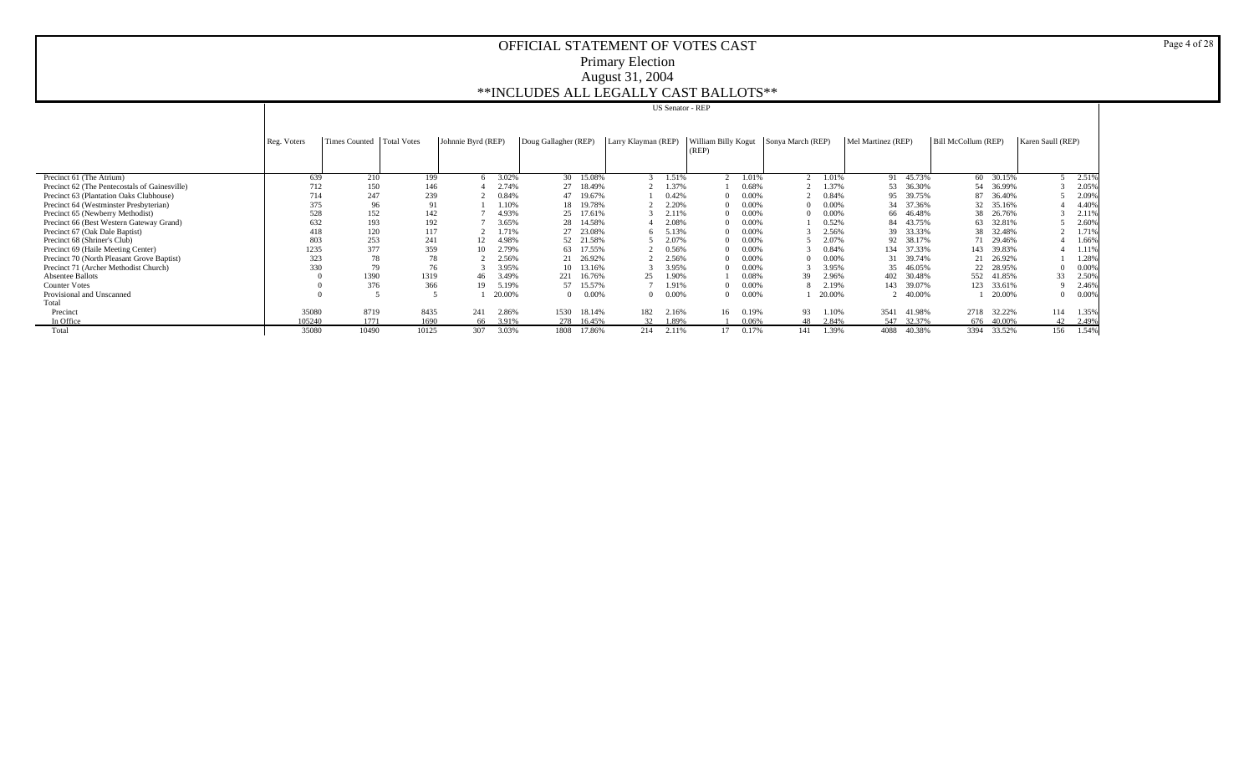US Senator - REP

|                                               | Reg. Voters | <b>Times Counted</b> | Total Votes | Johnnie Byrd (REP) |        | Doug Gallagher (REP) |            | Larry Klayman (REP) |       | William Billy Kogut<br>(REP) |          | Sonya March (REP) |        | Mel Martinez (REP) |            | Bill McCollum (REP) |            | Karen Saull (REP) |          |
|-----------------------------------------------|-------------|----------------------|-------------|--------------------|--------|----------------------|------------|---------------------|-------|------------------------------|----------|-------------------|--------|--------------------|------------|---------------------|------------|-------------------|----------|
| Precinct 61 (The Atrium)                      | 639         | 210                  | 199         | 6                  | 3.02%  | 30                   | 15.08%     |                     | 1.51% |                              | 1.01%    |                   | 1.01%  |                    | 91 45.73%  |                     | 60 30.15%  |                   | 2.51%    |
| Precinct 62 (The Pentecostals of Gainesville) | 712         | 150                  | 146         |                    | 2.74%  | 27                   | 18.49%     |                     | 1.37% |                              | 0.68%    |                   | 1.37%  | 53                 | 36.30%     | 54                  | 36.99%     |                   | 2.05%    |
| Precinct 63 (Plantation Oaks Clubhouse)       | 714         | 247                  | 239         |                    | 0.84%  | 47                   | 19.67%     |                     | 0.42% |                              | 0.00%    |                   | 0.84%  | 95                 | 39.75%     | 87                  | 36.40%     |                   | 2.09%    |
| Precinct 64 (Westminster Presbyterian)        | 375         | 96                   |             |                    | 1.10%  | 18                   | 19.78%     |                     | 2.20% |                              | 0.00%    |                   | 0.00%  | 34                 | 37.36%     | 32                  | 35.16%     |                   | 4.40%    |
| Precinct 65 (Newberry Methodist)              | 528         | 152                  | 142         |                    | 4.93%  | 25                   | 17.61%     |                     | 2.11% |                              | 0.00%    |                   | 0.00%  | 66                 | 46.48%     | 38                  | 26.76%     |                   | 2.11%    |
| Precinct 66 (Best Western Gateway Grand)      | 632         | 193                  | 192         |                    | 3.65%  | 28                   | 14.58%     |                     | 2.08% |                              | 0.00%    |                   | 0.52%  | 84                 | 43.75%     | 63                  | 32.81%     |                   | 2.60%    |
| Precinct 67 (Oak Dale Baptist)                | 418         | 120                  | 117         |                    | 1.71%  | 27                   | 23.08%     | 6                   | 5.13% |                              | 0.00%    |                   | 2.56%  | 39                 | 33.33%     | 38                  | 32.48%     |                   | 1.71%    |
| Precinct 68 (Shriner's Club)                  | 803         | 253                  | 241         | 12                 | 4.98%  | 52                   | 21.58%     |                     | 2.07% |                              | 0.00%    |                   | 2.07%  | 92                 | 38.17%     | 71                  | 29.46%     |                   | 1.66%    |
| Precinct 69 (Haile Meeting Center)            | 1235        | 377                  | 359         | 10                 | 2.79%  | 63                   | 17.55%     |                     | 0.56% |                              | 0.00%    |                   | 0.84%  | 134                | 37.33%     | 143                 | 39.83%     |                   | 1.11%    |
| Precinct 70 (North Pleasant Grove Baptist)    | 323         | 78                   | 78          |                    | 2.56%  | 21                   | 26.92%     |                     | 2.56% |                              | 0.00%    |                   | 0.00%  | 31                 | 39.74%     | 21                  | 26.92%     |                   | 1.28%    |
| Precinct 71 (Archer Methodist Church)         | 330         |                      | 76          |                    | 3.95%  | 10                   | 13.16%     |                     | 3.95% |                              | 0.00%    |                   | 3.95%  | 35                 | 46.05%     | 22                  | 28.95%     |                   | 0.00%    |
| Absentee Ballots                              |             | 1390                 | 1319        | 46                 | 3.49%  | 221                  | 16.76%     | 25                  | 1.90% |                              | 0.08%    | 39                | 2.96%  |                    | 402 30.48% |                     | 552 41.85% | 33                | 2.50%    |
| <b>Counter Votes</b>                          |             | 376                  | 366         | 19                 | 5.19%  | 57                   | 15.57%     |                     | 1.91% |                              | $0.00\%$ |                   | 2.19%  |                    | 143 39.07% | 123                 | 33.61%     |                   | 2.46%    |
| Provisional and Unscanned                     |             |                      |             |                    | 20.00% | $^{\circ}$           | 0.00%      | $\Omega$            | 0.00% | $\Omega$                     | 0.00%    |                   | 20.00% |                    | 40.00%     |                     | 20.00%     |                   | 0.00%    |
| Total                                         |             |                      |             |                    |        |                      |            |                     |       |                              |          |                   |        |                    |            |                     |            |                   |          |
| Precinct                                      | 35080       | 8719                 | 8435        | 241                | 2.86%  | 1530                 | 18.14%     | 182                 | 2.16% |                              | 0.19%    | 93                | 1.10%  | 3541               | 41.98%     | 2718                | 32.22%     | 114               | 1.35%    |
| In Office                                     | 105240      | 1771                 | 1690        | 66                 | 3.91%  |                      | 278 16.45% | 32                  | 1.89% |                              | 0.06%    | 48                | 2.84%  |                    | 547 32.37% |                     | 676 40.00% |                   | 42 2.49% |
| Total                                         | 35080       | 10490                | 10125       | 307                | 3.03%  | 1808                 | 17.86%     | 214                 | 2.11% |                              | 0.17%    | 141               | 1.39%  | 4088               | 40.38%     | 3394                | 33.52%     | 156               | 1.54%    |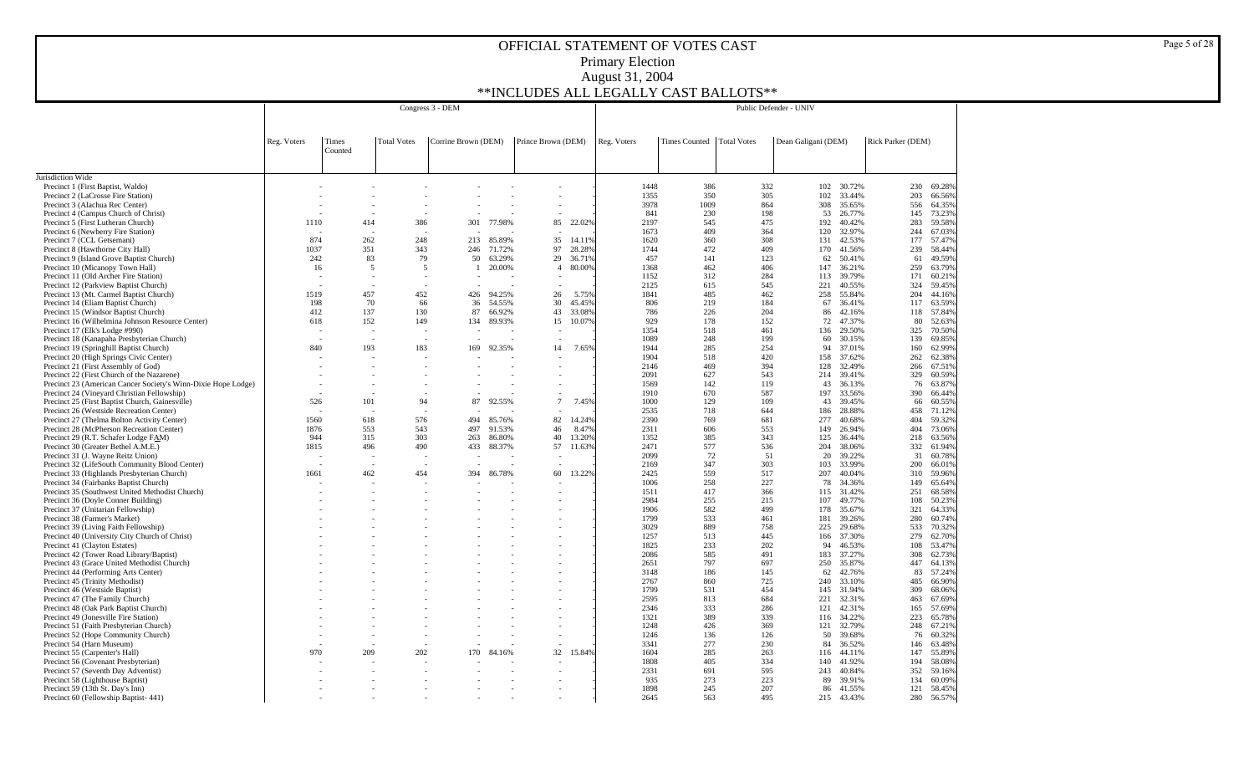|                                                                                           |             |                  |                    | Congress 3 - DEM    |        |                    |        |              |                             |            | Public Defender - UNIV |                  |                   |                  |
|-------------------------------------------------------------------------------------------|-------------|------------------|--------------------|---------------------|--------|--------------------|--------|--------------|-----------------------------|------------|------------------------|------------------|-------------------|------------------|
|                                                                                           | Reg. Voters | Times<br>Counted | <b>Total Votes</b> | Corrine Brown (DEM) |        | Prince Brown (DEM) |        | Reg. Voters  | Times Counted   Total Votes |            | Dean Galigani (DEM)    |                  | Rick Parker (DEM) |                  |
| Jurisdiction Wide                                                                         |             |                  |                    |                     |        |                    |        |              |                             |            |                        |                  |                   |                  |
| Precinct 1 (First Baptist, Waldo)                                                         |             |                  |                    |                     |        |                    |        | 1448         | 386                         | 332        | 102                    | 30.72%           | 230               | 69.28%           |
| Precinct 2 (LaCrosse Fire Station)                                                        |             |                  |                    |                     |        |                    |        | 1355         | 350                         | 305        | 102                    | 33.44%           | 203               | 66.56%           |
| Precinct 3 (Alachua Rec Center)                                                           |             |                  |                    |                     |        |                    |        | 3978         | 1009                        | 864        | 308                    | 35.65%           | 556               | 64.35%           |
| Precinct 4 (Campus Church of Christ)                                                      |             |                  |                    |                     |        |                    |        | 841          | 230                         | 198        | 53                     | 26.77%           | 145               | 73.23%           |
| Precinct 5 (First Lutheran Church)                                                        | 1110        | 414              | 386                | 301                 | 77.98% | 85                 | 22.02% | 2197         | 545                         | 475        | 192                    | 40.42%           | 283               | 59.58%           |
| Precinct 6 (Newberry Fire Station)<br>Precinct 7 (CCL Getsemani)                          | 874         | 262              | 248                | 213                 | 85.89% | 35                 | 14.11% | 1673<br>1620 | 409<br>360                  | 364<br>308 | 120<br>131             | 32.97%<br>42.53% | 244<br>177        | 67.03%<br>57.47% |
| Precinct 8 (Hawthorne City Hall)                                                          | 1037        | 351              | 343                | 246                 | 71.72% | 97                 | 28.28% | 1744         | 472                         | 409        | 170                    | 41.56%           | 239               | 58.44%           |
| Precinct 9 (Island Grove Baptist Church)                                                  | 242         | 83               | 79                 | 50                  | 63.29% | 29                 | 36.71% | 457          | 141                         | 123        | 62                     | 50.41%           | 61                | 49.59%           |
| Precinct 10 (Micanopy Town Hall)                                                          | 16          | 5                | $\sim$             | -1                  | 20.00% | $\overline{4}$     | 80.00% | 1368         | 462                         | 406        | 147                    | 36.21%           | 259               | 63.79%           |
| Precinct 11 (Old Archer Fire Station)                                                     |             |                  |                    |                     |        |                    |        | 1152         | 312                         | 284        | 113                    | 39.79%           | 171               | 60.21%           |
| Precinct 12 (Parkview Baptist Church)                                                     |             |                  |                    |                     |        |                    |        | 2125         | 615                         | 545        | 221                    | 40.55%           | 324               | 59.45%           |
| Precinct 13 (Mt. Carmel Baptist Church)                                                   | 1519        | 457              | 452                | 426                 | 94.25% | 26                 | 5.75%  | 1841         | 485                         | 462        | 258                    | 55.84%           | 204               | 44.16%           |
| Precinct 14 (Eliam Baptist Church)                                                        | 198         | 70               | 66                 | 36                  | 54.55% | 30                 | 45.45% | 806          | 219                         | 184        | 67                     | 36.41%           | 117               | 63.59%           |
| Precinct 15 (Windsor Baptist Church)                                                      | 412         | 137              | 130                | 87                  | 66.92% | 43                 | 33.08% | 786          | 226                         | 204        | 86                     | 42.16%           | 118               | 57.84%           |
| Precinct 16 (Wilhelmina Johnson Resource Center)                                          | 618         | 152              | 149                | 134                 | 89.93% | 15                 | 10.07% | 929          | 178                         | 152        | 72                     | 47.37%           | 80                | 52.63%           |
| Precinct 17 (Elk's Lodge #990)                                                            |             |                  |                    |                     |        |                    |        | 1354         | 518                         | 461        | 136                    | 29.50%           | 325               | 70.50%           |
| Precinct 18 (Kanapaha Presbyterian Church)                                                | 840         | 193              | 183                |                     | 92.35% |                    | 7.65%  | 1089<br>1944 | 248<br>285                  | 199<br>254 | 60<br>94               | 30.15%           | 139<br>160        | 69.85%<br>62.99% |
| Precinct 19 (Springhill Baptist Church)                                                   |             |                  |                    | 169                 |        | 14                 |        | 1904         | 518                         | 420        | 158                    | 37.01%<br>37.62% | 262               | 62.38%           |
| Precinct 20 (High Springs Civic Center)<br>Precinct 21 (First Assembly of God)            |             |                  |                    |                     |        |                    |        | 2146         | 469                         | 394        | 128                    | 32.49%           | 266               | 67.51%           |
| Precinct 22 (First Church of the Nazarene)                                                |             |                  |                    |                     |        |                    |        | 2091         | 627                         | 543        | 214                    | 39.41%           | 329               | 60.59%           |
| Precinct 23 (American Cancer Society's Winn-Dixie Hope Lodge)                             |             |                  |                    |                     |        |                    |        | 1569         | 142                         | 119        | 43                     | 36.13%           | 76                | 63.87%           |
| Precinct 24 (Vineyard Christian Fellowship)                                               |             |                  |                    |                     |        |                    |        | 1910         | 670                         | 587        | 197                    | 33.56%           | 390               | 66.44%           |
| Precinct 25 (First Baptist Church, Gainesville)                                           | 526         | 101              | 94                 | 87                  | 92.55% | $\overline{7}$     | 7.45%  | 1000         | 129                         | 109        | 43                     | 39.45%           | 66                | 60.55%           |
| Precinct 26 (Westside Recreation Center)                                                  |             |                  |                    |                     |        |                    |        | 2535         | 718                         | 644        | 186                    | 28.88%           | 458               | 71.12%           |
| Precinct 27 (Thelma Bolton Activity Center)                                               | 1560        | 618              | 576                | 494                 | 85.76% | 82                 | 14.24% | 2390         | 769                         | 681        | 277                    | 40.68%           | 404               | 59.32%           |
| Precinct 28 (McPherson Recreation Center)                                                 | 1876        | 553              | 543                | 497                 | 91.53% | 46                 | 8.47%  | 2311         | 606                         | 553        | 149                    | 26.94%           | 404               | 73.06%           |
| Precinct 29 (R.T. Schafer Lodge FAM)                                                      | 944         | 315              | 303                | 263                 | 86.80% | 40                 | 13.20% | 1352         | 385                         | 343        | 125                    | 36.44%           | 218               | 63.56%           |
| Precinct 30 (Greater Bethel A.M.E.)                                                       | 1815        | 496              | 490                | 433                 | 88.37% | 57                 | 11.63% | 2471         | 577                         | 536        | 204                    | 38.06%           | 332               | 61.94%           |
| Precinct 31 (J. Wayne Reitz Union)                                                        |             |                  |                    |                     |        |                    |        | 2099         | 72                          | 51         | 20                     | 39.22%           | 31                | 60.78%           |
| Precinct 32 (LifeSouth Community Blood Center)                                            |             |                  |                    |                     |        |                    |        | 2169         | 347                         | 303        | 103                    | 33.99%           | 200               | 66.01%           |
| Precinct 33 (Highlands Presbyterian Church)                                               | 1661        | 462              | 454                | 394                 | 86.78% | 60                 | 13.22% | 2425<br>1006 | 559<br>258                  | 517<br>227 | 207<br>78              | 40.04%<br>34.36% | 310<br>149        | 59.96%<br>65.64% |
| Precinct 34 (Fairbanks Baptist Church)<br>Precinct 35 (Southwest United Methodist Church) |             |                  |                    |                     |        |                    |        | 1511         | 417                         | 366        | 115                    | 31.42%           | 251               | 68.58%           |
| Precinct 36 (Doyle Conner Building)                                                       |             |                  |                    |                     |        |                    |        | 2984         | 255                         | 215        | 107                    | 49.77%           | 108               | 50.23%           |
| Precinct 37 (Unitarian Fellowship)                                                        |             |                  |                    |                     |        |                    |        | 1906         | 582                         | 499        | 178                    | 35.67%           | 321               | 64.33%           |
| Precinct 38 (Farmer's Market)                                                             |             |                  |                    |                     |        |                    |        | 1799         | 533                         | 461        | 181                    | 39.26%           | 280               | 60.74%           |
| Precinct 39 (Living Faith Fellowship)                                                     |             |                  |                    |                     |        |                    |        | 3029         | 889                         | 758        | 225                    | 29.68%           | 533               | 70.32%           |
| Precinct 40 (University City Church of Christ)                                            |             |                  |                    |                     |        |                    |        | 1257         | 513                         | 445        | 166                    | 37.30%           | 279               | 62.70%           |
| Precinct 41 (Clayton Estates)                                                             |             |                  |                    |                     |        |                    |        | 1825         | 233                         | 202        | 94                     | 46.53%           | 108               | 53.47%           |
| Precinct 42 (Tower Road Library/Baptist)                                                  |             |                  |                    |                     |        |                    |        | 2086         | 585                         | 491        | 183                    | 37.27%           | 308               | 62.73%           |
| Precinct 43 (Grace United Methodist Church)                                               |             |                  |                    |                     |        |                    |        | 2651         | 797                         | 697        | 250                    | 35.87%           | 447               | 64.13%           |
| Precinct 44 (Performing Arts Center)                                                      |             |                  |                    |                     |        |                    |        | 3148         | 186                         | 145        | 62                     | 42.76%           | 83                | 57.24%           |
| Precinct 45 (Trinity Methodist)                                                           |             |                  |                    |                     |        |                    |        | 2767<br>1799 | 860                         | 725<br>454 | 240                    | 33.10%           | 485               | 66.90%           |
| Precinct 46 (Westside Baptist)                                                            |             |                  |                    |                     |        |                    |        | 2595         | 531<br>813                  | 684        | 145                    | 31.94%           | 309<br>463        | 68.06%           |
| Precinct 47 (The Family Church)<br>Precinct 48 (Oak Park Baptist Church)                  |             |                  |                    |                     |        |                    |        | 2346         | 333                         | 286        | 221<br>121             | 32.31%<br>42.31% | 165               | 67.69%<br>57.69% |
| Precinct 49 (Jonesville Fire Station)                                                     |             |                  |                    |                     |        |                    |        | 1321         | 389                         | 339        | 116                    | 34.22%           | 223               | 65.78%           |
| Precinct 51 (Faith Presbyterian Church)                                                   |             |                  |                    |                     |        |                    |        | 1248         | 426                         | 369        | 121                    | 32.79%           | 248               | 67.21%           |
| Precinct 52 (Hope Community Church)                                                       |             |                  |                    |                     |        |                    |        | 1246         | 136                         | 126        | 50                     | 39.68%           | 76                | 60.32%           |
| Precinct 54 (Harn Museum)                                                                 |             |                  |                    |                     |        |                    |        | 3341         | 277                         | 230        | 84                     | 36.52%           | 146               | 63.48%           |
| Precinct 55 (Carpenter's Hall)                                                            | 970         | 209              | 202                | 170                 | 84.16% | 32                 | 15.849 | 1604         | 285                         | 263        | 116                    | 44.11%           | 147               | 55.89%           |
| Precinct 56 (Covenant Presbyterian)                                                       |             |                  |                    |                     |        |                    |        | 1808         | 405                         | 334        | 140                    | 41.92%           | 194               | 58.08%           |
| Precinct 57 (Seventh Day Adventist)                                                       |             |                  |                    |                     |        |                    |        | 2331         | 691                         | 595        | 243                    | 40.84%           | 352               | 59.16%           |
| Precinct 58 (Lighthouse Baptist)                                                          |             |                  |                    |                     |        |                    |        | 935          | 273                         | 223        | 89                     | 39.91%           | 134               | 60.09%           |
| Precinct 59 (13th St. Day's Inn)                                                          |             |                  |                    |                     |        |                    |        | 1898         | 245                         | 207        | 86                     | 41.55%           | 121               | 58.45%           |
| Precinct 60 (Fellowship Baptist-441)                                                      |             |                  |                    |                     |        |                    |        | 2645         | 563                         | 495        | 215                    | 43.43%           | 280               | 56.57%           |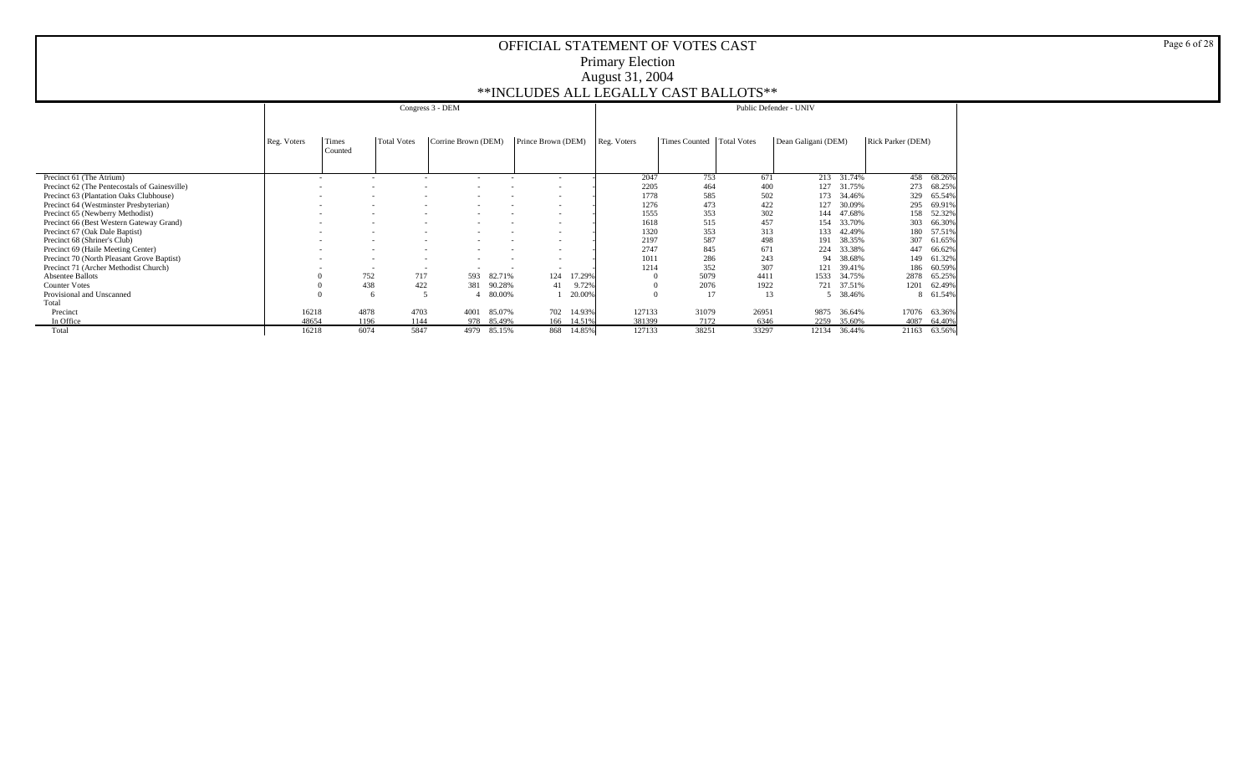|                                               |             |                          |                          | Congress 3 - DEM    |        |                          |            |             |                      |             | Public Defender - UNIV |        |                   |           |
|-----------------------------------------------|-------------|--------------------------|--------------------------|---------------------|--------|--------------------------|------------|-------------|----------------------|-------------|------------------------|--------|-------------------|-----------|
|                                               | Reg. Voters | Times<br>Counted         | <b>Total Votes</b>       | Corrine Brown (DEM) |        | Prince Brown (DEM)       |            | Reg. Voters | <b>Times Counted</b> | Total Votes | Dean Galigani (DEM)    |        | Rick Parker (DEM) |           |
| Precinct 61 (The Atrium)                      |             | <b>.</b>                 | $\overline{\phantom{a}}$ |                     |        | $\overline{\phantom{a}}$ |            | 2047        | 753                  | 671         | 213                    | 31.74% | 458               | $-68.26%$ |
| Precinct 62 (The Pentecostals of Gainesville) |             |                          |                          |                     |        |                          |            | 2205        | 464                  | 400         | 127                    | 31.75% | 273               | 68.25%    |
| Precinct 63 (Plantation Oaks Clubhouse)       |             | $\sim$                   |                          |                     |        | $\overline{\phantom{a}}$ |            | 1778        | 585                  | 502         | 173                    | 34.46% | 329               | 65.54%    |
| Precinct 64 (Westminster Presbyterian)        |             |                          |                          |                     |        | $\overline{\phantom{a}}$ |            | 1276        | 473                  | 422         | 127                    | 30.09% | 295               | 69.91%    |
| Precinct 65 (Newberry Methodist)              |             | $\sim$                   |                          |                     |        | $\overline{\phantom{a}}$ |            | 1555        | 353                  | 302         | 144                    | 47.68% | 158               | 52.32%    |
| Precinct 66 (Best Western Gateway Grand)      |             |                          |                          |                     |        |                          |            | 1618        | 515                  | 457         | 154                    | 33.70% | 303               | 66.30%    |
| Precinct 67 (Oak Dale Baptist)                |             | $\overline{\phantom{a}}$ | ٠                        |                     | . .    | $\overline{\phantom{a}}$ |            | 1320        | 353                  | 313         | 133                    | 42.49% | 180               | 57.51%    |
| Precinct 68 (Shriner's Club)                  |             |                          |                          |                     |        | $\overline{\phantom{a}}$ |            | 2197        | 587                  | 498         | 191                    | 38.35% | 307               | 61.65%    |
| Precinct 69 (Haile Meeting Center)            |             |                          |                          |                     |        | $\overline{\phantom{a}}$ |            | 2747        | 845                  | 671         | 224                    | 33.38% | 447               | 66.62%    |
| Precinct 70 (North Pleasant Grove Baptist)    |             |                          | ٠                        |                     |        |                          |            | 1011        | 286                  | 243         | 94                     | 38.68% | 149               | 61.32%    |
| Precinct 71 (Archer Methodist Church)         |             |                          |                          |                     |        |                          |            | 1214        | 352                  | 307         | 121                    | 39.41% | 186               | 60.59%    |
| <b>Absentee Ballots</b>                       |             | 752                      | 717                      | 593                 | 82.71% | 124                      | 17.29%     |             | 5079                 | 4411        | 1533                   | 34.75% | 2878              | 65.25%    |
| <b>Counter Votes</b>                          |             | 438                      | 422                      | 381                 | 90.28% | 41                       | 9.72%      |             | 2076                 | 1922        | 721                    | 37.51% | 1201              | 62.49%    |
| Provisional and Unscanned                     |             |                          | -6                       |                     | 80.00% |                          | 20.00%     |             | 17                   | 13          |                        | 38.46% |                   | 8 61.54%  |
| Total                                         |             |                          |                          |                     |        |                          |            |             |                      |             |                        |        |                   |           |
| Precinct                                      | 16218       | 4878                     | 4703                     | 4001                | 85.07% | 702                      | 14.93%     | 127133      | 31079                | 26951       | 9875                   | 36.64% | 17076             | 63.36%    |
| In Office                                     | 48654       | 1196                     | 1144                     | 978                 | 85.49% | 166                      | 14.51%     | 381399      | 7172                 | 6346        | 2259                   | 35.60% | 4087              | 64.40%    |
| Total                                         | 16218       | 6074                     | 5847                     | 4979                | 85.15% |                          | 868 14.85% | 127133      | 38251                | 33297       | 12134                  | 36.44% | 21163             | 63.56%    |

Page 6 of 28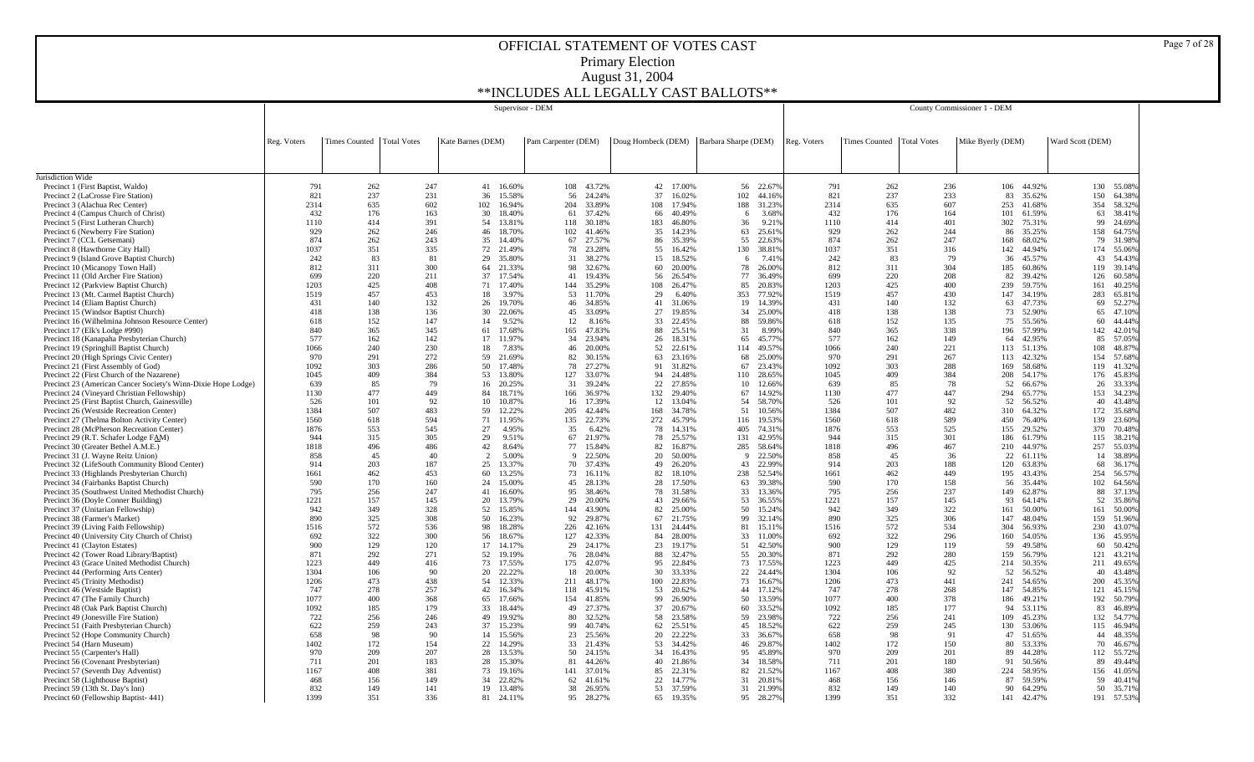|                                                                                           |              |                             |            |                                 | Supervisor - DEM              |                               |                                            |              |                             | County Commissioner 1 - DEM                  |                               |
|-------------------------------------------------------------------------------------------|--------------|-----------------------------|------------|---------------------------------|-------------------------------|-------------------------------|--------------------------------------------|--------------|-----------------------------|----------------------------------------------|-------------------------------|
|                                                                                           | Reg. Voters  | Times Counted   Total Votes |            | Kate Barnes (DEM)               | Pam Carpenter (DEM)           |                               | Doug Hornbeck (DEM)   Barbara Sharpe (DEM) | Reg. Voters  | Times Counted   Total Votes | Mike Byerly (DEM)                            | Ward Scott (DEM)              |
|                                                                                           |              |                             |            |                                 |                               |                               |                                            |              |                             |                                              |                               |
| Jurisdiction Wide                                                                         | 791          |                             |            | 41 16.60%                       |                               | 42 17.00%                     |                                            |              | 262                         | 236<br>44.92%                                | 130                           |
| Precinct 1 (First Baptist, Waldo)<br>Precinct 2 (LaCrosse Fire Station)                   | 821          | 262<br>237                  | 247<br>231 | 36 15.58%                       | 108 43.72%<br>24.24%<br>56    | 37 16.02%                     | 56 22.67%<br>102 44.16%                    | 791<br>821   | 237                         | 106<br>233<br>83<br>35.62%                   | 55.08%<br>150<br>64.38%       |
| Precinct 3 (Alachua Rec Center)                                                           | 2314         | 635                         | 602        | 102<br>16.94%                   | 33.89%<br>204                 | 108<br>17.94%                 | 188 31.23%                                 | 2314         | 635                         | 607<br>253<br>41.68%                         | 354 58.32%                    |
| Precinct 4 (Campus Church of Christ)                                                      | 432          | 176                         | 163        | 18.40%<br>30                    | 37.42%<br>61                  | 40.49%<br>66                  | 3.68%<br>6                                 | 432          | 176                         | 101<br>61.59%<br>164                         | 38.41%<br>63                  |
| Precinct 5 (First Lutheran Church)                                                        | 1110         | 414                         | 391        | 54<br>13.81%                    | 118 30.18%                    | 183<br>46.80%                 | 36<br>9.21%                                | 1110         | 414                         | 401<br>75.31%<br>302                         | 24.69%<br>99                  |
| Precinct 6 (Newberry Fire Station)                                                        | 929          | 262                         | 246        | 46<br>18.70%                    | 102<br>41.46%                 | 35<br>14.23%                  | 63<br>25.61%                               | 929          | 262                         | 35.25%<br>244<br>86                          | 158<br>64.75%                 |
| Precinct 7 (CCL Getsemani)                                                                | 874<br>1037  | 262<br>351                  | 243<br>335 | 35 14.40%<br>72<br>21.49%       | 27.57%<br>67<br>78<br>23.28%  | 35.39%<br>86<br>55<br>16.42%  | 55<br>22.63%<br>130<br>38.81%              | 874<br>1037  | 262<br>351                  | 247<br>168<br>68.02%<br>316<br>142<br>44.94% | 79<br>31.98%<br>55.06%<br>174 |
| Precinct 8 (Hawthorne City Hall)<br>Precinct 9 (Island Grove Baptist Church)              | 242          | 83                          |            | 81<br>29<br>35.80%              | 31<br>38.27%                  | 18.52%<br>15                  | 6<br>7.41%                                 | 242          | 83                          | 79<br>36<br>45.57%                           | 54.43%<br>43                  |
| Precinct 10 (Micanopy Town Hall)                                                          | 812          | 311                         | 300        | 21.33%<br>64                    | 98<br>32.67%                  | 20,00%<br>60                  | 78<br>26.00%                               | 812          | 311                         | 304<br>185<br>60.86%                         | 39.14%<br>119                 |
| Precinct 11 (Old Archer Fire Station)                                                     | 699          | 220                         | 211        | 37 17.54%                       | 19.43%<br>41                  | 26.54%<br>56                  | 77<br>36.49%                               | 699          | 220                         | 208<br>39.42%<br>82                          | 60.58%<br>126                 |
| Precinct 12 (Parkview Baptist Church)                                                     | 1203         | 425                         | 408        | 71<br>17.40%                    | 144<br>35.29%                 | 108<br>26.47%                 | 20.83%<br>85                               | 1203         | 425                         | 400<br>239<br>59.75%                         | 40.25%<br>161                 |
| Precinct 13 (Mt. Carmel Baptist Church)                                                   | 1519         | 457                         | 453        | 3.97%<br>18                     | 11.70%<br>53                  | 29<br>6.40%                   | 353 77.92%                                 | 1519         | 457                         | 430<br>147<br>34.19%                         | 283<br>65.81%                 |
| Precinct 14 (Eliam Baptist Church)                                                        | 431          | 140                         | 132        | 26<br>19.70%                    | 34.85%<br>46                  | 41<br>31.06%                  | 14.39%<br>19                               | 431          | 140                         | 132<br>47.73%<br>63                          | 52.27%<br>69                  |
| Precinct 15 (Windsor Baptist Church)                                                      | 418          | 138                         | 136        | 30<br>22.06%                    | 45<br>33.09%                  | 27<br>19.85%                  | 34 25.00%                                  | 418          | 138                         | 52.90%<br>138<br>73                          | 65 47.10%                     |
| Precinct 16 (Wilhelmina Johnson Resource Center)                                          | 618          | 152<br>365                  | 147        | 9.52%<br>14                     | 12<br>8.16%                   | 33<br>22.45%<br>25.51%        | 88<br>59.86%                               | 618          | 152                         | 135<br>75<br>55.56%<br>338<br>57.99%         | 44.44%<br>60                  |
| Precinct 17 (Elk's Lodge #990)<br>Precinct 18 (Kanapaha Presbyterian Church)              | 840<br>577   | 162                         | 345<br>142 | 61<br>17.68%<br>11.97%<br>17    | 165<br>47.83%<br>34<br>23.94% | 88<br>26<br>18.31%            | 31<br>8.99%<br>45.77%<br>65                | 840<br>577   | 365<br>162                  | 196<br>149<br>42.95%<br>64                   | 42.019<br>142<br>57.05%<br>85 |
| Precinct 19 (Springhill Baptist Church)                                                   | 1066         | 240                         | 230        | 7.83%<br>18                     | 20,00%<br>46                  | 22.61%<br>52                  | 114<br>49.57%                              | 1066         | 240                         | 221<br>51.13%<br>113                         | 48.87%<br>108                 |
| Precinct 20 (High Springs Civic Center)                                                   | 970          | 291                         | 272        | 59 21.69%                       | 82<br>30.15%                  | 23.16%<br>63                  | 25.00%<br>68                               | 970          | 291                         | 267<br>42.32%<br>113                         | 154 57.68%                    |
| Precinct 21 (First Assembly of God)                                                       | 1092         | 303                         | 286        | 50<br>17.48%                    | 27.27%<br>78                  | 31.82%<br>91                  | 67<br>23.43%                               | 1092         | 303                         | 288<br>58.68%<br>169                         | 41.32%<br>119                 |
| Precinct 22 (First Church of the Nazarene)                                                | 1045         | 409                         | 384        | 53<br>13.80%                    | 127<br>33.07%                 | 94<br>24.48%                  | 110 28.65%                                 | 1045         | 409                         | 384<br>208<br>54.17%                         | 45.839<br>176                 |
| Precinct 23 (American Cancer Society's Winn-Dixie Hope Lodge)                             | 639          | 85                          |            | 79<br>16 20.25%                 | 31<br>39.24%                  | 22<br>27.85%                  | 12.66%<br>10                               | 639          | 85                          | 78<br>52<br>66.67%                           | 33.339<br>26                  |
| Precinct 24 (Vineyard Christian Fellowship)                                               | 1130         | 477                         | 449        | 84 18.71%                       | 166<br>36.97%                 | 132 29.40%                    | 67<br>14.92%                               | 1130         | 477                         | 447<br>294<br>65.77%                         | 153 34.239                    |
| Precinct 25 (First Baptist Church, Gainesville)                                           | 526<br>1384  | 101<br>507                  | 483        | 92<br>10 10.87%<br>12.22%<br>59 | 17.39%<br>16<br>42.44%<br>205 | 12<br>13.04%<br>34.78%<br>168 | 54<br>58.70%<br>51<br>10.56%               | 526<br>1384  | 101<br>507                  | 92<br>52<br>56.52%<br>482<br>64.32%<br>310   | 40<br>43.48%<br>35.689<br>172 |
| Precinct 26 (Westside Recreation Center)<br>Precinct 27 (Thelma Bolton Activity Center)   | 1560         | 618                         | 594        | 71<br>11.95%                    | 135<br>22.73%                 | 272<br>45.79%                 | 19.53%<br>116                              | 1560         | 618                         | 589<br>450<br>76.40%                         | 23.60%<br>139                 |
| Precinct 28 (McPherson Recreation Center)                                                 | 1876         | 553                         | 545        | 27<br>4.95%                     | 35<br>6.42%                   | 14.31%<br>78                  | 74.31%<br>405                              | 1876         | 553                         | 525<br>155<br>29.52%                         | 70.48%<br>370                 |
| Precinct 29 (R.T. Schafer Lodge FAM)                                                      | 944          | 315                         | 305        | 29<br>9.51%                     | 21.97%<br>67                  | 25.57%<br>78                  | 131 42.95%                                 | 944          | 315                         | 301<br>61.79%<br>186                         | 38.21%<br>115                 |
| Precinct 30 (Greater Bethel A.M.E.)                                                       | 1818         | 496                         | 486        | 42<br>8.64%                     | 77<br>15.84%                  | 16.87%<br>82                  | 285<br>58.64%                              | 1818         | 496                         | 210<br>467<br>44.97%                         | 55.039<br>257                 |
| Precinct 31 (J. Wayne Reitz Union)                                                        | 858          | 45                          |            | 40<br>$\mathcal{L}$<br>5.00%    | $\mathbf{Q}$<br>22.50%        | 20<br>50.00%                  | $\mathbf{Q}$<br>22.50%                     | 858          | 45                          | 22<br>61.11%<br>36                           | 38.89%<br>14                  |
| Precinct 32 (LifeSouth Community Blood Center)                                            | 914          | 203                         | 187        | 25<br>13.37%                    | 37.43%<br>70                  | 49<br>26.20%                  | 43 22.99%                                  | 914          | 203                         | 188<br>63.83%<br>120                         | 36.17%<br>68                  |
| Precinct 33 (Highlands Presbyterian Church)                                               | 1661         | 462                         | 453        | 60<br>13.25%                    | 73<br>16.11%                  | 82<br>18.10%                  | 238 52.54%                                 | 1661         | 462                         | 449<br>195<br>43.43%                         | 254<br>56.579                 |
| Precinct 34 (Fairbanks Baptist Church)<br>Precinct 35 (Southwest United Methodist Church) | 590<br>795   | 170<br>256                  | 160<br>247 | 24<br>15.00%<br>16.60%<br>41    | 45<br>28.13%<br>95<br>38.46%  | 17.50%<br>28<br>31.58%<br>78  | 39.38%<br>63<br>33<br>13.36%               | 590<br>795   | 170<br>256                  | 158<br>56<br>35.44%<br>237<br>62.87%<br>149  | 102<br>64.56%<br>37.139<br>88 |
| Precinct 36 (Doyle Conner Building)                                                       | 1221         | 157                         | 145        | 20<br>13.79%                    | 29<br>20.00%                  | 43<br>29.66%                  | 53<br>36.55%                               | 1221         | 157                         | 145<br>64.14%<br>93                          | 35.86%<br>52                  |
| Precinct 37 (Unitarian Fellowship)                                                        | 942          | 349                         | 328        | 52<br>15.85%                    | 43.90%<br>144                 | 82<br>25.00%                  | 15.24%<br>50                               | 942          | 349                         | 322<br>50.00%<br>161                         | 50.00%<br>161                 |
| Precinct 38 (Farmer's Market)                                                             | 890          | 325                         | 308        | 50<br>16.23%                    | 92<br>29.87%                  | 21.75%<br>67                  | 99<br>32.14%                               | 890          | 325                         | 306<br>48.04%<br>147                         | 51.96%<br>159                 |
| Precinct 39 (Living Faith Fellowship)                                                     | 1516         | 572                         | 536        | 18.28%<br>98                    | 42.16%<br>226                 | 131<br>24.44%                 | 81<br>15.11%                               | 1516         | 572                         | 534<br>304<br>56.93%                         | 43.07%<br>230                 |
| Precinct 40 (University City Church of Christ)                                            | 692          | 322                         | 300        | 56<br>18.67%                    | 127<br>42.33%                 | 28,00%<br>84                  | 33<br>11.00%                               | 692          | 322                         | 296<br>160<br>54.05%                         | 45.95%<br>136                 |
| Precinct 41 (Clayton Estates)                                                             | 900          | 129                         | 120        | 17<br>14.17%                    | 29<br>24.17%                  | 23<br>19.17%                  | 51 42.50%                                  | 900          | 129                         | 119<br>59<br>49.58%                          | 50.42%<br>60                  |
| Precinct 42 (Tower Road Library/Baptist)                                                  | 871          | 292                         | 271        | 52<br>19.19%                    | 76<br>28.04%                  | 32.47%<br>88                  | 55 20.30%                                  | 871          | 292                         | 280<br>56.79%<br>159                         | 43.219<br>121                 |
| Precinct 43 (Grace United Methodist Church)<br>Precinct 44 (Performing Arts Center)       | 1223<br>1304 | 449<br>106                  | 416        | 73 17.55%<br>22.22%<br>90<br>20 | 42.07%<br>175<br>18<br>20.00% | 22.84%<br>95<br>33.33%<br>30  | 73<br>17.55%<br>22<br>24.44%               | 1223<br>1304 | 449<br>106                  | 425<br>214<br>50.35%<br>92<br>52<br>56.52%   | 211<br>49.65%<br>43.48%<br>40 |
| Precinct 45 (Trinity Methodist)                                                           | 1206         | 473                         | 438        | 12.33%<br>54                    | 211 48.17%                    | 22.83%<br>100                 | 73<br>16.67%                               | 1206         | 473                         | 441<br>241<br>54.65%                         | 45.35%<br>200                 |
| Precinct 46 (Westside Baptist)                                                            | 747          | 278                         | 257        | 42<br>16.34%                    | 118 45.91%                    | 53<br>20.62%                  | 17.12%<br>44                               | 747          | 278                         | 54.85%<br>268<br>147                         | 45.15%<br>121                 |
| Precinct 47 (The Family Church)                                                           | 1077         | 400                         | 368        | 17.66%<br>65                    | 154 41.85%                    | 26.90%<br>99                  | 50<br>13.59%                               | 1077         | 400                         | 378<br>186<br>49.21%                         | 50.79%<br>192                 |
| Precinct 48 (Oak Park Baptist Church)                                                     | 1092         | 185                         | 179        | 33<br>18.44%                    | 27.37%<br>49                  | 37<br>20.67%                  | 60<br>33.52%                               | 1092         | 185                         | 53.11%<br>177<br>94                          | 46.89%<br>83                  |
| Precinct 49 (Jonesville Fire Station)                                                     | 722          | 256                         | 246        | 49<br>19.92%                    | 80<br>32.52%                  | 58<br>23.58%                  | 59<br>23.98%                               | 722          | 256                         | 241<br>109<br>45.23%                         | 54.77%<br>132                 |
| Precinct 51 (Faith Presbyterian Church)                                                   | 622          | 259                         | 243        | 37<br>15.23%                    | 40.74%<br>99                  | 25.51%<br>62                  | 45<br>18.52%                               | 622          | 259                         | 245<br>130<br>53.06%                         | 46.94%<br>115                 |
| Precinct 52 (Hope Community Church)                                                       | 658          | 98                          |            | 90<br>15.56%<br>14              | 23<br>25.56%                  | 22.22%<br>20                  | 33<br>36.67%                               | 658          | 98                          | 91<br>47<br>51.65%                           | 48.35%<br>44                  |
| Precinct 54 (Harn Museum)                                                                 | 1402<br>970  | 172<br>209                  | 154<br>207 | 22<br>14.29%<br>28              | 33<br>21.43%                  | 53 34.42%                     | 46 29.87%                                  | 1402<br>970  | 172<br>209                  | 150<br>80<br>53.33%<br>44.28%<br>89          | 70<br>46.679                  |
| Precinct 55 (Carpenter's Hall)<br>Precinct 56 (Covenant Presbyterian)                     | 711          | 201                         | 183        | 13.53%<br>28<br>15.30%          | 24.15%<br>50<br>81<br>44.26%  | 16.43%<br>34<br>40<br>21.86%  | 95<br>45.89%<br>18.58%<br>34               | 711          | 201                         | 201<br>50.56%<br>180<br>91                   | 55.72%<br>112<br>49.44%<br>89 |
| Precinct 57 (Seventh Day Adventist)                                                       | 1167         | 408                         | 381        | 19.16%<br>73                    | 37.01%<br>141                 | 22.31%<br>85                  | 82 21.52%                                  | 1167         | 408                         | 380<br>224<br>58.95%                         | 41.05%<br>156                 |
| Precinct 58 (Lighthouse Baptist)                                                          | 468          | 156                         | 149        | 34 22.82%                       | 62<br>41.61%                  | 22 14.77%                     | 31 20.81%                                  | 468          | 156                         | 146<br>87<br>59.59%                          | 40.41%<br>59                  |
| Precinct 59 (13th St. Day's Inn)                                                          | 832          | 149                         | 141        | 19 13.48%                       | 38<br>26.95%                  | 53<br>37.59%                  | 31 21.99%                                  | 832          | 149                         | 64.29%<br>140<br>90                          | 35.71%<br>50                  |
| Precinct 60 (Fellowship Baptist-441)                                                      | 1399         | 351                         | 336        | 81<br>24.11%                    | 95<br>28.27%                  | 19.35%<br>65                  | 95<br>28.27%                               | 1399         | 351                         | 332<br>141<br>42.47%                         | 57.53%<br>191                 |

Page 7 of 28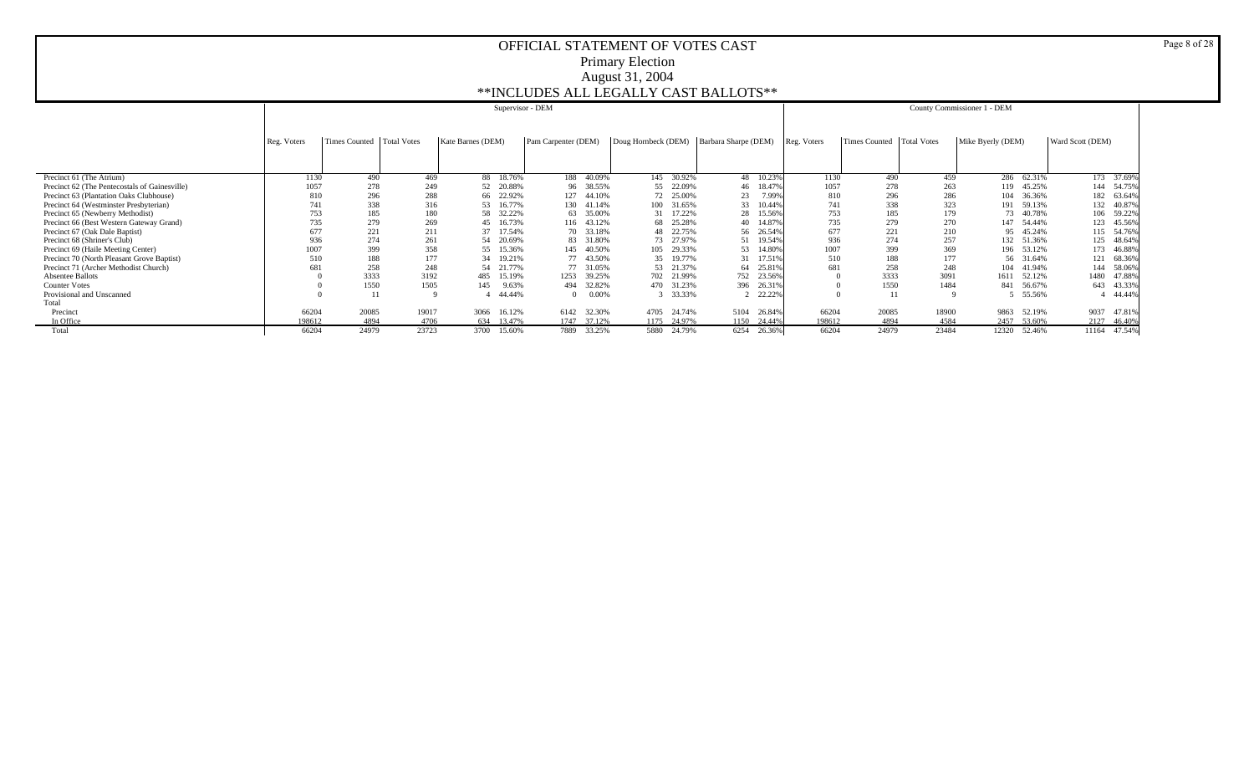|                                               |             |                             |       |                   | Supervisor - DEM    |                      |             |                             |      |                   |        |                  |          | County Commissioner 1 - DEM |                |       |            |
|-----------------------------------------------|-------------|-----------------------------|-------|-------------------|---------------------|----------------------|-------------|-----------------------------|------|-------------------|--------|------------------|----------|-----------------------------|----------------|-------|------------|
|                                               | Reg. Voters | Times Counted   Total Votes |       | Kate Barnes (DEM) | Pam Carpenter (DEM) | Barbara Sharpe (DEM) | Reg. Voters | Times Counted   Total Votes |      | Mike Byerly (DEM) |        | Ward Scott (DEM) |          |                             |                |       |            |
| Precinct 61 (The Atrium)                      | 1130        | 490                         | 469   | 88 18.76%         |                     | 188 40.09%           |             | $145 - 30.92\%$             |      | 48 10.23%         | 1130   | 490              | 459      |                             | $286 - 62.31%$ |       | 173 37.69% |
| Precinct 62 (The Pentecostals of Gainesville) | 1057        | 278                         | 249   | 20.88%<br>52      |                     | 96 38.55%            |             | 55 22.09%                   | 46   | 18.47%            | 1057   | 278              | 263      | 119                         | 45.25%         | 144   | 54.75%     |
| Precinct 63 (Plantation Oaks Clubhouse)       | 810         | 296                         | 288   | 22.92%<br>66      |                     | 127 44.10%           |             | 72 25.00%                   | 23   | 7.99%             | 810    | 296              | 286      | 104                         | 36.36%         | 182   | 63.64%     |
| Precinct 64 (Westminster Presbyterian)        | 741         | 338                         | 316   | 16.77%<br>53      |                     | 130 41.14%           |             | 100 31.65%                  | 33   | 10.44%            | 741    | 338              | 323      | 191                         | 59.13%         | 132   | 40.87%     |
| Precinct 65 (Newberry Methodist)              | 753         | 185                         | 180   | 58<br>32.22%      |                     | 63<br>35.00%         |             | 31 17.22%                   | 28   | 15.56%            | 753    | 185              | 179      | 73                          | 40.78%         | 106   | 59.22%     |
| Precinct 66 (Best Western Gateway Grand)      | 735         | 279                         | 269   | 16.73%<br>45      |                     | 116 43.12%           |             | 68 25.28%                   | 40   | 14.87%            | 735    | 279              | 270      | 147                         | 54.44%         | 123   | 45.56%     |
| Precinct 67 (Oak Dale Baptist)                | 677         | 221                         | 211   | 17.54%<br>37      |                     | 70 33.18%            |             | 48 22.75%                   |      | 56 26.54%         | 677    | 221              | 210      | 95                          | 45.24%         | 115   | 54.76%     |
| Precinct 68 (Shriner's Club)                  | 936         | 274                         | 261   | 20.69%<br>54      |                     | 83 31.80%            |             | 73 27.97%                   |      | 51 19.54%         | 936    | 274              | 257      | 132                         | 51.36%         | 125   | 48.64%     |
| Precinct 69 (Haile Meeting Center)            | 1007        | 399                         | 358   | 15.36%<br>55      |                     | 145 40.50%           |             | 105 29.33%                  | 53   | 14.80%            | 1007   | 399              | 369      | 196                         | 53.12%         | 173   | 46.88%     |
| Precinct 70 (North Pleasant Grove Baptist)    | 510         | 188                         | 177   | 34<br>19.21%      |                     | 77 43.50%            |             | 35 19.77%                   |      | 31 17.51%         | 510    | 188              | 177      | 56                          | 31.64%         | 121   | 68.36%     |
| Precinct 71 (Archer Methodist Church)         | 681         | 258                         | 248   | 21.77%<br>54      |                     | 77<br>31.05%         |             | 53 21.37%                   | 64   | 25.81%            | 681    | 258              | 248      | 104                         | 41.94%         | 144   | 58.06%     |
| <b>Absentee Ballots</b>                       |             | 3333                        | 3192  | 485               | 15.19%              | 39.25%<br>1253       |             | 702 21.99%                  | 752  | 23.56%            |        | 3333             | 3091     | 1611                        | 52.12%         | 1480  | 47.88%     |
| <b>Counter Votes</b>                          |             | 1550                        | 1505  | 145               | 9.63%               | 494 32.82%           |             | 470 31.23%                  | 396  | 26.31%            |        | 1550             | 1484     | 841                         | 56.67%         | 643   | 43.33%     |
| Provisional and Unscanned                     |             |                             |       | 44.44%            |                     | 0.00%<br>$\Omega$    |             | 3 33.33%                    |      | 22.22%            |        | 11               | $\Omega$ |                             | 55.56%         |       | 44.44%     |
| Total                                         |             |                             |       |                   |                     |                      |             |                             |      |                   |        |                  |          |                             |                |       |            |
| Precinct                                      | 66204       | 20085                       | 19017 | 3066<br>16.12%    |                     | 6142 32.30%          |             | 4705 24.74%                 | 5104 | 26.84%            | 66204  | 20085            | 18900    | 9863                        | 52.19%         | 9037  | 47.81%     |
| In Office                                     | 198612      | 4894                        | 4706  | 634 13.47%        |                     | 1747 37.12%          |             | 1175 24.97%                 | 1150 | 24.44%            | 198612 | 4894             | 4584     | 2457                        | 53.60%         | 2127  | 46.40%     |
| Total                                         | 66204       | 24979                       | 23723 | 3700<br>15.60%    |                     | 7889<br>33.25%       | 5880        | 24.79%                      | 6254 | 26.36%            | 66204  | 24979            | 23484    | 12320                       | 52.46%         | 11164 | 47.54%     |

Page 8 of 28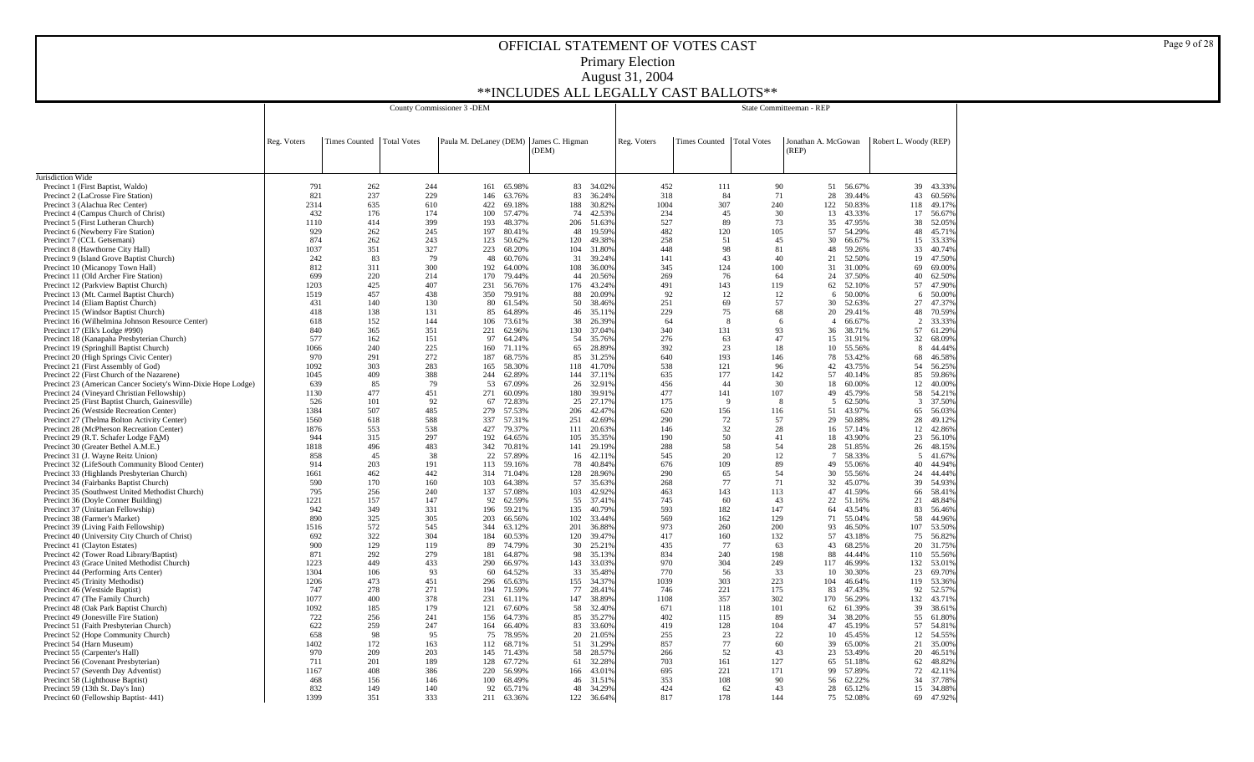|                                                                                                              |             |                      |                    | County Commissioner 3 -DEM             |                      |            |                  |             |                      | State Committeeman - REP |                                          |                       |                  |
|--------------------------------------------------------------------------------------------------------------|-------------|----------------------|--------------------|----------------------------------------|----------------------|------------|------------------|-------------|----------------------|--------------------------|------------------------------------------|-----------------------|------------------|
|                                                                                                              |             |                      |                    |                                        |                      |            |                  |             |                      |                          |                                          |                       |                  |
|                                                                                                              |             |                      |                    |                                        |                      |            |                  |             |                      |                          |                                          |                       |                  |
|                                                                                                              | Reg. Voters | <b>Times Counted</b> | <b>Total Votes</b> | Paula M. DeLaney (DEM) James C. Higman |                      |            |                  | Reg. Voters | <b>Times Counted</b> | <b>Total Votes</b>       | Jonathan A. McGowan                      | Robert L. Woody (REP) |                  |
|                                                                                                              |             |                      |                    |                                        |                      | (DEM)      |                  |             |                      |                          | (REP)                                    |                       |                  |
|                                                                                                              |             |                      |                    |                                        |                      |            |                  |             |                      |                          |                                          |                       |                  |
| Jurisdiction Wide                                                                                            |             |                      |                    |                                        |                      |            |                  |             |                      |                          |                                          |                       |                  |
| Precinct 1 (First Baptist, Waldo)<br>Precinct 2 (LaCrosse Fire Station)                                      | 791<br>821  | 262<br>237           | 244<br>229         | 146                                    | 161 65.98%<br>63.76% | 83<br>83   | 34.02%<br>36.24% | 452<br>318  | 111<br>84            | 90<br>71                 | 51<br>56.67%<br>28<br>39.44%             | 39<br>43              | 43.33%<br>60.56% |
| Precinct 3 (Alachua Rec Center)                                                                              | 2314        | 635                  | 610                | 422                                    | 69.18%               | 188        | 30.82%           | 1004        | 307                  | 240                      | 50.83%<br>122                            | 118                   | 49.17%           |
| Precinct 4 (Campus Church of Christ)                                                                         | 432         | 176                  | 174                | 100                                    | 57.47%               | 74         | 42.53%           | 234         | 45                   | 30                       | 13<br>43.33%                             | 17                    | 56.67%           |
| Precinct 5 (First Lutheran Church)                                                                           | 1110        | 414                  | 399                | 193                                    | 48.37%               | 206        | 51.63%           | 527         | 89                   | 73                       | 35<br>47.95%                             | 38                    | 52.05%           |
| Precinct 6 (Newberry Fire Station)                                                                           | 929         | 262                  | 245                | 197                                    | 80.41%               | 48         | 19.59%           | 482         | 120                  | 105                      | 57<br>54.29%                             | 48                    | 45.71%           |
| Precinct 7 (CCL Getsemani)                                                                                   | 874         | 262                  | 243                | 123                                    | 50.62%               | 120        | 49.38%           | 258         | 51                   | 45                       | 30<br>66.67%                             | 15                    | 33.33%           |
| Precinct 8 (Hawthorne City Hall)<br>Precinct 9 (Island Grove Baptist Church)                                 | 1037<br>242 | 351<br>83            | 327<br>79          | 223<br>48                              | 68.20%<br>60.76%     | 104<br>31  | 31.80%<br>39.24% | 448<br>141  | 98<br>43             | 81<br>40                 | 48<br>59.26%<br>21<br>52.50%             | 33<br>19              | 40.74%<br>47.50% |
| Precinct 10 (Micanopy Town Hall)                                                                             | 812         | 311                  | 300                | 192                                    | 64.00%               | 108        | 36,00%           | 345         | 124                  | 100                      | 31<br>31.00%                             | 69                    | 69.00%           |
| Precinct 11 (Old Archer Fire Station)                                                                        | 699         | 220                  | 214                | 170                                    | 79.44%               | 44         | 20.56%           | 269         | 76                   | 64                       | 37.50%<br>24                             | 40                    | 62.50%           |
| Precinct 12 (Parkview Baptist Church)                                                                        | 1203        | 425                  | 407                | 231                                    | 56.76%               | 176        | 43.24%           | 491         | 143                  | 119                      | 52.10%<br>62                             | 57                    | 47.90%           |
| Precinct 13 (Mt. Carmel Baptist Church)                                                                      | 1519        | 457                  | 438                | 350                                    | 79.91%               | 88         | 20.09%           | 92          | 12                   | 12                       | 50.00%<br>6                              | 6                     | 50.00%           |
| Precinct 14 (Eliam Baptist Church)                                                                           | 431         | 140                  | 130                | 80                                     | 61.54%               | 50         | 38.46%           | 251         | 69                   | 57                       | 30<br>52.63%                             | 27                    | 47.37%           |
| Precinct 15 (Windsor Baptist Church)                                                                         | 418         | 138                  | 131<br>144         | 85                                     | 64.89%<br>73.61%     | 46<br>38   | 35.11%<br>26.39% | 229<br>64   | 75<br>8              | 68<br>6                  | 20<br>29.41%<br>66.67%<br>$\overline{4}$ | 48<br>2               | 70.59%           |
| Precinct 16 (Wilhelmina Johnson Resource Center)<br>Precinct 17 (Elk's Lodge #990)                           | 618<br>840  | 152<br>365           | 351                | 106<br>221                             | 62.96%               | 130        | 37.04%           | 340         | 131                  | 93                       | 36<br>38.71%                             | 57                    | 33.33%<br>61.29% |
| Precinct 18 (Kanapaha Presbyterian Church)                                                                   | 577         | 162                  | 151                | 97                                     | 64.24%               | 54         | 35.76%           | 276         | 63                   | 47                       | 15<br>31.91%                             | 32                    | 68.09%           |
| Precinct 19 (Springhill Baptist Church)                                                                      | 1066        | 240                  | 225                | 160                                    | 71.11%               | 65         | 28.89%           | 392         | 23                   | 18                       | 55.56%<br>10                             | 8                     | 44.44%           |
| Precinct 20 (High Springs Civic Center)                                                                      | 970         | 291                  | 272                | 187                                    | 68.75%               | 85         | 31.25%           | 640         | 193                  | 146                      | 78<br>53.42%                             | 68                    | 46.58%           |
| Precinct 21 (First Assembly of God)                                                                          | 1092        | 303                  | 283                | 165                                    | 58.30%               | 118        | 41.70%           | 538         | 121                  | 96                       | 43.75%<br>42                             | 54                    | 56.25%           |
| Precinct 22 (First Church of the Nazarene)                                                                   | 1045        | 409                  | 388                | 244                                    | 62.89%               | 144        | 37.11%           | 635         | 177                  | 142                      | 57<br>40.14%                             | 85                    | 59.86%           |
| Precinct 23 (American Cancer Society's Winn-Dixie Hope Lodge)<br>Precinct 24 (Vineyard Christian Fellowship) | 639<br>1130 | 85<br>477            | 79<br>451          | 53<br>271                              | 67.09%<br>60.09%     | 26<br>180  | 32.91%<br>39.91% | 456<br>477  | 44<br>141            | 30<br>107                | 60.00%<br>18<br>49<br>45.79%             | 12<br>58              | 40.00%<br>54.21% |
| Precinct 25 (First Baptist Church, Gainesville)                                                              | 526         | 101                  | 92                 | 67                                     | 72.83%               | 25         | 27.17%           | 175         | $\overline{Q}$       | 8                        | 5<br>62.50%                              | 3                     | 37.50%           |
| Precinct 26 (Westside Recreation Center)                                                                     | 1384        | 507                  | 485                | 279                                    | 57.53%               | 206        | 42.47%           | 620         | 156                  | 116                      | 51<br>43.97%                             | 65                    | 56.03%           |
| Precinct 27 (Thelma Bolton Activity Center)                                                                  | 1560        | 618                  | 588                | 337                                    | 57.31%               | 251        | 42.69%           | 290         | 72                   | 57                       | 29<br>50.88%                             | 28                    | 49.12%           |
| Precinct 28 (McPherson Recreation Center)                                                                    | 1876        | 553                  | 538                | 427                                    | 79.37%               | 111        | 20.63%           | 146         | 32                   | 28                       | 16<br>57.14%                             | 12                    | 42.86%           |
| Precinct 29 (R.T. Schafer Lodge FAM)                                                                         | 944         | 315                  | 297                | 192                                    | 64.65%               | 105        | 35.35%           | 190         | 50                   | 41                       | 18<br>43.90%                             | 23                    | 56.10%           |
| Precinct 30 (Greater Bethel A.M.E.)                                                                          | 1818        | 496                  | 483                | 342                                    | 70.81%               | 141        | 29.19%           | 288         | 58                   | 54                       | 28<br>51.85%<br>$\overline{7}$           | 26                    | 48.15%           |
| Precinct 31 (J. Wayne Reitz Union)<br>Precinct 32 (LifeSouth Community Blood Center)                         | 858<br>914  | 45<br>203            | 38<br>191          | 22<br>113                              | 57.89%<br>59.16%     | 16<br>78   | 42.11%<br>40.84% | 545<br>676  | 20<br>109            | 12<br>89                 | 58.33%<br>55.06%<br>49                   | 5<br>40               | 41.67%<br>44.94% |
| Precinct 33 (Highlands Presbyterian Church)                                                                  | 1661        | 462                  | 442                | 314                                    | 71.04%               | 128        | 28.96%           | 290         | 65                   | 54                       | 30<br>55.56%                             | 24                    | 44.44%           |
| Precinct 34 (Fairbanks Baptist Church)                                                                       | 590         | 170                  | 160                | 103                                    | 64.38%               | 57         | 35.63%           | 268         | 77                   | 71                       | 32<br>45.07%                             | 39                    | 54.93%           |
| Precinct 35 (Southwest United Methodist Church)                                                              | 795         | 256                  | 240                | 137                                    | 57.08%               | 103        | 42.92%           | 463         | 143                  | 113                      | 47<br>41.59%                             | 66                    | 58.41%           |
| Precinct 36 (Doyle Conner Building)                                                                          | 1221        | 157                  | 147                | 92                                     | 62.59%               | 55         | 37.41%           | 745         | 60                   | 43                       | 22<br>51.16%                             | 21                    | 48.84%           |
| Precinct 37 (Unitarian Fellowship)                                                                           | 942         | 349                  | 331                | 196                                    | 59.21%               | 135        | 40.79%           | 593         | 182                  | 147                      | 64<br>43.54%                             | 83                    | 56.46%           |
| Precinct 38 (Farmer's Market)                                                                                | 890         | 325<br>572           | 305<br>545         | 203                                    | 66.56%<br>63.12%     | 102        | 33.44%<br>36.88% | 569<br>973  | 162<br>260           | 129<br>200               | 71<br>55.04%<br>93<br>46.50%             | 58                    | 44.96%<br>53.50% |
| Precinct 39 (Living Faith Fellowship)<br>Precinct 40 (University City Church of Christ)                      | 1516<br>692 | 322                  | 304                | 344<br>184                             | 60.53%               | 201<br>120 | 39.47%           | 417         | 160                  | 132                      | 57<br>43.18%                             | 107<br>75             | 56.82%           |
| Precinct 41 (Clayton Estates)                                                                                | 900         | 129                  | 119                | 89                                     | 74.79%               | 30         | 25.21%           | 435         | 77                   | 63                       | 43<br>68.25%                             | 20                    | 31.75%           |
| Precinct 42 (Tower Road Library/Baptist)                                                                     | 871         | 292                  | 279                | 181                                    | 64.87%               | 98         | 35.13%           | 834         | 240                  | 198                      | 88<br>44.44%                             | 110                   | 55.56%           |
| Precinct 43 (Grace United Methodist Church)                                                                  | 1223        | 449                  | 433                | 290                                    | 66.97%               | 143        | 33.03%           | 970         | 304                  | 249                      | 46.99%<br>117                            | 132                   | 53.01%           |
| Precinct 44 (Performing Arts Center)                                                                         | 1304        | 106                  | 93                 | 60                                     | 64.52%               | 33         | 35.48%           | 770         | 56                   | 33                       | 10<br>30.30%                             | 23                    | 69.70%           |
| Precinct 45 (Trinity Methodist)                                                                              | 1206        | 473                  | 451                | 296                                    | 65.63%               | 155        | 34.37%           | 1039        | 303                  | 223                      | 104<br>46.64%                            | 119                   | 53.36%           |
| Precinct 46 (Westside Baptist)<br>Precinct 47 (The Family Church)                                            | 747<br>1077 | 278<br>400           | 271<br>378         | 194<br>231                             | 71.59%<br>61.11%     | 77<br>147  | 28.41%<br>38.89% | 746<br>1108 | 221<br>357           | 175<br>302               | 83<br>47.43%<br>170<br>56.29%            | 92<br>132             | 52.57%<br>43.71% |
| Precinct 48 (Oak Park Baptist Church)                                                                        | 1092        | 185                  | 179                | 121                                    | 67.60%               | 58         | 32.40%           | 671         | 118                  | 101                      | 62<br>61.39%                             | 39                    | 38.619           |
| Precinct 49 (Jonesville Fire Station)                                                                        | 722         | 256                  | 241                | 156                                    | 64.73%               | 85         | 35.27%           | 402         | 115                  | 89                       | 34<br>38.20%                             | 55                    | 61.80%           |
| Precinct 51 (Faith Presbyterian Church)                                                                      | 622         | 259                  | 247                | 164                                    | 66.40%               | 83         | 33.60%           | 419         | 128                  | 104                      | 45.19%<br>47                             | 57                    | 54.81%           |
| Precinct 52 (Hope Community Church)                                                                          | 658         | 98                   | 95                 | 75                                     | 78.95%               | 20         | 21.05%           | 255         | 23                   | 22                       | 10<br>45.45%                             | 12                    | 54.55%           |
| Precinct 54 (Harn Museum)                                                                                    | 1402        | 172                  | 163                | 112                                    | 68.71%               | 51         | 31.29%           | 857         | 77                   | 60                       | 39<br>65.00%                             | 21                    | 35.00%           |
| Precinct 55 (Carpenter's Hall)<br>Precinct 56 (Covenant Presbyterian)                                        | 970<br>711  | 209<br>201           | 203<br>189         | 145<br>128                             | 71.43%<br>67.72%     | 58<br>61   | 28.57%<br>32.28% | 266<br>703  | 52<br>161            | 43<br>127                | 23<br>53.49%<br>65<br>51.18%             | 20<br>62              | 46.51%<br>48.82% |
| Precinct 57 (Seventh Day Adventist)                                                                          | 1167        | 408                  | 386                | 220                                    | 56.99%               | 166        | 43.01%           | 695         | 221                  | 171                      | 99<br>57.89%                             | 72                    | 42.11%           |
| Precinct 58 (Lighthouse Baptist)                                                                             | 468         | 156                  | 146                | 100                                    | 68.49%               | 46         | 31.51%           | 353         | 108                  | 90                       | 62.22%<br>56                             | 34                    | 37.78%           |
| Precinct 59 (13th St. Day's Inn)                                                                             | 832         | 149                  | 140                | 92                                     | 65.71%               | 48         | 34.29%           | 424         | 62                   | 43                       | 28<br>65.12%                             | 15                    | 34.88%           |
| Precinct 60 (Fellowship Baptist-441)                                                                         | 1399        | 351                  | 333                | 211                                    | 63.36%               | 122        | 36.64%           | 817         | 178                  | 144                      | 52.08%<br>75                             | 69                    | 47.92%           |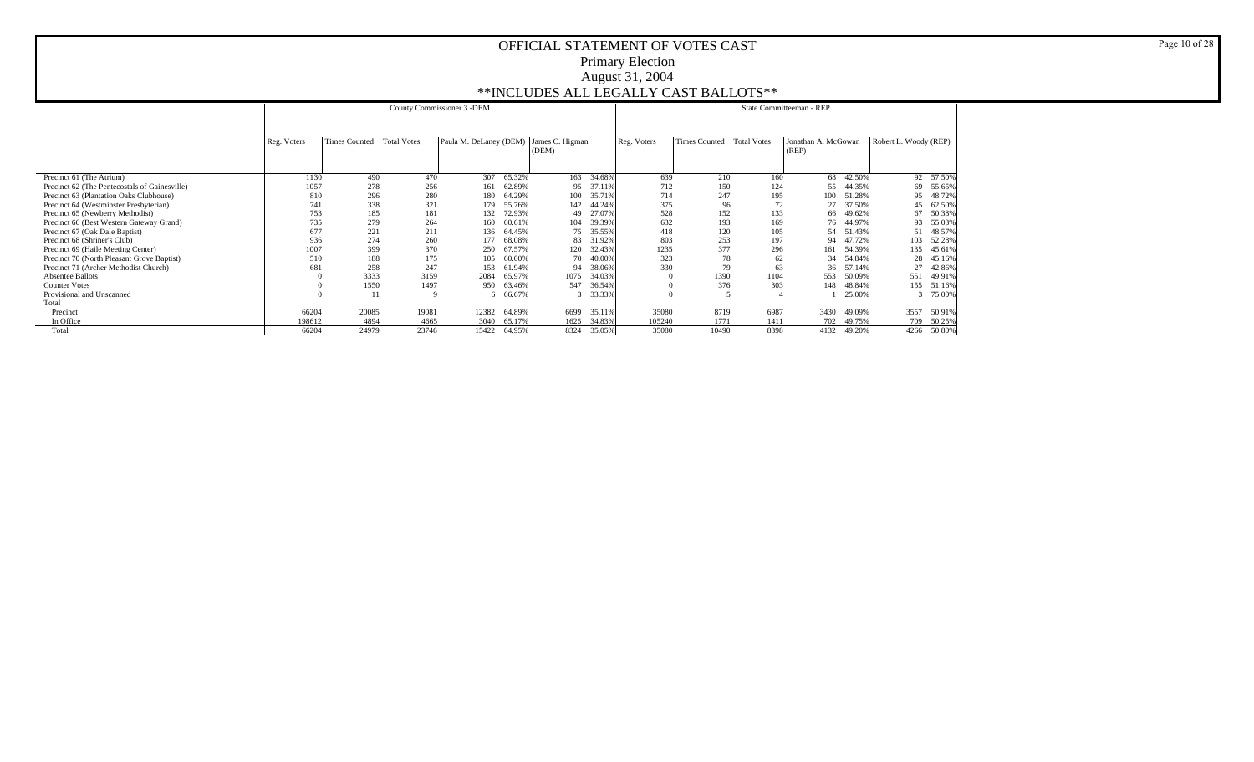|                                               |             |                             |       | County Commissioner 3 -DEM             |                 |       |        |             |                             |      | State Committeeman - REP     |           |                       |           |
|-----------------------------------------------|-------------|-----------------------------|-------|----------------------------------------|-----------------|-------|--------|-------------|-----------------------------|------|------------------------------|-----------|-----------------------|-----------|
|                                               | Reg. Voters | Times Counted   Total Votes |       | Paula M. DeLaney (DEM) James C. Higman |                 | (DEM) |        | Reg. Voters | Times Counted   Total Votes |      | Jonathan A. McGowan<br>(REP) |           | Robert L. Woody (REP) |           |
|                                               |             |                             |       |                                        |                 |       |        |             |                             |      |                              |           |                       |           |
| Precinct 61 (The Atrium)                      | 1130        | 490                         | 470   |                                        | $307 - 65.32\%$ | 163   | 34.68% | $-639$      | 210                         | 160  | 68                           | $-42.50%$ | 92                    | $-57.50%$ |
| Precinct 62 (The Pentecostals of Gainesville) | 1057        | 278                         | 256   | 161                                    | 62.89%          | 95    | 37.11% | 712         | 150                         | 124  | 55                           | 44.35%    | 69                    | 55.65%    |
| Precinct 63 (Plantation Oaks Clubhouse)       | 810         | 296                         | 280   | 180                                    | 64.29%          | 100   | 35.71% | 714         | 247                         | 195  | 100                          | 51.28%    | 95                    | 48.72%    |
| Precinct 64 (Westminster Presbyterian)        | 741         | 338                         | 321   | 179                                    | 55.76%          | 142   | 44.24% | 375         | 96                          | 72   | 27                           | 37.50%    | 45                    | 62.50%    |
| Precinct 65 (Newberry Methodist)              | 753         | 185                         | 181   | 132                                    | 72.93%          | 49    | 27.07% | 528         | 152                         | 133  | 66                           | 49.62%    | 67                    | 50.38%    |
| Precinct 66 (Best Western Gateway Grand)      | 735         | 279                         | 264   | 160                                    | 60.61%          | 104   | 39.39% | 632         | 193                         | 169  | 76                           | 44.97%    | 93                    | 55.03%    |
| Precinct 67 (Oak Dale Baptist)                | 677         | 221                         | 211   | 136                                    | 64.45%          | 75    | 35.55% | 418         | 120                         | 105  | 54                           | 51.43%    | 51                    | 48.57%    |
| Precinct 68 (Shriner's Club)                  | 936         | 274                         | 260   | 177                                    | 68.08%          | 83    | 31.92% | 803         | 253                         | 197  | 94                           | 47.72%    | 103                   | 52.28%    |
| Precinct 69 (Haile Meeting Center)            | 1007        | 399                         | 370   | 250                                    | 67.57%          | 120   | 32.43% | 1235        | 377                         | 296  | 161                          | 54.39%    | 135                   | 45.61%    |
| Precinct 70 (North Pleasant Grove Baptist)    | 510         | 188                         | 175   | 105                                    | 60.00%          |       | 40.00% | 323         | 78                          | 62   | 34                           | 54.84%    | 28                    | 45.16%    |
| Precinct 71 (Archer Methodist Church)         | 681         | 258                         | 247   | 153                                    | 61.94%          | 94    | 38.06% | 330         | 79                          | 63   | 36                           | 57.14%    | 27                    | 42.86%    |
| <b>Absentee Ballots</b>                       |             | 3333                        | 3159  | 2084                                   | 65.97%          | 1075  | 34.03% |             | 1390                        | 1104 | 553                          | 50.09%    | 551                   | 49.91%    |
| <b>Counter Votes</b>                          |             | 1550                        | 1497  | 950                                    | 63.46%          | 547   | 36.54% |             | 376                         | 303  | 148                          | 48.84%    | 155                   | 51.16%    |
| Provisional and Unscanned                     |             | 11                          |       |                                        | 6 66.67%        |       | 33.33% |             |                             |      |                              | 25.00%    |                       | 75.00%    |
| Total                                         |             |                             |       |                                        |                 |       |        |             |                             |      |                              |           |                       |           |
| Precinct                                      | 66204       | 20085                       | 19081 | 12382                                  | 64.89%          | 6699  | 35.11% | 35080       | 8719                        | 6987 | 3430                         | 49.09%    | 3557                  | 50.91%    |
| In Office                                     | 198612      | 4894                        | 4665  | 3040                                   | 65.17%          | 1625  | 34.83% | 105240      | 1771                        | 1411 | 702                          | 49.75%    | 709                   | 50.25%    |
| Total                                         | 66204       | 24979                       | 23746 | 15422                                  | 64.95%          | 8324  | 35.05% | 35080       | 10490                       | 8398 | 4132                         | 49.20%    | 4266                  | 50.80%    |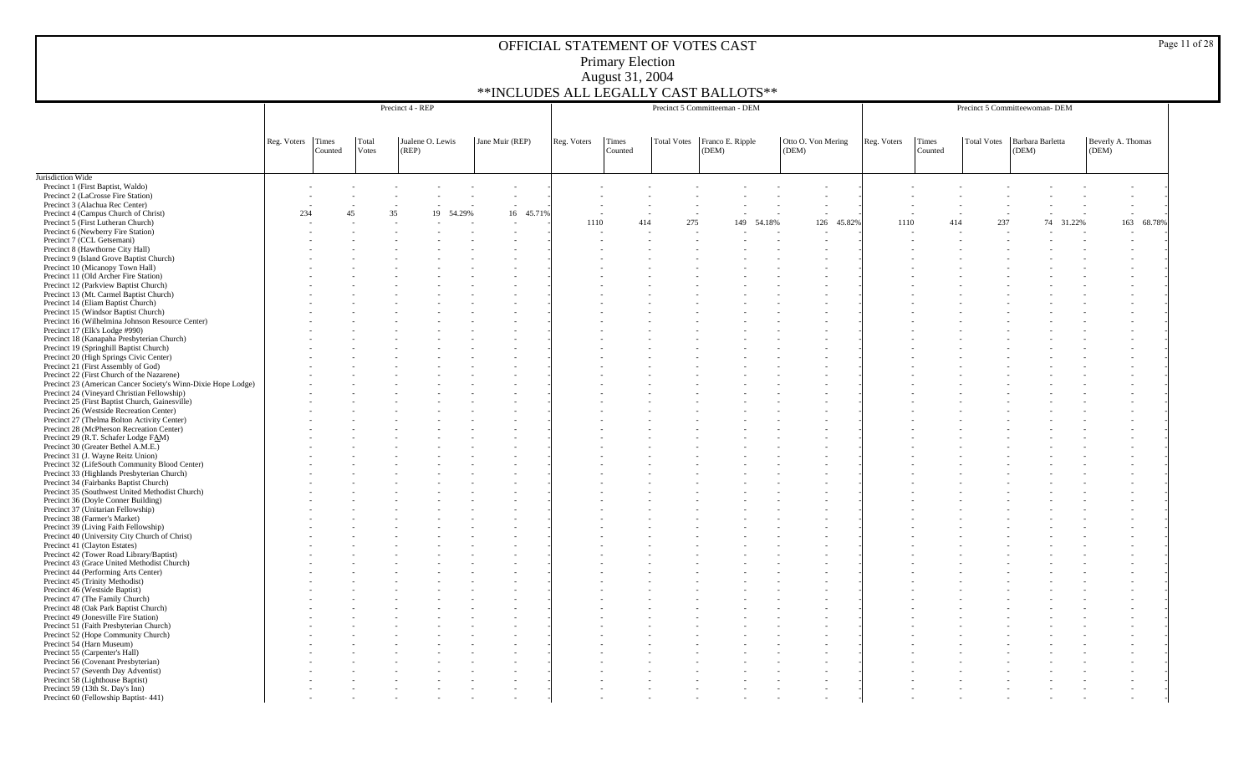|                                                                                             |             |                  |                | Precinct 4 - REP          |              |                                    |             |                  | Precinct 5 Committeeman - DEM |                           |               |                             |             |                  | Precinct 5 Committeewoman- DEM |                           |           |                            |            |
|---------------------------------------------------------------------------------------------|-------------|------------------|----------------|---------------------------|--------------|------------------------------------|-------------|------------------|-------------------------------|---------------------------|---------------|-----------------------------|-------------|------------------|--------------------------------|---------------------------|-----------|----------------------------|------------|
|                                                                                             |             |                  |                |                           |              |                                    |             |                  |                               |                           |               |                             |             |                  |                                |                           |           |                            |            |
|                                                                                             |             |                  |                |                           |              |                                    |             |                  |                               |                           |               |                             |             |                  |                                |                           |           |                            |            |
|                                                                                             | Reg. Voters | Times<br>Counted | Total<br>Votes | Jualene O. Lewis<br>(REP) |              | Jane Muir (REP)                    | Reg. Voters | Times<br>Counted | <b>Total Votes</b>            | Franco E. Ripple<br>(DEM) |               | Otto O. Von Mering<br>(DEM) | Reg. Voters | Times<br>Counted | <b>Total Votes</b>             | Barbara Barletta<br>(DEM) |           | Beverly A. Thomas<br>(DEM) |            |
|                                                                                             |             |                  |                |                           |              |                                    |             |                  |                               |                           |               |                             |             |                  |                                |                           |           |                            |            |
|                                                                                             |             |                  |                |                           |              |                                    |             |                  |                               |                           |               |                             |             |                  |                                |                           |           |                            |            |
| Jurisdiction Wide<br>Precinct 1 (First Baptist, Waldo)                                      |             |                  |                |                           |              | $\overline{\phantom{a}}$           |             |                  |                               |                           |               |                             |             |                  |                                |                           |           | $\overline{\phantom{a}}$   |            |
| Precinct 2 (LaCrosse Fire Station)                                                          |             |                  |                |                           |              | $\overline{\phantom{a}}$<br>$\sim$ |             |                  |                               |                           |               | $\sim$                      |             |                  |                                |                           |           | $\sim$                     |            |
| Precinct 3 (Alachua Rec Center)                                                             |             |                  |                |                           |              |                                    |             |                  |                               |                           |               |                             |             |                  |                                |                           |           | ×.                         |            |
| Precinct 4 (Campus Church of Christ)                                                        | 234         |                  | 45             | 35                        | 19<br>54.29% | 16 45.71%                          |             |                  |                               |                           |               |                             |             |                  |                                |                           |           |                            |            |
| Precinct 5 (First Lutheran Church)                                                          |             |                  |                |                           |              | $\overline{\phantom{a}}$           | 1110        |                  | 275<br>414                    |                           | 149<br>54.18% | 126 45.82%                  |             | 1110             | 414                            | 237                       | 74 31.22% |                            | 163 68.78% |
| Precinct 6 (Newberry Fire Station)<br>Precinct 7 (CCL Getsemani)                            |             |                  |                |                           |              |                                    |             |                  |                               |                           |               |                             |             |                  |                                |                           |           | ×.                         |            |
| Precinct 8 (Hawthorne City Hall)                                                            |             |                  |                |                           |              |                                    |             |                  |                               |                           |               |                             |             |                  |                                |                           |           |                            |            |
| Precinct 9 (Island Grove Baptist Church)                                                    |             |                  |                |                           |              |                                    |             |                  |                               |                           |               |                             |             |                  |                                |                           |           |                            |            |
| Precinct 10 (Micanopy Town Hall)                                                            |             |                  |                |                           |              |                                    |             |                  |                               |                           |               |                             |             |                  |                                |                           |           |                            |            |
| Precinct 11 (Old Archer Fire Station)                                                       |             |                  |                |                           |              |                                    |             |                  |                               |                           |               |                             |             |                  |                                |                           |           |                            |            |
| Precinct 12 (Parkview Baptist Church)<br>Precinct 13 (Mt. Carmel Baptist Church)            |             |                  |                |                           |              |                                    |             |                  |                               |                           |               |                             |             |                  |                                |                           |           |                            |            |
| Precinct 14 (Eliam Baptist Church)                                                          |             |                  |                |                           |              |                                    |             |                  |                               |                           |               |                             |             |                  |                                |                           |           |                            |            |
| Precinct 15 (Windsor Baptist Church)                                                        |             |                  |                |                           |              |                                    |             |                  |                               |                           |               |                             |             |                  |                                |                           |           |                            |            |
| Precinct 16 (Wilhelmina Johnson Resource Center)                                            |             |                  |                |                           |              |                                    |             |                  |                               |                           |               | $\sim$                      |             |                  |                                |                           |           |                            |            |
| Precinct 17 (Elk's Lodge #990)                                                              |             |                  |                |                           |              |                                    |             |                  |                               |                           |               |                             |             |                  |                                |                           |           |                            |            |
| Precinct 18 (Kanapaha Presbyterian Church)                                                  |             |                  |                |                           |              |                                    |             |                  |                               |                           |               |                             |             |                  |                                |                           |           |                            |            |
| Precinct 19 (Springhill Baptist Church)<br>Precinct 20 (High Springs Civic Center)          |             |                  |                |                           |              |                                    |             |                  |                               |                           |               |                             |             |                  |                                |                           |           |                            |            |
| Precinct 21 (First Assembly of God)                                                         |             |                  |                |                           |              |                                    |             |                  |                               |                           |               |                             |             |                  |                                |                           |           |                            |            |
| Precinct 22 (First Church of the Nazarene)                                                  |             |                  |                |                           |              |                                    |             |                  |                               |                           |               |                             |             |                  |                                |                           |           |                            |            |
| Precinct 23 (American Cancer Society's Winn-Dixie Hope Lodge)                               |             |                  |                |                           |              |                                    |             |                  |                               |                           |               |                             |             |                  |                                |                           |           |                            |            |
| Precinct 24 (Vineyard Christian Fellowship)                                                 |             |                  |                |                           |              |                                    |             |                  |                               |                           |               |                             |             |                  |                                |                           |           |                            |            |
| Precinct 25 (First Baptist Church, Gainesville)<br>Precinct 26 (Westside Recreation Center) |             |                  |                |                           |              |                                    |             |                  |                               |                           |               |                             |             |                  |                                |                           |           |                            |            |
| Precinct 27 (Thelma Bolton Activity Center)                                                 |             |                  |                |                           |              |                                    |             |                  |                               |                           |               |                             |             |                  |                                |                           |           |                            |            |
| Precinct 28 (McPherson Recreation Center)                                                   |             |                  |                |                           |              |                                    |             |                  |                               |                           |               |                             |             |                  |                                |                           |           |                            |            |
| Precinct 29 (R.T. Schafer Lodge FAM)                                                        |             |                  |                |                           |              |                                    |             |                  |                               |                           |               |                             |             |                  |                                |                           |           |                            |            |
| Precinct 30 (Greater Bethel A.M.E.)                                                         |             |                  |                |                           |              |                                    |             |                  |                               |                           |               |                             |             |                  |                                |                           |           |                            |            |
| Precinct 31 (J. Wayne Reitz Union)<br>Precinct 32 (LifeSouth Community Blood Center)        |             |                  |                |                           |              |                                    |             |                  |                               |                           |               |                             |             |                  |                                |                           |           |                            |            |
| Precinct 33 (Highlands Presbyterian Church)                                                 |             |                  |                |                           |              |                                    |             |                  |                               |                           |               |                             |             |                  |                                |                           |           |                            |            |
| Precinct 34 (Fairbanks Baptist Church)                                                      |             |                  |                |                           |              |                                    |             |                  |                               |                           |               |                             |             |                  |                                |                           |           |                            |            |
| Precinct 35 (Southwest United Methodist Church)                                             |             |                  |                |                           |              |                                    |             |                  |                               |                           |               |                             |             |                  |                                |                           |           |                            |            |
| Precinct 36 (Doyle Conner Building)                                                         |             |                  |                |                           |              |                                    |             |                  |                               |                           |               |                             |             |                  |                                |                           |           |                            |            |
| Precinct 37 (Unitarian Fellowship)<br>Precinct 38 (Farmer's Market)                         |             |                  |                |                           |              |                                    |             |                  |                               |                           |               |                             |             |                  |                                |                           |           |                            |            |
| Precinct 39 (Living Faith Fellowship)                                                       |             |                  |                |                           |              |                                    |             |                  |                               |                           |               |                             |             |                  |                                |                           |           |                            |            |
| Precinct 40 (University City Church of Christ)                                              |             |                  |                |                           |              |                                    |             |                  |                               |                           |               |                             |             |                  |                                |                           |           |                            |            |
| Precinct 41 (Clayton Estates)                                                               |             |                  |                |                           |              |                                    |             |                  |                               |                           |               |                             |             |                  |                                |                           |           |                            |            |
| Precinct 42 (Tower Road Library/Baptist)                                                    |             |                  |                |                           |              |                                    |             |                  |                               |                           |               |                             |             |                  |                                |                           |           |                            |            |
| Precinct 43 (Grace United Methodist Church)<br>Precinct 44 (Performing Arts Center)         |             |                  |                |                           |              |                                    |             |                  |                               |                           |               |                             |             |                  |                                |                           |           |                            |            |
| Precinct 45 (Trinity Methodist)                                                             |             |                  |                |                           |              |                                    |             |                  |                               |                           |               |                             |             |                  |                                |                           |           |                            |            |
| Precinct 46 (Westside Baptist)                                                              |             |                  |                |                           |              |                                    |             |                  |                               |                           |               |                             |             |                  |                                |                           |           |                            |            |
| Precinct 47 (The Family Church)                                                             |             |                  |                |                           |              |                                    |             |                  |                               |                           |               |                             |             |                  |                                |                           |           |                            |            |
| Precinct 48 (Oak Park Baptist Church)                                                       |             |                  |                |                           |              |                                    |             |                  |                               |                           |               |                             |             |                  |                                |                           |           |                            |            |
| Precinct 49 (Jonesville Fire Station)<br>Precinct 51 (Faith Presbyterian Church)            |             |                  |                |                           |              |                                    |             |                  |                               |                           |               |                             |             |                  |                                |                           |           |                            |            |
| Precinct 52 (Hope Community Church)                                                         |             |                  |                |                           |              |                                    |             |                  |                               |                           |               |                             |             |                  |                                |                           |           |                            |            |
| Precinct 54 (Harn Museum)                                                                   |             |                  |                |                           |              |                                    |             |                  |                               |                           |               |                             |             |                  |                                |                           |           |                            |            |
| Precinct 55 (Carpenter's Hall)                                                              |             |                  |                |                           |              |                                    |             |                  |                               |                           |               |                             |             |                  |                                |                           |           |                            |            |
| Precinct 56 (Covenant Presbyterian)                                                         |             |                  |                |                           |              |                                    |             |                  |                               |                           |               |                             |             |                  |                                |                           |           |                            |            |
| Precinct 57 (Seventh Day Adventist)<br>Precinct 58 (Lighthouse Baptist)                     |             |                  |                |                           |              |                                    |             |                  |                               |                           |               |                             |             |                  |                                |                           |           |                            |            |
| Precinct 59 (13th St. Day's Inn)                                                            |             |                  |                |                           |              |                                    |             |                  |                               |                           |               |                             |             |                  |                                |                           |           |                            |            |
| Precinct 60 (Fellowship Baptist-441)                                                        |             |                  |                |                           |              |                                    |             |                  |                               |                           |               |                             |             |                  |                                |                           |           |                            |            |
|                                                                                             |             |                  |                |                           |              |                                    |             |                  |                               |                           |               |                             |             |                  |                                |                           |           |                            |            |

Page 11 of 28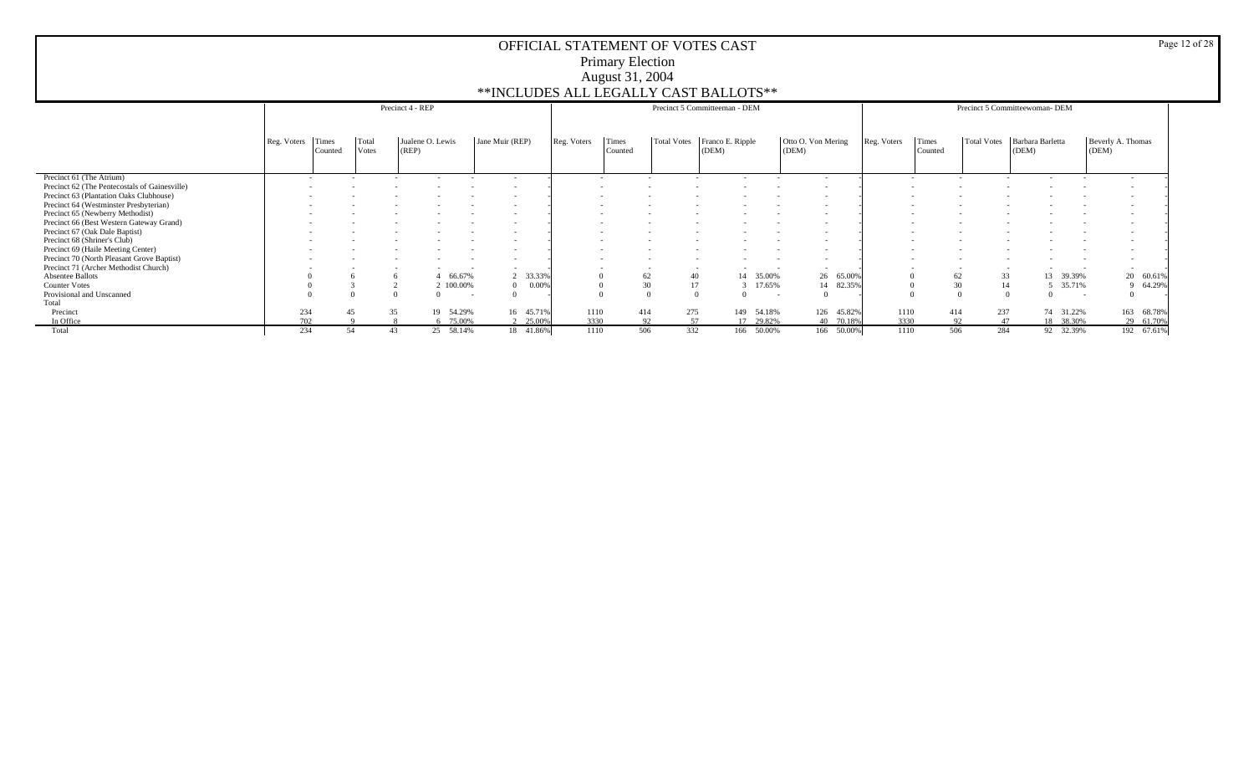OFFICIAL STATEMENT OF VOTES CAST Primary Election

#### August 31, 2004 \*\*INCLUDES ALL LEGALLY CAST BALLOTS\*\*

|                                               |                   |         |                | Precinct 4 - REP          |           |                 |           |             |                  |          | Precinct 5 Committeeman - DEM         |                          |                             |            |             |                  | Precinct 5 Committeewoman- DEM |                           |           |                            |            |        |
|-----------------------------------------------|-------------------|---------|----------------|---------------------------|-----------|-----------------|-----------|-------------|------------------|----------|---------------------------------------|--------------------------|-----------------------------|------------|-------------|------------------|--------------------------------|---------------------------|-----------|----------------------------|------------|--------|
|                                               | Reg. Voters Times | Counted | Total<br>Votes | Jualene O. Lewis<br>(REP) |           | Jane Muir (REP) |           | Reg. Voters | Times<br>Counted |          | Total Votes Franco E. Ripple<br>(DEM) |                          | Otto O. Von Mering<br>(DEM) |            | Reg. Voters | Times<br>Counted | Total Votes                    | Barbara Barletta<br>(DEM) |           | Beverly A. Thomas<br>(DEM) |            |        |
| Precinct 61 (The Atrium)                      |                   | $\sim$  |                |                           |           | $\sim$          |           |             | $\sim$           |          |                                       |                          |                             |            |             |                  |                                |                           |           |                            |            |        |
| Precinct 62 (The Pentecostals of Gainesville) |                   |         |                |                           |           |                 |           |             |                  |          |                                       |                          |                             |            |             |                  |                                |                           |           |                            |            |        |
| Precinct 63 (Plantation Oaks Clubhouse)       |                   |         |                |                           |           |                 |           |             |                  |          |                                       |                          |                             |            |             |                  |                                |                           |           |                            |            |        |
| Precinct 64 (Westminster Presbyterian)        |                   |         |                |                           |           |                 |           |             |                  |          |                                       |                          |                             |            |             |                  |                                |                           |           |                            |            |        |
| Precinct 65 (Newberry Methodist)              |                   |         |                |                           |           |                 |           |             |                  |          |                                       |                          |                             |            |             |                  |                                |                           |           |                            |            |        |
| Precinct 66 (Best Western Gateway Grand)      |                   |         |                |                           |           |                 |           |             |                  |          |                                       |                          |                             |            |             |                  |                                |                           |           |                            |            |        |
| Precinct 67 (Oak Dale Baptist)                |                   |         |                |                           |           |                 |           |             |                  |          |                                       |                          |                             |            |             |                  |                                |                           |           |                            |            |        |
| Precinct 68 (Shriner's Club)                  |                   |         |                |                           |           | $\sim$          |           |             |                  |          |                                       |                          |                             |            |             |                  |                                |                           |           | $\overline{\phantom{a}}$   | $\sim$     |        |
| Precinct 69 (Haile Meeting Center)            |                   |         |                |                           |           |                 |           |             |                  |          |                                       |                          |                             |            |             |                  |                                |                           |           |                            |            |        |
| Precinct 70 (North Pleasant Grove Baptist)    |                   |         |                |                           |           |                 |           |             |                  |          |                                       |                          |                             |            |             |                  |                                |                           |           |                            | $\sim$     |        |
| Precinct 71 (Archer Methodist Church)         |                   |         |                |                           |           |                 |           |             |                  |          |                                       |                          | <b>COL</b>                  |            |             |                  |                                |                           |           |                            |            |        |
| Absentee Ballots                              |                   |         |                | -6                        | 66.67%    |                 | 2 33.33%  |             |                  | 62<br>40 |                                       | 14 35.00%                |                             | 26 65.00%  |             | 62               | 33                             |                           | 13 39.39% |                            | 20         | 60.61% |
| <b>Counter Votes</b>                          |                   |         |                |                           | 2 100,00% | $\Omega$        | 0.00%     |             |                  | 30       |                                       | 3 17.65%                 |                             | 14 82.35%  |             | 30               | 14                             |                           | 5 35.71%  |                            |            | 64.29% |
| Provisional and Unscanned                     |                   |         |                |                           |           | $\Omega$        |           |             |                  |          |                                       | $\overline{\phantom{a}}$ |                             |            |             |                  | $\Omega$                       |                           |           | $\overline{\phantom{a}}$   |            |        |
| Total                                         |                   |         |                |                           |           |                 |           |             |                  |          |                                       |                          |                             |            |             |                  |                                |                           |           |                            |            |        |
| Precinct                                      | 234               |         | 45             | 35                        | 19 54.29% |                 | 16 45.71% | 1110        | 414<br>$\Omega$  | 275      |                                       | 149 54.18%               |                             | 126 45.82% | 1110        | 414              | 237                            |                           | 74 31.22% |                            | 163 68.78% |        |
| In Office                                     | 702               |         |                |                           | 6 75,00%  |                 | 2 25,00%  | 3330        |                  |          |                                       | 17 29.82%                | 40                          | 70.18%     | 3330        | 92               |                                |                           | 18 38.30% |                            | 29 61.70%  |        |
| Total                                         | 234               |         | 54             | 43                        | 25 58.14% |                 | 18 41.86% | 1110        | 506              | 332      |                                       | 166 50.00%               |                             | 166 50.00% | 1110        | 506              | 284                            |                           | 92 32.39% |                            | 192 67.61% |        |

Page 12 of 28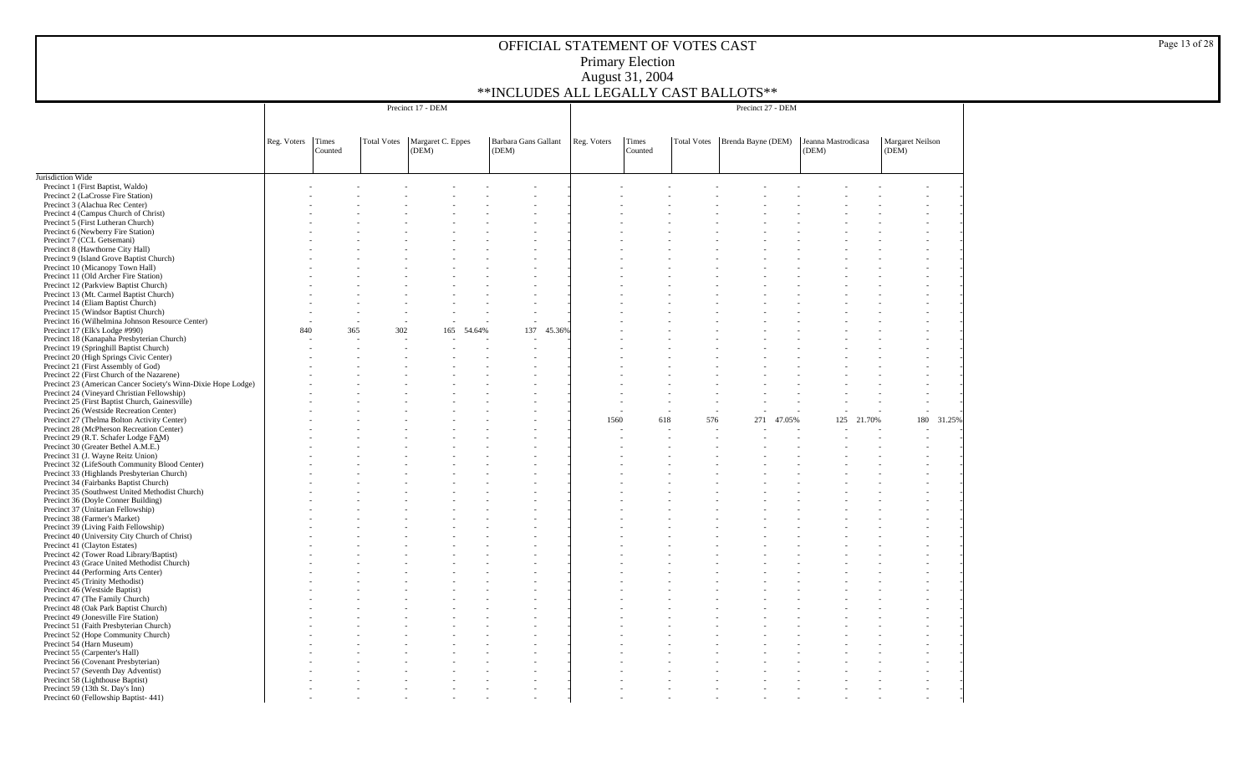|                                                                                           |             |                  |             | Precinct 17 - DEM          |        |                               |             |                  |                    | Precinct 27 - DEM  |        |                              |        |                           |        |
|-------------------------------------------------------------------------------------------|-------------|------------------|-------------|----------------------------|--------|-------------------------------|-------------|------------------|--------------------|--------------------|--------|------------------------------|--------|---------------------------|--------|
|                                                                                           | Reg. Voters | Times<br>Counted | Total Votes | Margaret C. Eppes<br>(DEM) |        | Barbara Gans Gallant<br>(DEM) | Reg. Voters | Times<br>Counted | <b>Total Votes</b> | Brenda Bayne (DEM) |        | Jeanna Mastrodicasa<br>(DEM) |        | Margaret Neilson<br>(DEM) |        |
|                                                                                           |             |                  |             |                            |        |                               |             |                  |                    |                    |        |                              |        |                           |        |
| Jurisdiction Wide                                                                         |             |                  |             |                            |        |                               |             |                  |                    |                    |        |                              |        |                           |        |
| Precinct 1 (First Baptist, Waldo)                                                         |             |                  |             |                            |        |                               |             |                  |                    |                    |        |                              |        |                           |        |
| Precinct 2 (LaCrosse Fire Station)                                                        |             |                  |             |                            |        |                               |             |                  |                    |                    |        |                              |        |                           |        |
| Precinct 3 (Alachua Rec Center)<br>Precinct 4 (Campus Church of Christ)                   |             |                  |             |                            |        |                               |             |                  |                    |                    |        |                              |        |                           |        |
| Precinct 5 (First Lutheran Church)                                                        |             |                  |             |                            |        |                               |             |                  |                    |                    |        |                              |        |                           |        |
| Precinct 6 (Newberry Fire Station)                                                        |             |                  |             |                            |        |                               |             |                  |                    |                    |        |                              |        |                           |        |
| Precinct 7 (CCL Getsemani)                                                                |             |                  |             |                            |        |                               |             |                  |                    |                    |        |                              |        |                           |        |
| Precinct 8 (Hawthorne City Hall)                                                          |             |                  |             |                            |        |                               |             |                  |                    |                    |        |                              |        |                           |        |
| Precinct 9 (Island Grove Baptist Church)                                                  |             |                  |             |                            |        |                               |             |                  |                    |                    |        |                              |        |                           |        |
| Precinct 10 (Micanopy Town Hall)<br>Precinct 11 (Old Archer Fire Station)                 |             |                  |             |                            |        |                               |             |                  |                    |                    |        |                              |        |                           |        |
| Precinct 12 (Parkview Baptist Church)                                                     |             |                  |             |                            |        |                               |             |                  |                    |                    |        |                              |        |                           |        |
| Precinct 13 (Mt. Carmel Baptist Church)                                                   |             |                  |             |                            |        |                               |             |                  |                    |                    |        |                              |        |                           |        |
| Precinct 14 (Eliam Baptist Church)                                                        |             |                  |             |                            |        |                               |             |                  |                    |                    |        |                              |        |                           |        |
| Precinct 15 (Windsor Baptist Church)                                                      |             |                  |             |                            |        | ٠                             |             |                  |                    |                    |        |                              |        |                           |        |
| Precinct 16 (Wilhelmina Johnson Resource Center)                                          |             |                  |             |                            |        |                               |             |                  |                    |                    |        |                              |        |                           |        |
| Precinct 17 (Elk's Lodge #990)                                                            | 840         | 365              | 302         | 165                        | 54.64% | 45.36%<br>137                 |             |                  |                    |                    |        |                              |        |                           |        |
| Precinct 18 (Kanapaha Presbyterian Church)                                                |             |                  |             |                            |        |                               |             |                  |                    |                    |        |                              |        |                           |        |
| Precinct 19 (Springhill Baptist Church)<br>Precinct 20 (High Springs Civic Center)        |             |                  |             |                            |        |                               |             |                  |                    |                    |        |                              |        |                           |        |
| Precinct 21 (First Assembly of God)                                                       |             |                  |             |                            |        |                               |             |                  |                    |                    |        |                              |        |                           |        |
| Precinct 22 (First Church of the Nazarene)                                                |             |                  |             |                            |        |                               |             |                  |                    |                    |        |                              |        |                           |        |
| Precinct 23 (American Cancer Society's Winn-Dixie Hope Lodge)                             |             |                  |             |                            |        |                               |             |                  |                    |                    |        |                              |        |                           |        |
| Precinct 24 (Vineyard Christian Fellowship)                                               |             |                  |             |                            |        |                               |             |                  |                    |                    |        |                              |        |                           |        |
| Precinct 25 (First Baptist Church, Gainesville)                                           |             |                  |             |                            |        |                               |             |                  |                    |                    |        |                              |        |                           |        |
| Precinct 26 (Westside Recreation Center)                                                  |             |                  |             |                            |        |                               |             |                  |                    | 271                |        |                              |        |                           |        |
| Precinct 27 (Thelma Bolton Activity Center)<br>Precinct 28 (McPherson Recreation Center)  |             |                  |             |                            |        |                               | 1560        | 618              | 576                |                    | 47.05% | 125                          | 21.70% | 180                       | 31.25% |
| Precinct 29 (R.T. Schafer Lodge FAM)                                                      |             |                  |             |                            |        |                               |             |                  |                    |                    |        |                              |        |                           |        |
| Precinct 30 (Greater Bethel A.M.E.)                                                       |             |                  |             |                            |        |                               |             |                  |                    |                    |        |                              |        |                           |        |
| Precinct 31 (J. Wayne Reitz Union)                                                        |             |                  |             |                            |        |                               |             |                  |                    |                    |        |                              |        |                           |        |
| Precinct 32 (LifeSouth Community Blood Center)                                            |             |                  |             |                            |        |                               |             |                  |                    |                    |        |                              |        |                           |        |
| Precinct 33 (Highlands Presbyterian Church)                                               |             |                  |             |                            |        |                               |             |                  |                    |                    |        |                              |        |                           |        |
| Precinct 34 (Fairbanks Baptist Church)<br>Precinct 35 (Southwest United Methodist Church) |             |                  |             |                            |        |                               |             |                  |                    |                    |        |                              |        |                           |        |
| Precinct 36 (Doyle Conner Building)                                                       |             |                  |             |                            |        |                               |             |                  |                    |                    |        |                              |        |                           |        |
| Precinct 37 (Unitarian Fellowship)                                                        |             |                  |             |                            |        |                               |             |                  |                    |                    |        |                              |        |                           |        |
| Precinct 38 (Farmer's Market)                                                             |             |                  |             |                            |        |                               |             |                  |                    |                    |        |                              |        |                           |        |
| Precinct 39 (Living Faith Fellowship)                                                     |             |                  |             |                            |        |                               |             |                  |                    |                    |        |                              |        |                           |        |
| Precinct 40 (University City Church of Christ)                                            |             |                  |             |                            |        |                               |             |                  |                    |                    |        |                              |        |                           |        |
| Precinct 41 (Clayton Estates)<br>Precinct 42 (Tower Road Library/Baptist)                 |             |                  |             |                            |        |                               |             |                  |                    |                    |        |                              |        |                           |        |
| Precinct 43 (Grace United Methodist Church)                                               |             |                  |             |                            |        |                               |             |                  |                    |                    |        |                              |        |                           |        |
| Precinct 44 (Performing Arts Center)                                                      |             |                  |             |                            |        |                               |             |                  |                    |                    |        |                              |        |                           |        |
| Precinct 45 (Trinity Methodist)                                                           |             |                  |             |                            |        |                               |             |                  |                    |                    |        |                              |        |                           |        |
| Precinct 46 (Westside Baptist)                                                            |             |                  |             |                            |        |                               |             |                  |                    |                    |        |                              |        |                           |        |
| Precinct 47 (The Family Church)                                                           |             |                  |             |                            |        |                               |             |                  |                    |                    |        |                              |        |                           |        |
| Precinct 48 (Oak Park Baptist Church)<br>Precinct 49 (Jonesville Fire Station)            |             |                  |             |                            |        |                               |             |                  |                    |                    |        |                              |        |                           |        |
| Precinct 51 (Faith Presbyterian Church)                                                   |             |                  |             |                            |        |                               |             |                  |                    |                    |        |                              |        |                           |        |
| Precinct 52 (Hope Community Church)                                                       |             |                  |             |                            |        |                               |             |                  |                    |                    |        |                              |        |                           |        |
| Precinct 54 (Harn Museum)                                                                 |             |                  |             |                            |        |                               |             |                  |                    |                    |        |                              |        |                           |        |
| Precinct 55 (Carpenter's Hall)                                                            |             |                  |             |                            |        |                               |             |                  |                    |                    |        |                              |        |                           |        |
| Precinct 56 (Covenant Presbyterian)                                                       |             |                  |             |                            |        |                               |             |                  |                    |                    |        |                              |        |                           |        |
| Precinct 57 (Seventh Day Adventist)                                                       |             |                  |             |                            |        |                               |             |                  |                    |                    |        |                              |        |                           |        |
| Precinct 58 (Lighthouse Baptist)<br>Precinct 59 (13th St. Day's Inn)                      |             |                  |             |                            |        |                               |             |                  |                    |                    |        |                              |        |                           |        |
| Precinct 60 (Fellowship Baptist-441)                                                      |             |                  |             |                            |        |                               |             |                  |                    |                    |        |                              |        |                           |        |
|                                                                                           |             |                  |             |                            |        |                               |             |                  |                    |                    |        |                              |        |                           |        |

Page 13 of 28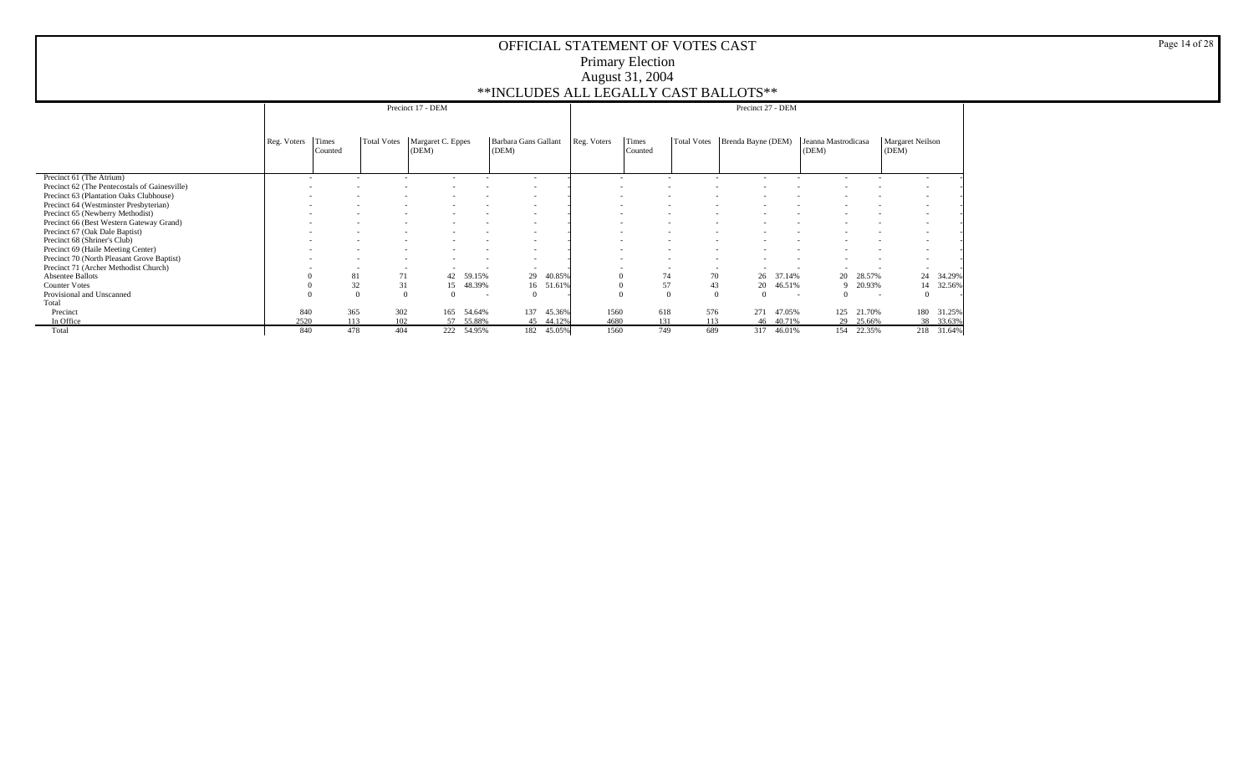|                                               |             |                  |     | Precinct 17 - DEM                        |        |                               |            |             |                  |             | Precinct 27 - DEM  |                          |                              |                          |                           |            |
|-----------------------------------------------|-------------|------------------|-----|------------------------------------------|--------|-------------------------------|------------|-------------|------------------|-------------|--------------------|--------------------------|------------------------------|--------------------------|---------------------------|------------|
|                                               | Reg. Voters | Times<br>Counted |     | Total Votes   Margaret C. Eppes<br>(DEM) |        | Barbara Gans Gallant<br>(DEM) |            | Reg. Voters | Times<br>Counted | Total Votes | Brenda Bayne (DEM) |                          | Jeanna Mastrodicasa<br>(DEM) |                          | Margaret Neilson<br>(DEM) |            |
| Precinct 61 (The Atrium)                      | $\sim$      |                  |     |                                          |        | $\sim$                        |            |             | н.               |             |                    |                          |                              |                          |                           |            |
| Precinct 62 (The Pentecostals of Gainesville) |             |                  |     |                                          |        |                               |            |             |                  |             |                    |                          |                              |                          |                           |            |
| Precinct 63 (Plantation Oaks Clubhouse)       |             |                  |     |                                          |        | $\overline{\phantom{a}}$      |            |             |                  |             |                    |                          |                              |                          |                           |            |
| Precinct 64 (Westminster Presbyterian)        |             |                  |     |                                          |        | $\sim$                        |            |             |                  |             |                    |                          |                              |                          |                           |            |
| Precinct 65 (Newberry Methodist)              |             |                  |     |                                          |        |                               |            |             |                  |             |                    |                          |                              |                          |                           |            |
| Precinct 66 (Best Western Gateway Grand)      |             |                  |     |                                          |        | $\overline{\phantom{a}}$      |            |             |                  |             |                    |                          |                              |                          |                           |            |
| Precinct 67 (Oak Dale Baptist)                |             |                  |     |                                          |        |                               |            |             |                  |             |                    |                          |                              |                          |                           |            |
| Precinct 68 (Shriner's Club)                  |             |                  |     |                                          |        | $\sim$                        |            |             |                  |             |                    |                          |                              |                          |                           |            |
| Precinct 69 (Haile Meeting Center)            |             |                  |     |                                          |        | $\sim$                        |            |             |                  |             |                    |                          |                              |                          |                           |            |
| Precinct 70 (North Pleasant Grove Baptist)    |             |                  |     |                                          |        | $\overline{\phantom{a}}$      |            |             |                  |             |                    |                          |                              |                          |                           |            |
| Precinct 71 (Archer Methodist Church)         |             |                  |     |                                          |        | $\sim$                        |            |             |                  |             | $\sim$             |                          |                              |                          | $\overline{\phantom{a}}$  |            |
| Absentee Ballots                              |             | 81               | 71  | 42                                       | 59.15% | 29                            | 40.85%     |             | 74               | 70          | 26                 | 37.14%                   | 20                           | 28.57%                   |                           | 24 34.29%  |
| <b>Counter Votes</b>                          |             | 32               | 31  | 15                                       | 48.39% |                               | 16 51.61%  |             | 57               | 43          | 20                 | 46.51%                   | 9                            | 20.93%                   |                           | 14 32.56%  |
| Provisional and Unscanned                     |             |                  |     |                                          |        | $\overline{0}$                |            |             |                  |             | $\Omega$           | $\overline{\phantom{a}}$ |                              | $\overline{\phantom{a}}$ |                           |            |
| Total                                         |             |                  |     |                                          |        |                               |            |             |                  |             |                    |                          |                              |                          |                           |            |
| Precinct                                      | 840         | 365              | 302 | 165                                      | 54.64% | 137                           | 45.36%     | 1560        | 618              | 576         | 271                | 47.05%                   | 125                          | 21.70%                   | 180                       | 31.25%     |
| In Office                                     | 2520        | 113              | 102 | 57                                       | 55.88% | 45                            | 44.12%     | 4680        | 131              | 113         |                    | 46 40.71%                |                              | 29 25.66%                |                           | 38 33.63%  |
| Total                                         | 840         | 478              | 404 | 222                                      | 54.95% |                               | 182 45.05% | 1560        | 749              | 689         | 317                | 46.01%                   |                              | 154 22.35%               |                           | 218 31.64% |

Page 14 of 28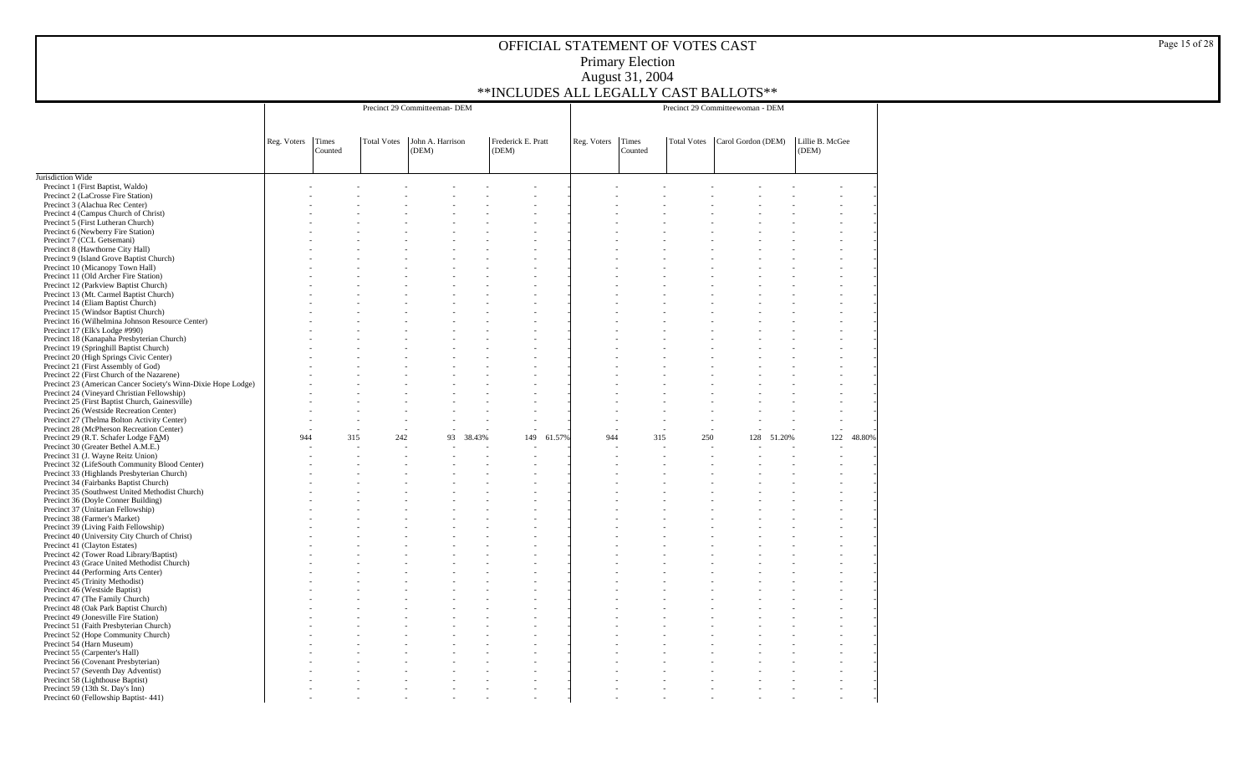|                                                                                                              |             |         |                    | Precinct 29 Committeeman- DEM |        |                    |        |             |         |                    | Precinct 29 Committeewoman - DEM |        |                 |        |
|--------------------------------------------------------------------------------------------------------------|-------------|---------|--------------------|-------------------------------|--------|--------------------|--------|-------------|---------|--------------------|----------------------------------|--------|-----------------|--------|
|                                                                                                              |             |         |                    |                               |        |                    |        |             |         |                    |                                  |        |                 |        |
|                                                                                                              |             |         |                    |                               |        |                    |        |             |         |                    |                                  |        |                 |        |
|                                                                                                              | Reg. Voters | Times   | <b>Total Votes</b> | John A. Harrison              |        | Frederick E. Pratt |        | Reg. Voters | Times   | <b>Total Votes</b> | Carol Gordon (DEM)               |        | Lillie B. McGee |        |
|                                                                                                              |             | Counted |                    | (DEM)                         |        | (DEM)              |        |             | Counted |                    |                                  |        | (DEM)           |        |
|                                                                                                              |             |         |                    |                               |        |                    |        |             |         |                    |                                  |        |                 |        |
| Jurisdiction Wide                                                                                            |             |         |                    |                               |        |                    |        |             |         |                    |                                  |        |                 |        |
| Precinct 1 (First Baptist, Waldo)<br>Precinct 2 (LaCrosse Fire Station)                                      |             |         |                    |                               |        |                    |        |             |         |                    |                                  |        |                 |        |
| Precinct 3 (Alachua Rec Center)                                                                              |             |         |                    |                               |        |                    |        |             |         |                    |                                  |        |                 |        |
| Precinct 4 (Campus Church of Christ)                                                                         |             |         |                    |                               |        |                    |        |             |         |                    |                                  |        |                 |        |
| Precinct 5 (First Lutheran Church)                                                                           |             |         |                    |                               |        |                    |        |             |         |                    |                                  |        |                 |        |
| Precinct 6 (Newberry Fire Station)                                                                           |             |         |                    |                               |        |                    |        |             |         |                    |                                  |        |                 |        |
| Precinct 7 (CCL Getsemani)                                                                                   |             |         |                    |                               |        |                    |        |             |         |                    |                                  |        |                 |        |
| Precinct 8 (Hawthorne City Hall)<br>Precinct 9 (Island Grove Baptist Church)                                 |             |         |                    |                               |        |                    |        |             |         |                    |                                  |        |                 |        |
| Precinct 10 (Micanopy Town Hall)                                                                             |             |         |                    |                               |        |                    |        |             |         |                    |                                  |        |                 |        |
| Precinct 11 (Old Archer Fire Station)                                                                        |             |         |                    |                               |        |                    |        |             |         |                    |                                  |        |                 |        |
| Precinct 12 (Parkview Baptist Church)                                                                        |             |         |                    |                               |        |                    |        |             |         |                    |                                  |        |                 |        |
| Precinct 13 (Mt. Carmel Baptist Church)                                                                      |             |         |                    |                               |        |                    |        |             |         |                    |                                  |        |                 |        |
| Precinct 14 (Eliam Baptist Church)                                                                           |             |         |                    |                               |        |                    |        |             |         |                    |                                  |        |                 |        |
| Precinct 15 (Windsor Baptist Church)                                                                         |             |         |                    |                               |        |                    |        |             |         |                    |                                  |        |                 |        |
| Precinct 16 (Wilhelmina Johnson Resource Center)<br>Precinct 17 (Elk's Lodge #990)                           |             |         |                    |                               |        |                    |        |             |         |                    |                                  |        |                 |        |
| Precinct 18 (Kanapaha Presbyterian Church)                                                                   |             |         |                    |                               |        |                    |        |             |         |                    |                                  |        |                 |        |
| Precinct 19 (Springhill Baptist Church)                                                                      |             |         |                    |                               |        |                    |        |             |         |                    |                                  |        |                 |        |
| Precinct 20 (High Springs Civic Center)                                                                      |             |         |                    |                               |        |                    |        |             |         |                    |                                  |        |                 |        |
| Precinct 21 (First Assembly of God)                                                                          |             |         |                    |                               |        |                    |        |             |         |                    |                                  |        |                 |        |
| Precinct 22 (First Church of the Nazarene)                                                                   |             |         |                    |                               |        |                    |        |             |         |                    |                                  |        |                 |        |
| Precinct 23 (American Cancer Society's Winn-Dixie Hope Lodge)<br>Precinct 24 (Vineyard Christian Fellowship) |             |         |                    |                               |        |                    |        |             |         |                    |                                  |        |                 |        |
| Precinct 25 (First Baptist Church, Gainesville)                                                              |             |         |                    |                               |        |                    |        |             |         |                    |                                  |        |                 |        |
| Precinct 26 (Westside Recreation Center)                                                                     |             |         |                    |                               |        |                    |        |             |         |                    |                                  |        |                 |        |
| Precinct 27 (Thelma Bolton Activity Center)                                                                  |             |         |                    |                               |        |                    |        |             |         |                    |                                  |        |                 |        |
| Precinct 28 (McPherson Recreation Center)                                                                    |             |         |                    |                               |        |                    |        |             |         |                    |                                  |        |                 |        |
| Precinct 29 (R.T. Schafer Lodge FAM)                                                                         | 944         | 315     | 242                | 93                            | 38.43% | 149                | 61.57% | 944         | 315     | 250                | 128                              | 51.20% | 122             | 48.80% |
| Precinct 30 (Greater Bethel A.M.E.)<br>Precinct 31 (J. Wayne Reitz Union)                                    |             |         |                    |                               |        |                    |        |             |         |                    |                                  |        |                 |        |
| Precinct 32 (LifeSouth Community Blood Center)                                                               |             |         |                    |                               |        |                    |        |             |         |                    |                                  |        |                 |        |
| Precinct 33 (Highlands Presbyterian Church)                                                                  |             |         |                    |                               |        |                    |        |             |         |                    |                                  |        |                 |        |
| Precinct 34 (Fairbanks Baptist Church)                                                                       |             |         |                    |                               |        |                    |        |             |         |                    |                                  |        |                 |        |
| Precinct 35 (Southwest United Methodist Church)                                                              |             |         |                    |                               |        |                    |        |             |         |                    |                                  |        |                 |        |
| Precinct 36 (Doyle Conner Building)                                                                          |             |         |                    |                               |        |                    |        |             |         |                    |                                  |        |                 |        |
| Precinct 37 (Unitarian Fellowship)<br>Precinct 38 (Farmer's Market)                                          |             |         |                    |                               |        |                    |        |             |         |                    |                                  |        |                 |        |
| Precinct 39 (Living Faith Fellowship)                                                                        |             |         |                    |                               |        |                    |        |             |         |                    |                                  |        |                 |        |
| Precinct 40 (University City Church of Christ)                                                               |             |         |                    |                               |        |                    |        |             |         |                    |                                  |        |                 |        |
| Precinct 41 (Clayton Estates)                                                                                |             |         |                    |                               |        |                    |        |             |         |                    |                                  |        |                 |        |
| Precinct 42 (Tower Road Library/Baptist)                                                                     |             |         |                    |                               |        |                    |        |             |         |                    |                                  |        |                 |        |
| Precinct 43 (Grace United Methodist Church)                                                                  |             |         |                    |                               |        |                    |        |             |         |                    |                                  |        |                 |        |
| Precinct 44 (Performing Arts Center)<br>Precinct 45 (Trinity Methodist)                                      |             |         |                    |                               |        |                    |        |             |         |                    |                                  |        |                 |        |
| Precinct 46 (Westside Baptist)                                                                               |             |         |                    |                               |        |                    |        |             |         |                    |                                  |        |                 |        |
| Precinct 47 (The Family Church)                                                                              |             |         |                    |                               |        |                    |        |             |         |                    |                                  |        |                 |        |
| Precinct 48 (Oak Park Baptist Church)                                                                        |             |         |                    |                               |        |                    |        |             |         |                    |                                  |        |                 |        |
| Precinct 49 (Jonesville Fire Station)                                                                        |             |         |                    |                               |        |                    |        |             |         |                    |                                  |        |                 |        |
| Precinct 51 (Faith Presbyterian Church)                                                                      |             |         |                    |                               |        |                    |        |             |         |                    |                                  |        |                 |        |
| Precinct 52 (Hope Community Church)<br>Precinct 54 (Harn Museum)                                             |             |         |                    |                               |        |                    |        |             |         |                    |                                  |        |                 |        |
| Precinct 55 (Carpenter's Hall)                                                                               |             |         |                    |                               |        |                    |        |             |         |                    |                                  |        |                 |        |
| Precinct 56 (Covenant Presbyterian)                                                                          |             |         |                    |                               |        |                    |        |             |         |                    |                                  |        |                 |        |
| Precinct 57 (Seventh Day Adventist)                                                                          |             |         |                    |                               |        |                    |        |             |         |                    |                                  |        |                 |        |
| Precinct 58 (Lighthouse Baptist)                                                                             |             |         |                    |                               |        |                    |        |             |         |                    |                                  |        |                 |        |
| Precinct 59 (13th St. Day's Inn)                                                                             |             |         |                    |                               |        |                    |        |             |         |                    |                                  |        |                 |        |
| Precinct 60 (Fellowship Baptist-441)                                                                         |             |         |                    |                               |        |                    |        |             |         |                    |                                  |        |                 |        |

Page 15 of 28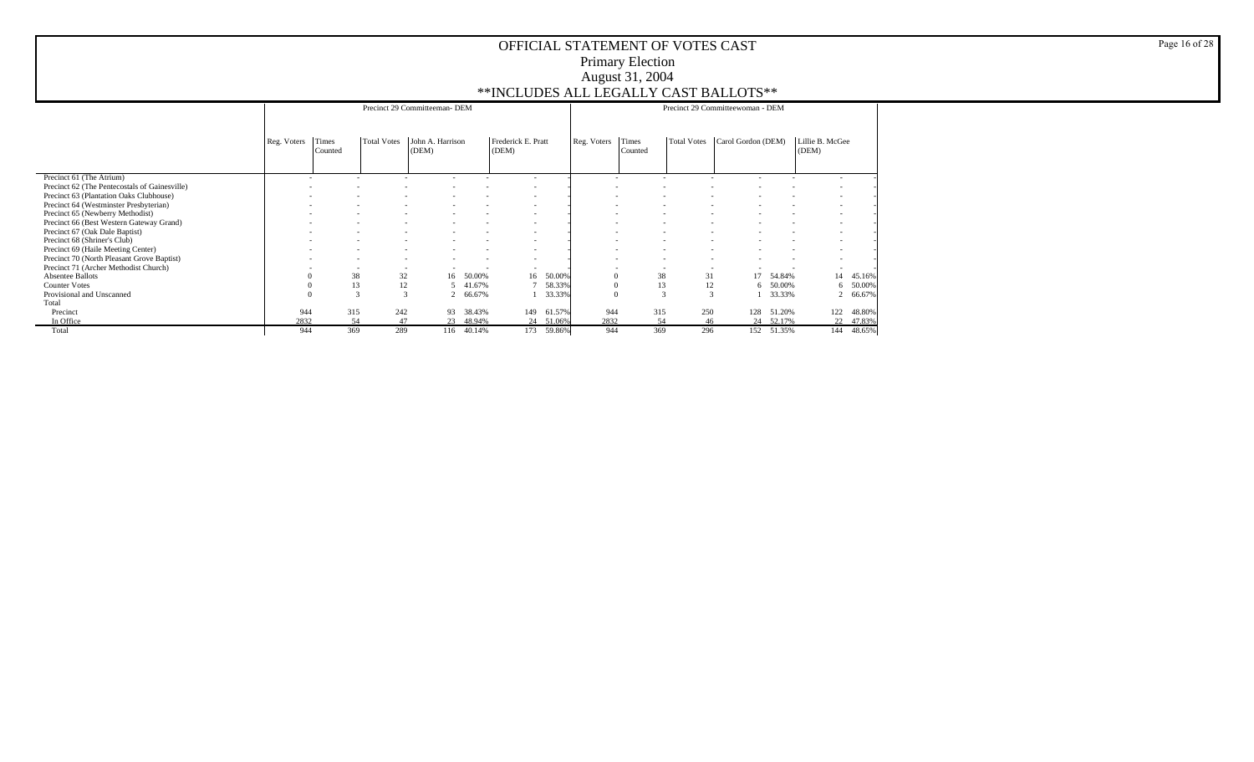|                                               |             |                  |             | Precinct 29 Committeeman- DEM |          |                             |           |                          |                  |                          | Precinct 29 Committeewoman - DEM |           |                          |        |
|-----------------------------------------------|-------------|------------------|-------------|-------------------------------|----------|-----------------------------|-----------|--------------------------|------------------|--------------------------|----------------------------------|-----------|--------------------------|--------|
|                                               | Reg. Voters | Times<br>Counted | Total Votes | John A. Harrison<br>(DEM)     |          | Frederick E. Pratt<br>(DEM) |           | Reg. Voters              | Times<br>Counted | Total Votes              | Carol Gordon (DEM)               |           | Lillie B. McGee<br>(DEM) |        |
| Precinct 61 (The Atrium)                      |             | $\sim$           |             |                               |          | $\sim$                      |           | $\overline{\phantom{a}}$ |                  |                          |                                  |           |                          |        |
| Precinct 62 (The Pentecostals of Gainesville) |             |                  |             |                               |          |                             |           | $\overline{\phantom{a}}$ |                  |                          |                                  |           |                          |        |
| Precinct 63 (Plantation Oaks Clubhouse)       |             |                  |             |                               |          |                             |           |                          |                  |                          |                                  |           |                          |        |
| Precinct 64 (Westminster Presbyterian)        |             |                  |             |                               |          | $\sim$                      |           | $\overline{\phantom{a}}$ |                  |                          |                                  |           |                          |        |
| Precinct 65 (Newberry Methodist)              |             |                  |             |                               |          | $\overline{\phantom{a}}$    |           |                          |                  |                          |                                  |           |                          |        |
| Precinct 66 (Best Western Gateway Grand)      |             |                  |             | $\sim$<br>۰                   |          | ٠                           |           | $\overline{\phantom{a}}$ |                  | ۰.                       | ۰                                |           |                          |        |
| Precinct 67 (Oak Dale Baptist)                |             |                  |             |                               |          | $\sim$                      |           | $\overline{\phantom{a}}$ |                  |                          |                                  |           |                          |        |
| Precinct 68 (Shriner's Club)                  |             |                  |             |                               |          | $\overline{\phantom{a}}$    |           |                          |                  |                          |                                  |           |                          |        |
| Precinct 69 (Haile Meeting Center)            |             |                  |             |                               |          | $\overline{\phantom{a}}$    |           |                          |                  |                          |                                  |           |                          |        |
| Precinct 70 (North Pleasant Grove Baptist)    |             |                  |             |                               |          | ٠                           |           |                          |                  |                          | ٠                                |           |                          |        |
| Precinct 71 (Archer Methodist Church)         |             |                  |             |                               |          |                             |           |                          |                  | $\overline{\phantom{a}}$ |                                  |           | $\overline{\phantom{a}}$ |        |
| Absentee Ballots                              |             | 38               | 32          | 16                            | 50.00%   | 16                          | 50.00%    | $\Omega$                 | 38               | 31                       | 17                               | 54.84%    | 14                       | 45.16% |
| <b>Counter Votes</b>                          |             | 13<br>$\Omega$   | 12          |                               | 41.67%   |                             | 58.33%    | $\Omega$                 | 13               | 12                       | 6                                | 50.00%    |                          | 50.00% |
| Provisional and Unscanned                     | $\Omega$    |                  | 3<br>$\sim$ |                               | 2 66.67% |                             | 33.33%    | $\Omega$                 |                  | $\mathcal{R}$            |                                  | 33.33%    |                          | 66.67% |
| Total                                         |             |                  |             |                               |          |                             |           |                          |                  |                          |                                  |           |                          |        |
| Precinct                                      | 944         | 315              | 242         | 93                            | 38.43%   | 149                         | 61.57%    | 944                      | 315              | 250                      | 128                              | 51.20%    | 122                      | 48.80% |
| In Office                                     | 2832        | 54               | 47          | 23                            | 48.94%   |                             | 24 51.06% | 2832                     | 54               | 46                       |                                  | 24 52.17% | 22                       | 47.83% |
| Total                                         | 944         | 369              | 289         | 116                           | 40.14%   | 173                         | 59.86%    | 944                      | 369              | 296                      | 152                              | 51.35%    | 144                      | 48.65% |

Page 16 of 28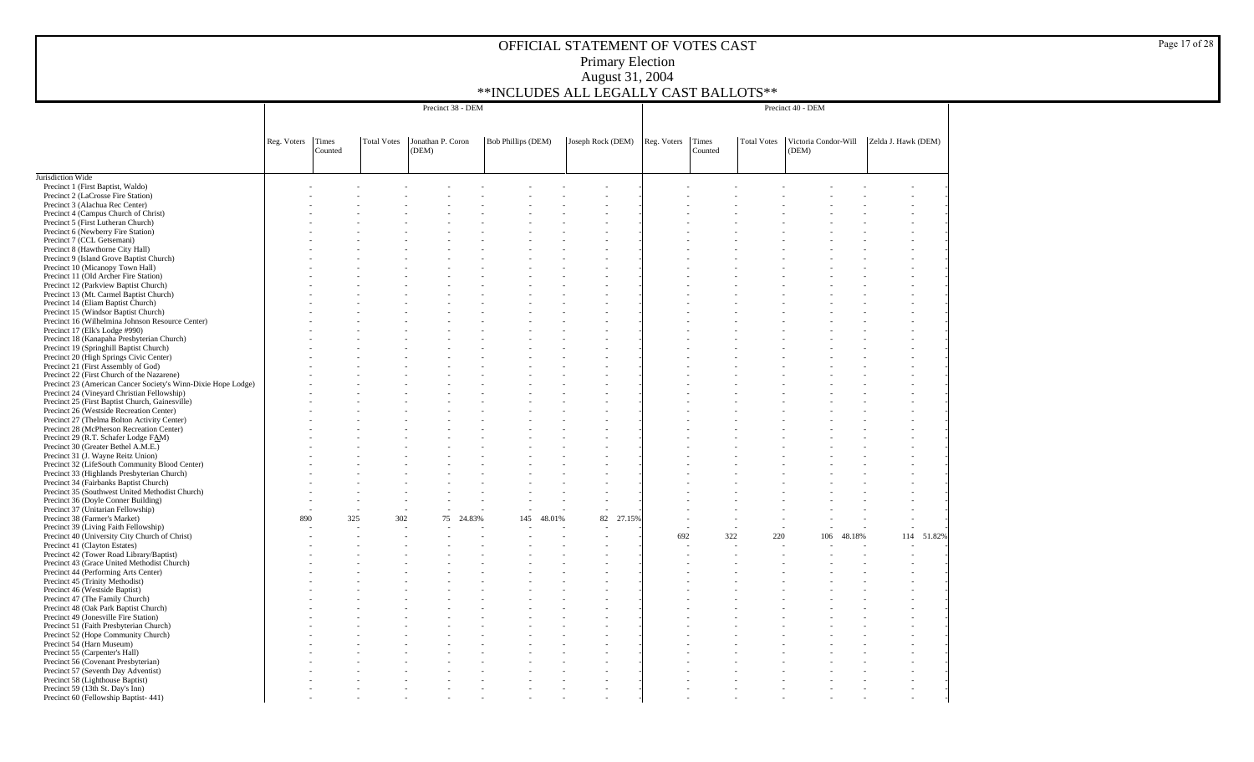|                                                                                                |             |                  |                    | Precinct 38 - DEM          |        |                           |                   |             |                  |                    | Precinct 40 - DEM             |                     |        |
|------------------------------------------------------------------------------------------------|-------------|------------------|--------------------|----------------------------|--------|---------------------------|-------------------|-------------|------------------|--------------------|-------------------------------|---------------------|--------|
|                                                                                                | Reg. Voters | Times<br>Counted | <b>Total Votes</b> | Jonathan P. Coron<br>(DEM) |        | <b>Bob Phillips (DEM)</b> | Joseph Rock (DEM) | Reg. Voters | Times<br>Counted | <b>Total Votes</b> | Victoria Condor-Will<br>(DEM) | Zelda J. Hawk (DEM) |        |
|                                                                                                |             |                  |                    |                            |        |                           |                   |             |                  |                    |                               |                     |        |
| Jurisdiction Wide                                                                              |             |                  |                    |                            |        |                           |                   |             |                  |                    |                               |                     |        |
| Precinct 1 (First Baptist, Waldo)<br>Precinct 2 (LaCrosse Fire Station)                        |             |                  |                    |                            |        |                           |                   |             |                  |                    |                               |                     |        |
| Precinct 3 (Alachua Rec Center)                                                                |             |                  |                    |                            |        |                           |                   |             |                  |                    |                               |                     |        |
| Precinct 4 (Campus Church of Christ)                                                           |             |                  |                    |                            |        |                           |                   |             |                  |                    |                               |                     |        |
| Precinct 5 (First Lutheran Church)                                                             |             |                  |                    |                            |        |                           |                   |             |                  |                    |                               |                     |        |
| Precinct 6 (Newberry Fire Station)                                                             |             |                  |                    |                            |        |                           |                   |             |                  |                    |                               |                     |        |
| Precinct 7 (CCL Getsemani)                                                                     |             |                  |                    |                            |        |                           |                   |             |                  |                    |                               |                     |        |
| Precinct 8 (Hawthorne City Hall)<br>Precinct 9 (Island Grove Baptist Church)                   |             |                  |                    |                            |        |                           |                   |             |                  |                    |                               |                     |        |
| Precinct 10 (Micanopy Town Hall)                                                               |             |                  |                    |                            |        |                           |                   |             |                  |                    |                               |                     |        |
| Precinct 11 (Old Archer Fire Station)                                                          |             |                  |                    |                            |        |                           |                   |             |                  |                    |                               |                     |        |
| Precinct 12 (Parkview Baptist Church)                                                          |             |                  |                    |                            |        |                           |                   |             |                  |                    |                               |                     |        |
| Precinct 13 (Mt. Carmel Baptist Church)                                                        |             |                  |                    |                            |        |                           |                   |             |                  |                    |                               |                     |        |
| Precinct 14 (Eliam Baptist Church)                                                             |             |                  |                    |                            |        |                           |                   |             |                  |                    |                               |                     |        |
| Precinct 15 (Windsor Baptist Church)                                                           |             |                  |                    |                            |        |                           |                   |             |                  |                    |                               |                     |        |
| Precinct 16 (Wilhelmina Johnson Resource Center)                                               |             |                  |                    |                            |        |                           |                   |             |                  |                    |                               |                     |        |
| Precinct 17 (Elk's Lodge #990)<br>Precinct 18 (Kanapaha Presbyterian Church)                   |             |                  |                    |                            |        |                           |                   |             |                  |                    |                               |                     |        |
| Precinct 19 (Springhill Baptist Church)                                                        |             |                  |                    |                            |        |                           |                   |             |                  |                    |                               |                     |        |
| Precinct 20 (High Springs Civic Center)                                                        |             |                  |                    |                            |        |                           |                   |             |                  |                    |                               |                     |        |
| Precinct 21 (First Assembly of God)                                                            |             |                  |                    |                            |        |                           |                   |             |                  |                    |                               |                     |        |
| Precinct 22 (First Church of the Nazarene)                                                     |             |                  |                    |                            |        |                           |                   |             |                  |                    |                               |                     |        |
| Precinct 23 (American Cancer Society's Winn-Dixie Hope Lodge)                                  |             |                  |                    |                            |        |                           |                   |             |                  |                    |                               |                     |        |
| Precinct 24 (Vineyard Christian Fellowship)<br>Precinct 25 (First Baptist Church, Gainesville) |             |                  |                    |                            |        |                           |                   |             |                  |                    |                               |                     |        |
| Precinct 26 (Westside Recreation Center)                                                       |             |                  |                    |                            |        |                           |                   |             |                  |                    |                               |                     |        |
| Precinct 27 (Thelma Bolton Activity Center)                                                    |             |                  |                    |                            |        |                           |                   |             |                  |                    |                               |                     |        |
| Precinct 28 (McPherson Recreation Center)                                                      |             |                  |                    |                            |        |                           |                   |             |                  |                    |                               |                     |        |
| Precinct 29 (R.T. Schafer Lodge FAM)                                                           |             |                  |                    |                            |        |                           |                   |             |                  |                    |                               |                     |        |
| Precinct 30 (Greater Bethel A.M.E.)                                                            |             |                  |                    |                            |        |                           |                   |             |                  |                    |                               |                     |        |
| Precinct 31 (J. Wayne Reitz Union)                                                             |             |                  |                    |                            |        |                           |                   |             |                  |                    |                               |                     |        |
| Precinct 32 (LifeSouth Community Blood Center)                                                 |             |                  |                    |                            |        |                           |                   |             |                  |                    |                               |                     |        |
| Precinct 33 (Highlands Presbyterian Church)<br>Precinct 34 (Fairbanks Baptist Church)          |             |                  |                    |                            |        |                           |                   |             |                  |                    |                               |                     |        |
| Precinct 35 (Southwest United Methodist Church)                                                |             |                  |                    |                            |        |                           |                   |             |                  |                    |                               |                     |        |
| Precinct 36 (Doyle Conner Building)                                                            |             |                  |                    |                            |        |                           |                   |             |                  |                    |                               |                     |        |
| Precinct 37 (Unitarian Fellowship)                                                             |             |                  |                    | ÷                          |        |                           |                   |             |                  |                    |                               |                     |        |
| Precinct 38 (Farmer's Market)                                                                  | 890         |                  | 302<br>325         | 75                         | 24.83% | 145<br>48.01%             | 82<br>27.15%      |             |                  |                    |                               |                     |        |
| Precinct 39 (Living Faith Fellowship)                                                          |             |                  |                    |                            |        |                           |                   |             |                  |                    |                               |                     |        |
| Precinct 40 (University City Church of Christ)<br>Precinct 41 (Clayton Estates)                |             |                  |                    |                            |        |                           |                   | 692         | 322              | 220                | 48.18%<br>106                 | 114                 | 51.82% |
| Precinct 42 (Tower Road Library/Baptist)                                                       |             |                  |                    |                            |        |                           |                   |             |                  |                    |                               |                     |        |
| Precinct 43 (Grace United Methodist Church)                                                    |             |                  |                    |                            |        |                           |                   |             |                  |                    |                               |                     |        |
| Precinct 44 (Performing Arts Center)                                                           |             |                  |                    |                            |        |                           |                   |             |                  |                    |                               |                     |        |
| Precinct 45 (Trinity Methodist)                                                                |             |                  |                    |                            |        |                           |                   |             |                  |                    |                               |                     |        |
| Precinct 46 (Westside Baptist)                                                                 |             |                  |                    |                            |        |                           |                   |             |                  |                    |                               |                     |        |
| Precinct 47 (The Family Church)<br>Precinct 48 (Oak Park Baptist Church)                       |             |                  |                    |                            |        |                           |                   |             |                  |                    |                               |                     |        |
| Precinct 49 (Jonesville Fire Station)                                                          |             |                  |                    |                            |        |                           |                   |             |                  |                    |                               |                     |        |
| Precinct 51 (Faith Presbyterian Church)                                                        |             |                  |                    |                            |        |                           |                   |             |                  |                    |                               |                     |        |
| Precinct 52 (Hope Community Church)                                                            |             |                  |                    |                            |        |                           |                   |             |                  |                    |                               |                     |        |
| Precinct 54 (Harn Museum)                                                                      |             |                  |                    |                            |        |                           |                   |             |                  |                    |                               |                     |        |
| Precinct 55 (Carpenter's Hall)                                                                 |             |                  |                    |                            |        |                           |                   |             |                  |                    |                               |                     |        |
| Precinct 56 (Covenant Presbyterian)                                                            |             |                  |                    |                            |        |                           |                   |             |                  |                    |                               |                     |        |
| Precinct 57 (Seventh Day Adventist)<br>Precinct 58 (Lighthouse Baptist)                        |             |                  |                    |                            |        |                           |                   |             |                  |                    |                               |                     |        |
| Precinct 59 (13th St. Day's Inn)                                                               |             |                  |                    |                            |        |                           |                   |             |                  |                    |                               |                     |        |
| Precinct 60 (Fellowship Baptist-441)                                                           |             |                  |                    |                            |        |                           |                   |             |                  |                    |                               |                     |        |

Page 17 of 28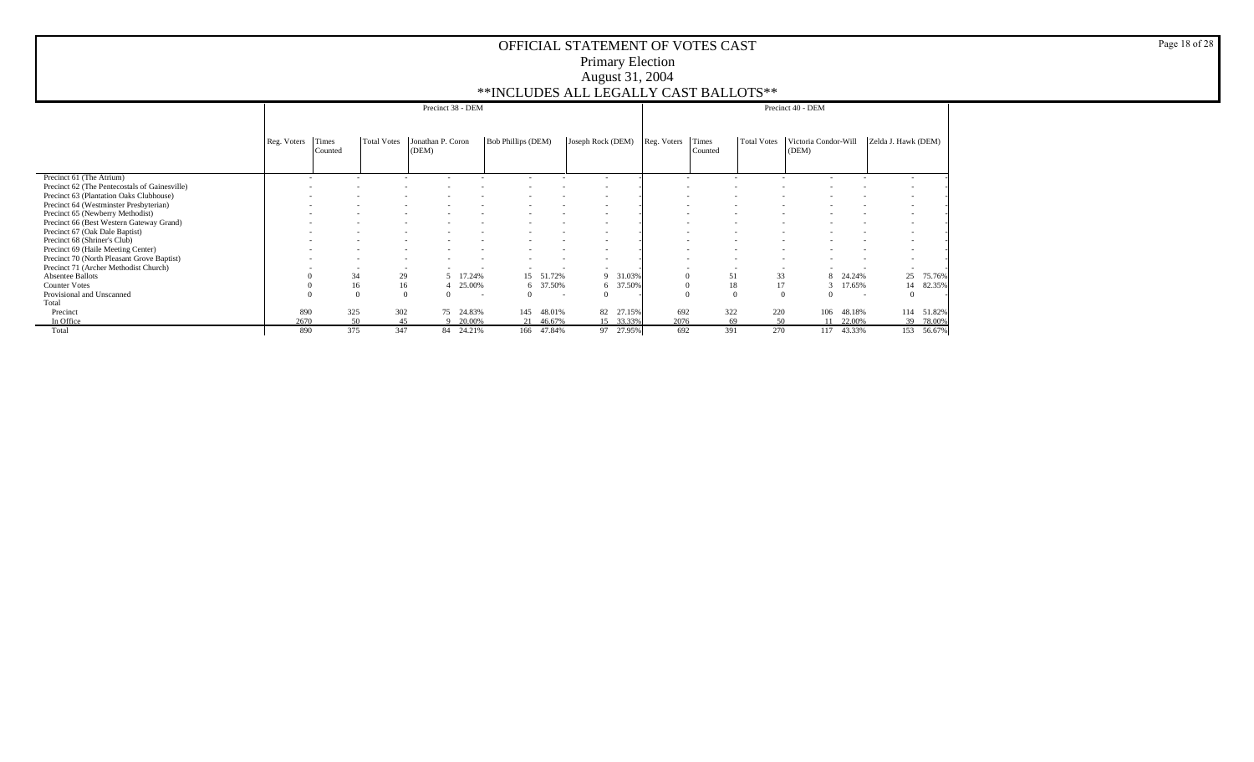|                                               |             |                          |                          |                            | Precinct 38 - DEM |                           |        |                   |           |                          |                  |                    | Precinct 40 - DEM             |            |                     |        |
|-----------------------------------------------|-------------|--------------------------|--------------------------|----------------------------|-------------------|---------------------------|--------|-------------------|-----------|--------------------------|------------------|--------------------|-------------------------------|------------|---------------------|--------|
|                                               | Reg. Voters | Times<br>Counted         | <b>Total Votes</b>       | Jonathan P. Coron<br>(DEM) |                   | <b>Bob Phillips (DEM)</b> |        | Joseph Rock (DEM) |           | Reg. Voters              | Times<br>Counted | <b>Total Votes</b> | Victoria Condor-Will<br>(DEM) |            | Zelda J. Hawk (DEM) |        |
| Precinct 61 (The Atrium)                      |             | $\overline{\phantom{a}}$ | ٠                        |                            |                   |                           |        |                   |           | $\overline{\phantom{a}}$ |                  |                    |                               |            |                     |        |
| Precinct 62 (The Pentecostals of Gainesville) |             |                          |                          |                            |                   |                           |        |                   |           | $\overline{\phantom{a}}$ |                  |                    |                               |            |                     |        |
| Precinct 63 (Plantation Oaks Clubhouse)       |             |                          |                          |                            |                   |                           |        |                   |           | $\overline{\phantom{a}}$ |                  |                    |                               |            |                     |        |
| Precinct 64 (Westminster Presbyterian)        |             |                          | $\overline{\phantom{a}}$ |                            |                   |                           |        |                   |           | $\sim$                   |                  | $\sim$             |                               |            |                     |        |
| Precinct 65 (Newberry Methodist)              |             |                          |                          |                            |                   |                           |        |                   |           |                          |                  |                    |                               |            |                     |        |
| Precinct 66 (Best Western Gateway Grand)      |             |                          |                          |                            |                   |                           |        |                   |           | $\overline{\phantom{a}}$ |                  |                    |                               |            |                     |        |
| Precinct 67 (Oak Dale Baptist)                |             |                          |                          |                            |                   |                           |        |                   |           | $\overline{\phantom{a}}$ |                  |                    |                               |            |                     |        |
| Precinct 68 (Shriner's Club)                  |             |                          |                          |                            |                   |                           |        |                   |           |                          |                  |                    |                               |            |                     |        |
| Precinct 69 (Haile Meeting Center)            |             |                          | $\overline{\phantom{a}}$ |                            |                   |                           |        |                   |           | $\overline{\phantom{a}}$ |                  | ۰                  |                               |            |                     |        |
| Precinct 70 (North Pleasant Grove Baptist)    |             |                          |                          |                            |                   |                           |        |                   |           |                          |                  |                    |                               |            |                     |        |
| Precinct 71 (Archer Methodist Church)         |             |                          | $\overline{\phantom{a}}$ |                            |                   |                           |        |                   |           |                          |                  |                    |                               |            | $\sim$              |        |
| Absentee Ballots                              |             | 34                       | 29                       |                            | 17.24%            | 15                        | 51.72% |                   | 9 31.03%  |                          | 51               | 33                 | 8                             | 24.24%     | 25                  | 75.76% |
| <b>Counter Votes</b>                          |             | 16                       | 16                       |                            | 25.00%            | 6.                        | 37.50% |                   | 6 37.50%  |                          | 18               | 17                 | 3                             | 17.65%     | 14                  | 82.35% |
| Provisional and Unscanned<br>Total            |             |                          | $\mathbf{0}$<br>$\Omega$ |                            | . .               | $\Omega$                  | . .    | $\Omega$          |           |                          |                  |                    |                               |            | $\Omega$            |        |
| Precinct                                      | 890         | 325                      | 302                      | 75                         | 24.83%            | 145                       | 48.01% | 82                | 27.15%    | 692                      | 322              | 220                | 106                           | 48.18%     | 114                 | 51.82% |
| In Office                                     | 2670        | 50                       | 45                       |                            | 20.00%            | 21                        | 46.67% |                   | 15 33.33% | 2076                     | 69               | 50                 | 11                            | 22.00%     | 39                  | 78.00% |
| Total                                         | 890         | 375                      | 347                      | 84                         | 24.21%            | 166                       | 47.84% |                   | 97 27.95% | 692                      | 391              | 270                |                               | 117 43.33% | 153                 | 56.67% |
|                                               |             |                          |                          |                            |                   |                           |        |                   |           |                          |                  |                    |                               |            |                     |        |

Page 18 of 28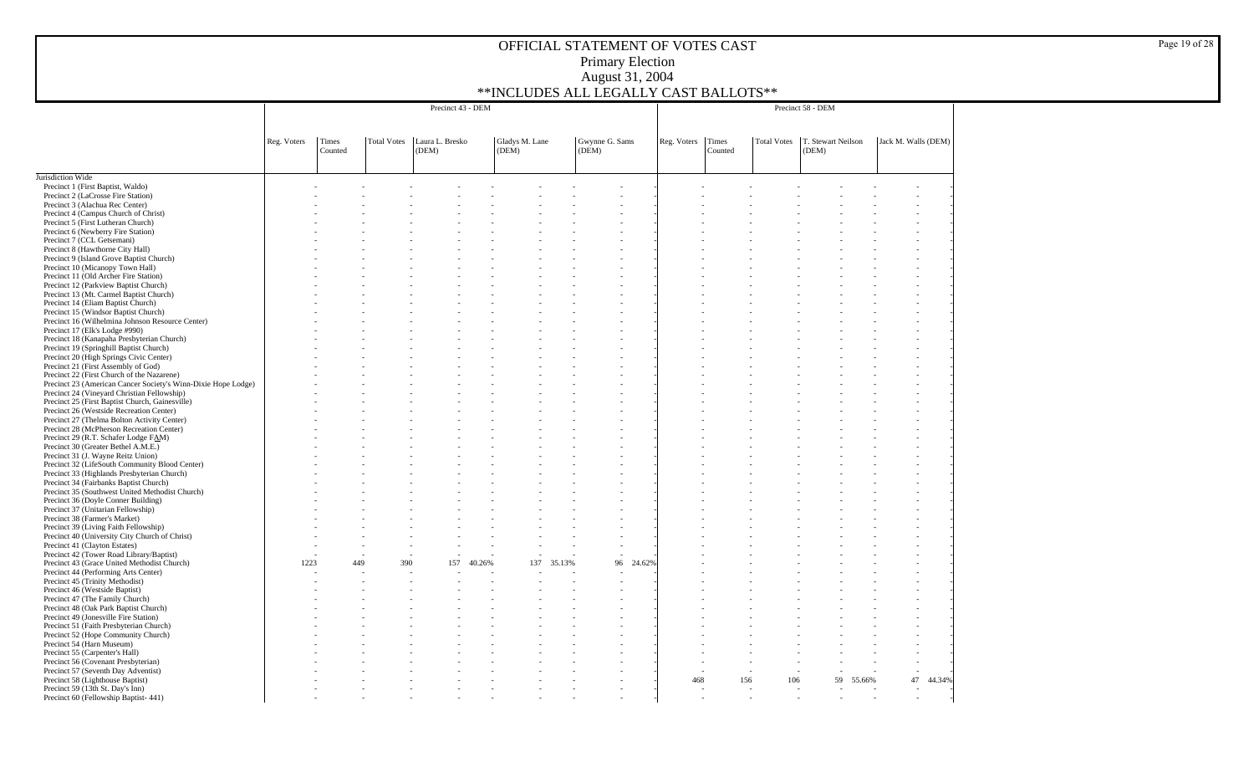|                                                                                                              |             |                  |             | Precinct 43 - DEM        |        |                         |        |                         |        |             |                  |                    | Precinct 58 - DEM           |                     |
|--------------------------------------------------------------------------------------------------------------|-------------|------------------|-------------|--------------------------|--------|-------------------------|--------|-------------------------|--------|-------------|------------------|--------------------|-----------------------------|---------------------|
|                                                                                                              | Reg. Voters | Times<br>Counted | Total Votes | Laura L. Bresko<br>(DEM) |        | Gladys M. Lane<br>(DEM) |        | Gwynne G. Sams<br>(DEM) |        | Reg. Voters | Times<br>Counted | <b>Total Votes</b> | T. Stewart Neilson<br>(DEM) | Jack M. Walls (DEM) |
|                                                                                                              |             |                  |             |                          |        |                         |        |                         |        |             |                  |                    |                             |                     |
| Jurisdiction Wide                                                                                            |             |                  |             |                          |        |                         |        |                         |        |             |                  |                    |                             |                     |
| Precinct 1 (First Baptist, Waldo)<br>Precinct 2 (LaCrosse Fire Station)                                      |             |                  |             |                          |        |                         |        |                         |        |             |                  |                    |                             |                     |
| Precinct 3 (Alachua Rec Center)                                                                              |             |                  |             |                          |        |                         |        |                         |        |             |                  |                    |                             |                     |
| Precinct 4 (Campus Church of Christ)                                                                         |             |                  |             |                          |        |                         |        |                         |        |             |                  |                    |                             |                     |
| Precinct 5 (First Lutheran Church)                                                                           |             |                  |             |                          |        |                         |        |                         |        |             |                  |                    |                             |                     |
| Precinct 6 (Newberry Fire Station)<br>Precinct 7 (CCL Getsemani)                                             |             |                  |             |                          |        |                         |        |                         |        |             |                  |                    |                             |                     |
| Precinct 8 (Hawthorne City Hall)                                                                             |             |                  |             |                          |        |                         |        |                         |        |             |                  |                    |                             |                     |
| Precinct 9 (Island Grove Baptist Church)                                                                     |             |                  |             |                          |        |                         |        |                         |        |             |                  |                    |                             |                     |
| Precinct 10 (Micanopy Town Hall)                                                                             |             |                  |             |                          |        |                         |        |                         |        |             |                  |                    |                             |                     |
| Precinct 11 (Old Archer Fire Station)<br>Precinct 12 (Parkview Baptist Church)                               |             |                  |             |                          |        |                         |        |                         |        |             |                  |                    |                             |                     |
| Precinct 13 (Mt. Carmel Baptist Church)                                                                      |             |                  |             |                          |        |                         |        |                         |        |             |                  |                    |                             |                     |
| Precinct 14 (Eliam Baptist Church)                                                                           |             |                  |             |                          |        |                         |        |                         |        |             |                  |                    |                             |                     |
| Precinct 15 (Windsor Baptist Church)                                                                         |             |                  |             |                          |        |                         |        |                         |        |             |                  |                    |                             |                     |
| Precinct 16 (Wilhelmina Johnson Resource Center)                                                             |             |                  |             |                          |        |                         |        |                         |        |             |                  |                    |                             |                     |
| Precinct 17 (Elk's Lodge #990)<br>Precinct 18 (Kanapaha Presbyterian Church)                                 |             |                  |             |                          |        |                         |        |                         |        |             |                  |                    |                             |                     |
| Precinct 19 (Springhill Baptist Church)                                                                      |             |                  |             |                          |        |                         |        |                         |        |             |                  |                    |                             |                     |
| Precinct 20 (High Springs Civic Center)                                                                      |             |                  |             |                          |        |                         |        |                         |        |             |                  |                    |                             |                     |
| Precinct 21 (First Assembly of God)                                                                          |             |                  |             |                          |        |                         |        |                         |        |             |                  |                    |                             |                     |
| Precinct 22 (First Church of the Nazarene)                                                                   |             |                  |             |                          |        |                         |        |                         |        |             |                  |                    |                             |                     |
| Precinct 23 (American Cancer Society's Winn-Dixie Hope Lodge)<br>Precinct 24 (Vineyard Christian Fellowship) |             |                  |             |                          |        |                         |        |                         |        |             |                  |                    |                             |                     |
| Precinct 25 (First Baptist Church, Gainesville)                                                              |             |                  |             |                          |        |                         |        |                         |        |             |                  |                    |                             |                     |
| Precinct 26 (Westside Recreation Center)                                                                     |             |                  |             |                          |        |                         |        |                         |        |             |                  |                    |                             |                     |
| Precinct 27 (Thelma Bolton Activity Center)                                                                  |             |                  |             |                          |        |                         |        |                         |        |             |                  |                    |                             |                     |
| Precinct 28 (McPherson Recreation Center)                                                                    |             |                  |             |                          |        |                         |        |                         |        |             |                  |                    |                             |                     |
| Precinct 29 (R.T. Schafer Lodge FAM)<br>Precinct 30 (Greater Bethel A.M.E.)                                  |             |                  |             |                          |        |                         |        |                         |        |             |                  |                    |                             |                     |
| Precinct 31 (J. Wayne Reitz Union)                                                                           |             |                  |             |                          |        |                         |        |                         |        |             |                  |                    |                             |                     |
| Precinct 32 (LifeSouth Community Blood Center)                                                               |             |                  |             |                          |        |                         |        |                         |        |             |                  |                    |                             |                     |
| Precinct 33 (Highlands Presbyterian Church)                                                                  |             |                  |             |                          |        |                         |        |                         |        |             |                  |                    |                             |                     |
| Precinct 34 (Fairbanks Baptist Church)<br>Precinct 35 (Southwest United Methodist Church)                    |             |                  |             |                          |        |                         |        |                         |        |             |                  |                    |                             |                     |
| Precinct 36 (Doyle Conner Building)                                                                          |             |                  |             |                          |        |                         |        |                         |        |             |                  |                    |                             |                     |
| Precinct 37 (Unitarian Fellowship)                                                                           |             |                  |             |                          |        |                         |        |                         |        |             |                  |                    |                             |                     |
| Precinct 38 (Farmer's Market)                                                                                |             |                  |             |                          |        |                         |        |                         |        |             |                  |                    |                             |                     |
| Precinct 39 (Living Faith Fellowship)                                                                        |             |                  |             |                          |        |                         |        |                         |        |             |                  |                    |                             |                     |
| Precinct 40 (University City Church of Christ)<br>Precinct 41 (Clayton Estates)                              |             |                  |             |                          |        |                         |        |                         |        |             |                  |                    |                             |                     |
| Precinct 42 (Tower Road Library/Baptist)                                                                     |             |                  |             |                          |        |                         |        |                         |        |             |                  |                    |                             |                     |
| Precinct 43 (Grace United Methodist Church)                                                                  | 1223        | 449              | 390         | 157                      | 40.26% | 137                     | 35.13% | 96                      | 24.629 |             |                  |                    |                             |                     |
| Precinct 44 (Performing Arts Center)                                                                         |             |                  |             |                          |        |                         |        |                         |        |             |                  |                    |                             |                     |
| Precinct 45 (Trinity Methodist)                                                                              |             |                  |             |                          |        |                         |        |                         |        |             |                  |                    |                             |                     |
| Precinct 46 (Westside Baptist)<br>Precinct 47 (The Family Church)                                            |             |                  |             |                          |        |                         |        |                         |        |             |                  |                    |                             |                     |
| Precinct 48 (Oak Park Baptist Church)                                                                        |             |                  |             |                          |        |                         |        |                         |        |             |                  |                    |                             |                     |
| Precinct 49 (Jonesville Fire Station)                                                                        |             |                  |             |                          |        |                         |        |                         |        |             |                  |                    |                             |                     |
| Precinct 51 (Faith Presbyterian Church)                                                                      |             |                  |             |                          |        |                         |        |                         |        |             |                  |                    |                             |                     |
| Precinct 52 (Hope Community Church)                                                                          |             |                  |             |                          |        |                         |        |                         |        |             |                  |                    |                             |                     |
| Precinct 54 (Harn Museum)<br>Precinct 55 (Carpenter's Hall)                                                  |             |                  |             |                          |        |                         |        |                         |        |             |                  |                    |                             |                     |
| Precinct 56 (Covenant Presbyterian)                                                                          |             |                  |             |                          |        |                         |        |                         |        |             |                  |                    |                             |                     |
| Precinct 57 (Seventh Day Adventist)                                                                          |             |                  |             |                          |        |                         |        |                         |        |             |                  |                    |                             |                     |
| Precinct 58 (Lighthouse Baptist)                                                                             |             |                  |             |                          |        |                         |        |                         |        | 468         | 156              | 106                | 59<br>55.66%                | 47<br>44.34%        |
| Precinct 59 (13th St. Day's Inn)<br>Precinct 60 (Fellowship Baptist-441)                                     |             |                  |             |                          |        |                         |        |                         |        |             |                  | ÷.                 |                             |                     |
|                                                                                                              |             |                  |             |                          |        |                         |        |                         |        |             |                  |                    |                             |                     |

Page 19 of 28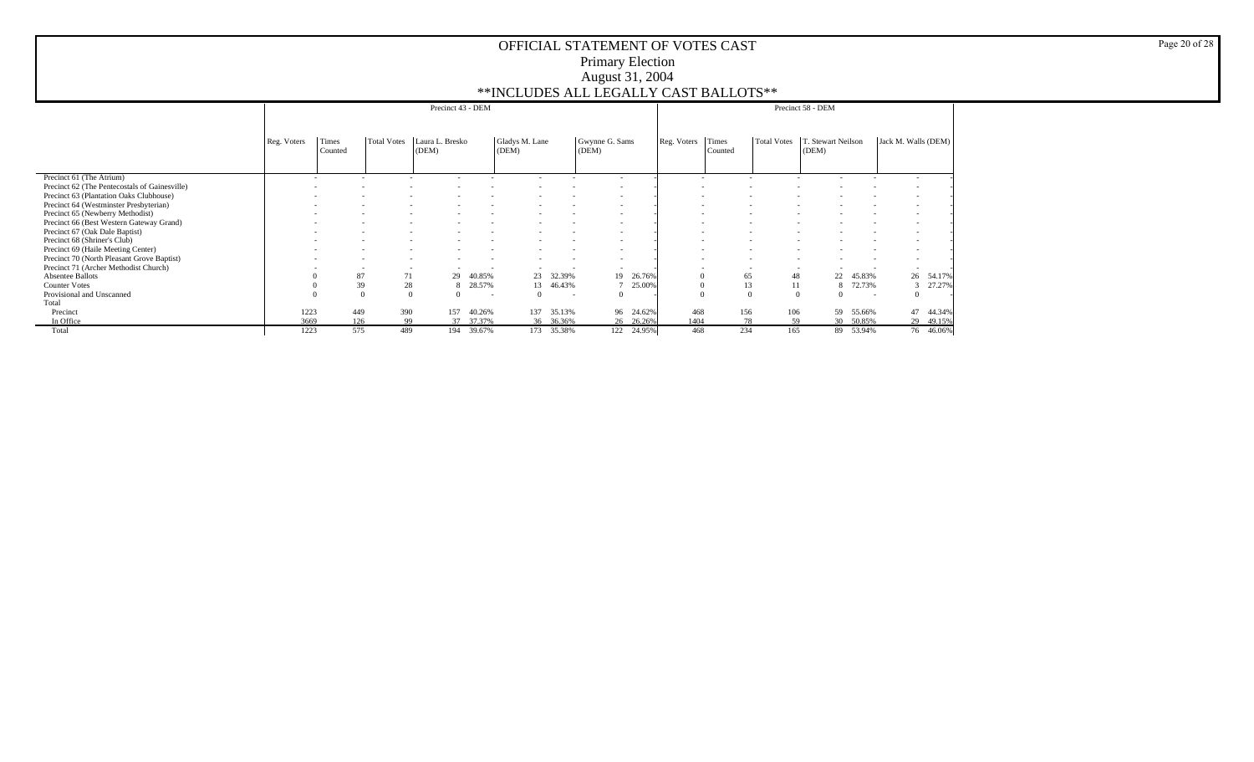|                                               |             |                          |                          | Precinct 43 - DEM        |           |                         |           |                         |        |                          |                  |                    | Precinct 58 - DEM           |        |                          |        |
|-----------------------------------------------|-------------|--------------------------|--------------------------|--------------------------|-----------|-------------------------|-----------|-------------------------|--------|--------------------------|------------------|--------------------|-----------------------------|--------|--------------------------|--------|
|                                               | Reg. Voters | Times<br>Counted         | Total Votes              | Laura L. Bresko<br>(DEM) |           | Gladys M. Lane<br>(DEM) |           | Gwynne G. Sams<br>(DEM) |        | Reg. Voters              | Times<br>Counted | <b>Total Votes</b> | T. Stewart Neilson<br>(DEM) |        | Jack M. Walls (DEM)      |        |
| Precinct 61 (The Atrium)                      |             | $\overline{\phantom{a}}$ |                          |                          |           |                         |           |                         |        |                          |                  |                    |                             |        |                          |        |
| Precinct 62 (The Pentecostals of Gainesville) |             |                          |                          |                          |           |                         |           |                         |        |                          |                  |                    |                             |        |                          |        |
| Precinct 63 (Plantation Oaks Clubhouse)       |             |                          |                          |                          |           |                         |           |                         |        |                          |                  |                    |                             |        |                          |        |
| Precinct 64 (Westminster Presbyterian)        |             |                          |                          | $\overline{\phantom{a}}$ |           |                         |           |                         |        | $\overline{\phantom{a}}$ |                  |                    |                             |        |                          |        |
| Precinct 65 (Newberry Methodist)              |             |                          |                          |                          |           |                         |           |                         |        |                          |                  |                    |                             |        |                          |        |
| Precinct 66 (Best Western Gateway Grand)      |             |                          |                          |                          |           |                         |           |                         |        |                          |                  |                    |                             |        |                          |        |
| Precinct 67 (Oak Dale Baptist)                |             |                          |                          |                          |           |                         |           |                         |        |                          |                  |                    |                             |        |                          |        |
| Precinct 68 (Shriner's Club)                  |             |                          |                          |                          |           |                         |           |                         |        |                          |                  |                    |                             |        |                          |        |
| Precinct 69 (Haile Meeting Center)            |             |                          |                          | $\overline{\phantom{a}}$ |           |                         |           |                         |        |                          |                  |                    |                             |        | ٠                        |        |
| Precinct 70 (North Pleasant Grove Baptist)    |             |                          |                          |                          |           |                         |           |                         |        |                          |                  |                    |                             |        |                          |        |
| Precinct 71 (Archer Methodist Church)         |             |                          |                          | $\overline{\phantom{a}}$ |           |                         |           | $\sim$                  |        |                          |                  |                    | $\sim$                      | ٠      | $\overline{\phantom{a}}$ |        |
| Absentee Ballots                              |             | 87                       | 71                       | 29                       | 40.85%    | 23                      | 32.39%    | 19                      | 26.76% | $\Omega$                 | 65               | 48                 | 22                          | 45.83% | 26                       | 54.17% |
| <b>Counter Votes</b>                          |             | 39<br>$\theta$           | 28                       | 8                        | 28.57%    |                         | 13 46.43% |                         | 25.00% | $\Omega$                 | 13               | 11                 | 8                           | 72.73% | $\mathcal{R}$            | 27.27% |
| Provisional and Unscanned                     |             | $\Omega$                 | $\mathbf{0}$<br>$\Omega$ |                          |           |                         | ۰.        | $\Omega$                |        | $\Omega$                 | $\Omega$         |                    | $\Omega$                    | ٠      |                          |        |
| Total                                         |             |                          |                          |                          |           |                         |           |                         |        |                          |                  |                    |                             |        |                          |        |
| Precinct                                      | 1223        | 449                      | 390                      | 157                      | 40.26%    | 137                     | 35.13%    | 96                      | 24.62% | 468                      | 156              | 106                | 59                          | 55.66% | 47                       | 44.34% |
| In Office                                     | 3669        | 126                      | 99                       |                          | 37 37.37% |                         | 36 36.36% | 26                      | 26.26% | 1404                     | 78               | 59                 | 30                          | 50.85% | 29                       | 49.15% |
| Total                                         | 1223        | 575                      | 489                      | 194                      | 39.67%    | 173                     | 35.38%    | 122                     | 24.95% | 468                      | 234              | 165                | 89                          | 53.94% | 76                       | 46.06% |

Page 20 of 28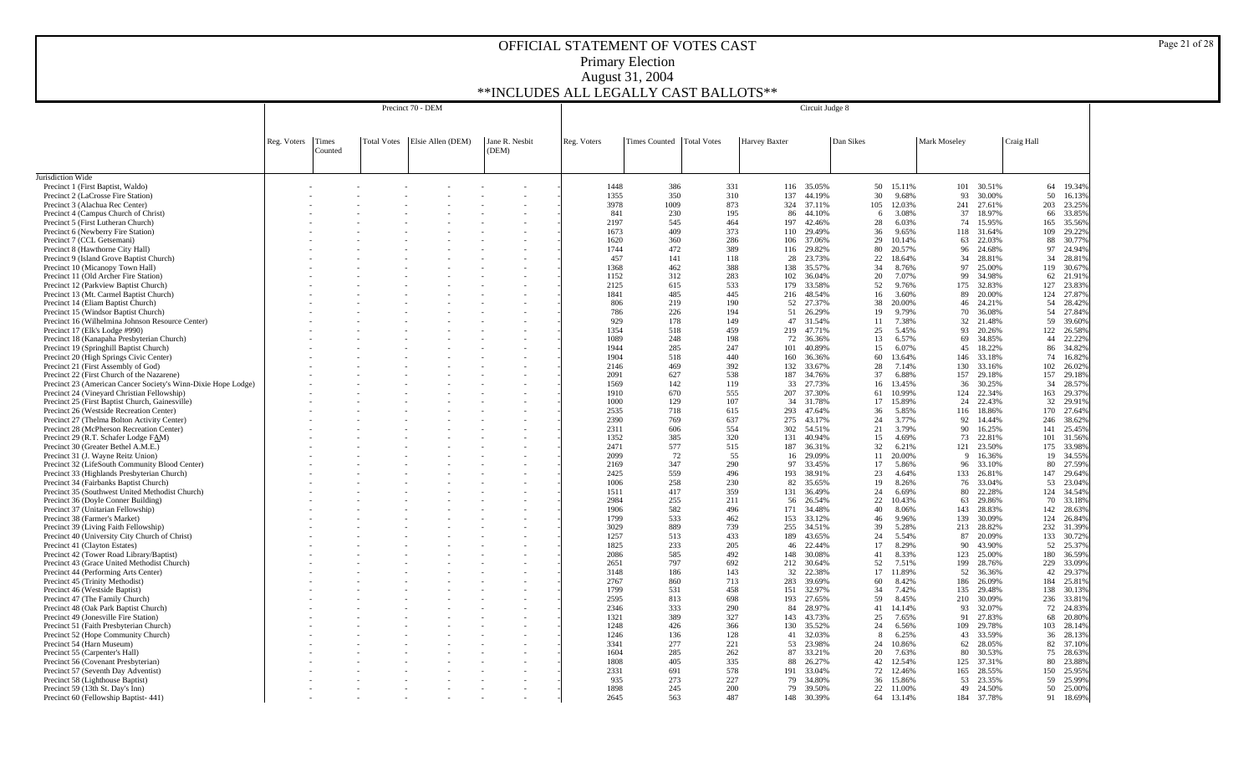|                                                                                         |             |                  |                    | Precinct 70 - DEM |                         |              |                             |            |               | Circuit Judge 8  |           |                  |              |                  |            |                      |
|-----------------------------------------------------------------------------------------|-------------|------------------|--------------------|-------------------|-------------------------|--------------|-----------------------------|------------|---------------|------------------|-----------|------------------|--------------|------------------|------------|----------------------|
|                                                                                         |             |                  |                    |                   |                         |              |                             |            |               |                  |           |                  |              |                  |            |                      |
|                                                                                         | Reg. Voters | Times<br>Counted | <b>Total Votes</b> | Elsie Allen (DEM) | Jane R. Nesbit<br>(DEM) | Reg. Voters  | Times Counted   Total Votes |            | Harvey Baxter |                  | Dan Sikes |                  | Mark Moseley |                  | Craig Hall |                      |
|                                                                                         |             |                  |                    |                   |                         |              |                             |            |               |                  |           |                  |              |                  |            |                      |
| Jurisdiction Wide<br>Precinct 1 (First Baptist, Waldo)                                  |             |                  |                    |                   |                         | 1448         | 386                         | 331        | 116           | 35.05%           | 50        | 15.11%           |              | 101 30.51%       |            | 64 19.349            |
| Precinct 2 (LaCrosse Fire Station)                                                      |             |                  |                    |                   |                         | 1355         | 350                         | 310        | 137           | 44.19%           | 30        | 9.68%            | 93           | 30.00%           | 50         | 16.139               |
| Precinct 3 (Alachua Rec Center)                                                         |             |                  |                    |                   |                         | 3978         | 1009                        | 873        | 324           | 37.11%           | 105       | 12.03%           | 241          | 27.61%           | 203        | 23.259               |
| Precinct 4 (Campus Church of Christ)                                                    |             |                  |                    |                   |                         | 841          | 230                         | 195        | 86            | 44.10%           | -6        | 3.08%            | 37           | 18.97%           | 66         | 33.859               |
| Precinct 5 (First Lutheran Church)                                                      |             |                  |                    |                   |                         | 2197         | 545                         | 464        | 197           | 42.46%           | 28        | 6.03%            | 74           | 15.95%           | 165        | 35.56%               |
| Precinct 6 (Newberry Fire Station)                                                      |             |                  |                    |                   |                         | 1673         | 409                         | 373        | 110           | 29.49%           | 36        | 9.65%            | 118          | 31.64%           | 109        | 29.229               |
| Precinct 7 (CCL Getsemani)<br>Precinct 8 (Hawthorne City Hall)                          |             |                  |                    |                   |                         | 1620<br>1744 | 360<br>472                  | 286<br>389 | 106<br>116    | 37.06%<br>29.82% | 29<br>80  | 10.14%<br>20.57% | 63<br>96     | 22.03%<br>24.68% | 88<br>97   | 30.779<br>24.949     |
| Precinct 9 (Island Grove Baptist Church)                                                |             |                  |                    |                   |                         | 457          | 141                         | 118        | 28            | 23.73%           | 22        | 18.64%           | 34           | 28.81%           | 34         | 28.819               |
| Precinct 10 (Micanopy Town Hall)                                                        |             |                  |                    |                   |                         | 1368         | 462                         | 388        | 138           | 35.57%           | 34        | 8.76%            | 97           | 25.00%           | 119        | 30.679               |
| Precinct 11 (Old Archer Fire Station)                                                   |             |                  |                    |                   |                         | 1152         | 312                         | 283        | 102           | 36.04%           | 20        | 7.07%            | 99           | 34.98%           | 62         | 21.919               |
| Precinct 12 (Parkview Baptist Church)                                                   |             |                  |                    |                   |                         | 2125         | 615                         | 533        | 179           | 33.58%           | 52        | 9.76%            | 175          | 32.83%           | 127        | 23.839               |
| Precinct 13 (Mt. Carmel Baptist Church)                                                 |             |                  |                    |                   |                         | 1841         | 485                         | 445        | 216           | 48.54%           | 16        | 3.60%            | 89           | 20.00%           |            | 124 27.879           |
| Precinct 14 (Eliam Baptist Church)                                                      |             |                  |                    |                   |                         | 806          | 219                         | 190        | 52            | 27.37%           | 38        | 20.00%           | 46           | 24.21%           | 54         | 28.429               |
| Precinct 15 (Windsor Baptist Church)                                                    |             |                  |                    |                   |                         | 786          | 226                         | 194        | 51            | 26.29%           | 19        | 9.79%            | 70           | 36.08%           | 54         | 27.849               |
| Precinct 16 (Wilhelmina Johnson Resource Center)                                        |             |                  |                    |                   |                         | 929          | 178                         | 149        | 47            | 31.54%           | 11        | 7.38%            | 32           | 21.48%           | 59         | 39.609               |
| Precinct 17 (Elk's Lodge #990)<br>Precinct 18 (Kanapaha Presbyterian Church)            |             |                  |                    |                   |                         | 1354<br>1089 | 518<br>248                  | 459<br>198 | 219<br>72     | 47.71%<br>36.36% | 25<br>13  | 5.45%<br>6.57%   | 93<br>69     | 20.26%<br>34.85% | 122<br>44  | 26.58%<br>22.229     |
| Precinct 19 (Springhill Baptist Church)                                                 |             |                  |                    |                   |                         | 1944         | 285                         | 247        | 101           | 40.89%           | 15        | 6.07%            | 45           | 18.22%           | 86         | 34.829               |
| Precinct 20 (High Springs Civic Center)                                                 |             |                  |                    |                   |                         | 1904         | 518                         | 440        | 160           | 36.36%           | 60        | 13.64%           | 146          | 33.18%           | 74         | 16.829               |
| Precinct 21 (First Assembly of God)                                                     |             |                  |                    |                   |                         | 2146         | 469                         | 392        | 132           | 33.67%           | 28        | 7.14%            | 130          | 33.16%           | 102        | 26.029               |
| Precinct 22 (First Church of the Nazarene)                                              |             |                  |                    |                   |                         | 2091         | 627                         | 538        | 187           | 34.76%           | 37        | 6.88%            | 157          | 29.18%           | 157        | 29.189               |
| Precinct 23 (American Cancer Society's Winn-Dixie Hope Lodge)                           |             |                  |                    |                   |                         | 1569         | 142                         | 119        | 33            | 27.73%           | 16        | 13.45%           | 36           | 30.25%           | 34         | 28.579               |
| Precinct 24 (Vineyard Christian Fellowship)                                             |             |                  |                    |                   |                         | 1910         | 670                         | 555        | 207           | 37.30%           | 61        | 10.99%           | 124          | 22.34%           | 163        | 29.379               |
| Precinct 25 (First Baptist Church, Gainesville)                                         |             |                  |                    |                   |                         | 1000         | 129                         | 107        | 34            | 31.78%           | 17        | 15.89%           | 24           | 22.43%           | 32         | 29.919               |
| Precinct 26 (Westside Recreation Center)<br>Precinct 27 (Thelma Bolton Activity Center) |             |                  |                    |                   |                         | 2535<br>2390 | 718<br>769                  | 615<br>637 | 293<br>275    | 47.64%<br>43.17% | 36<br>24  | 5.85%<br>3.77%   | 116<br>92    | 18.86%<br>14.44% | 246        | 170 27.649<br>38.629 |
| Precinct 28 (McPherson Recreation Center)                                               |             |                  |                    |                   |                         | 2311         | 606                         | 554        | 302           | 54.51%           | 21        | 3.79%            | 90           | 16.25%           | 141        | 25.459               |
| Precinct 29 (R.T. Schafer Lodge FAM)                                                    |             |                  |                    |                   |                         | 1352         | 385                         | 320        | 131           | 40.94%           | 15        | 4.69%            | 73           | 22.81%           | 101        | 31.569               |
| Precinct 30 (Greater Bethel A.M.E.)                                                     |             |                  |                    |                   |                         | 2471         | 577                         | 515        | 187           | 36.31%           | 32        | 6.21%            | 121          | 23.50%           | 175        | 33.989               |
| Precinct 31 (J. Wayne Reitz Union)                                                      |             |                  |                    |                   |                         | 2099         | 72                          | 55         | 16            | 29.09%           | -11       | 20.00%           | -9           | 16.36%           | 19         | 34.559               |
| Precinct 32 (LifeSouth Community Blood Center)                                          |             |                  |                    |                   |                         | 2169         | 347                         | 290        | 97            | 33.45%           | 17        | 5.86%            | 96           | 33.10%           | 80         | 27.599               |
| Precinct 33 (Highlands Presbyterian Church)                                             |             |                  |                    |                   |                         | 2425         | 559                         | 496        | 193           | 38.91%           | 23        | 4.64%            | 133          | 26.81%           | 147        | 29.649               |
| Precinct 34 (Fairbanks Baptist Church)                                                  |             |                  |                    |                   |                         | 1006         | 258                         | 230        | 82            | 35.65%           | 19        | 8.26%            | 76           | 33.04%           | 53         | 23.049               |
| Precinct 35 (Southwest United Methodist Church)                                         |             |                  |                    |                   |                         | 1511<br>2984 | 417<br>255                  | 359<br>211 | 131<br>56     | 36.49%<br>26.54% | 24<br>22  | 6.69%<br>10.43%  | 80<br>63     | 22.28%<br>29.86% | 124<br>70  | 34.549<br>33.189     |
| Precinct 36 (Doyle Conner Building)<br>Precinct 37 (Unitarian Fellowship)               |             |                  |                    |                   |                         | 1906         | 582                         | 496        | 171           | 34.48%           | 40        | 8.06%            | 143          | 28.83%           | 142        | 28.639               |
| Precinct 38 (Farmer's Market)                                                           |             |                  |                    |                   |                         | 1799         | 533                         | 462        | 153           | 33.12%           | 46        | 9.96%            | 139          | 30.09%           | 124        | 26.849               |
| Precinct 39 (Living Faith Fellowship)                                                   |             |                  |                    |                   |                         | 3029         | 889                         | 739        | 255           | 34.51%           | 39        | 5.28%            | 213          | 28.82%           | 232        | 31.399               |
| Precinct 40 (University City Church of Christ)                                          |             |                  |                    |                   |                         | 1257         | 513                         | 433        | 189           | 43.65%           | 24        | 5.54%            | 87           | 20.09%           | 133        | 30.729               |
| Precinct 41 (Clayton Estates)                                                           |             |                  |                    |                   |                         | 1825         | 233                         | 205        | 46            | 22.44%           | 17        | 8.29%            | 90           | 43.90%           | 52         | 25.379               |
| Precinct 42 (Tower Road Library/Baptist)                                                |             |                  |                    |                   |                         | 2086         | 585                         | 492        | 148           | 30.08%           | 41        | 8.33%            | 123          | 25.00%           | 180        | 36.59%               |
| Precinct 43 (Grace United Methodist Church)                                             |             |                  |                    |                   |                         | 2651         | 797                         | 692        | 212           | 30.64%           | 52        | 7.51%            | 199          | 28.76%           | 229        | 33.099               |
| Precinct 44 (Performing Arts Center)<br>Precinct 45 (Trinity Methodist)                 |             |                  |                    |                   |                         | 3148<br>2767 | 186<br>860                  | 143<br>713 | 32<br>283     | 22.38%<br>39.69% | 17<br>60  | 11.89%<br>8.42%  | 52<br>186    | 36.36%<br>26.09% | 42<br>184  | 29.379<br>25.819     |
| Precinct 46 (Westside Baptist)                                                          |             |                  |                    |                   |                         | 1799         | 531                         | 458        | 151           | 32.97%           | 34        | 7.42%            | 135          | 29.48%           | 138        | 30.139               |
| Precinct 47 (The Family Church)                                                         |             |                  |                    |                   |                         | 2595         | 813                         | 698        | 193           | 27.65%           | 59        | 8.45%            | 210          | 30.09%           | 236        | 33.819               |
| Precinct 48 (Oak Park Baptist Church)                                                   |             |                  |                    |                   |                         | 2346         | 333                         | 290        | 84            | 28.97%           | 41        | 14.14%           | 93           | 32.07%           | 72         | 24.839               |
| Precinct 49 (Jonesville Fire Station)                                                   |             |                  |                    |                   |                         | 1321         | 389                         | 327        | 143           | 43.73%           | 25        | 7.65%            | 91           | 27.83%           | 68         | 20.809               |
| Precinct 51 (Faith Presbyterian Church)                                                 |             |                  |                    |                   |                         | 1248         | 426                         | 366        | 130           | 35.52%           | 24        | 6.56%            | 109          | 29.78%           | 103        | 28.14%               |
| Precinct 52 (Hope Community Church)                                                     |             |                  |                    |                   |                         | 1246         | 136                         | 128        | 41            | 32.03%           | -8        | 6.25%            | 43           | 33.59%           | 36         | 28.13%               |
| Precinct 54 (Harn Museum)                                                               |             |                  |                    |                   |                         | 3341         | 277                         | 221        | 53            | 23.98%           | 24        | 10.86%           | 62           | 28.05%           | 82         | 37.109               |
| Precinct 55 (Carpenter's Hall)                                                          |             |                  |                    |                   |                         | 1604         | 285                         | 262        | 87            | 33.21%           | 20        | 7.63%            | 80           | 30.53%           | 75         | 28.639               |
| Precinct 56 (Covenant Presbyterian)<br>Precinct 57 (Seventh Day Adventist)              |             |                  |                    |                   |                         | 1808<br>2331 | 405<br>691                  | 335<br>578 | 88<br>191     | 26.27%<br>33.04% | 42<br>72  | 12.54%<br>12.46% | 125<br>165   | 37.31%<br>28.55% | 80<br>150  | 23.889<br>25.95%     |
| Precinct 58 (Lighthouse Baptist)                                                        |             |                  |                    |                   |                         | 935          | 273                         | 227        | 79            | 34.80%           | 36        | 15.86%           | 53           | 23.35%           | 59         | 25.999               |
| Precinct 59 (13th St. Day's Inn)                                                        |             |                  |                    |                   |                         | 1898         | 245                         | 200        | 79            | 39.50%           | 22        | 11.00%           | 49           | 24.50%           | 50         | 25.009               |
| Precinct 60 (Fellowship Baptist-441)                                                    |             |                  |                    |                   |                         | 2645         | 563                         | 487        | 148           | 30.39%           | 64        | 13.14%           |              | 184 37.78%       |            | 91 18.69%            |

Page 21 of 28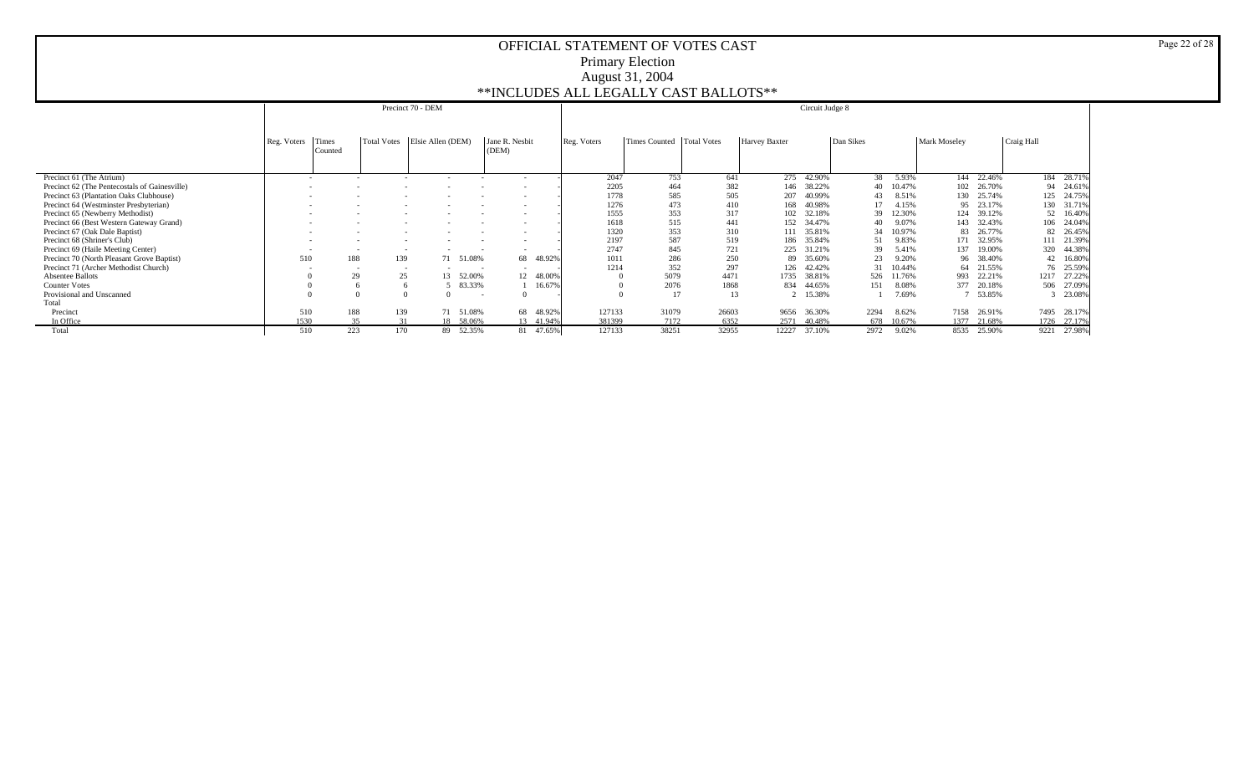|                                               |             |                  |                    | Precinct 70 - DEM        |           |                           |             |                             |       |               | Circuit Judge 8 |           |            |              |                 |            |             |
|-----------------------------------------------|-------------|------------------|--------------------|--------------------------|-----------|---------------------------|-------------|-----------------------------|-------|---------------|-----------------|-----------|------------|--------------|-----------------|------------|-------------|
|                                               | Reg. Voters | Times<br>Counted | <b>Total Votes</b> | Elsie Allen (DEM)        |           | Jane R. Nesbit<br>(DEM)   | Reg. Voters | Times Counted   Total Votes |       | Harvey Baxter |                 | Dan Sikes |            | Mark Moseley |                 | Craig Hall |             |
| Precinct 61 (The Atrium)                      |             | . .              |                    |                          |           |                           | 2047        | 753                         | 641   |               | $275 - 42.90\%$ |           | 38 5.93%   |              | $144 - 22.46\%$ |            | 184 28.71%  |
| Precinct 62 (The Pentecostals of Gainesville) |             | . .              |                    |                          |           |                           | 2205        | 464                         | 382   | 146           | 38.22%          |           | 40 10.47%  |              | 102 26.70%      |            | 94 24.61%   |
| Precinct 63 (Plantation Oaks Clubhouse)       |             | . .              |                    |                          |           |                           | 1778        | 585                         | 505   | 207           | 40.99%          | 43        | 8.51%      |              | 130 25.74%      |            | 125 24.75%  |
| Precinct 64 (Westminster Presbyterian)        |             | . .              |                    |                          |           |                           | 1276        | 473                         | 410   | 168           | 40.98%          | 17        | 4.15%      |              | 95 23.17%       |            | 130 31.71%  |
| Precinct 65 (Newberry Methodist)              |             | . .              |                    |                          |           |                           | 1555        | 353                         | 317   | 102           | 32.18%          | 39        | 12.30%     | 124          | 39.12%          |            | 52 16.40%   |
| Precinct 66 (Best Western Gateway Grand)      |             | . .              |                    |                          |           |                           | 1618        | 515                         | 441   | 152           | 34.47%          | 40        | 9.07%      |              | 143 32.43%      |            | 106 24.04%  |
| Precinct 67 (Oak Dale Baptist)                |             |                  |                    |                          |           |                           | 1320        | 353                         | 310   | 111           | 35.81%          |           | 34 10.97%  | 83           | 26.77%          |            | 82 26.45%   |
| Precinct 68 (Shriner's Club)                  |             | . .              |                    | $\sim$                   |           |                           | 2197        | 587                         | 519   | 186           | 35.84%          |           | 9.83%      | 171          | 32.95%          |            | 111 21.39%  |
| Precinct 69 (Haile Meeting Center)            |             | . .<br>. .       |                    | $\overline{\phantom{a}}$ |           |                           | 2747        | 845                         | 721   | 225           | 31.21%          | 39        | 5.41%      | 137          | 19.00%          |            | 320 44.38%  |
| Precinct 70 (North Pleasant Grove Baptist)    | 510         | 188              | 139                |                          | 71 51.08% | 68<br>48.92%              | 1011        | 286                         | 250   | 89            | 35.60%          | 23        | 9.20%      |              | 96 38.40%       |            | 42 16.80%   |
| Precinct 71 (Archer Methodist Church)         |             | . .              |                    | $\overline{\phantom{a}}$ | . .       |                           | 1214        | 352                         | 297   | 126           | 42.42%          |           | 31 10.44%  |              | 64 21.55%       |            | 76 25.59%   |
| <b>Absentee Ballots</b>                       |             | 29               |                    | 25                       | 13 52.00% | 12 48.00%                 |             | 5079                        | 4471  | 1735          | 38.81%          |           | 526 11.76% | 993          | 22.21%          |            | 1217 27.22% |
| <b>Counter Votes</b>                          |             |                  |                    | 6                        | 5 83.33%  | 16.67%                    |             | 2076                        | 1868  | 834           | 44.65%          | 151       | 8.08%      | 377          | 20.18%          |            | 506 27.09%  |
| Provisional and Unscanned                     |             |                  |                    | $\Omega$                 | - -       |                           |             | 17                          | 13    |               | 2 15.38%        |           | 7.69%      |              | 53.85%          |            | 23.08%      |
| Total                                         |             |                  |                    |                          |           |                           |             |                             |       |               |                 |           |            |              |                 |            |             |
| Precinct                                      | 510         | 188              | 139                |                          | 71 51.08% | 68<br>48.92%              | 127133      | 31079                       | 26603 | 9656          | 36.30%          | 2294      | 8.62%      | 7158         | 26.91%          |            | 7495 28.17% |
| In Office                                     | 1530        | 35               | 31                 |                          | 18 58.06% | 13 <sup>7</sup><br>41.94% | 381399      | 7172                        | 6352  | 2571          | 40.48%          |           | 678 10.67% | 1377         | 21.68%          |            | 1726 27.17% |
| Total                                         | 510         | 223              | 170                |                          | 89 52.35% | 47.65%<br>81              | 127133      | 38251                       | 32955 | 12227         | 37.10%          | 2972      | 9.02%      | 8535         | 25.90%          |            | 9221 27.98% |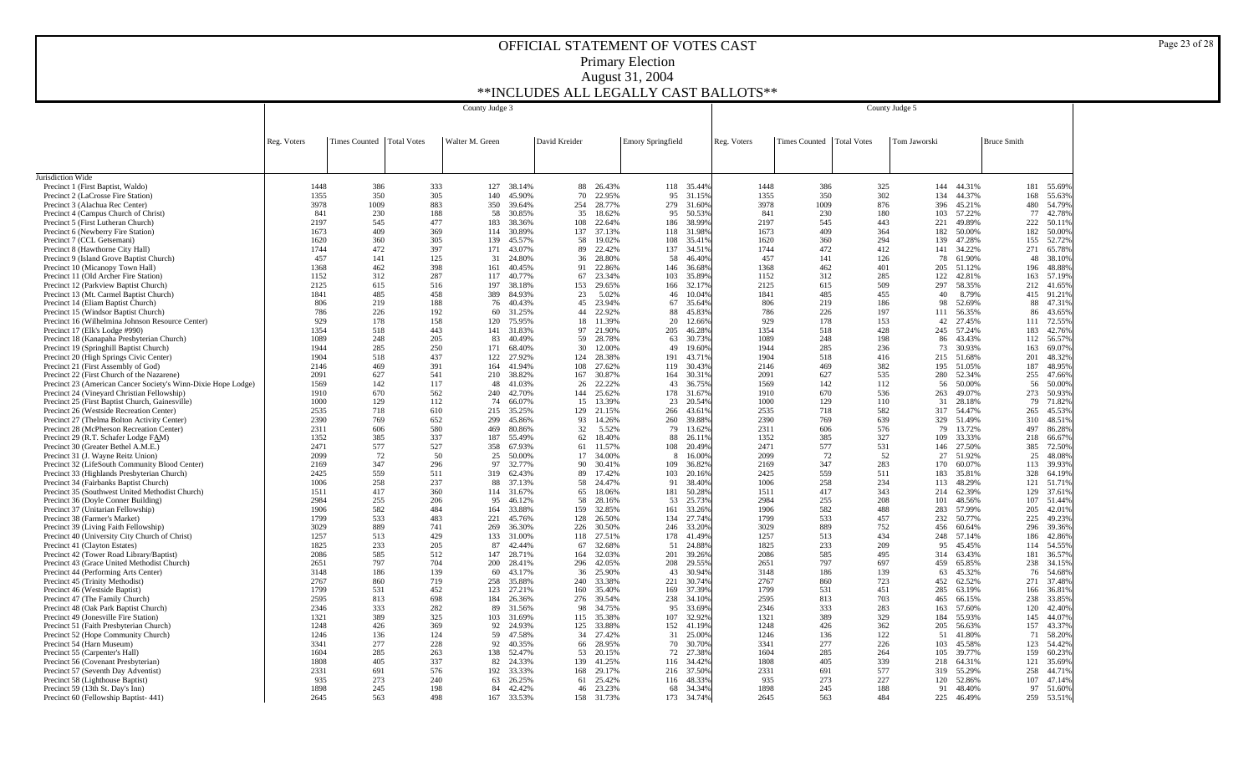| OFFICIAL STATEMENT OF VOTES CAST      |
|---------------------------------------|
| <b>Primary Election</b>               |
| August 31, 2004                       |
| **INCLUDES ALL LEGALLY CAST BALLOTS** |

|                                                                                             |              |               |                    | County Judge 3  |                  |               |                  | h \CDODDO HDD DDONDD I CHOI DHODO IN |                  |              |               |             | County Judge 5 |                  |                    |                  |
|---------------------------------------------------------------------------------------------|--------------|---------------|--------------------|-----------------|------------------|---------------|------------------|--------------------------------------|------------------|--------------|---------------|-------------|----------------|------------------|--------------------|------------------|
|                                                                                             |              |               |                    |                 |                  |               |                  |                                      |                  |              |               |             |                |                  |                    |                  |
|                                                                                             |              |               |                    |                 |                  |               |                  |                                      |                  |              |               |             |                |                  |                    |                  |
|                                                                                             | Reg. Voters  | Times Counted | <b>Total Votes</b> | Walter M. Green |                  | David Kreider |                  | Emory Springfield                    |                  | Reg. Voters  | Times Counted | Total Votes | Tom Jaworski   |                  | <b>Bruce Smith</b> |                  |
|                                                                                             |              |               |                    |                 |                  |               |                  |                                      |                  |              |               |             |                |                  |                    |                  |
| Jurisdiction Wide                                                                           |              |               |                    |                 |                  |               |                  |                                      |                  |              |               |             |                |                  |                    |                  |
| Precinct 1 (First Baptist, Waldo)                                                           | 1448         | 386           | 333                | 127             | 38.14%           | 88            | 26.43%           | 118                                  | 35.44%           | 1448         | 386           | 325         |                | 144 44.31%       | 181                | 55.69%           |
| Precinct 2 (LaCrosse Fire Station)<br>Precinct 3 (Alachua Rec Center)                       | 1355<br>3978 | 350<br>1009   | 305<br>883         | 140<br>350      | 45.90%<br>39.64% | 70<br>254     | 22.95%<br>28.77% | 95<br>279                            | 31.15%<br>31.60% | 1355<br>3978 | 350<br>1009   | 302<br>876  | 134<br>396     | 44.37%<br>45.21% | 168<br>480         | 55.63%<br>54.79% |
| Precinct 4 (Campus Church of Christ)                                                        | 841          | 230           | 188                | 58              | 30.85%           | 35            | 18.62%           | 95                                   | 50.53%           | 841          | 230           | 180         | 103            | 57.22%           | 77                 | 42.78%           |
| Precinct 5 (First Lutheran Church)                                                          | 2197         | 545           | 477                | 183             | 38.36%           | 108           | 22.64%           | 186                                  | 38.99%           | 2197         | 545           | 443         | 221            | 49.89%           | 222                | 50.11%           |
| Precinct 6 (Newberry Fire Station)                                                          | 1673         | 409           | 369                | 114             | 30.89%           | 137           | 37.13%           | 118                                  | 31.98%           | 1673         | 409           | 364         | 182            | 50.00%           | 182                | 50.00%           |
| Precinct 7 (CCL Getsemani)                                                                  | 1620         | 360           | 305                | 139             | 45.57%           | 58            | 19.02%           | 108                                  | 35.41%           | 1620         | 360           | 294         | 139            | 47.28%           | 155                | 52.72%           |
| Precinct 8 (Hawthorne City Hall)<br>Precinct 9 (Island Grove Baptist Church)                | 1744<br>457  | 472<br>141    | 397<br>125         | 171<br>31       | 43.07%<br>24.80% | 89<br>36      | 22.42%<br>28.80% | 137<br>58                            | 34.51%<br>46.40% | 1744<br>457  | 472<br>141    | 412<br>126  | 141<br>78      | 34.22%<br>61.90% | 271<br>48          | 65.78%<br>38.10% |
| Precinct 10 (Micanopy Town Hall)                                                            | 1368         | 462           | 398                | 161             | 40.45%           | 91            | 22.86%           | 146                                  | 36.68%           | 1368         | 462           | 401         | 205            | 51.12%           | 196                | 48.88%           |
| Precinct 11 (Old Archer Fire Station)                                                       | 1152         | 312           | 287                | 117             | 40.77%           | 67            | 23.34%           | 103                                  | 35.89%           | 1152         | 312           | 285         | 122            | 42.81%           | 163                | 57.19%           |
| Precinct 12 (Parkview Baptist Church)                                                       | 2125         | 615           | 516                | 197             | 38.18%           | 153           | 29.65%           | 166                                  | 32.17%           | 2125         | 615           | 509         | 297            | 58.35%           | 212                | 41.65%           |
| Precinct 13 (Mt. Carmel Baptist Church)<br>Precinct 14 (Eliam Baptist Church)               | 1841<br>806  | 485<br>219    | 458<br>188         | 389<br>76       | 84.93%<br>40.43% | 23<br>45      | 5.02%<br>23.94%  | 46<br>67                             | 10.04%<br>35.64% | 1841<br>806  | 485<br>219    | 455<br>186  | 40<br>98       | 8.79%<br>52.69%  | 415<br>88          | 91.21%<br>47.31% |
| Precinct 15 (Windsor Baptist Church)                                                        | 786          | 226           | 192                | 60              | 31.25%           | 44            | 22.92%           | 88                                   | 45.83%           | 786          | 226           | 197         | 111            | 56.35%           | 86                 | 43.65%           |
| Precinct 16 (Wilhelmina Johnson Resource Center)                                            | 929          | 178           | 158                | 120             | 75.95%           | 18            | 11.39%           | 20                                   | 12.66%           | 929          | 178           | 153         | 42             | 27.45%           | 111                | 72.55%           |
| Precinct 17 (Elk's Lodge #990)                                                              | 1354         | 518           | 443                | 141             | 31.83%           | 97            | 21.90%           | 205                                  | 46.28%           | 1354         | 518           | 428         | 245            | 57.24%           | 183                | 42.76%           |
| Precinct 18 (Kanapaha Presbyterian Church)                                                  | 1089         | 248           | 205                | 83              | 40.49%           | 59            | 28.78%           | 63                                   | 30.73%           | 1089         | 248           | 198         | 86             | 43.43%           | 112                | 56.57%           |
| Precinct 19 (Springhill Baptist Church)<br>Precinct 20 (High Springs Civic Center)          | 1944<br>1904 | 285<br>518    | 250<br>437         | 171<br>122      | 68.40%<br>27.92% | 30<br>124     | 12.00%<br>28.38% | 49<br>191                            | 19.60%<br>43.71% | 1944<br>1904 | 285<br>518    | 236<br>416  | 73<br>215      | 30.93%<br>51.68% | 163<br>201         | 69.07%<br>48.32% |
| Precinct 21 (First Assembly of God)                                                         | 2146         | 469           | 391                | 164             | 41.94%           | 108           | 27.62%           | 119                                  | 30.43%           | 2146         | 469           | 382         | 195            | 51.05%           | 187                | 48.95%           |
| Precinct 22 (First Church of the Nazarene)                                                  | 2091         | 627           | 541                | 210             | 38.82%           | 167           | 30.87%           | 164                                  | 30.31%           | 2091         | 627           | 535         | 280            | 52.34%           | 255                | 47.66%           |
| Precinct 23 (American Cancer Society's Winn-Dixie Hope Lodge)                               | 1569         | 142           | 117                | 48              | 41.03%           | 26            | 22.22%           | 43                                   | 36.75%           | 1569         | 142           | 112         | 56             | 50.00%           | 56                 | 50.00%           |
| Precinct 24 (Vineyard Christian Fellowship)                                                 | 1910         | 670           | 562                | 240             | 42.70%           | 144           | 25.62%           | 178                                  | 31.67%           | 1910         | 670           | 536         | 263            | 49.07%           | 273                | 50.93%           |
| Precinct 25 (First Baptist Church, Gainesville)<br>Precinct 26 (Westside Recreation Center) | 1000<br>2535 | 129<br>718    | 112<br>610         | 74<br>215       | 66.07%<br>35.25% | 15<br>129     | 13.39%<br>21.15% | 23<br>266                            | 20.54%<br>43.61% | 1000<br>2535 | 129<br>718    | 110<br>582  | 31<br>317      | 28.18%<br>54.47% | 79<br>265          | 71.82%<br>45.53% |
| Precinct 27 (Thelma Bolton Activity Center)                                                 | 2390         | 769           | 652                | 299             | 45.86%           | 93            | 14.26%           | 260                                  | 39.88%           | 2390         | 769           | 639         | 329            | 51.49%           | 310                | 48.51%           |
| Precinct 28 (McPherson Recreation Center)                                                   | 2311         | 606           | 580                | 469             | 80.86%           | 32            | 5.52%            | 79                                   | 13.62%           | 2311         | 606           | 576         | 79             | 13.72%           | 497                | 86.28%           |
| Precinct 29 (R.T. Schafer Lodge FAM)                                                        | 1352         | 385           | 337                | 187             | 55.49%           | 62            | 18.40%           | 88                                   | 26.11%           | 1352         | 385           | 327         | 109            | 33.33%           | 218                | 66.67%           |
| Precinct 30 (Greater Bethel A.M.E.)                                                         | 2471<br>2099 | 577<br>72     | 527<br>-50         | 358<br>25       | 67.93%<br>50.00% | 61<br>17      | 11.57%<br>34,00% | 108<br>8                             | 20.49%<br>16.00% | 2471<br>2099 | 577<br>72     | 531<br>52   | 146<br>27      | 27.50%<br>51.92% | 385<br>25          | 72.50%           |
| Precinct 31 (J. Wayne Reitz Union)<br>Precinct 32 (LifeSouth Community Blood Center)        | 2169         | 347           | 296                | 97              | 32.77%           | 90            | 30.41%           | 109                                  | 36.82%           | 2169         | 347           | 283         | 170            | 60.07%           | 113                | 48.08%<br>39.93% |
| Precinct 33 (Highlands Presbyterian Church)                                                 | 2425         | 559           | 511                | 319             | 62.43%           | 89            | 17.42%           | 103                                  | 20.16%           | 2425         | 559           | 511         | 183            | 35.81%           | 328                | 64.19%           |
| Precinct 34 (Fairbanks Baptist Church)                                                      | 1006         | 258           | 237                | 88              | 37.13%           | 58            | 24.47%           | 91                                   | 38.40%           | 1006         | 258           | 234         | 113            | 48.29%           | 121                | 51.71%           |
| Precinct 35 (Southwest United Methodist Church)                                             | 1511         | 417           | 360                |                 | 114 31.67%       | 65            | 18.06%           | 181                                  | 50.28%           | 1511         | 417           | 343         | 214            | 62.39%           | 129                | 37.61%           |
| Precinct 36 (Doyle Conner Building)<br>Precinct 37 (Unitarian Fellowship)                   | 2984<br>1906 | 255<br>582    | 206<br>484         | 95<br>164       | 46.12%<br>33.88% | 58<br>159     | 28.16%<br>32.85% | 53<br>161                            | 25.73%<br>33.26% | 2984<br>1906 | 255<br>582    | 208<br>488  | 101<br>283     | 48.56%<br>57.99% | 107<br>205         | 51.44%<br>42.01% |
| Precinct 38 (Farmer's Market)                                                               | 1799         | 533           | 483                | 221             | 45.76%           | 128           | 26.50%           | 134                                  | 27.74%           | 1799         | 533           | 457         | 232            | 50.77%           | 225                | 49.23%           |
| Precinct 39 (Living Faith Fellowship)                                                       | 3029         | 889           | 741                | 269             | 36.30%           | 226           | 30.50%           | 246                                  | 33.20%           | 3029         | 889           | 752         | 456            | 60.64%           | 296                | 39.36%           |
| Precinct 40 (University City Church of Christ)                                              | 1257         | 513           | 429                | 133             | 31.00%           | 118           | 27.51%           | 178                                  | 41.49%           | 1257         | 513           | 434         | 248            | 57.14%           | 186                | 42.86%           |
| Precinct 41 (Clayton Estates)                                                               | 1825         | 233           | 205                | 87              | 42.44%           | 67            | 32.68%           | 51                                   | 24.88%           | 1825         | 233           | 209         | 95             | 45.45%           | 114                | 54.55%           |
| Precinct 42 (Tower Road Library/Baptist)<br>Precinct 43 (Grace United Methodist Church)     | 2086<br>2651 | 585<br>797    | 512<br>704         | 147<br>200      | 28.71%<br>28.41% | 164<br>296    | 32.03%<br>42.05% | 201<br>208                           | 39.26%<br>29.55% | 2086<br>2651 | 585<br>797    | 495<br>697  | 314<br>459     | 63.43%<br>65.85% | 181<br>238         | 36.57%<br>34.15% |
| Precinct 44 (Performing Arts Center)                                                        | 3148         | 186           | 139                | 60              | 43.17%           | 36            | 25.90%           | 43                                   | 30.94%           | 3148         | 186           | 139         | 63             | 45.32%           | 76                 | 54.68%           |
| Precinct 45 (Trinity Methodist)                                                             | 2767         | 860           | 719                | 258             | 35.88%           | 240           | 33.38%           | 221                                  | 30.74%           | 2767         | 860           | 723         | 452            | 62.52%           | 271                | 37.48%           |
| Precinct 46 (Westside Baptist)                                                              | 1799         | 531           | 452                | 123             | 27.21%           | 160           | 35.40%           | 169                                  | 37.39%           | 1799         | 531           | 451         | 285            | 63.19%           | 166                | 36.81%           |
| Precinct 47 (The Family Church)                                                             | 2595         | 813           | 698                | 184             | 26.36%           | 276           | 39.54%           | 238                                  | 34.10%           | 2595         | 813           | 703         | 465            | 66.15%           | 238                | 33.85%           |
| Precinct 48 (Oak Park Baptist Church)<br>Precinct 49 (Jonesville Fire Station)              | 2346<br>1321 | 333<br>389    | 282<br>325         | 89<br>103       | 31.56%<br>31.69% | 98<br>115     | 34.75%<br>35.38% | 95<br>107                            | 33.69%<br>32.92% | 2346<br>1321 | 333<br>389    | 283<br>329  | 163<br>184     | 57.60%<br>55.93% | 120<br>145         | 42.40%<br>44.07% |
| Precinct 51 (Faith Presbyterian Church)                                                     | 1248         | 426           | 369                | 92              | 24.93%           | 125           | 33.88%           | 152                                  | 41.19%           | 1248         | 426           | 362         | 205            | 56.63%           | 157                | 43.37%           |
| Precinct 52 (Hope Community Church)                                                         | 1246         | 136           | 124                | 59              | 47.58%           | 34            | 27.42%           | 31                                   | 25.00%           | 1246         | 136           | 122         | 51             | 41.80%           | 71                 | 58.20%           |
| Precinct 54 (Harn Museum)                                                                   | 3341         | 277           | 228                | 92              | 40.35%           | 66            | 28.95%           | 70                                   | 30.70%           | 3341         | 277           | 226         | 103            | 45.58%           | 123                | 54.42%           |
| Precinct 55 (Carpenter's Hall)                                                              | 1604         | 285<br>405    | 263<br>337         | 138             | 52.47%           | 53            | 20.15%           | 72                                   | 27.38%           | 1604<br>1808 | 285<br>405    | 264<br>339  | 105            | 39.77%           | 159                | 60.23%           |
| Precinct 56 (Covenant Presbyterian)<br>Precinct 57 (Seventh Day Adventist)                  | 1808<br>2331 | 691           | 576                | 82<br>192       | 24.33%<br>33.33% | 139<br>168    | 41.25%<br>29.17% | 116<br>216                           | 34.42%<br>37.50% | 2331         | 691           | 577         | 218<br>319     | 64.31%<br>55.29% | 121<br>258         | 35.69%<br>44.71% |
| Precinct 58 (Lighthouse Baptist)                                                            | 935          | 273           | 240                | 63              | 26.25%           | 61            | 25.42%           | 116                                  | 48.33%           | 935          | 273           | 227         | 120            | 52.86%           | 107                | 47.14%           |
| Precinct 59 (13th St. Day's Inn)                                                            | 1898         | 245           | 198                | 84              | 42.42%           | 46            | 23.23%           | 68                                   | 34.34%           | 1898         | 245           | 188         | 91             | 48.40%           | 97                 | 51.60%           |
| Precinct 60 (Fellowship Baptist-441)                                                        | 2645         | 563           | 498                | 167             | 33.53%           | 158           | 31.73%           | 173                                  | 34.74%           | 2645         | 563           | 484         | 225            | 46.49%           | 259                | 53.51%           |

Page 23 of 28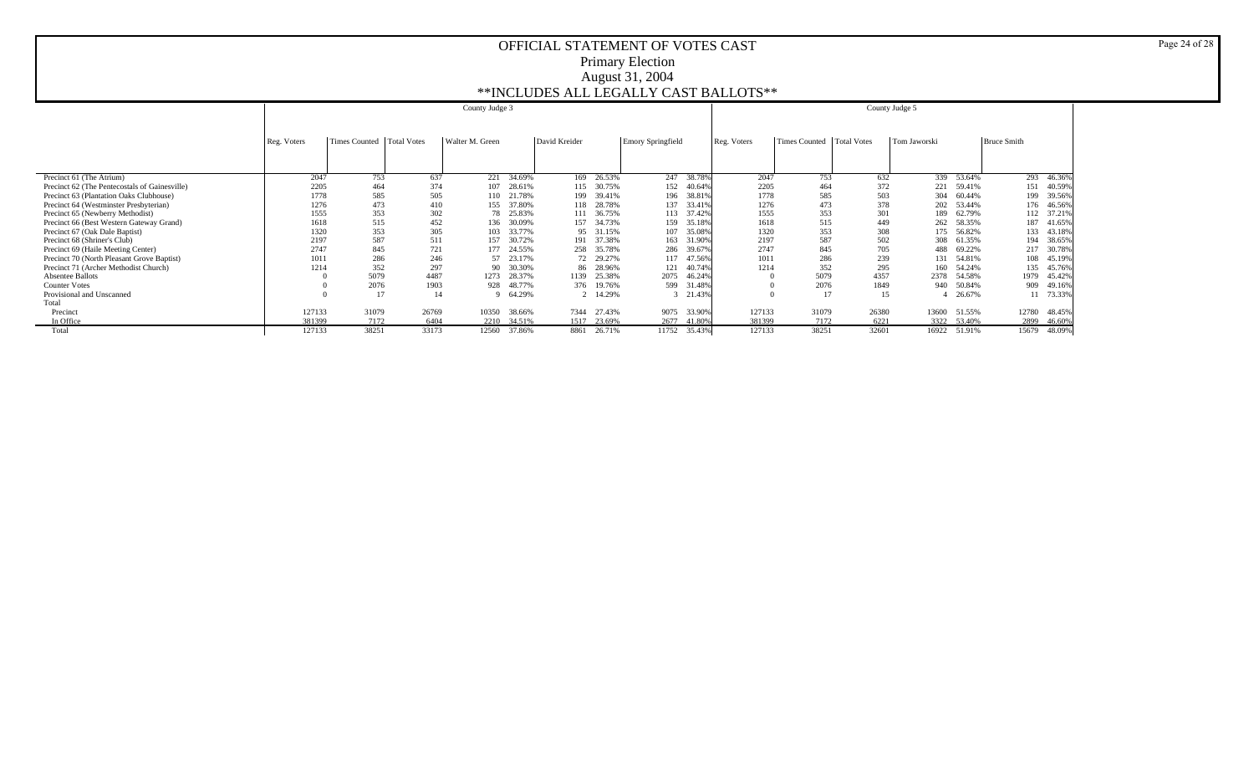|                                               | County Judge 3 |                             |       |                 |             |               |          |                   | County Judge 5 |             |                             |       |              |        |                    |              |
|-----------------------------------------------|----------------|-----------------------------|-------|-----------------|-------------|---------------|----------|-------------------|----------------|-------------|-----------------------------|-------|--------------|--------|--------------------|--------------|
|                                               | Reg. Voters    | Times Counted   Total Votes |       | Walter M. Green |             | David Kreider |          | Emory Springfield |                | Reg. Voters | Times Counted   Total Votes |       | Tom Jaworski |        | <b>Bruce Smith</b> |              |
| Precinct 61 (The Atrium)                      | 2047           | 753                         | 637   | 221             | 34.69%      | 169           | 26.53%   | 247               | 38.78%         | 2047        | 753                         | 632   | 339          | 53.64% |                    | 293 46.36%   |
| Precinct 62 (The Pentecostals of Gainesville) | 2205           | 464                         | 374   | 107             | 28.61%      | 115           | 30.75%   | 152               | 40.64%         | 2205        | 464                         | 372   | 221          | 59.41% |                    | 151 40.59%   |
| Precinct 63 (Plantation Oaks Clubhouse)       | 1778           | 585                         | 505   | 110             | 21.78%      | 199           | 39.41%   |                   | 196 38.81%     | 1778        | 585                         | 503   | 304          | 60.44% | 199                | 39.56%       |
| Precinct 64 (Westminster Presbyterian)        | 1276           | 473                         | 410   | 155             | 37.80%      | 118           | 28.78%   | 137               | 33.41%         | 1276        | 473                         | 378   | 202          | 53.44% |                    | 176 46.56%   |
| Precinct 65 (Newberry Methodist)              | 1555           | 353                         | 302   | 78              | 25.83%      | 111           | 36.75%   | 113               | 37.42%         | 1555        | 353                         | 301   | 189          | 62.79% |                    | 112 37.21%   |
| Precinct 66 (Best Western Gateway Grand)      | 1618           | 515                         | 452   | 136             | 30.09%      | 157           | 34.73%   | 159               | 35.18%         | 1618        | 515                         | 449   | 262          | 58.35% |                    | 187 41.65%   |
| Precinct 67 (Oak Dale Baptist)                | 1320           | 353                         | 305   | 103             | 33.77%      | 95            | 31.15%   | 107               | 35.08%         | 1320        | 353                         | 308   | 175          | 56.82% |                    | 133 43.18%   |
| Precinct 68 (Shriner's Club)                  | 2197           | 587                         | 511   | 157             | 30.72%      | 191           | 37.38%   | 163               | 31.90%         | 2197        | 587                         | 502   | 308          | 61.35% |                    | 194 38.65%   |
| Precinct 69 (Haile Meeting Center)            | 2747           | 845                         | 721   | 177             | 24.55%      | 258           | 35.78%   | 286               | 39.67%         | 2747        | 845                         | 705   | 488          | 69.22% |                    | 217 30.78%   |
| Precinct 70 (North Pleasant Grove Baptist)    | 1011           | 286                         | 246   | 57              | 23.17%      | 72            | 29.27%   | 117               | 47.56%         | 1011        | 286                         | 239   | 131          | 54.81% |                    | 108 45.19%   |
| Precinct 71 (Archer Methodist Church)         | 1214           | 352                         | 297   | 90              | 30.30%      | 86            | 28.96%   |                   | 40.74%         | 1214        | 352                         | 295   | 160          | 54.24% |                    | 135 45.76%   |
| Absentee Ballots                              |                | 5079                        | 4487  | 1273            | 28.37%      | 1139          | 25.38%   | 2075              | 46.24%         |             | 5079                        | 4357  | 2378         | 54.58% | 1979               | 45.42%       |
| <b>Counter Votes</b>                          |                | 2076                        | 1903  | 928             | 48.77%      | 376           | 19.76%   | 599               | 31.48%         |             | 2076                        | 1849  | 940          | 50.84% | 909                | 49.16%       |
| Provisional and Unscanned                     |                | 17                          | 14    | 9               | 64.29%      |               | 2 14.29% |                   | 21.43%         |             | 17                          | 15    |              | 26.67% |                    | 11 73.33%    |
| Total                                         |                |                             |       |                 |             |               |          |                   |                |             |                             |       |              |        |                    |              |
| Precinct                                      | 127133         | 31079                       | 26769 | 10350           | 38.66%      | 7344          | 27.43%   | 9075              | 33.90%         | 127133      | 31079                       | 26380 | 13600        | 51.55% |                    | 12780 48.45% |
| In Office                                     | 381399         | 7172                        | 6404  |                 | 2210 34.51% | 1517          | 23.69%   | 2677              | 41.80%         | 381399      | 7172                        | 6221  | 3322         | 53.40% |                    | 2899 46.60%  |
| Total                                         | 127133         | 38251                       | 33173 | 12560           | 37.86%      | 8861          | 26.71%   | 11752             | 35.43%         | 127133      | 38251                       | 32601 | 16922        | 51.91% | 15679              | 48.09%       |

Page 24 of 28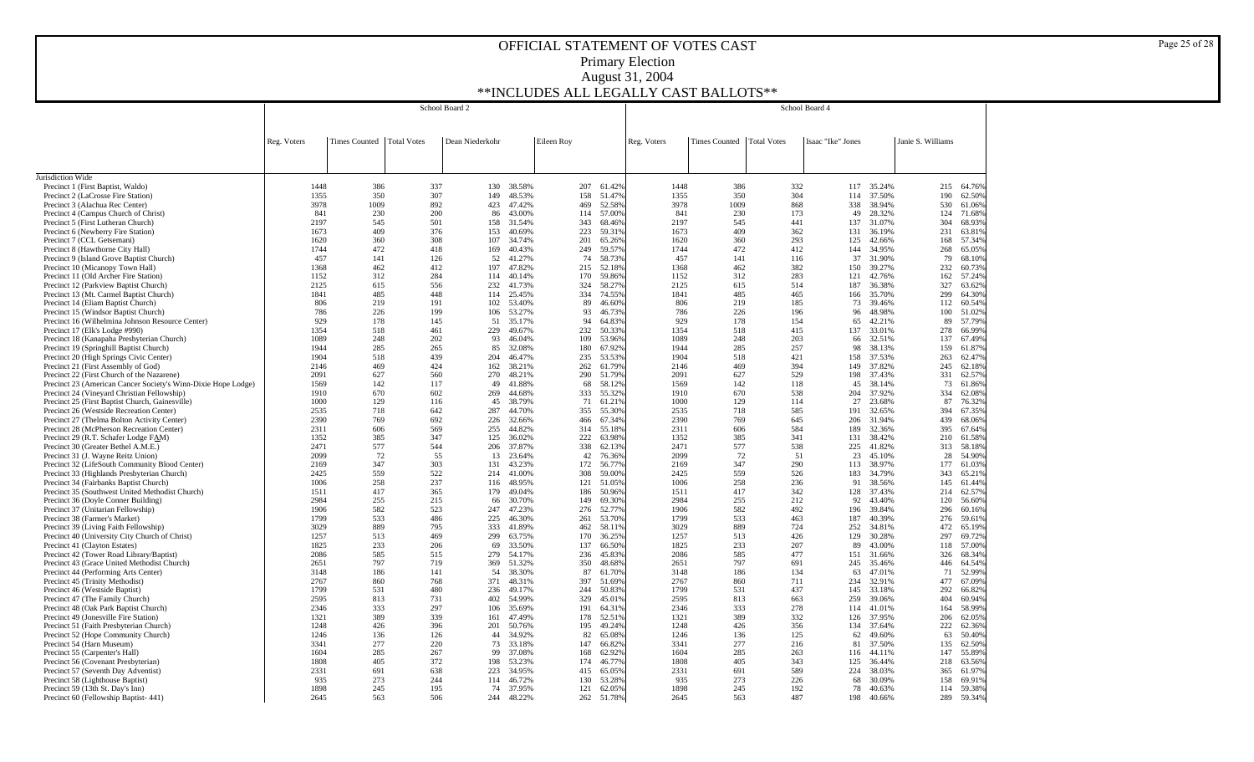| Dean Niederkohr<br>Isaac "Ike" Jones<br>Janie S. Williams<br>Reg. Voters<br>Times Counted   Total Votes<br>Eileen Roy<br>Reg. Voters<br>Times Counted   Total Votes<br>Jurisdiction Wide<br>1448<br>337<br>38.58%<br>Precinct 1 (First Baptist, Waldo)<br>386<br>130<br>61.42%<br>1448<br>386<br>332<br>117<br>35.24%<br>215<br>64.76%<br>207<br>1355<br>350<br>307<br>48.53%<br>51.47%<br>1355<br>350<br>304<br>37.50%<br>62.50%<br>Precinct 2 (LaCrosse Fire Station)<br>149<br>158<br>114<br>190<br>3978<br>1009<br>892<br>52.58%<br>3978<br>61.06%<br>47.42%<br>469<br>1009<br>868<br>338<br>38.94%<br>530<br>Precinct 3 (Alachua Rec Center)<br>423<br>841<br>200<br>43.00%<br>57.00%<br>230<br>173<br>28.32%<br>Precinct 4 (Campus Church of Christ)<br>230<br>86<br>114<br>841<br>49<br>124<br>71.68%<br>2197<br>501<br>2197<br>545<br>68.93%<br>545<br>158<br>31.54%<br>68.46%<br>441<br>137<br>31.07%<br>304<br>Precinct 5 (First Lutheran Church)<br>343<br>Precinct 6 (Newberry Fire Station)<br>1673<br>409<br>376<br>153<br>40.69%<br>223<br>59.31%<br>1673<br>409<br>362<br>131<br>36.19%<br>231<br>63.81%<br>Precinct 7 (CCL Getsemani)<br>1620<br>360<br>308<br>34.74%<br>65.26%<br>1620<br>293<br>125<br>57.34%<br>107<br>201<br>360<br>42.66%<br>168<br>472<br>Precinct 8 (Hawthorne City Hall)<br>1744<br>418<br>169<br>40.43%<br>249<br>59.57%<br>1744<br>472<br>412<br>144<br>34.95%<br>268<br>65.05%<br>457<br>141<br>126<br>52<br>41.27%<br>58.73%<br>457<br>141<br>37<br>31.90%<br>68.10%<br>Precinct 9 (Island Grove Baptist Church)<br>74<br>116<br>79<br>1368<br>462<br>412<br>462<br>382<br>60.73%<br>Precinct 10 (Micanopy Town Hall)<br>197<br>47.82%<br>215<br>52.18%<br>1368<br>150<br>39.27%<br>232<br>1152<br>283<br>57.24%<br>Precinct 11 (Old Archer Fire Station)<br>312<br>284<br>40.14%<br>170<br>59.86%<br>1152<br>312<br>121<br>42.76%<br>162<br>114<br>2125<br>615<br>556<br>58.27%<br>2125<br>615<br>514<br>327<br>63.62%<br>Precinct 12 (Parkview Baptist Church)<br>232<br>41.73%<br>324<br>187<br>36.38%<br>1841<br>64.30%<br>Precinct 13 (Mt. Carmel Baptist Church)<br>485<br>448<br>114<br>25.45%<br>334<br>74.55%<br>1841<br>485<br>465<br>166<br>35.70%<br>299<br>806<br>219<br>191<br>219<br>185<br>60.54%<br>Precinct 14 (Eliam Baptist Church)<br>53.40%<br>89<br>46.60%<br>806<br>39.46%<br>112<br>102<br>73<br>786<br>226<br>199<br>46.73%<br>786<br>226<br>48.98%<br>51.02%<br>Precinct 15 (Windsor Baptist Church)<br>106<br>53.27%<br>93<br>196<br>96<br>100<br>929<br>178<br>178<br>57.79%<br>Precinct 16 (Wilhelmina Johnson Resource Center)<br>145<br>51<br>35.17%<br>64.83%<br>929<br>154<br>65<br>42.21%<br>89<br>94<br>1354<br>518<br>461<br>229<br>232<br>50.33%<br>1354<br>518<br>415<br>33.01%<br>66.99%<br>Precinct 17 (Elk's Lodge #990)<br>49.67%<br>137<br>278<br>202<br>203<br>1089<br>248<br>93<br>46.04%<br>53.96%<br>1089<br>248<br>32.51%<br>67.49%<br>Precinct 18 (Kanapaha Presbyterian Church)<br>109<br>66<br>137<br>Precinct 19 (Springhill Baptist Church)<br>1944<br>285<br>265<br>85<br>32.08%<br>180<br>67.92%<br>1944<br>285<br>257<br>98<br>38.13%<br>159<br>61.87%<br>1904<br>518<br>439<br>46.47%<br>53.53%<br>1904<br>518<br>421<br>37.53%<br>62.47%<br>Precinct 20 (High Springs Civic Center)<br>204<br>235<br>158<br>263<br>424<br>2146<br>469<br>61.79%<br>469<br>394<br>37.82%<br>62.18%<br>Precinct 21 (First Assembly of God)<br>162<br>38.21%<br>262<br>2146<br>149<br>245<br>2091<br>627<br>560<br>270<br>48.21%<br>290<br>51.79%<br>2091<br>627<br>529<br>198<br>37.43%<br>331<br>62.57%<br>Precinct 22 (First Church of the Nazarene)<br>1569<br>142<br>117<br>58.12%<br>142<br>Precinct 23 (American Cancer Society's Winn-Dixie Hope Lodge)<br>49<br>41.88%<br>68<br>1569<br>118<br>45<br>38.14%<br>73<br>61.86%<br>Precinct 24 (Vineyard Christian Fellowship)<br>1910<br>670<br>602<br>269<br>44.68%<br>333<br>55.32%<br>1910<br>670<br>538<br>204<br>37.92%<br>334<br>62.08%<br>1000<br>129<br>116<br>61.21%<br>129<br>23.68%<br>87<br>76.32%<br>Precinct 25 (First Baptist Church, Gainesville)<br>45<br>38.79%<br>71<br>1000<br>114<br>27<br>Precinct 26 (Westside Recreation Center)<br>2535<br>718<br>642<br>287<br>44.70%<br>55.30%<br>2535<br>718<br>585<br>32.65%<br>67.35%<br>355<br>191<br>394<br>2390<br>769<br>692<br>67.34%<br>769<br>645<br>68.06%<br>Precinct 27 (Thelma Bolton Activity Center)<br>226<br>32.66%<br>466<br>2390<br>206<br>31.94%<br>439<br>2311<br>606<br>569<br>44.82%<br>55.18%<br>2311<br>606<br>584<br>32.36%<br>67.64%<br>Precinct 28 (McPherson Recreation Center)<br>255<br>314<br>189<br>395<br>1352<br>385<br>347<br>63.98%<br>1352<br>385<br>341<br>38.42%<br>125<br>36.02%<br>222<br>61.58%<br>Precinct 29 (R.T. Schafer Lodge FAM)<br>131<br>210<br>577<br>2471<br>544<br>577<br>538<br>Precinct 30 (Greater Bethel A.M.E.)<br>206<br>37.87%<br>338<br>62.13%<br>2471<br>225<br>41.82%<br>313<br>58.18%<br>Precinct 31 (J. Wayne Reitz Union)<br>2099<br>72<br>55<br>23.64%<br>76.36%<br>2099<br>72<br>51<br>23<br>45.10%<br>28<br>54.90%<br>13<br>42<br>347<br>303<br>Precinct 32 (LifeSouth Community Blood Center)<br>2169<br>131<br>43.23%<br>172<br>56.77%<br>2169<br>347<br>290<br>113<br>38.97%<br>177<br>61.03%<br>2425<br>559<br>522<br>59.00%<br>2425<br>559<br>526<br>183<br>34.79%<br>65.21%<br>Precinct 33 (Highlands Presbyterian Church)<br>214<br>41.00%<br>308<br>343<br>258<br>237<br>1006<br>51.05%<br>1006<br>258<br>236<br>61.44%<br>Precinct 34 (Fairbanks Baptist Church)<br>116<br>48.95%<br>121<br>91<br>38.56%<br>145<br>1511<br>417<br>365<br>417<br>342<br>62.57%<br>Precinct 35 (Southwest United Methodist Church)<br>179<br>49.04%<br>186<br>50.96%<br>1511<br>128<br>37.43%<br>214<br>2984<br>255<br>215<br>30.70%<br>69.30%<br>2984<br>255<br>212<br>56.60%<br>Precinct 36 (Doyle Conner Building)<br>66<br>149<br>92<br>43.40%<br>120<br>582<br>Precinct 37 (Unitarian Fellowship)<br>1906<br>523<br>247<br>47.23%<br>276<br>52.77%<br>1906<br>582<br>492<br>196<br>39.84%<br>296<br>60.16%<br>533<br>1799<br>486<br>46.30%<br>53.70%<br>1799<br>533<br>463<br>59.61%<br>Precinct 38 (Farmer's Market)<br>225<br>261<br>187<br>40.39%<br>276<br>3029<br>889<br>795<br>333<br>41.89%<br>58.11%<br>3029<br>889<br>724<br>252<br>34.81%<br>472<br>65.19%<br>Precinct 39 (Living Faith Fellowship)<br>462<br>1257<br>513<br>469<br>36.25%<br>1257<br>513<br>69.72%<br>Precinct 40 (University City Church of Christ)<br>299<br>63.75%<br>170<br>426<br>129<br>30.28%<br>297<br>1825<br>233<br>Precinct 41 (Clayton Estates)<br>206<br>69<br>33.50%<br>137<br>66.50%<br>1825<br>233<br>207<br>89<br>43.00%<br>118<br>57.00%<br>2086<br>585<br>45.83%<br>585<br>477<br>68.34%<br>Precinct 42 (Tower Road Library/Baptist)<br>515<br>279<br>54.17%<br>236<br>2086<br>326<br>151<br>31.66%<br>797<br>Precinct 43 (Grace United Methodist Church)<br>2651<br>719<br>369<br>51.32%<br>350<br>48.68%<br>2651<br>797<br>691<br>245<br>35.46%<br>446<br>64.54%<br>3148<br>186<br>141<br>54<br>38.30%<br>61.70%<br>3148<br>186<br>134<br>63<br>47.01%<br>71<br>52.99%<br>Precinct 44 (Performing Arts Center)<br>87<br>2767<br>67.09%<br>860<br>768<br>371<br>48.31%<br>51.69%<br>2767<br>860<br>711<br>32.91%<br>Precinct 45 (Trinity Methodist)<br>397<br>234<br>477<br>1799<br>480<br>437<br>66.82%<br>Precinct 46 (Westside Baptist)<br>531<br>236<br>49.17%<br>244<br>50.83%<br>1799<br>531<br>145<br>33.18%<br>292<br>2595<br>813<br>731<br>663<br>Precinct 47 (The Family Church)<br>54.99%<br>329<br>45.01%<br>2595<br>813<br>259<br>60.94%<br>402<br>39.06%<br>404<br>2346<br>333<br>297<br>64.31%<br>278<br>58.99%<br>Precinct 48 (Oak Park Baptist Church)<br>106<br>35.69%<br>191<br>2346<br>333<br>114<br>41.01%<br>164<br>1321<br>389<br>339<br>332<br>52.51%<br>1321<br>389<br>62.05%<br>Precinct 49 (Jonesville Fire Station)<br>161<br>47.49%<br>178<br>126<br>37.95%<br>206<br>Precinct 51 (Faith Presbyterian Church)<br>1248<br>426<br>396<br>50.76%<br>195<br>49.24%<br>1248<br>426<br>356<br>37.64%<br>222<br>62.36%<br>201<br>134<br>1246<br>126<br>125<br>50.40%<br>Precinct 52 (Hope Community Church)<br>136<br>44<br>34.92%<br>82<br>65.08%<br>1246<br>136<br>62<br>49.60%<br>63<br>277<br>Precinct 54 (Harn Museum)<br>3341<br>220<br>73<br>33.18%<br>147<br>66.82%<br>3341<br>277<br>216<br>81<br>37.50%<br>135<br>62.50%<br>1604<br>285<br>267<br>62.92%<br>1604<br>285<br>263<br>Precinct 55 (Carpenter's Hall)<br>99<br>37.08%<br>168<br>44.11%<br>147<br>55.89%<br>116<br>405<br>372<br>46.77%<br>343<br>Precinct 56 (Covenant Presbyterian)<br>1808<br>198<br>53.23%<br>174<br>1808<br>405<br>125<br>36.44%<br>218<br>63.56%<br>Precinct 57 (Seventh Day Adventist)<br>2331<br>691<br>638<br>223<br>34.95%<br>65.05%<br>2331<br>691<br>589<br>224<br>38.03%<br>61.97%<br>415<br>365<br>273<br>Precinct 58 (Lighthouse Baptist)<br>935<br>244<br>114<br>46.72%<br>130<br>53.28%<br>935<br>273<br>226<br>30.09%<br>69.91%<br>68<br>158<br>Precinct 59 (13th St. Day's Inn)<br>1898<br>245<br>195<br>74<br>37.95%<br>121<br>62.05%<br>1898<br>245<br>192<br>78<br>40.63%<br>59.38%<br>114<br>563<br>2645<br>506<br>244<br>51.78%<br>563<br>487<br>262<br>2645<br>289 |                                      | School Board 2 |  |  |  |        |  |  | School Board 4 |  |  |     |        |  |        |
|--------------------------------------------------------------------------------------------------------------------------------------------------------------------------------------------------------------------------------------------------------------------------------------------------------------------------------------------------------------------------------------------------------------------------------------------------------------------------------------------------------------------------------------------------------------------------------------------------------------------------------------------------------------------------------------------------------------------------------------------------------------------------------------------------------------------------------------------------------------------------------------------------------------------------------------------------------------------------------------------------------------------------------------------------------------------------------------------------------------------------------------------------------------------------------------------------------------------------------------------------------------------------------------------------------------------------------------------------------------------------------------------------------------------------------------------------------------------------------------------------------------------------------------------------------------------------------------------------------------------------------------------------------------------------------------------------------------------------------------------------------------------------------------------------------------------------------------------------------------------------------------------------------------------------------------------------------------------------------------------------------------------------------------------------------------------------------------------------------------------------------------------------------------------------------------------------------------------------------------------------------------------------------------------------------------------------------------------------------------------------------------------------------------------------------------------------------------------------------------------------------------------------------------------------------------------------------------------------------------------------------------------------------------------------------------------------------------------------------------------------------------------------------------------------------------------------------------------------------------------------------------------------------------------------------------------------------------------------------------------------------------------------------------------------------------------------------------------------------------------------------------------------------------------------------------------------------------------------------------------------------------------------------------------------------------------------------------------------------------------------------------------------------------------------------------------------------------------------------------------------------------------------------------------------------------------------------------------------------------------------------------------------------------------------------------------------------------------------------------------------------------------------------------------------------------------------------------------------------------------------------------------------------------------------------------------------------------------------------------------------------------------------------------------------------------------------------------------------------------------------------------------------------------------------------------------------------------------------------------------------------------------------------------------------------------------------------------------------------------------------------------------------------------------------------------------------------------------------------------------------------------------------------------------------------------------------------------------------------------------------------------------------------------------------------------------------------------------------------------------------------------------------------------------------------------------------------------------------------------------------------------------------------------------------------------------------------------------------------------------------------------------------------------------------------------------------------------------------------------------------------------------------------------------------------------------------------------------------------------------------------------------------------------------------------------------------------------------------------------------------------------------------------------------------------------------------------------------------------------------------------------------------------------------------------------------------------------------------------------------------------------------------------------------------------------------------------------------------------------------------------------------------------------------------------------------------------------------------------------------------------------------------------------------------------------------------------------------------------------------------------------------------------------------------------------------------------------------------------------------------------------------------------------------------------------------------------------------------------------------------------------------------------------------------------------------------------------------------------------------------------------------------------------------------------------------------------------------------------------------------------------------------------------------------------------------------------------------------------------------------------------------------------------------------------------------------------------------------------------------------------------------------------------------------------------------------------------------------------------------------------------------------------------------------------------------------------------------------------------------------------------------------------------------------------------------------------------------------------------------------------------------------------------------------------------------------------------------------------------------------------------------------------------------------------------------------------------------------------------------------------------------------------------------------------------------------------------------------------------------------------------------------------------------------------------------------------------------------------------------------------------------------------------------------------------------------------------------------------------------------------------------------------------------------------------------------------------------------------------------------------------------------------------------------------------------------------------------------------------------------------------------------------------------------------------------------------------------------------------------------------------------------------------------------------------------------------------------------------------------------------------------------------------------------------------------------------------------------------------------------------------------------------------------------------------------------------------------------------------------------------------------------------------------------------------------------------------------------------------------------------------------------------------------------------------------------------------------------------------------------------------------------------------------------------------------------------------------------------------------------------------------------------------------------------------------------------------------------------------------------------------------------------------------------------------------------------------------------------------------------------------------------------------------------------------------------------------------------------------------------------------------------------|--------------------------------------|----------------|--|--|--|--------|--|--|----------------|--|--|-----|--------|--|--------|
|                                                                                                                                                                                                                                                                                                                                                                                                                                                                                                                                                                                                                                                                                                                                                                                                                                                                                                                                                                                                                                                                                                                                                                                                                                                                                                                                                                                                                                                                                                                                                                                                                                                                                                                                                                                                                                                                                                                                                                                                                                                                                                                                                                                                                                                                                                                                                                                                                                                                                                                                                                                                                                                                                                                                                                                                                                                                                                                                                                                                                                                                                                                                                                                                                                                                                                                                                                                                                                                                                                                                                                                                                                                                                                                                                                                                                                                                                                                                                                                                                                                                                                                                                                                                                                                                                                                                                                                                                                                                                                                                                                                                                                                                                                                                                                                                                                                                                                                                                                                                                                                                                                                                                                                                                                                                                                                                                                                                                                                                                                                                                                                                                                                                                                                                                                                                                                                                                                                                                                                                                                                                                                                                                                                                                                                                                                                                                                                                                                                                                                                                                                                                                                                                                                                                                                                                                                                                                                                                                                                                                                                                                                                                                                                                                                                                                                                                                                                                                                                                                                                                                                                                                                                                                                                                                                                                                                                                                                                                                                                                                                                                                                                                                                                                                                                                                                                                                                                                                                                                                                                                                                                                                                                                                                                                                                                                                                                                                                                                                                                                                                                                                                                                                                                                                                                                                |                                      |                |  |  |  |        |  |  |                |  |  |     |        |  |        |
|                                                                                                                                                                                                                                                                                                                                                                                                                                                                                                                                                                                                                                                                                                                                                                                                                                                                                                                                                                                                                                                                                                                                                                                                                                                                                                                                                                                                                                                                                                                                                                                                                                                                                                                                                                                                                                                                                                                                                                                                                                                                                                                                                                                                                                                                                                                                                                                                                                                                                                                                                                                                                                                                                                                                                                                                                                                                                                                                                                                                                                                                                                                                                                                                                                                                                                                                                                                                                                                                                                                                                                                                                                                                                                                                                                                                                                                                                                                                                                                                                                                                                                                                                                                                                                                                                                                                                                                                                                                                                                                                                                                                                                                                                                                                                                                                                                                                                                                                                                                                                                                                                                                                                                                                                                                                                                                                                                                                                                                                                                                                                                                                                                                                                                                                                                                                                                                                                                                                                                                                                                                                                                                                                                                                                                                                                                                                                                                                                                                                                                                                                                                                                                                                                                                                                                                                                                                                                                                                                                                                                                                                                                                                                                                                                                                                                                                                                                                                                                                                                                                                                                                                                                                                                                                                                                                                                                                                                                                                                                                                                                                                                                                                                                                                                                                                                                                                                                                                                                                                                                                                                                                                                                                                                                                                                                                                                                                                                                                                                                                                                                                                                                                                                                                                                                                                                |                                      |                |  |  |  |        |  |  |                |  |  |     |        |  |        |
|                                                                                                                                                                                                                                                                                                                                                                                                                                                                                                                                                                                                                                                                                                                                                                                                                                                                                                                                                                                                                                                                                                                                                                                                                                                                                                                                                                                                                                                                                                                                                                                                                                                                                                                                                                                                                                                                                                                                                                                                                                                                                                                                                                                                                                                                                                                                                                                                                                                                                                                                                                                                                                                                                                                                                                                                                                                                                                                                                                                                                                                                                                                                                                                                                                                                                                                                                                                                                                                                                                                                                                                                                                                                                                                                                                                                                                                                                                                                                                                                                                                                                                                                                                                                                                                                                                                                                                                                                                                                                                                                                                                                                                                                                                                                                                                                                                                                                                                                                                                                                                                                                                                                                                                                                                                                                                                                                                                                                                                                                                                                                                                                                                                                                                                                                                                                                                                                                                                                                                                                                                                                                                                                                                                                                                                                                                                                                                                                                                                                                                                                                                                                                                                                                                                                                                                                                                                                                                                                                                                                                                                                                                                                                                                                                                                                                                                                                                                                                                                                                                                                                                                                                                                                                                                                                                                                                                                                                                                                                                                                                                                                                                                                                                                                                                                                                                                                                                                                                                                                                                                                                                                                                                                                                                                                                                                                                                                                                                                                                                                                                                                                                                                                                                                                                                                                                |                                      |                |  |  |  |        |  |  |                |  |  |     |        |  |        |
|                                                                                                                                                                                                                                                                                                                                                                                                                                                                                                                                                                                                                                                                                                                                                                                                                                                                                                                                                                                                                                                                                                                                                                                                                                                                                                                                                                                                                                                                                                                                                                                                                                                                                                                                                                                                                                                                                                                                                                                                                                                                                                                                                                                                                                                                                                                                                                                                                                                                                                                                                                                                                                                                                                                                                                                                                                                                                                                                                                                                                                                                                                                                                                                                                                                                                                                                                                                                                                                                                                                                                                                                                                                                                                                                                                                                                                                                                                                                                                                                                                                                                                                                                                                                                                                                                                                                                                                                                                                                                                                                                                                                                                                                                                                                                                                                                                                                                                                                                                                                                                                                                                                                                                                                                                                                                                                                                                                                                                                                                                                                                                                                                                                                                                                                                                                                                                                                                                                                                                                                                                                                                                                                                                                                                                                                                                                                                                                                                                                                                                                                                                                                                                                                                                                                                                                                                                                                                                                                                                                                                                                                                                                                                                                                                                                                                                                                                                                                                                                                                                                                                                                                                                                                                                                                                                                                                                                                                                                                                                                                                                                                                                                                                                                                                                                                                                                                                                                                                                                                                                                                                                                                                                                                                                                                                                                                                                                                                                                                                                                                                                                                                                                                                                                                                                                                                |                                      |                |  |  |  |        |  |  |                |  |  |     |        |  |        |
|                                                                                                                                                                                                                                                                                                                                                                                                                                                                                                                                                                                                                                                                                                                                                                                                                                                                                                                                                                                                                                                                                                                                                                                                                                                                                                                                                                                                                                                                                                                                                                                                                                                                                                                                                                                                                                                                                                                                                                                                                                                                                                                                                                                                                                                                                                                                                                                                                                                                                                                                                                                                                                                                                                                                                                                                                                                                                                                                                                                                                                                                                                                                                                                                                                                                                                                                                                                                                                                                                                                                                                                                                                                                                                                                                                                                                                                                                                                                                                                                                                                                                                                                                                                                                                                                                                                                                                                                                                                                                                                                                                                                                                                                                                                                                                                                                                                                                                                                                                                                                                                                                                                                                                                                                                                                                                                                                                                                                                                                                                                                                                                                                                                                                                                                                                                                                                                                                                                                                                                                                                                                                                                                                                                                                                                                                                                                                                                                                                                                                                                                                                                                                                                                                                                                                                                                                                                                                                                                                                                                                                                                                                                                                                                                                                                                                                                                                                                                                                                                                                                                                                                                                                                                                                                                                                                                                                                                                                                                                                                                                                                                                                                                                                                                                                                                                                                                                                                                                                                                                                                                                                                                                                                                                                                                                                                                                                                                                                                                                                                                                                                                                                                                                                                                                                                                                |                                      |                |  |  |  |        |  |  |                |  |  |     |        |  |        |
|                                                                                                                                                                                                                                                                                                                                                                                                                                                                                                                                                                                                                                                                                                                                                                                                                                                                                                                                                                                                                                                                                                                                                                                                                                                                                                                                                                                                                                                                                                                                                                                                                                                                                                                                                                                                                                                                                                                                                                                                                                                                                                                                                                                                                                                                                                                                                                                                                                                                                                                                                                                                                                                                                                                                                                                                                                                                                                                                                                                                                                                                                                                                                                                                                                                                                                                                                                                                                                                                                                                                                                                                                                                                                                                                                                                                                                                                                                                                                                                                                                                                                                                                                                                                                                                                                                                                                                                                                                                                                                                                                                                                                                                                                                                                                                                                                                                                                                                                                                                                                                                                                                                                                                                                                                                                                                                                                                                                                                                                                                                                                                                                                                                                                                                                                                                                                                                                                                                                                                                                                                                                                                                                                                                                                                                                                                                                                                                                                                                                                                                                                                                                                                                                                                                                                                                                                                                                                                                                                                                                                                                                                                                                                                                                                                                                                                                                                                                                                                                                                                                                                                                                                                                                                                                                                                                                                                                                                                                                                                                                                                                                                                                                                                                                                                                                                                                                                                                                                                                                                                                                                                                                                                                                                                                                                                                                                                                                                                                                                                                                                                                                                                                                                                                                                                                                                |                                      |                |  |  |  |        |  |  |                |  |  |     |        |  |        |
|                                                                                                                                                                                                                                                                                                                                                                                                                                                                                                                                                                                                                                                                                                                                                                                                                                                                                                                                                                                                                                                                                                                                                                                                                                                                                                                                                                                                                                                                                                                                                                                                                                                                                                                                                                                                                                                                                                                                                                                                                                                                                                                                                                                                                                                                                                                                                                                                                                                                                                                                                                                                                                                                                                                                                                                                                                                                                                                                                                                                                                                                                                                                                                                                                                                                                                                                                                                                                                                                                                                                                                                                                                                                                                                                                                                                                                                                                                                                                                                                                                                                                                                                                                                                                                                                                                                                                                                                                                                                                                                                                                                                                                                                                                                                                                                                                                                                                                                                                                                                                                                                                                                                                                                                                                                                                                                                                                                                                                                                                                                                                                                                                                                                                                                                                                                                                                                                                                                                                                                                                                                                                                                                                                                                                                                                                                                                                                                                                                                                                                                                                                                                                                                                                                                                                                                                                                                                                                                                                                                                                                                                                                                                                                                                                                                                                                                                                                                                                                                                                                                                                                                                                                                                                                                                                                                                                                                                                                                                                                                                                                                                                                                                                                                                                                                                                                                                                                                                                                                                                                                                                                                                                                                                                                                                                                                                                                                                                                                                                                                                                                                                                                                                                                                                                                                                                |                                      |                |  |  |  |        |  |  |                |  |  |     |        |  |        |
|                                                                                                                                                                                                                                                                                                                                                                                                                                                                                                                                                                                                                                                                                                                                                                                                                                                                                                                                                                                                                                                                                                                                                                                                                                                                                                                                                                                                                                                                                                                                                                                                                                                                                                                                                                                                                                                                                                                                                                                                                                                                                                                                                                                                                                                                                                                                                                                                                                                                                                                                                                                                                                                                                                                                                                                                                                                                                                                                                                                                                                                                                                                                                                                                                                                                                                                                                                                                                                                                                                                                                                                                                                                                                                                                                                                                                                                                                                                                                                                                                                                                                                                                                                                                                                                                                                                                                                                                                                                                                                                                                                                                                                                                                                                                                                                                                                                                                                                                                                                                                                                                                                                                                                                                                                                                                                                                                                                                                                                                                                                                                                                                                                                                                                                                                                                                                                                                                                                                                                                                                                                                                                                                                                                                                                                                                                                                                                                                                                                                                                                                                                                                                                                                                                                                                                                                                                                                                                                                                                                                                                                                                                                                                                                                                                                                                                                                                                                                                                                                                                                                                                                                                                                                                                                                                                                                                                                                                                                                                                                                                                                                                                                                                                                                                                                                                                                                                                                                                                                                                                                                                                                                                                                                                                                                                                                                                                                                                                                                                                                                                                                                                                                                                                                                                                                                                |                                      |                |  |  |  |        |  |  |                |  |  |     |        |  |        |
|                                                                                                                                                                                                                                                                                                                                                                                                                                                                                                                                                                                                                                                                                                                                                                                                                                                                                                                                                                                                                                                                                                                                                                                                                                                                                                                                                                                                                                                                                                                                                                                                                                                                                                                                                                                                                                                                                                                                                                                                                                                                                                                                                                                                                                                                                                                                                                                                                                                                                                                                                                                                                                                                                                                                                                                                                                                                                                                                                                                                                                                                                                                                                                                                                                                                                                                                                                                                                                                                                                                                                                                                                                                                                                                                                                                                                                                                                                                                                                                                                                                                                                                                                                                                                                                                                                                                                                                                                                                                                                                                                                                                                                                                                                                                                                                                                                                                                                                                                                                                                                                                                                                                                                                                                                                                                                                                                                                                                                                                                                                                                                                                                                                                                                                                                                                                                                                                                                                                                                                                                                                                                                                                                                                                                                                                                                                                                                                                                                                                                                                                                                                                                                                                                                                                                                                                                                                                                                                                                                                                                                                                                                                                                                                                                                                                                                                                                                                                                                                                                                                                                                                                                                                                                                                                                                                                                                                                                                                                                                                                                                                                                                                                                                                                                                                                                                                                                                                                                                                                                                                                                                                                                                                                                                                                                                                                                                                                                                                                                                                                                                                                                                                                                                                                                                                                                |                                      |                |  |  |  |        |  |  |                |  |  |     |        |  |        |
|                                                                                                                                                                                                                                                                                                                                                                                                                                                                                                                                                                                                                                                                                                                                                                                                                                                                                                                                                                                                                                                                                                                                                                                                                                                                                                                                                                                                                                                                                                                                                                                                                                                                                                                                                                                                                                                                                                                                                                                                                                                                                                                                                                                                                                                                                                                                                                                                                                                                                                                                                                                                                                                                                                                                                                                                                                                                                                                                                                                                                                                                                                                                                                                                                                                                                                                                                                                                                                                                                                                                                                                                                                                                                                                                                                                                                                                                                                                                                                                                                                                                                                                                                                                                                                                                                                                                                                                                                                                                                                                                                                                                                                                                                                                                                                                                                                                                                                                                                                                                                                                                                                                                                                                                                                                                                                                                                                                                                                                                                                                                                                                                                                                                                                                                                                                                                                                                                                                                                                                                                                                                                                                                                                                                                                                                                                                                                                                                                                                                                                                                                                                                                                                                                                                                                                                                                                                                                                                                                                                                                                                                                                                                                                                                                                                                                                                                                                                                                                                                                                                                                                                                                                                                                                                                                                                                                                                                                                                                                                                                                                                                                                                                                                                                                                                                                                                                                                                                                                                                                                                                                                                                                                                                                                                                                                                                                                                                                                                                                                                                                                                                                                                                                                                                                                                                                |                                      |                |  |  |  |        |  |  |                |  |  |     |        |  |        |
|                                                                                                                                                                                                                                                                                                                                                                                                                                                                                                                                                                                                                                                                                                                                                                                                                                                                                                                                                                                                                                                                                                                                                                                                                                                                                                                                                                                                                                                                                                                                                                                                                                                                                                                                                                                                                                                                                                                                                                                                                                                                                                                                                                                                                                                                                                                                                                                                                                                                                                                                                                                                                                                                                                                                                                                                                                                                                                                                                                                                                                                                                                                                                                                                                                                                                                                                                                                                                                                                                                                                                                                                                                                                                                                                                                                                                                                                                                                                                                                                                                                                                                                                                                                                                                                                                                                                                                                                                                                                                                                                                                                                                                                                                                                                                                                                                                                                                                                                                                                                                                                                                                                                                                                                                                                                                                                                                                                                                                                                                                                                                                                                                                                                                                                                                                                                                                                                                                                                                                                                                                                                                                                                                                                                                                                                                                                                                                                                                                                                                                                                                                                                                                                                                                                                                                                                                                                                                                                                                                                                                                                                                                                                                                                                                                                                                                                                                                                                                                                                                                                                                                                                                                                                                                                                                                                                                                                                                                                                                                                                                                                                                                                                                                                                                                                                                                                                                                                                                                                                                                                                                                                                                                                                                                                                                                                                                                                                                                                                                                                                                                                                                                                                                                                                                                                                                |                                      |                |  |  |  |        |  |  |                |  |  |     |        |  |        |
|                                                                                                                                                                                                                                                                                                                                                                                                                                                                                                                                                                                                                                                                                                                                                                                                                                                                                                                                                                                                                                                                                                                                                                                                                                                                                                                                                                                                                                                                                                                                                                                                                                                                                                                                                                                                                                                                                                                                                                                                                                                                                                                                                                                                                                                                                                                                                                                                                                                                                                                                                                                                                                                                                                                                                                                                                                                                                                                                                                                                                                                                                                                                                                                                                                                                                                                                                                                                                                                                                                                                                                                                                                                                                                                                                                                                                                                                                                                                                                                                                                                                                                                                                                                                                                                                                                                                                                                                                                                                                                                                                                                                                                                                                                                                                                                                                                                                                                                                                                                                                                                                                                                                                                                                                                                                                                                                                                                                                                                                                                                                                                                                                                                                                                                                                                                                                                                                                                                                                                                                                                                                                                                                                                                                                                                                                                                                                                                                                                                                                                                                                                                                                                                                                                                                                                                                                                                                                                                                                                                                                                                                                                                                                                                                                                                                                                                                                                                                                                                                                                                                                                                                                                                                                                                                                                                                                                                                                                                                                                                                                                                                                                                                                                                                                                                                                                                                                                                                                                                                                                                                                                                                                                                                                                                                                                                                                                                                                                                                                                                                                                                                                                                                                                                                                                                                                |                                      |                |  |  |  |        |  |  |                |  |  |     |        |  |        |
|                                                                                                                                                                                                                                                                                                                                                                                                                                                                                                                                                                                                                                                                                                                                                                                                                                                                                                                                                                                                                                                                                                                                                                                                                                                                                                                                                                                                                                                                                                                                                                                                                                                                                                                                                                                                                                                                                                                                                                                                                                                                                                                                                                                                                                                                                                                                                                                                                                                                                                                                                                                                                                                                                                                                                                                                                                                                                                                                                                                                                                                                                                                                                                                                                                                                                                                                                                                                                                                                                                                                                                                                                                                                                                                                                                                                                                                                                                                                                                                                                                                                                                                                                                                                                                                                                                                                                                                                                                                                                                                                                                                                                                                                                                                                                                                                                                                                                                                                                                                                                                                                                                                                                                                                                                                                                                                                                                                                                                                                                                                                                                                                                                                                                                                                                                                                                                                                                                                                                                                                                                                                                                                                                                                                                                                                                                                                                                                                                                                                                                                                                                                                                                                                                                                                                                                                                                                                                                                                                                                                                                                                                                                                                                                                                                                                                                                                                                                                                                                                                                                                                                                                                                                                                                                                                                                                                                                                                                                                                                                                                                                                                                                                                                                                                                                                                                                                                                                                                                                                                                                                                                                                                                                                                                                                                                                                                                                                                                                                                                                                                                                                                                                                                                                                                                                                                |                                      |                |  |  |  |        |  |  |                |  |  |     |        |  |        |
|                                                                                                                                                                                                                                                                                                                                                                                                                                                                                                                                                                                                                                                                                                                                                                                                                                                                                                                                                                                                                                                                                                                                                                                                                                                                                                                                                                                                                                                                                                                                                                                                                                                                                                                                                                                                                                                                                                                                                                                                                                                                                                                                                                                                                                                                                                                                                                                                                                                                                                                                                                                                                                                                                                                                                                                                                                                                                                                                                                                                                                                                                                                                                                                                                                                                                                                                                                                                                                                                                                                                                                                                                                                                                                                                                                                                                                                                                                                                                                                                                                                                                                                                                                                                                                                                                                                                                                                                                                                                                                                                                                                                                                                                                                                                                                                                                                                                                                                                                                                                                                                                                                                                                                                                                                                                                                                                                                                                                                                                                                                                                                                                                                                                                                                                                                                                                                                                                                                                                                                                                                                                                                                                                                                                                                                                                                                                                                                                                                                                                                                                                                                                                                                                                                                                                                                                                                                                                                                                                                                                                                                                                                                                                                                                                                                                                                                                                                                                                                                                                                                                                                                                                                                                                                                                                                                                                                                                                                                                                                                                                                                                                                                                                                                                                                                                                                                                                                                                                                                                                                                                                                                                                                                                                                                                                                                                                                                                                                                                                                                                                                                                                                                                                                                                                                                                                |                                      |                |  |  |  |        |  |  |                |  |  |     |        |  |        |
|                                                                                                                                                                                                                                                                                                                                                                                                                                                                                                                                                                                                                                                                                                                                                                                                                                                                                                                                                                                                                                                                                                                                                                                                                                                                                                                                                                                                                                                                                                                                                                                                                                                                                                                                                                                                                                                                                                                                                                                                                                                                                                                                                                                                                                                                                                                                                                                                                                                                                                                                                                                                                                                                                                                                                                                                                                                                                                                                                                                                                                                                                                                                                                                                                                                                                                                                                                                                                                                                                                                                                                                                                                                                                                                                                                                                                                                                                                                                                                                                                                                                                                                                                                                                                                                                                                                                                                                                                                                                                                                                                                                                                                                                                                                                                                                                                                                                                                                                                                                                                                                                                                                                                                                                                                                                                                                                                                                                                                                                                                                                                                                                                                                                                                                                                                                                                                                                                                                                                                                                                                                                                                                                                                                                                                                                                                                                                                                                                                                                                                                                                                                                                                                                                                                                                                                                                                                                                                                                                                                                                                                                                                                                                                                                                                                                                                                                                                                                                                                                                                                                                                                                                                                                                                                                                                                                                                                                                                                                                                                                                                                                                                                                                                                                                                                                                                                                                                                                                                                                                                                                                                                                                                                                                                                                                                                                                                                                                                                                                                                                                                                                                                                                                                                                                                                                                |                                      |                |  |  |  |        |  |  |                |  |  |     |        |  |        |
|                                                                                                                                                                                                                                                                                                                                                                                                                                                                                                                                                                                                                                                                                                                                                                                                                                                                                                                                                                                                                                                                                                                                                                                                                                                                                                                                                                                                                                                                                                                                                                                                                                                                                                                                                                                                                                                                                                                                                                                                                                                                                                                                                                                                                                                                                                                                                                                                                                                                                                                                                                                                                                                                                                                                                                                                                                                                                                                                                                                                                                                                                                                                                                                                                                                                                                                                                                                                                                                                                                                                                                                                                                                                                                                                                                                                                                                                                                                                                                                                                                                                                                                                                                                                                                                                                                                                                                                                                                                                                                                                                                                                                                                                                                                                                                                                                                                                                                                                                                                                                                                                                                                                                                                                                                                                                                                                                                                                                                                                                                                                                                                                                                                                                                                                                                                                                                                                                                                                                                                                                                                                                                                                                                                                                                                                                                                                                                                                                                                                                                                                                                                                                                                                                                                                                                                                                                                                                                                                                                                                                                                                                                                                                                                                                                                                                                                                                                                                                                                                                                                                                                                                                                                                                                                                                                                                                                                                                                                                                                                                                                                                                                                                                                                                                                                                                                                                                                                                                                                                                                                                                                                                                                                                                                                                                                                                                                                                                                                                                                                                                                                                                                                                                                                                                                                                                |                                      |                |  |  |  |        |  |  |                |  |  |     |        |  |        |
|                                                                                                                                                                                                                                                                                                                                                                                                                                                                                                                                                                                                                                                                                                                                                                                                                                                                                                                                                                                                                                                                                                                                                                                                                                                                                                                                                                                                                                                                                                                                                                                                                                                                                                                                                                                                                                                                                                                                                                                                                                                                                                                                                                                                                                                                                                                                                                                                                                                                                                                                                                                                                                                                                                                                                                                                                                                                                                                                                                                                                                                                                                                                                                                                                                                                                                                                                                                                                                                                                                                                                                                                                                                                                                                                                                                                                                                                                                                                                                                                                                                                                                                                                                                                                                                                                                                                                                                                                                                                                                                                                                                                                                                                                                                                                                                                                                                                                                                                                                                                                                                                                                                                                                                                                                                                                                                                                                                                                                                                                                                                                                                                                                                                                                                                                                                                                                                                                                                                                                                                                                                                                                                                                                                                                                                                                                                                                                                                                                                                                                                                                                                                                                                                                                                                                                                                                                                                                                                                                                                                                                                                                                                                                                                                                                                                                                                                                                                                                                                                                                                                                                                                                                                                                                                                                                                                                                                                                                                                                                                                                                                                                                                                                                                                                                                                                                                                                                                                                                                                                                                                                                                                                                                                                                                                                                                                                                                                                                                                                                                                                                                                                                                                                                                                                                                                                |                                      |                |  |  |  |        |  |  |                |  |  |     |        |  |        |
|                                                                                                                                                                                                                                                                                                                                                                                                                                                                                                                                                                                                                                                                                                                                                                                                                                                                                                                                                                                                                                                                                                                                                                                                                                                                                                                                                                                                                                                                                                                                                                                                                                                                                                                                                                                                                                                                                                                                                                                                                                                                                                                                                                                                                                                                                                                                                                                                                                                                                                                                                                                                                                                                                                                                                                                                                                                                                                                                                                                                                                                                                                                                                                                                                                                                                                                                                                                                                                                                                                                                                                                                                                                                                                                                                                                                                                                                                                                                                                                                                                                                                                                                                                                                                                                                                                                                                                                                                                                                                                                                                                                                                                                                                                                                                                                                                                                                                                                                                                                                                                                                                                                                                                                                                                                                                                                                                                                                                                                                                                                                                                                                                                                                                                                                                                                                                                                                                                                                                                                                                                                                                                                                                                                                                                                                                                                                                                                                                                                                                                                                                                                                                                                                                                                                                                                                                                                                                                                                                                                                                                                                                                                                                                                                                                                                                                                                                                                                                                                                                                                                                                                                                                                                                                                                                                                                                                                                                                                                                                                                                                                                                                                                                                                                                                                                                                                                                                                                                                                                                                                                                                                                                                                                                                                                                                                                                                                                                                                                                                                                                                                                                                                                                                                                                                                                                |                                      |                |  |  |  |        |  |  |                |  |  |     |        |  |        |
|                                                                                                                                                                                                                                                                                                                                                                                                                                                                                                                                                                                                                                                                                                                                                                                                                                                                                                                                                                                                                                                                                                                                                                                                                                                                                                                                                                                                                                                                                                                                                                                                                                                                                                                                                                                                                                                                                                                                                                                                                                                                                                                                                                                                                                                                                                                                                                                                                                                                                                                                                                                                                                                                                                                                                                                                                                                                                                                                                                                                                                                                                                                                                                                                                                                                                                                                                                                                                                                                                                                                                                                                                                                                                                                                                                                                                                                                                                                                                                                                                                                                                                                                                                                                                                                                                                                                                                                                                                                                                                                                                                                                                                                                                                                                                                                                                                                                                                                                                                                                                                                                                                                                                                                                                                                                                                                                                                                                                                                                                                                                                                                                                                                                                                                                                                                                                                                                                                                                                                                                                                                                                                                                                                                                                                                                                                                                                                                                                                                                                                                                                                                                                                                                                                                                                                                                                                                                                                                                                                                                                                                                                                                                                                                                                                                                                                                                                                                                                                                                                                                                                                                                                                                                                                                                                                                                                                                                                                                                                                                                                                                                                                                                                                                                                                                                                                                                                                                                                                                                                                                                                                                                                                                                                                                                                                                                                                                                                                                                                                                                                                                                                                                                                                                                                                                                                |                                      |                |  |  |  |        |  |  |                |  |  |     |        |  |        |
|                                                                                                                                                                                                                                                                                                                                                                                                                                                                                                                                                                                                                                                                                                                                                                                                                                                                                                                                                                                                                                                                                                                                                                                                                                                                                                                                                                                                                                                                                                                                                                                                                                                                                                                                                                                                                                                                                                                                                                                                                                                                                                                                                                                                                                                                                                                                                                                                                                                                                                                                                                                                                                                                                                                                                                                                                                                                                                                                                                                                                                                                                                                                                                                                                                                                                                                                                                                                                                                                                                                                                                                                                                                                                                                                                                                                                                                                                                                                                                                                                                                                                                                                                                                                                                                                                                                                                                                                                                                                                                                                                                                                                                                                                                                                                                                                                                                                                                                                                                                                                                                                                                                                                                                                                                                                                                                                                                                                                                                                                                                                                                                                                                                                                                                                                                                                                                                                                                                                                                                                                                                                                                                                                                                                                                                                                                                                                                                                                                                                                                                                                                                                                                                                                                                                                                                                                                                                                                                                                                                                                                                                                                                                                                                                                                                                                                                                                                                                                                                                                                                                                                                                                                                                                                                                                                                                                                                                                                                                                                                                                                                                                                                                                                                                                                                                                                                                                                                                                                                                                                                                                                                                                                                                                                                                                                                                                                                                                                                                                                                                                                                                                                                                                                                                                                                                                |                                      |                |  |  |  |        |  |  |                |  |  |     |        |  |        |
|                                                                                                                                                                                                                                                                                                                                                                                                                                                                                                                                                                                                                                                                                                                                                                                                                                                                                                                                                                                                                                                                                                                                                                                                                                                                                                                                                                                                                                                                                                                                                                                                                                                                                                                                                                                                                                                                                                                                                                                                                                                                                                                                                                                                                                                                                                                                                                                                                                                                                                                                                                                                                                                                                                                                                                                                                                                                                                                                                                                                                                                                                                                                                                                                                                                                                                                                                                                                                                                                                                                                                                                                                                                                                                                                                                                                                                                                                                                                                                                                                                                                                                                                                                                                                                                                                                                                                                                                                                                                                                                                                                                                                                                                                                                                                                                                                                                                                                                                                                                                                                                                                                                                                                                                                                                                                                                                                                                                                                                                                                                                                                                                                                                                                                                                                                                                                                                                                                                                                                                                                                                                                                                                                                                                                                                                                                                                                                                                                                                                                                                                                                                                                                                                                                                                                                                                                                                                                                                                                                                                                                                                                                                                                                                                                                                                                                                                                                                                                                                                                                                                                                                                                                                                                                                                                                                                                                                                                                                                                                                                                                                                                                                                                                                                                                                                                                                                                                                                                                                                                                                                                                                                                                                                                                                                                                                                                                                                                                                                                                                                                                                                                                                                                                                                                                                                                |                                      |                |  |  |  |        |  |  |                |  |  |     |        |  |        |
|                                                                                                                                                                                                                                                                                                                                                                                                                                                                                                                                                                                                                                                                                                                                                                                                                                                                                                                                                                                                                                                                                                                                                                                                                                                                                                                                                                                                                                                                                                                                                                                                                                                                                                                                                                                                                                                                                                                                                                                                                                                                                                                                                                                                                                                                                                                                                                                                                                                                                                                                                                                                                                                                                                                                                                                                                                                                                                                                                                                                                                                                                                                                                                                                                                                                                                                                                                                                                                                                                                                                                                                                                                                                                                                                                                                                                                                                                                                                                                                                                                                                                                                                                                                                                                                                                                                                                                                                                                                                                                                                                                                                                                                                                                                                                                                                                                                                                                                                                                                                                                                                                                                                                                                                                                                                                                                                                                                                                                                                                                                                                                                                                                                                                                                                                                                                                                                                                                                                                                                                                                                                                                                                                                                                                                                                                                                                                                                                                                                                                                                                                                                                                                                                                                                                                                                                                                                                                                                                                                                                                                                                                                                                                                                                                                                                                                                                                                                                                                                                                                                                                                                                                                                                                                                                                                                                                                                                                                                                                                                                                                                                                                                                                                                                                                                                                                                                                                                                                                                                                                                                                                                                                                                                                                                                                                                                                                                                                                                                                                                                                                                                                                                                                                                                                                                                                |                                      |                |  |  |  |        |  |  |                |  |  |     |        |  |        |
|                                                                                                                                                                                                                                                                                                                                                                                                                                                                                                                                                                                                                                                                                                                                                                                                                                                                                                                                                                                                                                                                                                                                                                                                                                                                                                                                                                                                                                                                                                                                                                                                                                                                                                                                                                                                                                                                                                                                                                                                                                                                                                                                                                                                                                                                                                                                                                                                                                                                                                                                                                                                                                                                                                                                                                                                                                                                                                                                                                                                                                                                                                                                                                                                                                                                                                                                                                                                                                                                                                                                                                                                                                                                                                                                                                                                                                                                                                                                                                                                                                                                                                                                                                                                                                                                                                                                                                                                                                                                                                                                                                                                                                                                                                                                                                                                                                                                                                                                                                                                                                                                                                                                                                                                                                                                                                                                                                                                                                                                                                                                                                                                                                                                                                                                                                                                                                                                                                                                                                                                                                                                                                                                                                                                                                                                                                                                                                                                                                                                                                                                                                                                                                                                                                                                                                                                                                                                                                                                                                                                                                                                                                                                                                                                                                                                                                                                                                                                                                                                                                                                                                                                                                                                                                                                                                                                                                                                                                                                                                                                                                                                                                                                                                                                                                                                                                                                                                                                                                                                                                                                                                                                                                                                                                                                                                                                                                                                                                                                                                                                                                                                                                                                                                                                                                                                                |                                      |                |  |  |  |        |  |  |                |  |  |     |        |  |        |
|                                                                                                                                                                                                                                                                                                                                                                                                                                                                                                                                                                                                                                                                                                                                                                                                                                                                                                                                                                                                                                                                                                                                                                                                                                                                                                                                                                                                                                                                                                                                                                                                                                                                                                                                                                                                                                                                                                                                                                                                                                                                                                                                                                                                                                                                                                                                                                                                                                                                                                                                                                                                                                                                                                                                                                                                                                                                                                                                                                                                                                                                                                                                                                                                                                                                                                                                                                                                                                                                                                                                                                                                                                                                                                                                                                                                                                                                                                                                                                                                                                                                                                                                                                                                                                                                                                                                                                                                                                                                                                                                                                                                                                                                                                                                                                                                                                                                                                                                                                                                                                                                                                                                                                                                                                                                                                                                                                                                                                                                                                                                                                                                                                                                                                                                                                                                                                                                                                                                                                                                                                                                                                                                                                                                                                                                                                                                                                                                                                                                                                                                                                                                                                                                                                                                                                                                                                                                                                                                                                                                                                                                                                                                                                                                                                                                                                                                                                                                                                                                                                                                                                                                                                                                                                                                                                                                                                                                                                                                                                                                                                                                                                                                                                                                                                                                                                                                                                                                                                                                                                                                                                                                                                                                                                                                                                                                                                                                                                                                                                                                                                                                                                                                                                                                                                                                                |                                      |                |  |  |  |        |  |  |                |  |  |     |        |  |        |
|                                                                                                                                                                                                                                                                                                                                                                                                                                                                                                                                                                                                                                                                                                                                                                                                                                                                                                                                                                                                                                                                                                                                                                                                                                                                                                                                                                                                                                                                                                                                                                                                                                                                                                                                                                                                                                                                                                                                                                                                                                                                                                                                                                                                                                                                                                                                                                                                                                                                                                                                                                                                                                                                                                                                                                                                                                                                                                                                                                                                                                                                                                                                                                                                                                                                                                                                                                                                                                                                                                                                                                                                                                                                                                                                                                                                                                                                                                                                                                                                                                                                                                                                                                                                                                                                                                                                                                                                                                                                                                                                                                                                                                                                                                                                                                                                                                                                                                                                                                                                                                                                                                                                                                                                                                                                                                                                                                                                                                                                                                                                                                                                                                                                                                                                                                                                                                                                                                                                                                                                                                                                                                                                                                                                                                                                                                                                                                                                                                                                                                                                                                                                                                                                                                                                                                                                                                                                                                                                                                                                                                                                                                                                                                                                                                                                                                                                                                                                                                                                                                                                                                                                                                                                                                                                                                                                                                                                                                                                                                                                                                                                                                                                                                                                                                                                                                                                                                                                                                                                                                                                                                                                                                                                                                                                                                                                                                                                                                                                                                                                                                                                                                                                                                                                                                                                                |                                      |                |  |  |  |        |  |  |                |  |  |     |        |  |        |
|                                                                                                                                                                                                                                                                                                                                                                                                                                                                                                                                                                                                                                                                                                                                                                                                                                                                                                                                                                                                                                                                                                                                                                                                                                                                                                                                                                                                                                                                                                                                                                                                                                                                                                                                                                                                                                                                                                                                                                                                                                                                                                                                                                                                                                                                                                                                                                                                                                                                                                                                                                                                                                                                                                                                                                                                                                                                                                                                                                                                                                                                                                                                                                                                                                                                                                                                                                                                                                                                                                                                                                                                                                                                                                                                                                                                                                                                                                                                                                                                                                                                                                                                                                                                                                                                                                                                                                                                                                                                                                                                                                                                                                                                                                                                                                                                                                                                                                                                                                                                                                                                                                                                                                                                                                                                                                                                                                                                                                                                                                                                                                                                                                                                                                                                                                                                                                                                                                                                                                                                                                                                                                                                                                                                                                                                                                                                                                                                                                                                                                                                                                                                                                                                                                                                                                                                                                                                                                                                                                                                                                                                                                                                                                                                                                                                                                                                                                                                                                                                                                                                                                                                                                                                                                                                                                                                                                                                                                                                                                                                                                                                                                                                                                                                                                                                                                                                                                                                                                                                                                                                                                                                                                                                                                                                                                                                                                                                                                                                                                                                                                                                                                                                                                                                                                                                                |                                      |                |  |  |  |        |  |  |                |  |  |     |        |  |        |
|                                                                                                                                                                                                                                                                                                                                                                                                                                                                                                                                                                                                                                                                                                                                                                                                                                                                                                                                                                                                                                                                                                                                                                                                                                                                                                                                                                                                                                                                                                                                                                                                                                                                                                                                                                                                                                                                                                                                                                                                                                                                                                                                                                                                                                                                                                                                                                                                                                                                                                                                                                                                                                                                                                                                                                                                                                                                                                                                                                                                                                                                                                                                                                                                                                                                                                                                                                                                                                                                                                                                                                                                                                                                                                                                                                                                                                                                                                                                                                                                                                                                                                                                                                                                                                                                                                                                                                                                                                                                                                                                                                                                                                                                                                                                                                                                                                                                                                                                                                                                                                                                                                                                                                                                                                                                                                                                                                                                                                                                                                                                                                                                                                                                                                                                                                                                                                                                                                                                                                                                                                                                                                                                                                                                                                                                                                                                                                                                                                                                                                                                                                                                                                                                                                                                                                                                                                                                                                                                                                                                                                                                                                                                                                                                                                                                                                                                                                                                                                                                                                                                                                                                                                                                                                                                                                                                                                                                                                                                                                                                                                                                                                                                                                                                                                                                                                                                                                                                                                                                                                                                                                                                                                                                                                                                                                                                                                                                                                                                                                                                                                                                                                                                                                                                                                                                                |                                      |                |  |  |  |        |  |  |                |  |  |     |        |  |        |
|                                                                                                                                                                                                                                                                                                                                                                                                                                                                                                                                                                                                                                                                                                                                                                                                                                                                                                                                                                                                                                                                                                                                                                                                                                                                                                                                                                                                                                                                                                                                                                                                                                                                                                                                                                                                                                                                                                                                                                                                                                                                                                                                                                                                                                                                                                                                                                                                                                                                                                                                                                                                                                                                                                                                                                                                                                                                                                                                                                                                                                                                                                                                                                                                                                                                                                                                                                                                                                                                                                                                                                                                                                                                                                                                                                                                                                                                                                                                                                                                                                                                                                                                                                                                                                                                                                                                                                                                                                                                                                                                                                                                                                                                                                                                                                                                                                                                                                                                                                                                                                                                                                                                                                                                                                                                                                                                                                                                                                                                                                                                                                                                                                                                                                                                                                                                                                                                                                                                                                                                                                                                                                                                                                                                                                                                                                                                                                                                                                                                                                                                                                                                                                                                                                                                                                                                                                                                                                                                                                                                                                                                                                                                                                                                                                                                                                                                                                                                                                                                                                                                                                                                                                                                                                                                                                                                                                                                                                                                                                                                                                                                                                                                                                                                                                                                                                                                                                                                                                                                                                                                                                                                                                                                                                                                                                                                                                                                                                                                                                                                                                                                                                                                                                                                                                                                                |                                      |                |  |  |  |        |  |  |                |  |  |     |        |  |        |
|                                                                                                                                                                                                                                                                                                                                                                                                                                                                                                                                                                                                                                                                                                                                                                                                                                                                                                                                                                                                                                                                                                                                                                                                                                                                                                                                                                                                                                                                                                                                                                                                                                                                                                                                                                                                                                                                                                                                                                                                                                                                                                                                                                                                                                                                                                                                                                                                                                                                                                                                                                                                                                                                                                                                                                                                                                                                                                                                                                                                                                                                                                                                                                                                                                                                                                                                                                                                                                                                                                                                                                                                                                                                                                                                                                                                                                                                                                                                                                                                                                                                                                                                                                                                                                                                                                                                                                                                                                                                                                                                                                                                                                                                                                                                                                                                                                                                                                                                                                                                                                                                                                                                                                                                                                                                                                                                                                                                                                                                                                                                                                                                                                                                                                                                                                                                                                                                                                                                                                                                                                                                                                                                                                                                                                                                                                                                                                                                                                                                                                                                                                                                                                                                                                                                                                                                                                                                                                                                                                                                                                                                                                                                                                                                                                                                                                                                                                                                                                                                                                                                                                                                                                                                                                                                                                                                                                                                                                                                                                                                                                                                                                                                                                                                                                                                                                                                                                                                                                                                                                                                                                                                                                                                                                                                                                                                                                                                                                                                                                                                                                                                                                                                                                                                                                                                                |                                      |                |  |  |  |        |  |  |                |  |  |     |        |  |        |
|                                                                                                                                                                                                                                                                                                                                                                                                                                                                                                                                                                                                                                                                                                                                                                                                                                                                                                                                                                                                                                                                                                                                                                                                                                                                                                                                                                                                                                                                                                                                                                                                                                                                                                                                                                                                                                                                                                                                                                                                                                                                                                                                                                                                                                                                                                                                                                                                                                                                                                                                                                                                                                                                                                                                                                                                                                                                                                                                                                                                                                                                                                                                                                                                                                                                                                                                                                                                                                                                                                                                                                                                                                                                                                                                                                                                                                                                                                                                                                                                                                                                                                                                                                                                                                                                                                                                                                                                                                                                                                                                                                                                                                                                                                                                                                                                                                                                                                                                                                                                                                                                                                                                                                                                                                                                                                                                                                                                                                                                                                                                                                                                                                                                                                                                                                                                                                                                                                                                                                                                                                                                                                                                                                                                                                                                                                                                                                                                                                                                                                                                                                                                                                                                                                                                                                                                                                                                                                                                                                                                                                                                                                                                                                                                                                                                                                                                                                                                                                                                                                                                                                                                                                                                                                                                                                                                                                                                                                                                                                                                                                                                                                                                                                                                                                                                                                                                                                                                                                                                                                                                                                                                                                                                                                                                                                                                                                                                                                                                                                                                                                                                                                                                                                                                                                                                                |                                      |                |  |  |  |        |  |  |                |  |  |     |        |  |        |
|                                                                                                                                                                                                                                                                                                                                                                                                                                                                                                                                                                                                                                                                                                                                                                                                                                                                                                                                                                                                                                                                                                                                                                                                                                                                                                                                                                                                                                                                                                                                                                                                                                                                                                                                                                                                                                                                                                                                                                                                                                                                                                                                                                                                                                                                                                                                                                                                                                                                                                                                                                                                                                                                                                                                                                                                                                                                                                                                                                                                                                                                                                                                                                                                                                                                                                                                                                                                                                                                                                                                                                                                                                                                                                                                                                                                                                                                                                                                                                                                                                                                                                                                                                                                                                                                                                                                                                                                                                                                                                                                                                                                                                                                                                                                                                                                                                                                                                                                                                                                                                                                                                                                                                                                                                                                                                                                                                                                                                                                                                                                                                                                                                                                                                                                                                                                                                                                                                                                                                                                                                                                                                                                                                                                                                                                                                                                                                                                                                                                                                                                                                                                                                                                                                                                                                                                                                                                                                                                                                                                                                                                                                                                                                                                                                                                                                                                                                                                                                                                                                                                                                                                                                                                                                                                                                                                                                                                                                                                                                                                                                                                                                                                                                                                                                                                                                                                                                                                                                                                                                                                                                                                                                                                                                                                                                                                                                                                                                                                                                                                                                                                                                                                                                                                                                                                                |                                      |                |  |  |  |        |  |  |                |  |  |     |        |  |        |
|                                                                                                                                                                                                                                                                                                                                                                                                                                                                                                                                                                                                                                                                                                                                                                                                                                                                                                                                                                                                                                                                                                                                                                                                                                                                                                                                                                                                                                                                                                                                                                                                                                                                                                                                                                                                                                                                                                                                                                                                                                                                                                                                                                                                                                                                                                                                                                                                                                                                                                                                                                                                                                                                                                                                                                                                                                                                                                                                                                                                                                                                                                                                                                                                                                                                                                                                                                                                                                                                                                                                                                                                                                                                                                                                                                                                                                                                                                                                                                                                                                                                                                                                                                                                                                                                                                                                                                                                                                                                                                                                                                                                                                                                                                                                                                                                                                                                                                                                                                                                                                                                                                                                                                                                                                                                                                                                                                                                                                                                                                                                                                                                                                                                                                                                                                                                                                                                                                                                                                                                                                                                                                                                                                                                                                                                                                                                                                                                                                                                                                                                                                                                                                                                                                                                                                                                                                                                                                                                                                                                                                                                                                                                                                                                                                                                                                                                                                                                                                                                                                                                                                                                                                                                                                                                                                                                                                                                                                                                                                                                                                                                                                                                                                                                                                                                                                                                                                                                                                                                                                                                                                                                                                                                                                                                                                                                                                                                                                                                                                                                                                                                                                                                                                                                                                                                                |                                      |                |  |  |  |        |  |  |                |  |  |     |        |  |        |
|                                                                                                                                                                                                                                                                                                                                                                                                                                                                                                                                                                                                                                                                                                                                                                                                                                                                                                                                                                                                                                                                                                                                                                                                                                                                                                                                                                                                                                                                                                                                                                                                                                                                                                                                                                                                                                                                                                                                                                                                                                                                                                                                                                                                                                                                                                                                                                                                                                                                                                                                                                                                                                                                                                                                                                                                                                                                                                                                                                                                                                                                                                                                                                                                                                                                                                                                                                                                                                                                                                                                                                                                                                                                                                                                                                                                                                                                                                                                                                                                                                                                                                                                                                                                                                                                                                                                                                                                                                                                                                                                                                                                                                                                                                                                                                                                                                                                                                                                                                                                                                                                                                                                                                                                                                                                                                                                                                                                                                                                                                                                                                                                                                                                                                                                                                                                                                                                                                                                                                                                                                                                                                                                                                                                                                                                                                                                                                                                                                                                                                                                                                                                                                                                                                                                                                                                                                                                                                                                                                                                                                                                                                                                                                                                                                                                                                                                                                                                                                                                                                                                                                                                                                                                                                                                                                                                                                                                                                                                                                                                                                                                                                                                                                                                                                                                                                                                                                                                                                                                                                                                                                                                                                                                                                                                                                                                                                                                                                                                                                                                                                                                                                                                                                                                                                                                                |                                      |                |  |  |  |        |  |  |                |  |  |     |        |  |        |
|                                                                                                                                                                                                                                                                                                                                                                                                                                                                                                                                                                                                                                                                                                                                                                                                                                                                                                                                                                                                                                                                                                                                                                                                                                                                                                                                                                                                                                                                                                                                                                                                                                                                                                                                                                                                                                                                                                                                                                                                                                                                                                                                                                                                                                                                                                                                                                                                                                                                                                                                                                                                                                                                                                                                                                                                                                                                                                                                                                                                                                                                                                                                                                                                                                                                                                                                                                                                                                                                                                                                                                                                                                                                                                                                                                                                                                                                                                                                                                                                                                                                                                                                                                                                                                                                                                                                                                                                                                                                                                                                                                                                                                                                                                                                                                                                                                                                                                                                                                                                                                                                                                                                                                                                                                                                                                                                                                                                                                                                                                                                                                                                                                                                                                                                                                                                                                                                                                                                                                                                                                                                                                                                                                                                                                                                                                                                                                                                                                                                                                                                                                                                                                                                                                                                                                                                                                                                                                                                                                                                                                                                                                                                                                                                                                                                                                                                                                                                                                                                                                                                                                                                                                                                                                                                                                                                                                                                                                                                                                                                                                                                                                                                                                                                                                                                                                                                                                                                                                                                                                                                                                                                                                                                                                                                                                                                                                                                                                                                                                                                                                                                                                                                                                                                                                                                                |                                      |                |  |  |  |        |  |  |                |  |  |     |        |  |        |
|                                                                                                                                                                                                                                                                                                                                                                                                                                                                                                                                                                                                                                                                                                                                                                                                                                                                                                                                                                                                                                                                                                                                                                                                                                                                                                                                                                                                                                                                                                                                                                                                                                                                                                                                                                                                                                                                                                                                                                                                                                                                                                                                                                                                                                                                                                                                                                                                                                                                                                                                                                                                                                                                                                                                                                                                                                                                                                                                                                                                                                                                                                                                                                                                                                                                                                                                                                                                                                                                                                                                                                                                                                                                                                                                                                                                                                                                                                                                                                                                                                                                                                                                                                                                                                                                                                                                                                                                                                                                                                                                                                                                                                                                                                                                                                                                                                                                                                                                                                                                                                                                                                                                                                                                                                                                                                                                                                                                                                                                                                                                                                                                                                                                                                                                                                                                                                                                                                                                                                                                                                                                                                                                                                                                                                                                                                                                                                                                                                                                                                                                                                                                                                                                                                                                                                                                                                                                                                                                                                                                                                                                                                                                                                                                                                                                                                                                                                                                                                                                                                                                                                                                                                                                                                                                                                                                                                                                                                                                                                                                                                                                                                                                                                                                                                                                                                                                                                                                                                                                                                                                                                                                                                                                                                                                                                                                                                                                                                                                                                                                                                                                                                                                                                                                                                                                                |                                      |                |  |  |  |        |  |  |                |  |  |     |        |  |        |
|                                                                                                                                                                                                                                                                                                                                                                                                                                                                                                                                                                                                                                                                                                                                                                                                                                                                                                                                                                                                                                                                                                                                                                                                                                                                                                                                                                                                                                                                                                                                                                                                                                                                                                                                                                                                                                                                                                                                                                                                                                                                                                                                                                                                                                                                                                                                                                                                                                                                                                                                                                                                                                                                                                                                                                                                                                                                                                                                                                                                                                                                                                                                                                                                                                                                                                                                                                                                                                                                                                                                                                                                                                                                                                                                                                                                                                                                                                                                                                                                                                                                                                                                                                                                                                                                                                                                                                                                                                                                                                                                                                                                                                                                                                                                                                                                                                                                                                                                                                                                                                                                                                                                                                                                                                                                                                                                                                                                                                                                                                                                                                                                                                                                                                                                                                                                                                                                                                                                                                                                                                                                                                                                                                                                                                                                                                                                                                                                                                                                                                                                                                                                                                                                                                                                                                                                                                                                                                                                                                                                                                                                                                                                                                                                                                                                                                                                                                                                                                                                                                                                                                                                                                                                                                                                                                                                                                                                                                                                                                                                                                                                                                                                                                                                                                                                                                                                                                                                                                                                                                                                                                                                                                                                                                                                                                                                                                                                                                                                                                                                                                                                                                                                                                                                                                                                                |                                      |                |  |  |  |        |  |  |                |  |  |     |        |  |        |
|                                                                                                                                                                                                                                                                                                                                                                                                                                                                                                                                                                                                                                                                                                                                                                                                                                                                                                                                                                                                                                                                                                                                                                                                                                                                                                                                                                                                                                                                                                                                                                                                                                                                                                                                                                                                                                                                                                                                                                                                                                                                                                                                                                                                                                                                                                                                                                                                                                                                                                                                                                                                                                                                                                                                                                                                                                                                                                                                                                                                                                                                                                                                                                                                                                                                                                                                                                                                                                                                                                                                                                                                                                                                                                                                                                                                                                                                                                                                                                                                                                                                                                                                                                                                                                                                                                                                                                                                                                                                                                                                                                                                                                                                                                                                                                                                                                                                                                                                                                                                                                                                                                                                                                                                                                                                                                                                                                                                                                                                                                                                                                                                                                                                                                                                                                                                                                                                                                                                                                                                                                                                                                                                                                                                                                                                                                                                                                                                                                                                                                                                                                                                                                                                                                                                                                                                                                                                                                                                                                                                                                                                                                                                                                                                                                                                                                                                                                                                                                                                                                                                                                                                                                                                                                                                                                                                                                                                                                                                                                                                                                                                                                                                                                                                                                                                                                                                                                                                                                                                                                                                                                                                                                                                                                                                                                                                                                                                                                                                                                                                                                                                                                                                                                                                                                                                                |                                      |                |  |  |  |        |  |  |                |  |  |     |        |  |        |
|                                                                                                                                                                                                                                                                                                                                                                                                                                                                                                                                                                                                                                                                                                                                                                                                                                                                                                                                                                                                                                                                                                                                                                                                                                                                                                                                                                                                                                                                                                                                                                                                                                                                                                                                                                                                                                                                                                                                                                                                                                                                                                                                                                                                                                                                                                                                                                                                                                                                                                                                                                                                                                                                                                                                                                                                                                                                                                                                                                                                                                                                                                                                                                                                                                                                                                                                                                                                                                                                                                                                                                                                                                                                                                                                                                                                                                                                                                                                                                                                                                                                                                                                                                                                                                                                                                                                                                                                                                                                                                                                                                                                                                                                                                                                                                                                                                                                                                                                                                                                                                                                                                                                                                                                                                                                                                                                                                                                                                                                                                                                                                                                                                                                                                                                                                                                                                                                                                                                                                                                                                                                                                                                                                                                                                                                                                                                                                                                                                                                                                                                                                                                                                                                                                                                                                                                                                                                                                                                                                                                                                                                                                                                                                                                                                                                                                                                                                                                                                                                                                                                                                                                                                                                                                                                                                                                                                                                                                                                                                                                                                                                                                                                                                                                                                                                                                                                                                                                                                                                                                                                                                                                                                                                                                                                                                                                                                                                                                                                                                                                                                                                                                                                                                                                                                                                                |                                      |                |  |  |  |        |  |  |                |  |  |     |        |  |        |
|                                                                                                                                                                                                                                                                                                                                                                                                                                                                                                                                                                                                                                                                                                                                                                                                                                                                                                                                                                                                                                                                                                                                                                                                                                                                                                                                                                                                                                                                                                                                                                                                                                                                                                                                                                                                                                                                                                                                                                                                                                                                                                                                                                                                                                                                                                                                                                                                                                                                                                                                                                                                                                                                                                                                                                                                                                                                                                                                                                                                                                                                                                                                                                                                                                                                                                                                                                                                                                                                                                                                                                                                                                                                                                                                                                                                                                                                                                                                                                                                                                                                                                                                                                                                                                                                                                                                                                                                                                                                                                                                                                                                                                                                                                                                                                                                                                                                                                                                                                                                                                                                                                                                                                                                                                                                                                                                                                                                                                                                                                                                                                                                                                                                                                                                                                                                                                                                                                                                                                                                                                                                                                                                                                                                                                                                                                                                                                                                                                                                                                                                                                                                                                                                                                                                                                                                                                                                                                                                                                                                                                                                                                                                                                                                                                                                                                                                                                                                                                                                                                                                                                                                                                                                                                                                                                                                                                                                                                                                                                                                                                                                                                                                                                                                                                                                                                                                                                                                                                                                                                                                                                                                                                                                                                                                                                                                                                                                                                                                                                                                                                                                                                                                                                                                                                                                                |                                      |                |  |  |  |        |  |  |                |  |  |     |        |  |        |
|                                                                                                                                                                                                                                                                                                                                                                                                                                                                                                                                                                                                                                                                                                                                                                                                                                                                                                                                                                                                                                                                                                                                                                                                                                                                                                                                                                                                                                                                                                                                                                                                                                                                                                                                                                                                                                                                                                                                                                                                                                                                                                                                                                                                                                                                                                                                                                                                                                                                                                                                                                                                                                                                                                                                                                                                                                                                                                                                                                                                                                                                                                                                                                                                                                                                                                                                                                                                                                                                                                                                                                                                                                                                                                                                                                                                                                                                                                                                                                                                                                                                                                                                                                                                                                                                                                                                                                                                                                                                                                                                                                                                                                                                                                                                                                                                                                                                                                                                                                                                                                                                                                                                                                                                                                                                                                                                                                                                                                                                                                                                                                                                                                                                                                                                                                                                                                                                                                                                                                                                                                                                                                                                                                                                                                                                                                                                                                                                                                                                                                                                                                                                                                                                                                                                                                                                                                                                                                                                                                                                                                                                                                                                                                                                                                                                                                                                                                                                                                                                                                                                                                                                                                                                                                                                                                                                                                                                                                                                                                                                                                                                                                                                                                                                                                                                                                                                                                                                                                                                                                                                                                                                                                                                                                                                                                                                                                                                                                                                                                                                                                                                                                                                                                                                                                                                                |                                      |                |  |  |  |        |  |  |                |  |  |     |        |  |        |
|                                                                                                                                                                                                                                                                                                                                                                                                                                                                                                                                                                                                                                                                                                                                                                                                                                                                                                                                                                                                                                                                                                                                                                                                                                                                                                                                                                                                                                                                                                                                                                                                                                                                                                                                                                                                                                                                                                                                                                                                                                                                                                                                                                                                                                                                                                                                                                                                                                                                                                                                                                                                                                                                                                                                                                                                                                                                                                                                                                                                                                                                                                                                                                                                                                                                                                                                                                                                                                                                                                                                                                                                                                                                                                                                                                                                                                                                                                                                                                                                                                                                                                                                                                                                                                                                                                                                                                                                                                                                                                                                                                                                                                                                                                                                                                                                                                                                                                                                                                                                                                                                                                                                                                                                                                                                                                                                                                                                                                                                                                                                                                                                                                                                                                                                                                                                                                                                                                                                                                                                                                                                                                                                                                                                                                                                                                                                                                                                                                                                                                                                                                                                                                                                                                                                                                                                                                                                                                                                                                                                                                                                                                                                                                                                                                                                                                                                                                                                                                                                                                                                                                                                                                                                                                                                                                                                                                                                                                                                                                                                                                                                                                                                                                                                                                                                                                                                                                                                                                                                                                                                                                                                                                                                                                                                                                                                                                                                                                                                                                                                                                                                                                                                                                                                                                                                                |                                      |                |  |  |  |        |  |  |                |  |  |     |        |  |        |
|                                                                                                                                                                                                                                                                                                                                                                                                                                                                                                                                                                                                                                                                                                                                                                                                                                                                                                                                                                                                                                                                                                                                                                                                                                                                                                                                                                                                                                                                                                                                                                                                                                                                                                                                                                                                                                                                                                                                                                                                                                                                                                                                                                                                                                                                                                                                                                                                                                                                                                                                                                                                                                                                                                                                                                                                                                                                                                                                                                                                                                                                                                                                                                                                                                                                                                                                                                                                                                                                                                                                                                                                                                                                                                                                                                                                                                                                                                                                                                                                                                                                                                                                                                                                                                                                                                                                                                                                                                                                                                                                                                                                                                                                                                                                                                                                                                                                                                                                                                                                                                                                                                                                                                                                                                                                                                                                                                                                                                                                                                                                                                                                                                                                                                                                                                                                                                                                                                                                                                                                                                                                                                                                                                                                                                                                                                                                                                                                                                                                                                                                                                                                                                                                                                                                                                                                                                                                                                                                                                                                                                                                                                                                                                                                                                                                                                                                                                                                                                                                                                                                                                                                                                                                                                                                                                                                                                                                                                                                                                                                                                                                                                                                                                                                                                                                                                                                                                                                                                                                                                                                                                                                                                                                                                                                                                                                                                                                                                                                                                                                                                                                                                                                                                                                                                                                                |                                      |                |  |  |  |        |  |  |                |  |  |     |        |  |        |
|                                                                                                                                                                                                                                                                                                                                                                                                                                                                                                                                                                                                                                                                                                                                                                                                                                                                                                                                                                                                                                                                                                                                                                                                                                                                                                                                                                                                                                                                                                                                                                                                                                                                                                                                                                                                                                                                                                                                                                                                                                                                                                                                                                                                                                                                                                                                                                                                                                                                                                                                                                                                                                                                                                                                                                                                                                                                                                                                                                                                                                                                                                                                                                                                                                                                                                                                                                                                                                                                                                                                                                                                                                                                                                                                                                                                                                                                                                                                                                                                                                                                                                                                                                                                                                                                                                                                                                                                                                                                                                                                                                                                                                                                                                                                                                                                                                                                                                                                                                                                                                                                                                                                                                                                                                                                                                                                                                                                                                                                                                                                                                                                                                                                                                                                                                                                                                                                                                                                                                                                                                                                                                                                                                                                                                                                                                                                                                                                                                                                                                                                                                                                                                                                                                                                                                                                                                                                                                                                                                                                                                                                                                                                                                                                                                                                                                                                                                                                                                                                                                                                                                                                                                                                                                                                                                                                                                                                                                                                                                                                                                                                                                                                                                                                                                                                                                                                                                                                                                                                                                                                                                                                                                                                                                                                                                                                                                                                                                                                                                                                                                                                                                                                                                                                                                                                                |                                      |                |  |  |  |        |  |  |                |  |  |     |        |  |        |
|                                                                                                                                                                                                                                                                                                                                                                                                                                                                                                                                                                                                                                                                                                                                                                                                                                                                                                                                                                                                                                                                                                                                                                                                                                                                                                                                                                                                                                                                                                                                                                                                                                                                                                                                                                                                                                                                                                                                                                                                                                                                                                                                                                                                                                                                                                                                                                                                                                                                                                                                                                                                                                                                                                                                                                                                                                                                                                                                                                                                                                                                                                                                                                                                                                                                                                                                                                                                                                                                                                                                                                                                                                                                                                                                                                                                                                                                                                                                                                                                                                                                                                                                                                                                                                                                                                                                                                                                                                                                                                                                                                                                                                                                                                                                                                                                                                                                                                                                                                                                                                                                                                                                                                                                                                                                                                                                                                                                                                                                                                                                                                                                                                                                                                                                                                                                                                                                                                                                                                                                                                                                                                                                                                                                                                                                                                                                                                                                                                                                                                                                                                                                                                                                                                                                                                                                                                                                                                                                                                                                                                                                                                                                                                                                                                                                                                                                                                                                                                                                                                                                                                                                                                                                                                                                                                                                                                                                                                                                                                                                                                                                                                                                                                                                                                                                                                                                                                                                                                                                                                                                                                                                                                                                                                                                                                                                                                                                                                                                                                                                                                                                                                                                                                                                                                                                                |                                      |                |  |  |  |        |  |  |                |  |  |     |        |  |        |
|                                                                                                                                                                                                                                                                                                                                                                                                                                                                                                                                                                                                                                                                                                                                                                                                                                                                                                                                                                                                                                                                                                                                                                                                                                                                                                                                                                                                                                                                                                                                                                                                                                                                                                                                                                                                                                                                                                                                                                                                                                                                                                                                                                                                                                                                                                                                                                                                                                                                                                                                                                                                                                                                                                                                                                                                                                                                                                                                                                                                                                                                                                                                                                                                                                                                                                                                                                                                                                                                                                                                                                                                                                                                                                                                                                                                                                                                                                                                                                                                                                                                                                                                                                                                                                                                                                                                                                                                                                                                                                                                                                                                                                                                                                                                                                                                                                                                                                                                                                                                                                                                                                                                                                                                                                                                                                                                                                                                                                                                                                                                                                                                                                                                                                                                                                                                                                                                                                                                                                                                                                                                                                                                                                                                                                                                                                                                                                                                                                                                                                                                                                                                                                                                                                                                                                                                                                                                                                                                                                                                                                                                                                                                                                                                                                                                                                                                                                                                                                                                                                                                                                                                                                                                                                                                                                                                                                                                                                                                                                                                                                                                                                                                                                                                                                                                                                                                                                                                                                                                                                                                                                                                                                                                                                                                                                                                                                                                                                                                                                                                                                                                                                                                                                                                                                                                                |                                      |                |  |  |  |        |  |  |                |  |  |     |        |  |        |
|                                                                                                                                                                                                                                                                                                                                                                                                                                                                                                                                                                                                                                                                                                                                                                                                                                                                                                                                                                                                                                                                                                                                                                                                                                                                                                                                                                                                                                                                                                                                                                                                                                                                                                                                                                                                                                                                                                                                                                                                                                                                                                                                                                                                                                                                                                                                                                                                                                                                                                                                                                                                                                                                                                                                                                                                                                                                                                                                                                                                                                                                                                                                                                                                                                                                                                                                                                                                                                                                                                                                                                                                                                                                                                                                                                                                                                                                                                                                                                                                                                                                                                                                                                                                                                                                                                                                                                                                                                                                                                                                                                                                                                                                                                                                                                                                                                                                                                                                                                                                                                                                                                                                                                                                                                                                                                                                                                                                                                                                                                                                                                                                                                                                                                                                                                                                                                                                                                                                                                                                                                                                                                                                                                                                                                                                                                                                                                                                                                                                                                                                                                                                                                                                                                                                                                                                                                                                                                                                                                                                                                                                                                                                                                                                                                                                                                                                                                                                                                                                                                                                                                                                                                                                                                                                                                                                                                                                                                                                                                                                                                                                                                                                                                                                                                                                                                                                                                                                                                                                                                                                                                                                                                                                                                                                                                                                                                                                                                                                                                                                                                                                                                                                                                                                                                                                                |                                      |                |  |  |  |        |  |  |                |  |  |     |        |  |        |
|                                                                                                                                                                                                                                                                                                                                                                                                                                                                                                                                                                                                                                                                                                                                                                                                                                                                                                                                                                                                                                                                                                                                                                                                                                                                                                                                                                                                                                                                                                                                                                                                                                                                                                                                                                                                                                                                                                                                                                                                                                                                                                                                                                                                                                                                                                                                                                                                                                                                                                                                                                                                                                                                                                                                                                                                                                                                                                                                                                                                                                                                                                                                                                                                                                                                                                                                                                                                                                                                                                                                                                                                                                                                                                                                                                                                                                                                                                                                                                                                                                                                                                                                                                                                                                                                                                                                                                                                                                                                                                                                                                                                                                                                                                                                                                                                                                                                                                                                                                                                                                                                                                                                                                                                                                                                                                                                                                                                                                                                                                                                                                                                                                                                                                                                                                                                                                                                                                                                                                                                                                                                                                                                                                                                                                                                                                                                                                                                                                                                                                                                                                                                                                                                                                                                                                                                                                                                                                                                                                                                                                                                                                                                                                                                                                                                                                                                                                                                                                                                                                                                                                                                                                                                                                                                                                                                                                                                                                                                                                                                                                                                                                                                                                                                                                                                                                                                                                                                                                                                                                                                                                                                                                                                                                                                                                                                                                                                                                                                                                                                                                                                                                                                                                                                                                                                                |                                      |                |  |  |  |        |  |  |                |  |  |     |        |  |        |
|                                                                                                                                                                                                                                                                                                                                                                                                                                                                                                                                                                                                                                                                                                                                                                                                                                                                                                                                                                                                                                                                                                                                                                                                                                                                                                                                                                                                                                                                                                                                                                                                                                                                                                                                                                                                                                                                                                                                                                                                                                                                                                                                                                                                                                                                                                                                                                                                                                                                                                                                                                                                                                                                                                                                                                                                                                                                                                                                                                                                                                                                                                                                                                                                                                                                                                                                                                                                                                                                                                                                                                                                                                                                                                                                                                                                                                                                                                                                                                                                                                                                                                                                                                                                                                                                                                                                                                                                                                                                                                                                                                                                                                                                                                                                                                                                                                                                                                                                                                                                                                                                                                                                                                                                                                                                                                                                                                                                                                                                                                                                                                                                                                                                                                                                                                                                                                                                                                                                                                                                                                                                                                                                                                                                                                                                                                                                                                                                                                                                                                                                                                                                                                                                                                                                                                                                                                                                                                                                                                                                                                                                                                                                                                                                                                                                                                                                                                                                                                                                                                                                                                                                                                                                                                                                                                                                                                                                                                                                                                                                                                                                                                                                                                                                                                                                                                                                                                                                                                                                                                                                                                                                                                                                                                                                                                                                                                                                                                                                                                                                                                                                                                                                                                                                                                                                                |                                      |                |  |  |  |        |  |  |                |  |  |     |        |  |        |
|                                                                                                                                                                                                                                                                                                                                                                                                                                                                                                                                                                                                                                                                                                                                                                                                                                                                                                                                                                                                                                                                                                                                                                                                                                                                                                                                                                                                                                                                                                                                                                                                                                                                                                                                                                                                                                                                                                                                                                                                                                                                                                                                                                                                                                                                                                                                                                                                                                                                                                                                                                                                                                                                                                                                                                                                                                                                                                                                                                                                                                                                                                                                                                                                                                                                                                                                                                                                                                                                                                                                                                                                                                                                                                                                                                                                                                                                                                                                                                                                                                                                                                                                                                                                                                                                                                                                                                                                                                                                                                                                                                                                                                                                                                                                                                                                                                                                                                                                                                                                                                                                                                                                                                                                                                                                                                                                                                                                                                                                                                                                                                                                                                                                                                                                                                                                                                                                                                                                                                                                                                                                                                                                                                                                                                                                                                                                                                                                                                                                                                                                                                                                                                                                                                                                                                                                                                                                                                                                                                                                                                                                                                                                                                                                                                                                                                                                                                                                                                                                                                                                                                                                                                                                                                                                                                                                                                                                                                                                                                                                                                                                                                                                                                                                                                                                                                                                                                                                                                                                                                                                                                                                                                                                                                                                                                                                                                                                                                                                                                                                                                                                                                                                                                                                                                                                                |                                      |                |  |  |  |        |  |  |                |  |  |     |        |  |        |
|                                                                                                                                                                                                                                                                                                                                                                                                                                                                                                                                                                                                                                                                                                                                                                                                                                                                                                                                                                                                                                                                                                                                                                                                                                                                                                                                                                                                                                                                                                                                                                                                                                                                                                                                                                                                                                                                                                                                                                                                                                                                                                                                                                                                                                                                                                                                                                                                                                                                                                                                                                                                                                                                                                                                                                                                                                                                                                                                                                                                                                                                                                                                                                                                                                                                                                                                                                                                                                                                                                                                                                                                                                                                                                                                                                                                                                                                                                                                                                                                                                                                                                                                                                                                                                                                                                                                                                                                                                                                                                                                                                                                                                                                                                                                                                                                                                                                                                                                                                                                                                                                                                                                                                                                                                                                                                                                                                                                                                                                                                                                                                                                                                                                                                                                                                                                                                                                                                                                                                                                                                                                                                                                                                                                                                                                                                                                                                                                                                                                                                                                                                                                                                                                                                                                                                                                                                                                                                                                                                                                                                                                                                                                                                                                                                                                                                                                                                                                                                                                                                                                                                                                                                                                                                                                                                                                                                                                                                                                                                                                                                                                                                                                                                                                                                                                                                                                                                                                                                                                                                                                                                                                                                                                                                                                                                                                                                                                                                                                                                                                                                                                                                                                                                                                                                                                                |                                      |                |  |  |  |        |  |  |                |  |  |     |        |  |        |
|                                                                                                                                                                                                                                                                                                                                                                                                                                                                                                                                                                                                                                                                                                                                                                                                                                                                                                                                                                                                                                                                                                                                                                                                                                                                                                                                                                                                                                                                                                                                                                                                                                                                                                                                                                                                                                                                                                                                                                                                                                                                                                                                                                                                                                                                                                                                                                                                                                                                                                                                                                                                                                                                                                                                                                                                                                                                                                                                                                                                                                                                                                                                                                                                                                                                                                                                                                                                                                                                                                                                                                                                                                                                                                                                                                                                                                                                                                                                                                                                                                                                                                                                                                                                                                                                                                                                                                                                                                                                                                                                                                                                                                                                                                                                                                                                                                                                                                                                                                                                                                                                                                                                                                                                                                                                                                                                                                                                                                                                                                                                                                                                                                                                                                                                                                                                                                                                                                                                                                                                                                                                                                                                                                                                                                                                                                                                                                                                                                                                                                                                                                                                                                                                                                                                                                                                                                                                                                                                                                                                                                                                                                                                                                                                                                                                                                                                                                                                                                                                                                                                                                                                                                                                                                                                                                                                                                                                                                                                                                                                                                                                                                                                                                                                                                                                                                                                                                                                                                                                                                                                                                                                                                                                                                                                                                                                                                                                                                                                                                                                                                                                                                                                                                                                                                                                                |                                      |                |  |  |  |        |  |  |                |  |  |     |        |  |        |
|                                                                                                                                                                                                                                                                                                                                                                                                                                                                                                                                                                                                                                                                                                                                                                                                                                                                                                                                                                                                                                                                                                                                                                                                                                                                                                                                                                                                                                                                                                                                                                                                                                                                                                                                                                                                                                                                                                                                                                                                                                                                                                                                                                                                                                                                                                                                                                                                                                                                                                                                                                                                                                                                                                                                                                                                                                                                                                                                                                                                                                                                                                                                                                                                                                                                                                                                                                                                                                                                                                                                                                                                                                                                                                                                                                                                                                                                                                                                                                                                                                                                                                                                                                                                                                                                                                                                                                                                                                                                                                                                                                                                                                                                                                                                                                                                                                                                                                                                                                                                                                                                                                                                                                                                                                                                                                                                                                                                                                                                                                                                                                                                                                                                                                                                                                                                                                                                                                                                                                                                                                                                                                                                                                                                                                                                                                                                                                                                                                                                                                                                                                                                                                                                                                                                                                                                                                                                                                                                                                                                                                                                                                                                                                                                                                                                                                                                                                                                                                                                                                                                                                                                                                                                                                                                                                                                                                                                                                                                                                                                                                                                                                                                                                                                                                                                                                                                                                                                                                                                                                                                                                                                                                                                                                                                                                                                                                                                                                                                                                                                                                                                                                                                                                                                                                                                                |                                      |                |  |  |  |        |  |  |                |  |  |     |        |  |        |
|                                                                                                                                                                                                                                                                                                                                                                                                                                                                                                                                                                                                                                                                                                                                                                                                                                                                                                                                                                                                                                                                                                                                                                                                                                                                                                                                                                                                                                                                                                                                                                                                                                                                                                                                                                                                                                                                                                                                                                                                                                                                                                                                                                                                                                                                                                                                                                                                                                                                                                                                                                                                                                                                                                                                                                                                                                                                                                                                                                                                                                                                                                                                                                                                                                                                                                                                                                                                                                                                                                                                                                                                                                                                                                                                                                                                                                                                                                                                                                                                                                                                                                                                                                                                                                                                                                                                                                                                                                                                                                                                                                                                                                                                                                                                                                                                                                                                                                                                                                                                                                                                                                                                                                                                                                                                                                                                                                                                                                                                                                                                                                                                                                                                                                                                                                                                                                                                                                                                                                                                                                                                                                                                                                                                                                                                                                                                                                                                                                                                                                                                                                                                                                                                                                                                                                                                                                                                                                                                                                                                                                                                                                                                                                                                                                                                                                                                                                                                                                                                                                                                                                                                                                                                                                                                                                                                                                                                                                                                                                                                                                                                                                                                                                                                                                                                                                                                                                                                                                                                                                                                                                                                                                                                                                                                                                                                                                                                                                                                                                                                                                                                                                                                                                                                                                                                                |                                      |                |  |  |  |        |  |  |                |  |  |     |        |  |        |
|                                                                                                                                                                                                                                                                                                                                                                                                                                                                                                                                                                                                                                                                                                                                                                                                                                                                                                                                                                                                                                                                                                                                                                                                                                                                                                                                                                                                                                                                                                                                                                                                                                                                                                                                                                                                                                                                                                                                                                                                                                                                                                                                                                                                                                                                                                                                                                                                                                                                                                                                                                                                                                                                                                                                                                                                                                                                                                                                                                                                                                                                                                                                                                                                                                                                                                                                                                                                                                                                                                                                                                                                                                                                                                                                                                                                                                                                                                                                                                                                                                                                                                                                                                                                                                                                                                                                                                                                                                                                                                                                                                                                                                                                                                                                                                                                                                                                                                                                                                                                                                                                                                                                                                                                                                                                                                                                                                                                                                                                                                                                                                                                                                                                                                                                                                                                                                                                                                                                                                                                                                                                                                                                                                                                                                                                                                                                                                                                                                                                                                                                                                                                                                                                                                                                                                                                                                                                                                                                                                                                                                                                                                                                                                                                                                                                                                                                                                                                                                                                                                                                                                                                                                                                                                                                                                                                                                                                                                                                                                                                                                                                                                                                                                                                                                                                                                                                                                                                                                                                                                                                                                                                                                                                                                                                                                                                                                                                                                                                                                                                                                                                                                                                                                                                                                                                                |                                      |                |  |  |  |        |  |  |                |  |  |     |        |  |        |
|                                                                                                                                                                                                                                                                                                                                                                                                                                                                                                                                                                                                                                                                                                                                                                                                                                                                                                                                                                                                                                                                                                                                                                                                                                                                                                                                                                                                                                                                                                                                                                                                                                                                                                                                                                                                                                                                                                                                                                                                                                                                                                                                                                                                                                                                                                                                                                                                                                                                                                                                                                                                                                                                                                                                                                                                                                                                                                                                                                                                                                                                                                                                                                                                                                                                                                                                                                                                                                                                                                                                                                                                                                                                                                                                                                                                                                                                                                                                                                                                                                                                                                                                                                                                                                                                                                                                                                                                                                                                                                                                                                                                                                                                                                                                                                                                                                                                                                                                                                                                                                                                                                                                                                                                                                                                                                                                                                                                                                                                                                                                                                                                                                                                                                                                                                                                                                                                                                                                                                                                                                                                                                                                                                                                                                                                                                                                                                                                                                                                                                                                                                                                                                                                                                                                                                                                                                                                                                                                                                                                                                                                                                                                                                                                                                                                                                                                                                                                                                                                                                                                                                                                                                                                                                                                                                                                                                                                                                                                                                                                                                                                                                                                                                                                                                                                                                                                                                                                                                                                                                                                                                                                                                                                                                                                                                                                                                                                                                                                                                                                                                                                                                                                                                                                                                                                                |                                      |                |  |  |  |        |  |  |                |  |  |     |        |  |        |
|                                                                                                                                                                                                                                                                                                                                                                                                                                                                                                                                                                                                                                                                                                                                                                                                                                                                                                                                                                                                                                                                                                                                                                                                                                                                                                                                                                                                                                                                                                                                                                                                                                                                                                                                                                                                                                                                                                                                                                                                                                                                                                                                                                                                                                                                                                                                                                                                                                                                                                                                                                                                                                                                                                                                                                                                                                                                                                                                                                                                                                                                                                                                                                                                                                                                                                                                                                                                                                                                                                                                                                                                                                                                                                                                                                                                                                                                                                                                                                                                                                                                                                                                                                                                                                                                                                                                                                                                                                                                                                                                                                                                                                                                                                                                                                                                                                                                                                                                                                                                                                                                                                                                                                                                                                                                                                                                                                                                                                                                                                                                                                                                                                                                                                                                                                                                                                                                                                                                                                                                                                                                                                                                                                                                                                                                                                                                                                                                                                                                                                                                                                                                                                                                                                                                                                                                                                                                                                                                                                                                                                                                                                                                                                                                                                                                                                                                                                                                                                                                                                                                                                                                                                                                                                                                                                                                                                                                                                                                                                                                                                                                                                                                                                                                                                                                                                                                                                                                                                                                                                                                                                                                                                                                                                                                                                                                                                                                                                                                                                                                                                                                                                                                                                                                                                                                                |                                      |                |  |  |  |        |  |  |                |  |  |     |        |  |        |
|                                                                                                                                                                                                                                                                                                                                                                                                                                                                                                                                                                                                                                                                                                                                                                                                                                                                                                                                                                                                                                                                                                                                                                                                                                                                                                                                                                                                                                                                                                                                                                                                                                                                                                                                                                                                                                                                                                                                                                                                                                                                                                                                                                                                                                                                                                                                                                                                                                                                                                                                                                                                                                                                                                                                                                                                                                                                                                                                                                                                                                                                                                                                                                                                                                                                                                                                                                                                                                                                                                                                                                                                                                                                                                                                                                                                                                                                                                                                                                                                                                                                                                                                                                                                                                                                                                                                                                                                                                                                                                                                                                                                                                                                                                                                                                                                                                                                                                                                                                                                                                                                                                                                                                                                                                                                                                                                                                                                                                                                                                                                                                                                                                                                                                                                                                                                                                                                                                                                                                                                                                                                                                                                                                                                                                                                                                                                                                                                                                                                                                                                                                                                                                                                                                                                                                                                                                                                                                                                                                                                                                                                                                                                                                                                                                                                                                                                                                                                                                                                                                                                                                                                                                                                                                                                                                                                                                                                                                                                                                                                                                                                                                                                                                                                                                                                                                                                                                                                                                                                                                                                                                                                                                                                                                                                                                                                                                                                                                                                                                                                                                                                                                                                                                                                                                                                                | Precinct 60 (Fellowship Baptist-441) |                |  |  |  | 48.22% |  |  |                |  |  | 198 | 40.66% |  | 59.34% |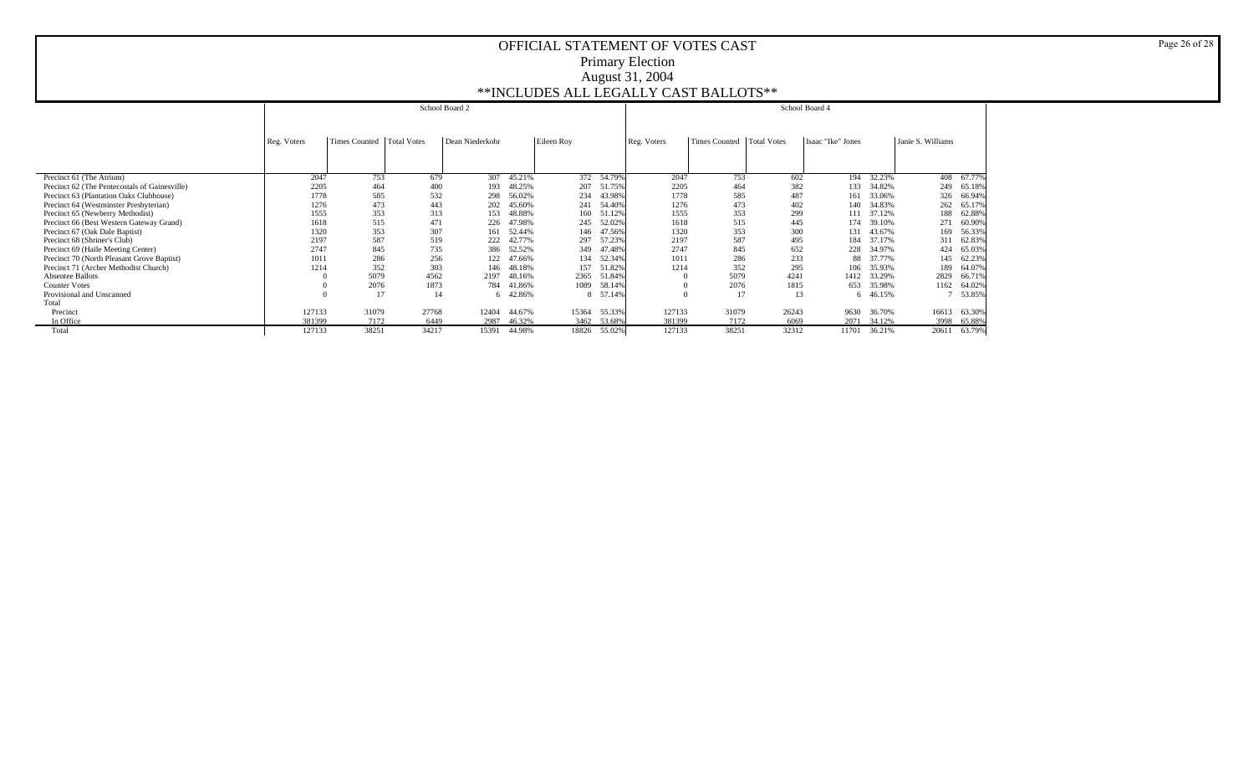|                                               | School Board 2 |                      |                    |                 |        |            |            |             | School Board 4              |       |                   |          |                   |        |  |  |
|-----------------------------------------------|----------------|----------------------|--------------------|-----------------|--------|------------|------------|-------------|-----------------------------|-------|-------------------|----------|-------------------|--------|--|--|
|                                               | Reg. Voters    | <b>Times Counted</b> | <b>Total Votes</b> | Dean Niederkohr |        | Eileen Roy |            | Reg. Voters | Times Counted   Total Votes |       | Isaac "Ike" Jones |          | Janie S. Williams |        |  |  |
| Precinct 61 (The Atrium)                      | 2047           | 753                  | 679                | 307             | 45.21% |            | 372 54.79% | 2047        | 753                         | 602   | 194               | 32.23%   | 408               | 67.77% |  |  |
| Precinct 62 (The Pentecostals of Gainesville) | 2205           | 464                  | 400                | 193             | 48.25% | 207        | 51.75%     | 2205        | 464                         | 382   | 133               | 34.82%   | 249               | 65.18% |  |  |
| Precinct 63 (Plantation Oaks Clubhouse)       | 1778           | 585                  | 532                | 298             | 56.02% | 234        | 43.98%     | 1778        | 585                         | 487   | 161               | 33.06%   | 326               | 66.94% |  |  |
| Precinct 64 (Westminster Presbyterian)        | 1276           | 473                  | 443                | 202             | 45.60% | 241        | 54.40%     | 1276        | 473                         | 402   | 140               | 34.83%   | 262               | 65.17% |  |  |
| Precinct 65 (Newberry Methodist)              | 1555           | 353                  | 313                | 153             | 48.88% | 160        | 51.12%     | 1555        | 353                         | 299   | 111               | 37.12%   | 188               | 62.88% |  |  |
| Precinct 66 (Best Western Gateway Grand)      | 1618           | 515                  | 471                | 226             | 47.98% | 245        | 52.02%     | 1618        | 515                         | 445   | 174               | 39.10%   | 271               | 60.90% |  |  |
| Precinct 67 (Oak Dale Baptist)                | 1320           | 353                  | 307                |                 | 52.44% | 146        | 47.56%     | 1320        | 353                         | 300   | 131               | 43.67%   | 169               | 56.33% |  |  |
| Precinct 68 (Shriner's Club)                  | 2197           | 587                  | 519                | 222             | 42.77% | 297        | 57.23%     | 2197        | 587                         | 495   | 184               | 37.17%   | 311               | 62.83% |  |  |
| Precinct 69 (Haile Meeting Center)            | 2747           | 845                  | 735                | 386             | 52.52% | 349        | 47.48%     | 2747        | 845                         | 652   | 228               | 34.97%   | 424               | 65.03% |  |  |
| Precinct 70 (North Pleasant Grove Baptist)    | 1011           | 286                  | 256                |                 | 47.66% | 134        | 52.34%     | 1011        | 286                         | 233   | 88                | 37.77%   | 145               | 62.23% |  |  |
| Precinct 71 (Archer Methodist Church)         | 1214           | 352                  | 303                | 146             | 48.18% | 157        | 51.82%     | 1214        | 352                         | 295   | 106               | 35.93%   | 189               | 64.07% |  |  |
| <b>Absentee Ballots</b>                       | $\Omega$       | 5079                 | 4562               | 2197            | 48.16% | 2365       | 51.84%     |             | 5079                        | 4241  | 1412              | 33.29%   | 2829              | 66.71% |  |  |
| <b>Counter Votes</b>                          |                | 2076                 | 1873               | 784             | 41.86% | 1089       | 58.14%     |             | 2076                        | 1815  | 653               | 35.98%   | 1162              | 64.02% |  |  |
| Provisional and Unscanned                     | $\Omega$       | 17                   | 14                 | 6               | 42.86% | 8          | 57.14%     |             | 17                          | 13    |                   | 6 46.15% |                   | 53.85% |  |  |
| Total                                         |                |                      |                    |                 |        |            |            |             |                             |       |                   |          |                   |        |  |  |
| Precinct                                      | 127133         | 31079                | 27768              | 12404           | 44.67% | 15364      | 55.33%     | 127133      | 31079                       | 26243 | 9630              | 36.70%   | 16613             | 63.30% |  |  |
| In Office                                     | 381399         | 7172                 | 6449               | 2987            | 46.32% | 3462       | 53.68%     | 381399      | 7172                        | 6069  | 2071              | 34.12%   | 3998              | 65.88% |  |  |
| Total                                         | 127133         | 38251                | 34217              | 15391           | 44.98% | 18826      | 55.02%     | 127133      | 38251                       | 32312 | 11701             | 36.21%   | 20611             | 63.79% |  |  |

Page 26 of 28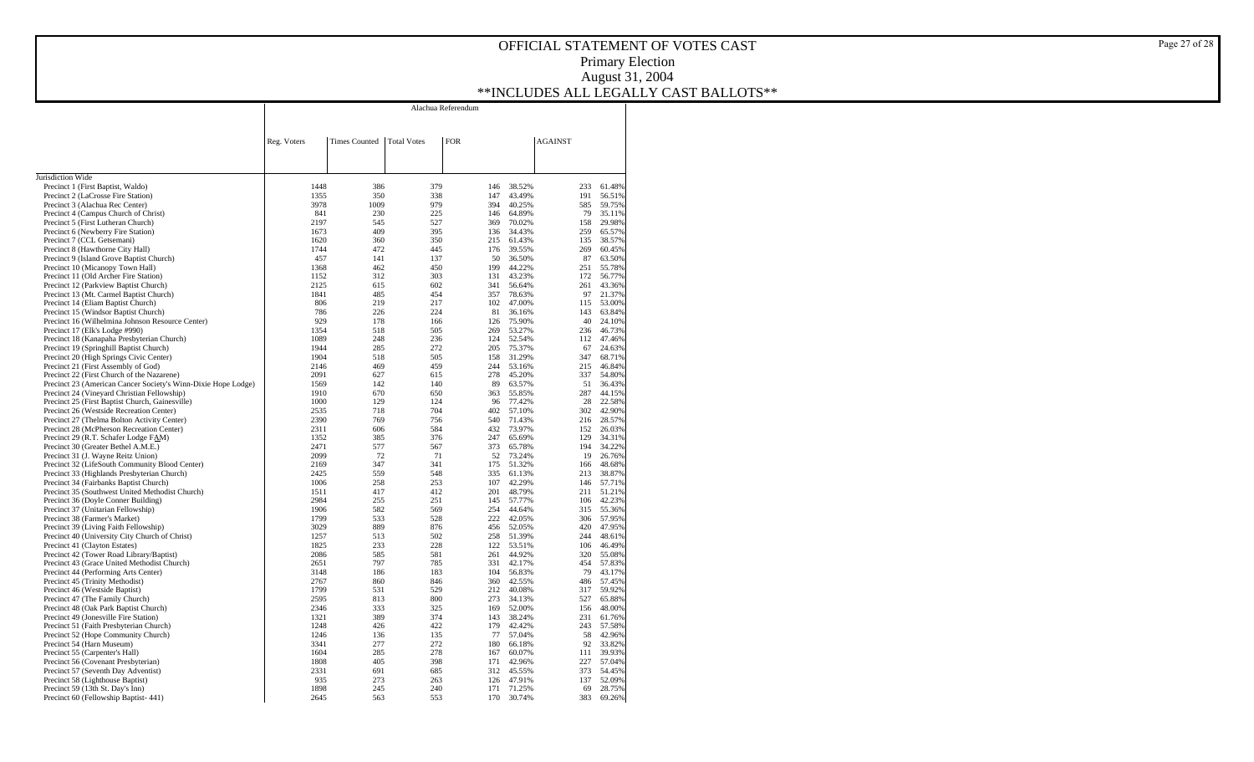| <b>FOR</b><br><b>AGAINST</b><br>Reg. Voters<br><b>Times Counted</b><br><b>Total Votes</b><br>Jurisdiction Wide<br>Precinct 1 (First Baptist, Waldo)<br>1448<br>386<br>379<br>38.52%<br>233<br>146<br>Precinct 2 (LaCrosse Fire Station)<br>1355<br>350<br>338<br>147<br>43.49%<br>191<br>Precinct 3 (Alachua Rec Center)<br>3978<br>1009<br>979<br>394<br>40.25%<br>585<br>225<br>79<br>841<br>230<br>146<br>64.89%<br>Precinct 4 (Campus Church of Christ)<br>2197<br>545<br>527<br>70.02%<br>158<br>29.98%<br>Precinct 5 (First Lutheran Church)<br>369<br>409<br>395<br>259<br>Precinct 6 (Newberry Fire Station)<br>1673<br>136<br>34.43%<br>350<br>Precinct 7 (CCL Getsemani)<br>1620<br>360<br>215<br>61.43%<br>135<br>269<br>Precinct 8 (Hawthorne City Hall)<br>1744<br>472<br>445<br>176<br>39.55%<br>Precinct 9 (Island Grove Baptist Church)<br>457<br>141<br>137<br>50<br>36.50%<br>87<br>Precinct 10 (Micanopy Town Hall)<br>1368<br>462<br>450<br>199<br>44.22%<br>251<br>1152<br>312<br>303<br>131<br>172<br>Precinct 11 (Old Archer Fire Station)<br>43.23%<br>2125<br>615<br>602<br>341<br>261<br>Precinct 12 (Parkview Baptist Church)<br>56.64%<br>Precinct 13 (Mt. Carmel Baptist Church)<br>1841<br>485<br>454<br>78.63%<br>97<br>357<br>Precinct 14 (Eliam Baptist Church)<br>806<br>219<br>217<br>102<br>47.00%<br>115<br>786<br>Precinct 15 (Windsor Baptist Church)<br>226<br>224<br>81<br>36.16%<br>143<br>929<br>178<br>Precinct 16 (Wilhelmina Johnson Resource Center)<br>166<br>126<br>75.90%<br>40<br>1354<br>505<br>269<br>Precinct 17 (Elk's Lodge #990)<br>518<br>53.27%<br>236 |                  |
|-------------------------------------------------------------------------------------------------------------------------------------------------------------------------------------------------------------------------------------------------------------------------------------------------------------------------------------------------------------------------------------------------------------------------------------------------------------------------------------------------------------------------------------------------------------------------------------------------------------------------------------------------------------------------------------------------------------------------------------------------------------------------------------------------------------------------------------------------------------------------------------------------------------------------------------------------------------------------------------------------------------------------------------------------------------------------------------------------------------------------------------------------------------------------------------------------------------------------------------------------------------------------------------------------------------------------------------------------------------------------------------------------------------------------------------------------------------------------------------------------------------------------------------------------------------------------------------------------------------------|------------------|
|                                                                                                                                                                                                                                                                                                                                                                                                                                                                                                                                                                                                                                                                                                                                                                                                                                                                                                                                                                                                                                                                                                                                                                                                                                                                                                                                                                                                                                                                                                                                                                                                                   |                  |
|                                                                                                                                                                                                                                                                                                                                                                                                                                                                                                                                                                                                                                                                                                                                                                                                                                                                                                                                                                                                                                                                                                                                                                                                                                                                                                                                                                                                                                                                                                                                                                                                                   |                  |
|                                                                                                                                                                                                                                                                                                                                                                                                                                                                                                                                                                                                                                                                                                                                                                                                                                                                                                                                                                                                                                                                                                                                                                                                                                                                                                                                                                                                                                                                                                                                                                                                                   |                  |
|                                                                                                                                                                                                                                                                                                                                                                                                                                                                                                                                                                                                                                                                                                                                                                                                                                                                                                                                                                                                                                                                                                                                                                                                                                                                                                                                                                                                                                                                                                                                                                                                                   |                  |
|                                                                                                                                                                                                                                                                                                                                                                                                                                                                                                                                                                                                                                                                                                                                                                                                                                                                                                                                                                                                                                                                                                                                                                                                                                                                                                                                                                                                                                                                                                                                                                                                                   | 61.48%           |
|                                                                                                                                                                                                                                                                                                                                                                                                                                                                                                                                                                                                                                                                                                                                                                                                                                                                                                                                                                                                                                                                                                                                                                                                                                                                                                                                                                                                                                                                                                                                                                                                                   | 56.51%           |
|                                                                                                                                                                                                                                                                                                                                                                                                                                                                                                                                                                                                                                                                                                                                                                                                                                                                                                                                                                                                                                                                                                                                                                                                                                                                                                                                                                                                                                                                                                                                                                                                                   | 59.75%           |
|                                                                                                                                                                                                                                                                                                                                                                                                                                                                                                                                                                                                                                                                                                                                                                                                                                                                                                                                                                                                                                                                                                                                                                                                                                                                                                                                                                                                                                                                                                                                                                                                                   | 35.11%           |
|                                                                                                                                                                                                                                                                                                                                                                                                                                                                                                                                                                                                                                                                                                                                                                                                                                                                                                                                                                                                                                                                                                                                                                                                                                                                                                                                                                                                                                                                                                                                                                                                                   | 65.57%           |
|                                                                                                                                                                                                                                                                                                                                                                                                                                                                                                                                                                                                                                                                                                                                                                                                                                                                                                                                                                                                                                                                                                                                                                                                                                                                                                                                                                                                                                                                                                                                                                                                                   | 38.57%           |
|                                                                                                                                                                                                                                                                                                                                                                                                                                                                                                                                                                                                                                                                                                                                                                                                                                                                                                                                                                                                                                                                                                                                                                                                                                                                                                                                                                                                                                                                                                                                                                                                                   | 60.45%           |
|                                                                                                                                                                                                                                                                                                                                                                                                                                                                                                                                                                                                                                                                                                                                                                                                                                                                                                                                                                                                                                                                                                                                                                                                                                                                                                                                                                                                                                                                                                                                                                                                                   | 63.50%           |
|                                                                                                                                                                                                                                                                                                                                                                                                                                                                                                                                                                                                                                                                                                                                                                                                                                                                                                                                                                                                                                                                                                                                                                                                                                                                                                                                                                                                                                                                                                                                                                                                                   | 55.78%           |
|                                                                                                                                                                                                                                                                                                                                                                                                                                                                                                                                                                                                                                                                                                                                                                                                                                                                                                                                                                                                                                                                                                                                                                                                                                                                                                                                                                                                                                                                                                                                                                                                                   | 56.77%           |
|                                                                                                                                                                                                                                                                                                                                                                                                                                                                                                                                                                                                                                                                                                                                                                                                                                                                                                                                                                                                                                                                                                                                                                                                                                                                                                                                                                                                                                                                                                                                                                                                                   | 43.36%           |
|                                                                                                                                                                                                                                                                                                                                                                                                                                                                                                                                                                                                                                                                                                                                                                                                                                                                                                                                                                                                                                                                                                                                                                                                                                                                                                                                                                                                                                                                                                                                                                                                                   | 21.37%           |
|                                                                                                                                                                                                                                                                                                                                                                                                                                                                                                                                                                                                                                                                                                                                                                                                                                                                                                                                                                                                                                                                                                                                                                                                                                                                                                                                                                                                                                                                                                                                                                                                                   | 53.00%           |
|                                                                                                                                                                                                                                                                                                                                                                                                                                                                                                                                                                                                                                                                                                                                                                                                                                                                                                                                                                                                                                                                                                                                                                                                                                                                                                                                                                                                                                                                                                                                                                                                                   | 63.84%           |
|                                                                                                                                                                                                                                                                                                                                                                                                                                                                                                                                                                                                                                                                                                                                                                                                                                                                                                                                                                                                                                                                                                                                                                                                                                                                                                                                                                                                                                                                                                                                                                                                                   | 24.10%           |
|                                                                                                                                                                                                                                                                                                                                                                                                                                                                                                                                                                                                                                                                                                                                                                                                                                                                                                                                                                                                                                                                                                                                                                                                                                                                                                                                                                                                                                                                                                                                                                                                                   | 46.73%           |
| 1089<br>248<br>236<br>124<br>52.54%<br>112<br>Precinct 18 (Kanapaha Presbyterian Church)                                                                                                                                                                                                                                                                                                                                                                                                                                                                                                                                                                                                                                                                                                                                                                                                                                                                                                                                                                                                                                                                                                                                                                                                                                                                                                                                                                                                                                                                                                                          | 47.46%           |
| Precinct 19 (Springhill Baptist Church)<br>1944<br>285<br>272<br>205<br>75.37%<br>67                                                                                                                                                                                                                                                                                                                                                                                                                                                                                                                                                                                                                                                                                                                                                                                                                                                                                                                                                                                                                                                                                                                                                                                                                                                                                                                                                                                                                                                                                                                              | 24.63%           |
| Precinct 20 (High Springs Civic Center)<br>1904<br>518<br>505<br>31.29%<br>158<br>347                                                                                                                                                                                                                                                                                                                                                                                                                                                                                                                                                                                                                                                                                                                                                                                                                                                                                                                                                                                                                                                                                                                                                                                                                                                                                                                                                                                                                                                                                                                             | 68.71%           |
| Precinct 21 (First Assembly of God)<br>469<br>459<br>244<br>53.16%<br>215<br>2146<br>278                                                                                                                                                                                                                                                                                                                                                                                                                                                                                                                                                                                                                                                                                                                                                                                                                                                                                                                                                                                                                                                                                                                                                                                                                                                                                                                                                                                                                                                                                                                          | 46.84%           |
| Precinct 22 (First Church of the Nazarene)<br>2091<br>627<br>45.20%<br>337<br>615<br>63.57%<br>Precinct 23 (American Cancer Society's Winn-Dixie Hope Lodge)<br>1569<br>142<br>140<br>89<br>51                                                                                                                                                                                                                                                                                                                                                                                                                                                                                                                                                                                                                                                                                                                                                                                                                                                                                                                                                                                                                                                                                                                                                                                                                                                                                                                                                                                                                    | 54.80%<br>36.43% |
| 670<br>287<br>Precinct 24 (Vineyard Christian Fellowship)<br>1910<br>650<br>363<br>55.85%                                                                                                                                                                                                                                                                                                                                                                                                                                                                                                                                                                                                                                                                                                                                                                                                                                                                                                                                                                                                                                                                                                                                                                                                                                                                                                                                                                                                                                                                                                                         | 44.15%           |
| 1000<br>129<br>124<br>96<br>77.42%<br>28<br>Precinct 25 (First Baptist Church, Gainesville)                                                                                                                                                                                                                                                                                                                                                                                                                                                                                                                                                                                                                                                                                                                                                                                                                                                                                                                                                                                                                                                                                                                                                                                                                                                                                                                                                                                                                                                                                                                       | 22.58%           |
| Precinct 26 (Westside Recreation Center)<br>2535<br>718<br>704<br>402<br>57.10%<br>302                                                                                                                                                                                                                                                                                                                                                                                                                                                                                                                                                                                                                                                                                                                                                                                                                                                                                                                                                                                                                                                                                                                                                                                                                                                                                                                                                                                                                                                                                                                            | 42.90%           |
| Precinct 27 (Thelma Bolton Activity Center)<br>2390<br>769<br>756<br>540<br>71.43%<br>216                                                                                                                                                                                                                                                                                                                                                                                                                                                                                                                                                                                                                                                                                                                                                                                                                                                                                                                                                                                                                                                                                                                                                                                                                                                                                                                                                                                                                                                                                                                         | 28.57%           |
| Precinct 28 (McPherson Recreation Center)<br>2311<br>606<br>584<br>432<br>73.97%<br>152                                                                                                                                                                                                                                                                                                                                                                                                                                                                                                                                                                                                                                                                                                                                                                                                                                                                                                                                                                                                                                                                                                                                                                                                                                                                                                                                                                                                                                                                                                                           | 26.03%           |
| Precinct 29 (R.T. Schafer Lodge FAM)<br>1352<br>385<br>376<br>247<br>65.69%<br>129                                                                                                                                                                                                                                                                                                                                                                                                                                                                                                                                                                                                                                                                                                                                                                                                                                                                                                                                                                                                                                                                                                                                                                                                                                                                                                                                                                                                                                                                                                                                | 34.31%           |
| 2471<br>577<br>373<br>65.78%<br>194<br>Precinct 30 (Greater Bethel A.M.E.)<br>567                                                                                                                                                                                                                                                                                                                                                                                                                                                                                                                                                                                                                                                                                                                                                                                                                                                                                                                                                                                                                                                                                                                                                                                                                                                                                                                                                                                                                                                                                                                                 | 34.22%           |
| 2099<br>52<br>19<br>Precinct 31 (J. Wayne Reitz Union)<br>72<br>71<br>73.24%                                                                                                                                                                                                                                                                                                                                                                                                                                                                                                                                                                                                                                                                                                                                                                                                                                                                                                                                                                                                                                                                                                                                                                                                                                                                                                                                                                                                                                                                                                                                      | 26.76%           |
| Precinct 32 (LifeSouth Community Blood Center)<br>2169<br>347<br>341<br>175<br>51.32%<br>166                                                                                                                                                                                                                                                                                                                                                                                                                                                                                                                                                                                                                                                                                                                                                                                                                                                                                                                                                                                                                                                                                                                                                                                                                                                                                                                                                                                                                                                                                                                      | 48.68%           |
| 2425<br>559<br>548<br>Precinct 33 (Highlands Presbyterian Church)<br>335<br>61.13%<br>213                                                                                                                                                                                                                                                                                                                                                                                                                                                                                                                                                                                                                                                                                                                                                                                                                                                                                                                                                                                                                                                                                                                                                                                                                                                                                                                                                                                                                                                                                                                         | 38.87%           |
| Precinct 34 (Fairbanks Baptist Church)<br>1006<br>258<br>253<br>107<br>42.29%<br>146                                                                                                                                                                                                                                                                                                                                                                                                                                                                                                                                                                                                                                                                                                                                                                                                                                                                                                                                                                                                                                                                                                                                                                                                                                                                                                                                                                                                                                                                                                                              | 57.71%           |
| Precinct 35 (Southwest United Methodist Church)<br>1511<br>417<br>412<br>201<br>48.79%<br>211                                                                                                                                                                                                                                                                                                                                                                                                                                                                                                                                                                                                                                                                                                                                                                                                                                                                                                                                                                                                                                                                                                                                                                                                                                                                                                                                                                                                                                                                                                                     | 51.21%           |
| Precinct 36 (Doyle Conner Building)<br>2984<br>255<br>251<br>145<br>57.77%<br>106                                                                                                                                                                                                                                                                                                                                                                                                                                                                                                                                                                                                                                                                                                                                                                                                                                                                                                                                                                                                                                                                                                                                                                                                                                                                                                                                                                                                                                                                                                                                 | 42.23%           |
| Precinct 37 (Unitarian Fellowship)<br>1906<br>582<br>569<br>254<br>44.64%<br>315                                                                                                                                                                                                                                                                                                                                                                                                                                                                                                                                                                                                                                                                                                                                                                                                                                                                                                                                                                                                                                                                                                                                                                                                                                                                                                                                                                                                                                                                                                                                  | 55.36%           |
| 222<br>Precinct 38 (Farmer's Market)<br>1799<br>533<br>528<br>42.05%<br>306                                                                                                                                                                                                                                                                                                                                                                                                                                                                                                                                                                                                                                                                                                                                                                                                                                                                                                                                                                                                                                                                                                                                                                                                                                                                                                                                                                                                                                                                                                                                       | 57.95%           |
| 889<br>876<br>Precinct 39 (Living Faith Fellowship)<br>3029<br>456<br>52.05%<br>420<br>Precinct 40 (University City Church of Christ)<br>1257<br>502<br>258<br>51.39%<br>244<br>513                                                                                                                                                                                                                                                                                                                                                                                                                                                                                                                                                                                                                                                                                                                                                                                                                                                                                                                                                                                                                                                                                                                                                                                                                                                                                                                                                                                                                               | 47.95%<br>48.61% |
| Precinct 41 (Clayton Estates)<br>1825<br>233<br>228<br>122<br>53.51%<br>106                                                                                                                                                                                                                                                                                                                                                                                                                                                                                                                                                                                                                                                                                                                                                                                                                                                                                                                                                                                                                                                                                                                                                                                                                                                                                                                                                                                                                                                                                                                                       | 46.49%           |
| 2086<br>585<br>581<br>44.92%<br>Precinct 42 (Tower Road Library/Baptist)<br>261<br>320                                                                                                                                                                                                                                                                                                                                                                                                                                                                                                                                                                                                                                                                                                                                                                                                                                                                                                                                                                                                                                                                                                                                                                                                                                                                                                                                                                                                                                                                                                                            | 55.08%           |
| Precinct 43 (Grace United Methodist Church)<br>2651<br>797<br>785<br>331<br>42.17%<br>454                                                                                                                                                                                                                                                                                                                                                                                                                                                                                                                                                                                                                                                                                                                                                                                                                                                                                                                                                                                                                                                                                                                                                                                                                                                                                                                                                                                                                                                                                                                         | 57.83%           |
| 79<br>3148<br>186<br>183<br>104<br>56.83%<br>Precinct 44 (Performing Arts Center)                                                                                                                                                                                                                                                                                                                                                                                                                                                                                                                                                                                                                                                                                                                                                                                                                                                                                                                                                                                                                                                                                                                                                                                                                                                                                                                                                                                                                                                                                                                                 | 43.17%           |
| Precinct 45 (Trinity Methodist)<br>2767<br>860<br>846<br>360<br>42.55%<br>486                                                                                                                                                                                                                                                                                                                                                                                                                                                                                                                                                                                                                                                                                                                                                                                                                                                                                                                                                                                                                                                                                                                                                                                                                                                                                                                                                                                                                                                                                                                                     | 57.45%           |
| 1799<br>531<br>529<br>212<br>Precinct 46 (Westside Baptist)<br>40.08%<br>317                                                                                                                                                                                                                                                                                                                                                                                                                                                                                                                                                                                                                                                                                                                                                                                                                                                                                                                                                                                                                                                                                                                                                                                                                                                                                                                                                                                                                                                                                                                                      | 59.92%           |
| 2595<br>Precinct 47 (The Family Church)<br>813<br>800<br>273<br>34.13%<br>527                                                                                                                                                                                                                                                                                                                                                                                                                                                                                                                                                                                                                                                                                                                                                                                                                                                                                                                                                                                                                                                                                                                                                                                                                                                                                                                                                                                                                                                                                                                                     | 65.88%           |
| Precinct 48 (Oak Park Baptist Church)<br>2346<br>333<br>325<br>52.00%<br>156<br>169                                                                                                                                                                                                                                                                                                                                                                                                                                                                                                                                                                                                                                                                                                                                                                                                                                                                                                                                                                                                                                                                                                                                                                                                                                                                                                                                                                                                                                                                                                                               | 48.00%           |
| 389<br>374<br>143<br>231<br>Precinct 49 (Jonesville Fire Station)<br>1321<br>38.24%                                                                                                                                                                                                                                                                                                                                                                                                                                                                                                                                                                                                                                                                                                                                                                                                                                                                                                                                                                                                                                                                                                                                                                                                                                                                                                                                                                                                                                                                                                                               | 61.76%           |
| 422<br>179<br>42.42%<br>Precinct 51 (Faith Presbyterian Church)<br>1248<br>426<br>243                                                                                                                                                                                                                                                                                                                                                                                                                                                                                                                                                                                                                                                                                                                                                                                                                                                                                                                                                                                                                                                                                                                                                                                                                                                                                                                                                                                                                                                                                                                             | 57.58%           |
| 135<br>Precinct 52 (Hope Community Church)<br>1246<br>136<br>77<br>57.04%<br>58                                                                                                                                                                                                                                                                                                                                                                                                                                                                                                                                                                                                                                                                                                                                                                                                                                                                                                                                                                                                                                                                                                                                                                                                                                                                                                                                                                                                                                                                                                                                   | 42.96%           |
| 277<br>272<br>180<br>92<br>Precinct 54 (Harn Museum)<br>3341<br>66.18%                                                                                                                                                                                                                                                                                                                                                                                                                                                                                                                                                                                                                                                                                                                                                                                                                                                                                                                                                                                                                                                                                                                                                                                                                                                                                                                                                                                                                                                                                                                                            | 33.82%           |
| Precinct 55 (Carpenter's Hall)<br>1604<br>285<br>278<br>167<br>60.07%<br>111                                                                                                                                                                                                                                                                                                                                                                                                                                                                                                                                                                                                                                                                                                                                                                                                                                                                                                                                                                                                                                                                                                                                                                                                                                                                                                                                                                                                                                                                                                                                      | 39.93%           |
| Precinct 56 (Covenant Presbyterian)<br>1808<br>405<br>398<br>171<br>42.96%<br>227                                                                                                                                                                                                                                                                                                                                                                                                                                                                                                                                                                                                                                                                                                                                                                                                                                                                                                                                                                                                                                                                                                                                                                                                                                                                                                                                                                                                                                                                                                                                 | 57.04%           |
| Precinct 57 (Seventh Day Adventist)<br>2331<br>691<br>685<br>312<br>45.55%<br>373                                                                                                                                                                                                                                                                                                                                                                                                                                                                                                                                                                                                                                                                                                                                                                                                                                                                                                                                                                                                                                                                                                                                                                                                                                                                                                                                                                                                                                                                                                                                 | 54.45%           |
| 935<br>273<br>263<br>126<br>47.91%<br>137<br>Precinct 58 (Lighthouse Baptist)<br>Precinct 59 (13th St. Day's Inn)<br>1898<br>245<br>240<br>171<br>71.25%<br>69                                                                                                                                                                                                                                                                                                                                                                                                                                                                                                                                                                                                                                                                                                                                                                                                                                                                                                                                                                                                                                                                                                                                                                                                                                                                                                                                                                                                                                                    | 52.09%<br>28.75% |
| 553<br>170<br>Precinct 60 (Fellowship Baptist-441)<br>2645<br>563<br>30.74%<br>383                                                                                                                                                                                                                                                                                                                                                                                                                                                                                                                                                                                                                                                                                                                                                                                                                                                                                                                                                                                                                                                                                                                                                                                                                                                                                                                                                                                                                                                                                                                                | 69.26%           |

Alachua Referendum

Page 27 of 28